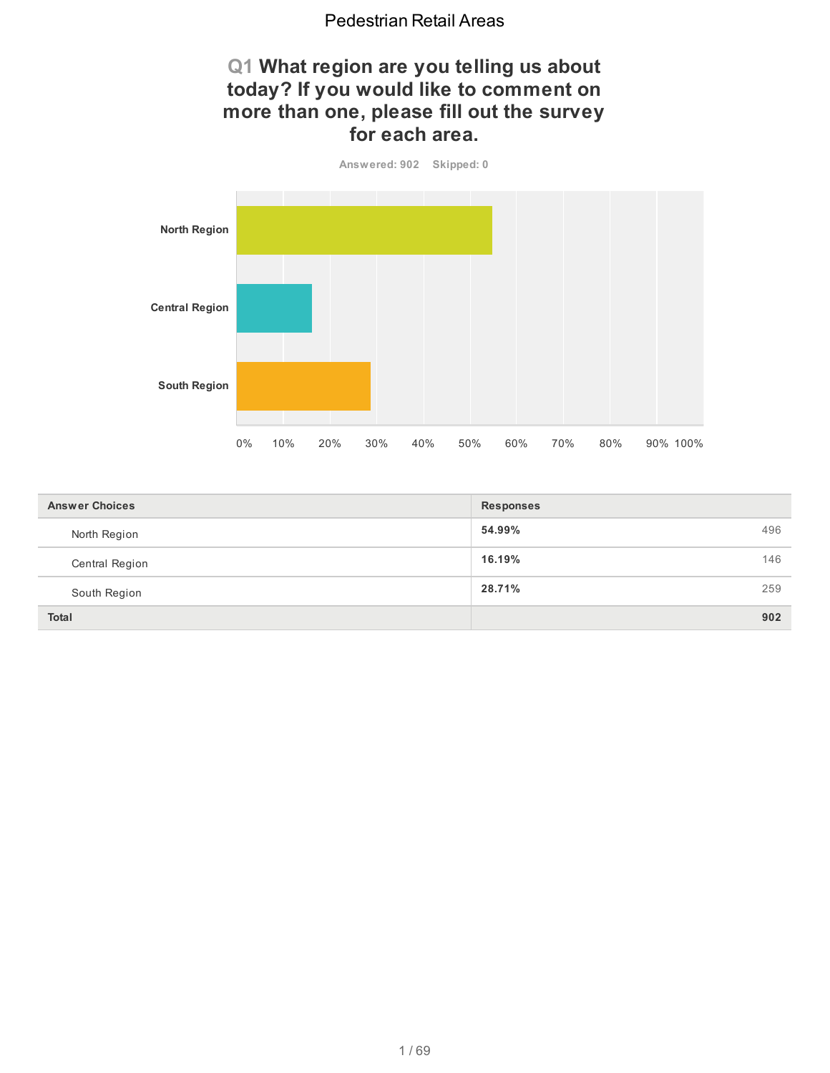## **Q1 What region are you telling us about today? If you would like to comment on more than one, please fill out the survey for each area.**



| <b>Answer Choices</b> | <b>Responses</b> |
|-----------------------|------------------|
| North Region          | 54.99%<br>496    |
| Central Region        | 16.19%<br>146    |
| South Region          | 28.71%<br>259    |
| <b>Total</b>          | 902              |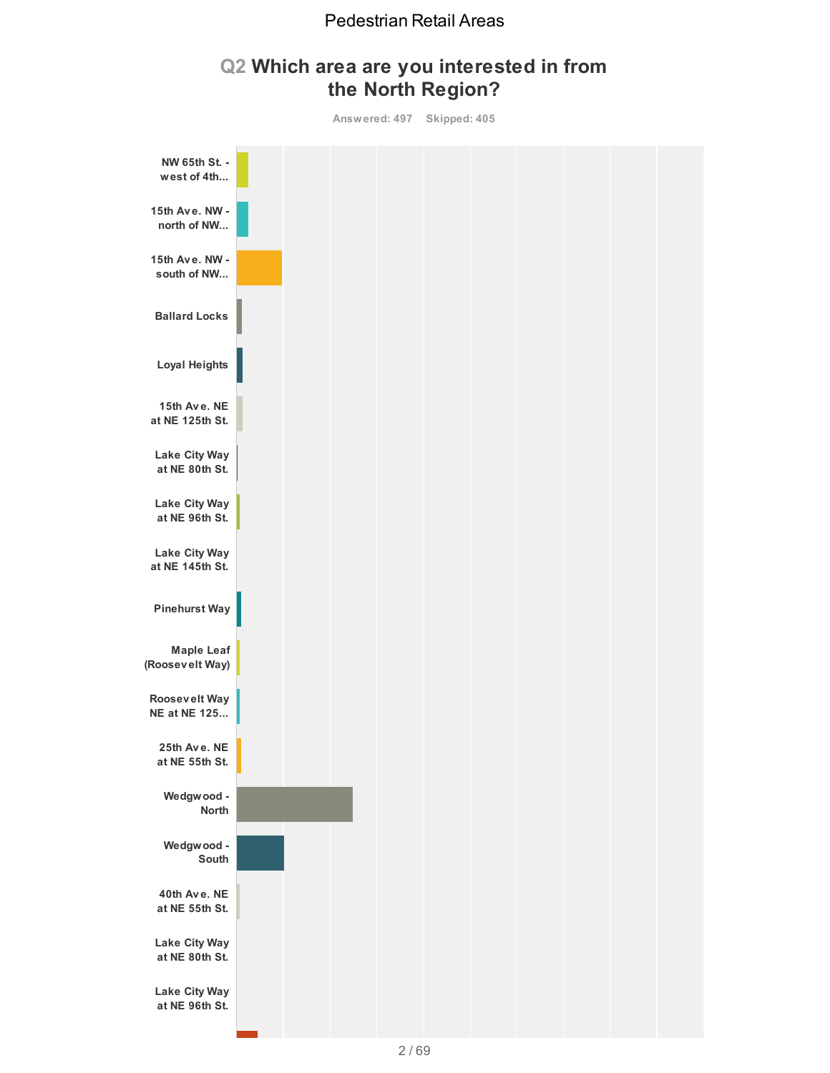## **Q2 Which area are you interested in from the North Region?**

**Answered: 497 Skipped: 405**

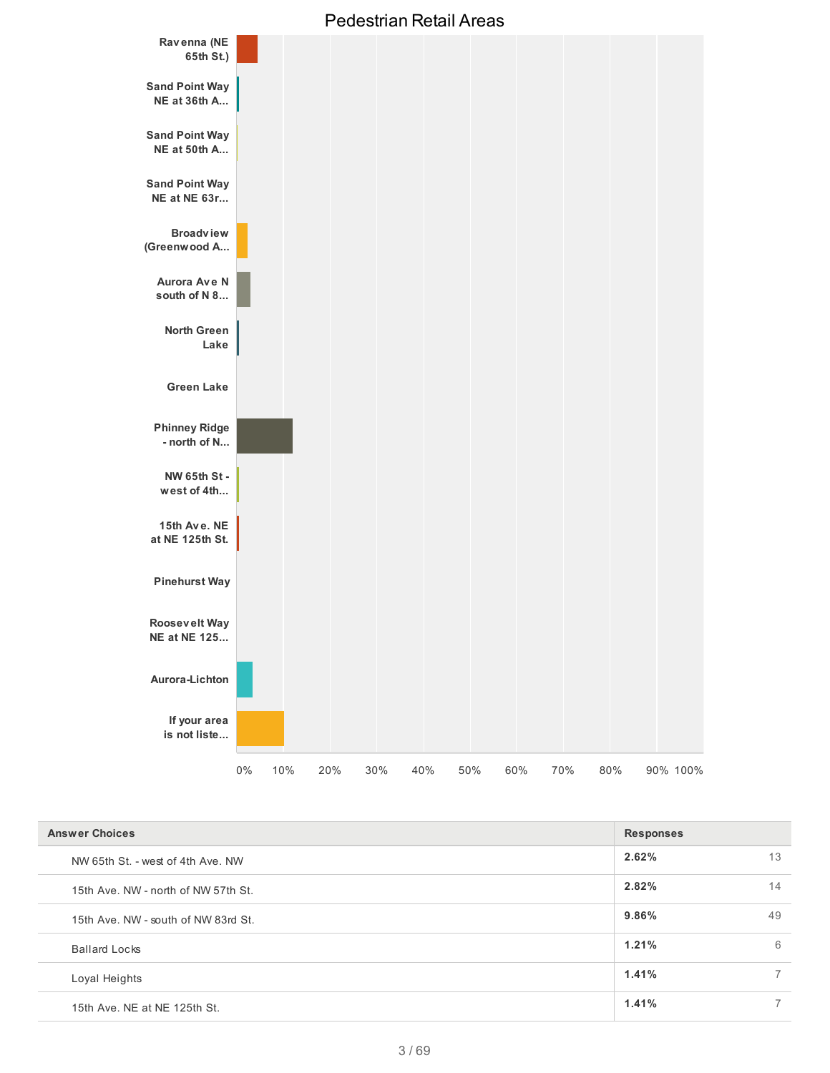

| <b>Answer Choices</b>               | <b>Responses</b> |
|-------------------------------------|------------------|
| NW 65th St. - west of 4th Ave. NW   | 2.62%<br>13      |
| 15th Ave. NW - north of NW 57th St. | 2.82%<br>14      |
| 15th Ave. NW - south of NW 83rd St. | 49<br>9.86%      |
| <b>Ballard Locks</b>                | 1.21%<br>6       |
| Loyal Heights                       | 1.41%            |
| 15th Ave. NE at NE 125th St.        | 1.41%            |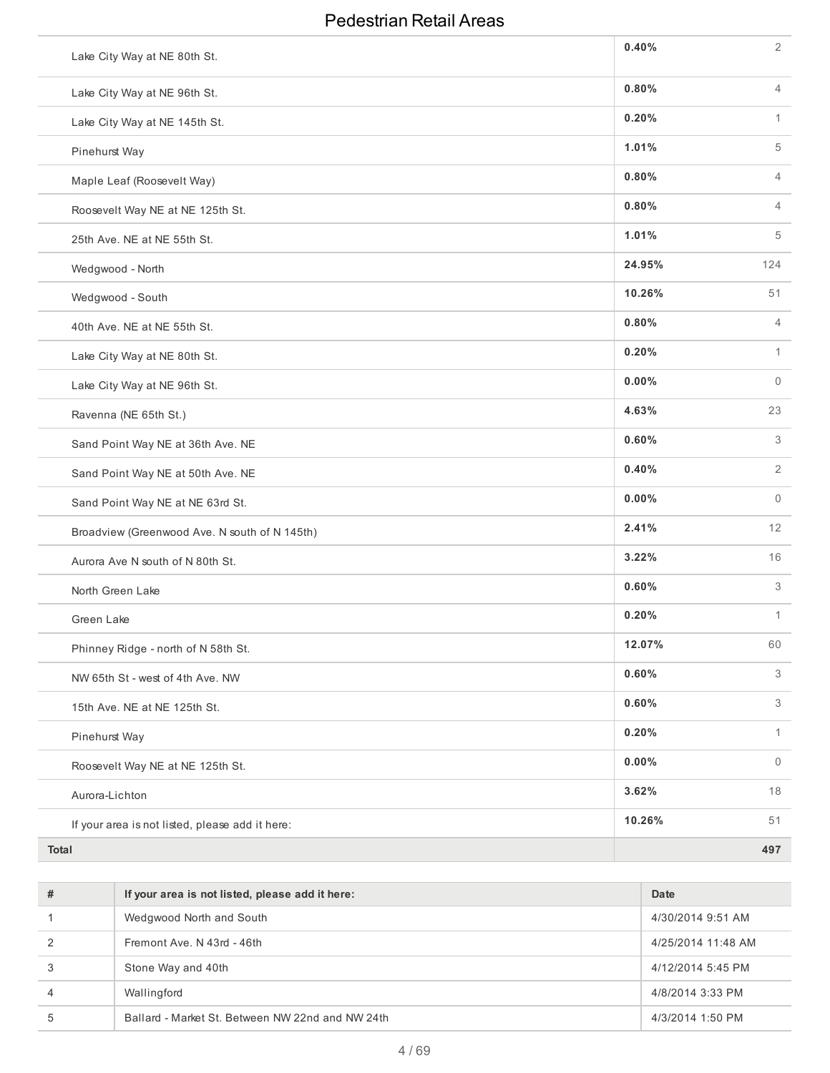| Lake City Way at NE 80th St.                    | 0.40%  | $\overline{2}$ |
|-------------------------------------------------|--------|----------------|
| Lake City Way at NE 96th St.                    | 0.80%  | $\overline{4}$ |
| Lake City Way at NE 145th St.                   | 0.20%  | $\mathbf{1}$   |
| Pinehurst Way                                   | 1.01%  | 5              |
| Maple Leaf (Roosevelt Way)                      | 0.80%  | $\overline{4}$ |
| Roosevelt Way NE at NE 125th St.                | 0.80%  | $\overline{4}$ |
| 25th Ave. NE at NE 55th St.                     | 1.01%  | 5              |
| Wedgwood - North                                | 24.95% | 124            |
| Wedgwood - South                                | 10.26% | 51             |
| 40th Ave. NE at NE 55th St.                     | 0.80%  | $\overline{4}$ |
| Lake City Way at NE 80th St.                    | 0.20%  | $\mathbf{1}$   |
| Lake City Way at NE 96th St.                    | 0.00%  | $\mathbf{0}$   |
| Ravenna (NE 65th St.)                           | 4.63%  | 23             |
| Sand Point Way NE at 36th Ave. NE               | 0.60%  | 3              |
| Sand Point Way NE at 50th Ave. NE               | 0.40%  | $\overline{2}$ |
| Sand Point Way NE at NE 63rd St.                | 0.00%  | $\mathbf{0}$   |
| Broadview (Greenwood Ave. N south of N 145th)   | 2.41%  | 12             |
| Aurora Ave N south of N 80th St.                | 3.22%  | 16             |
| North Green Lake                                | 0.60%  | 3              |
| Green Lake                                      | 0.20%  | $\mathbf{1}$   |
| Phinney Ridge - north of N 58th St.             | 12.07% | 60             |
| NW 65th St - west of 4th Ave. NW                | 0.60%  | 3              |
| 15th Ave. NE at NE 125th St.                    | 0.60%  | 3              |
| Pinehurst Way                                   | 0.20%  | $\mathbf{1}$   |
| Roosevelt Way NE at NE 125th St.                | 0.00%  | $\overline{0}$ |
| Aurora-Lichton                                  | 3.62%  | 18             |
| If your area is not listed, please add it here: | 10.26% | 51             |
| Total                                           |        | 497            |

| # | If your area is not listed, please add it here:  | Date               |
|---|--------------------------------------------------|--------------------|
|   | Wedgwood North and South                         | 4/30/2014 9:51 AM  |
|   | Fremont Ave, N 43rd - 46th                       | 4/25/2014 11:48 AM |
|   | Stone Way and 40th                               | 4/12/2014 5:45 PM  |
| 4 | Wallingford                                      | 4/8/2014 3:33 PM   |
| 5 | Ballard - Market St. Between NW 22nd and NW 24th | 4/3/2014 1:50 PM   |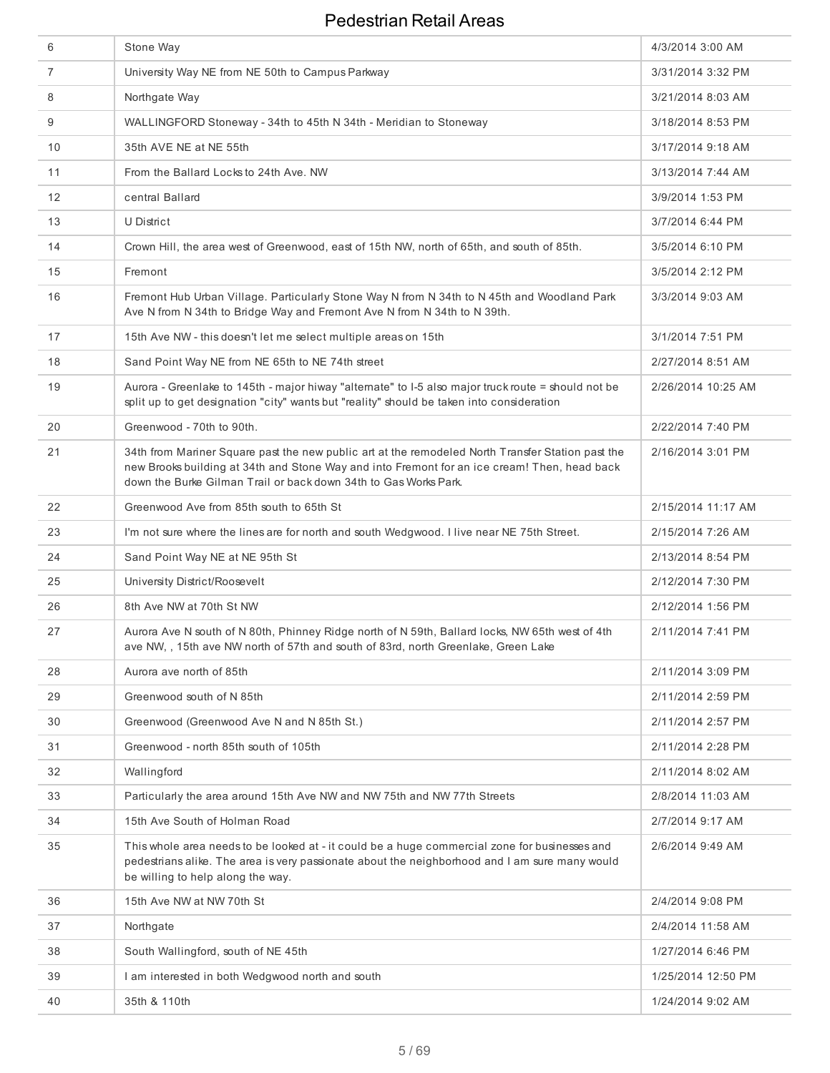| 6  | Stone Way                                                                                                                                                                                                                                                             | 4/3/2014 3:00 AM   |
|----|-----------------------------------------------------------------------------------------------------------------------------------------------------------------------------------------------------------------------------------------------------------------------|--------------------|
| 7  | University Way NE from NE 50th to Campus Parkway                                                                                                                                                                                                                      | 3/31/2014 3:32 PM  |
| 8  | Northgate Way                                                                                                                                                                                                                                                         | 3/21/2014 8:03 AM  |
| 9  | WALLINGFORD Stoneway - 34th to 45th N 34th - Meridian to Stoneway                                                                                                                                                                                                     | 3/18/2014 8:53 PM  |
| 10 | 35th AVE NE at NE 55th                                                                                                                                                                                                                                                | 3/17/2014 9:18 AM  |
| 11 | From the Ballard Locks to 24th Ave. NW                                                                                                                                                                                                                                | 3/13/2014 7:44 AM  |
| 12 | central Ballard                                                                                                                                                                                                                                                       | 3/9/2014 1:53 PM   |
| 13 | U District                                                                                                                                                                                                                                                            | 3/7/2014 6:44 PM   |
| 14 | Crown Hill, the area west of Greenwood, east of 15th NW, north of 65th, and south of 85th.                                                                                                                                                                            | 3/5/2014 6:10 PM   |
| 15 | Fremont                                                                                                                                                                                                                                                               | 3/5/2014 2:12 PM   |
| 16 | Fremont Hub Urban Village. Particularly Stone Way N from N 34th to N 45th and Woodland Park<br>Ave N from N 34th to Bridge Way and Fremont Ave N from N 34th to N 39th.                                                                                               | 3/3/2014 9:03 AM   |
| 17 | 15th Ave NW - this doesn't let me select multiple areas on 15th                                                                                                                                                                                                       | 3/1/2014 7:51 PM   |
| 18 | Sand Point Way NE from NE 65th to NE 74th street                                                                                                                                                                                                                      | 2/27/2014 8:51 AM  |
| 19 | Aurora - Greenlake to 145th - major hiway "alternate" to I-5 also major truck route = should not be<br>split up to get designation "city" wants but "reality" should be taken into consideration                                                                      | 2/26/2014 10:25 AM |
| 20 | Greenwood - 70th to 90th.                                                                                                                                                                                                                                             | 2/22/2014 7:40 PM  |
| 21 | 34th from Mariner Square past the new public art at the remodeled North Transfer Station past the<br>new Brooks building at 34th and Stone Way and into Fremont for an ice cream! Then, head back<br>down the Burke Gilman Trail or back down 34th to Gas Works Park. | 2/16/2014 3:01 PM  |
| 22 | Greenwood Ave from 85th south to 65th St                                                                                                                                                                                                                              | 2/15/2014 11:17 AM |
| 23 | I'm not sure where the lines are for north and south Wedgwood. I live near NE 75th Street.                                                                                                                                                                            | 2/15/2014 7:26 AM  |
| 24 | Sand Point Way NE at NE 95th St                                                                                                                                                                                                                                       | 2/13/2014 8:54 PM  |
| 25 | University District/Roosevelt                                                                                                                                                                                                                                         | 2/12/2014 7:30 PM  |
| 26 | 8th Ave NW at 70th St NW                                                                                                                                                                                                                                              | 2/12/2014 1:56 PM  |
| 27 | Aurora Ave N south of N 80th, Phinney Ridge north of N 59th, Ballard locks, NW 65th west of 4th<br>ave NW, , 15th ave NW north of 57th and south of 83rd, north Greenlake, Green Lake                                                                                 | 2/11/2014 7:41 PM  |
| 28 | Aurora ave north of 85th                                                                                                                                                                                                                                              | 2/11/2014 3:09 PM  |
| 29 | Greenwood south of N 85th                                                                                                                                                                                                                                             | 2/11/2014 2:59 PM  |
| 30 | Greenwood (Greenwood Ave N and N 85th St.)                                                                                                                                                                                                                            | 2/11/2014 2:57 PM  |
| 31 | Greenwood - north 85th south of 105th                                                                                                                                                                                                                                 | 2/11/2014 2:28 PM  |
| 32 | Wallingford                                                                                                                                                                                                                                                           | 2/11/2014 8:02 AM  |
| 33 | Particularly the area around 15th Ave NW and NW 75th and NW 77th Streets                                                                                                                                                                                              | 2/8/2014 11:03 AM  |
| 34 | 15th Ave South of Holman Road                                                                                                                                                                                                                                         | 2/7/2014 9:17 AM   |
| 35 | This whole area needs to be looked at - it could be a huge commercial zone for businesses and<br>pedestrians alike. The area is very passionate about the neighborhood and I am sure many would<br>be willing to help along the way.                                  | 2/6/2014 9:49 AM   |
| 36 | 15th Ave NW at NW 70th St                                                                                                                                                                                                                                             | 2/4/2014 9:08 PM   |
| 37 | Northgate                                                                                                                                                                                                                                                             | 2/4/2014 11:58 AM  |
| 38 | South Wallingford, south of NE 45th                                                                                                                                                                                                                                   | 1/27/2014 6:46 PM  |
| 39 | I am interested in both Wedgwood north and south                                                                                                                                                                                                                      | 1/25/2014 12:50 PM |
| 40 | 35th & 110th                                                                                                                                                                                                                                                          | 1/24/2014 9:02 AM  |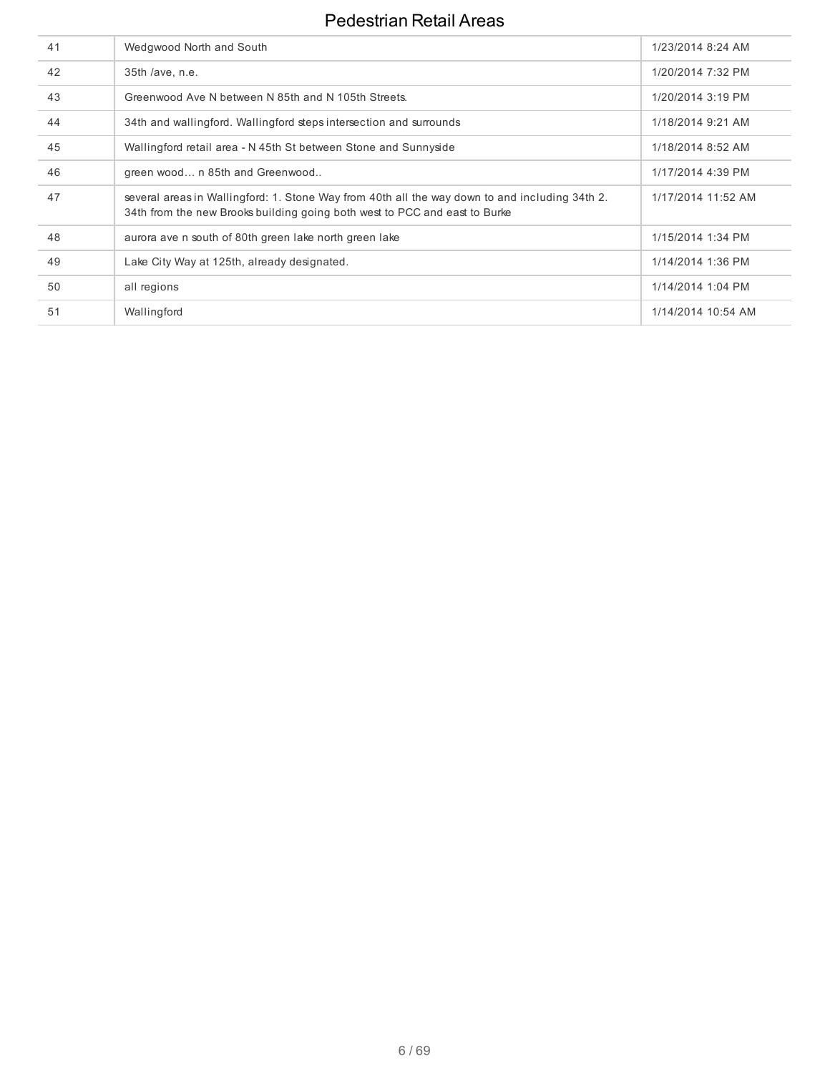| 41 | Wedgwood North and South                                                                                                                                                     | 1/23/2014 8:24 AM  |
|----|------------------------------------------------------------------------------------------------------------------------------------------------------------------------------|--------------------|
| 42 | 35th /ave, n.e.                                                                                                                                                              | 1/20/2014 7:32 PM  |
| 43 | Greenwood Ave N between N 85th and N 105th Streets.                                                                                                                          | 1/20/2014 3:19 PM  |
| 44 | 34th and wallingford. Wallingford steps intersection and surrounds                                                                                                           | 1/18/2014 9:21 AM  |
| 45 | Wallingford retail area - N 45th St between Stone and Sunnyside                                                                                                              | 1/18/2014 8:52 AM  |
| 46 | green wood n 85th and Greenwood                                                                                                                                              | 1/17/2014 4:39 PM  |
| 47 | several areas in Wallingford: 1. Stone Way from 40th all the way down to and including 34th 2.<br>34th from the new Brooks building going both west to PCC and east to Burke | 1/17/2014 11:52 AM |
| 48 | aurora ave n south of 80th green lake north green lake                                                                                                                       | 1/15/2014 1:34 PM  |
| 49 | Lake City Way at 125th, already designated.                                                                                                                                  | 1/14/2014 1:36 PM  |
| 50 | all regions                                                                                                                                                                  | 1/14/2014 1:04 PM  |
| 51 | Wallingford                                                                                                                                                                  | 1/14/2014 10:54 AM |
|    |                                                                                                                                                                              |                    |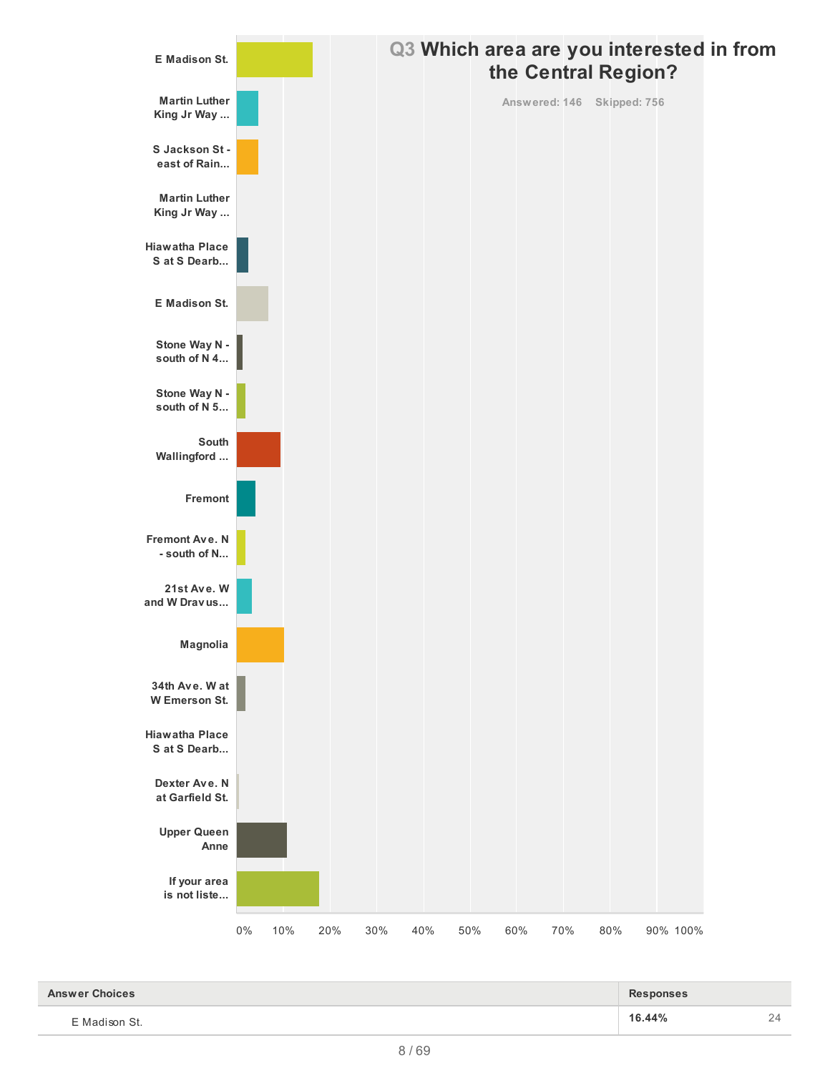

| <b>Answer Choices</b> | <b>Responses</b> |    |
|-----------------------|------------------|----|
| E Madison St.         | 16.44%           | 24 |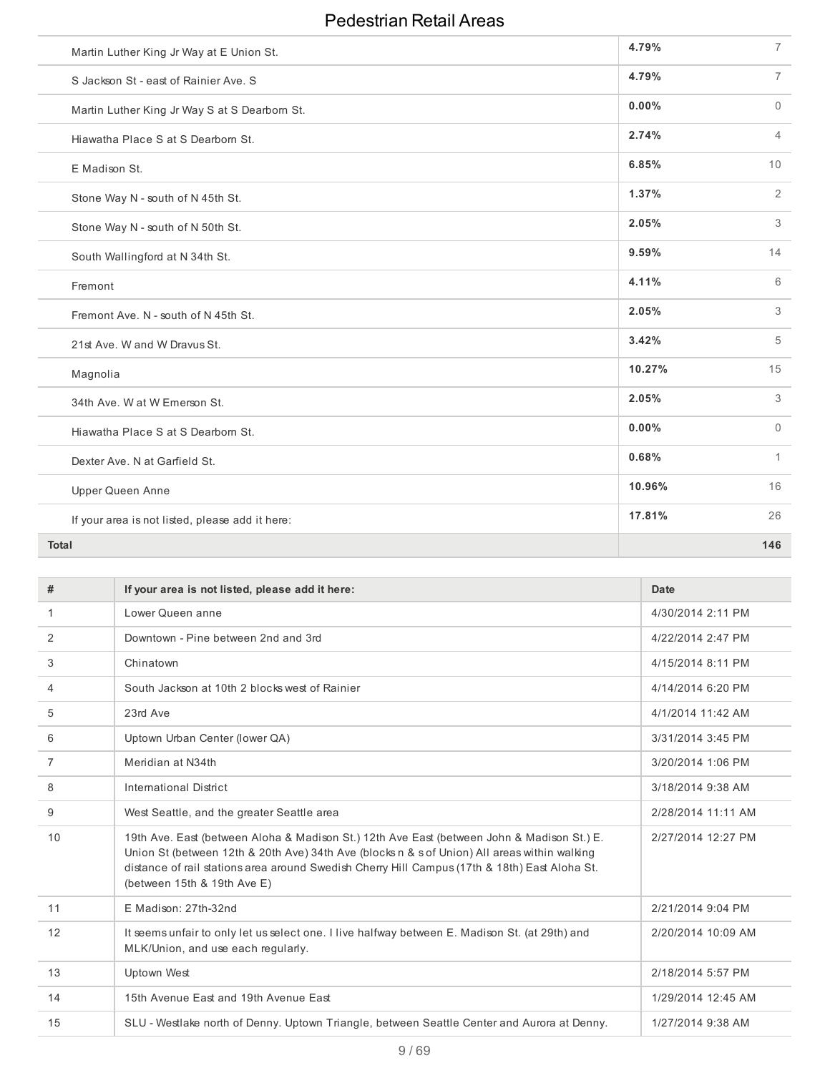| Martin Luther King Jr Way at E Union St.        | 4.79%  | $\overline{7}$ |
|-------------------------------------------------|--------|----------------|
| S Jackson St - east of Rainier Ave. S           | 4.79%  | $\overline{7}$ |
| Martin Luther King Jr Way S at S Dearborn St.   | 0.00%  | $\Omega$       |
| Hiawatha Place S at S Dearborn St.              | 2.74%  | $\overline{4}$ |
| E Madison St.                                   | 6.85%  | 10             |
| Stone Way N - south of N 45th St.               | 1.37%  | $\overline{2}$ |
| Stone Way N - south of N 50th St.               | 2.05%  | 3              |
| South Wallingford at N 34th St.                 | 9.59%  | 14             |
| Fremont                                         | 4.11%  | 6              |
| Fremont Ave. N - south of N 45th St.            | 2.05%  | 3              |
| 21st Ave. W and W Dravus St.                    | 3.42%  | 5              |
| Magnolia                                        | 10.27% | 15             |
| 34th Ave. W at W Emerson St.                    | 2.05%  | 3              |
| Hiawatha Place S at S Dearborn St.              | 0.00%  | $\Omega$       |
| Dexter Ave. N at Garfield St.                   | 0.68%  | $\mathbf{1}$   |
| <b>Upper Queen Anne</b>                         | 10.96% | 16             |
| If your area is not listed, please add it here: | 17.81% | 26             |
| <b>Total</b>                                    |        | 146            |

| #              | If your area is not listed, please add it here:                                                                                                                                                                                                                                                                            | Date               |
|----------------|----------------------------------------------------------------------------------------------------------------------------------------------------------------------------------------------------------------------------------------------------------------------------------------------------------------------------|--------------------|
| 1              | Lower Queen anne                                                                                                                                                                                                                                                                                                           | 4/30/2014 2:11 PM  |
| 2              | Downtown - Pine between 2nd and 3rd                                                                                                                                                                                                                                                                                        | 4/22/2014 2:47 PM  |
| 3              | Chinatown                                                                                                                                                                                                                                                                                                                  | 4/15/2014 8:11 PM  |
| 4              | South Jackson at 10th 2 blocks west of Rainier                                                                                                                                                                                                                                                                             | 4/14/2014 6:20 PM  |
| 5              | 23rd Ave                                                                                                                                                                                                                                                                                                                   | 4/1/2014 11:42 AM  |
| 6              | Uptown Urban Center (lower QA)                                                                                                                                                                                                                                                                                             | 3/31/2014 3:45 PM  |
| $\overline{7}$ | Meridian at N34th                                                                                                                                                                                                                                                                                                          | 3/20/2014 1:06 PM  |
| 8              | International District                                                                                                                                                                                                                                                                                                     | 3/18/2014 9:38 AM  |
| 9              | West Seattle, and the greater Seattle area                                                                                                                                                                                                                                                                                 | 2/28/2014 11:11 AM |
| 10             | 19th Ave. East (between Aloha & Madison St.) 12th Ave East (between John & Madison St.) E.<br>Union St (between 12th & 20th Ave) 34th Ave (blocks n & s of Union) All areas within walking<br>distance of rail stations area around Swedish Cherry Hill Campus (17th & 18th) East Aloha St.<br>(between 15th & 19th Ave E) | 2/27/2014 12:27 PM |
| 11             | E Madison: 27th-32nd                                                                                                                                                                                                                                                                                                       | 2/21/2014 9:04 PM  |
| 12             | It seems unfair to only let us select one. I live halfway between E. Madison St. (at 29th) and<br>MLK/Union, and use each regularly.                                                                                                                                                                                       | 2/20/2014 10:09 AM |
| 13             | <b>Uptown West</b>                                                                                                                                                                                                                                                                                                         | 2/18/2014 5:57 PM  |
| 14             | 15th Avenue East and 19th Avenue East                                                                                                                                                                                                                                                                                      | 1/29/2014 12:45 AM |
| 15             | SLU - Westlake north of Denny. Uptown Triangle, between Seattle Center and Aurora at Denny.                                                                                                                                                                                                                                | 1/27/2014 9:38 AM  |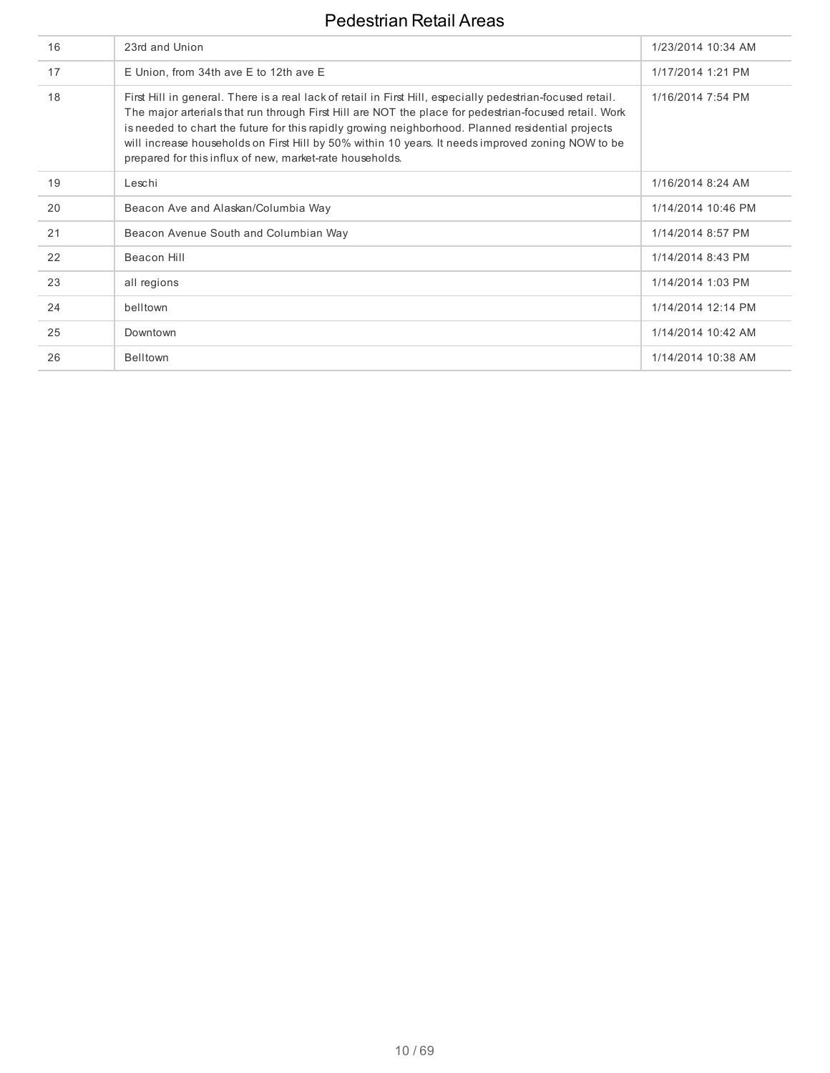| 16 | 23rd and Union                                                                                                                                                                                                                                                                                                                                                                                                                                                                            | 1/23/2014 10:34 AM |
|----|-------------------------------------------------------------------------------------------------------------------------------------------------------------------------------------------------------------------------------------------------------------------------------------------------------------------------------------------------------------------------------------------------------------------------------------------------------------------------------------------|--------------------|
| 17 | E Union, from 34th ave E to 12th ave E                                                                                                                                                                                                                                                                                                                                                                                                                                                    | 1/17/2014 1:21 PM  |
| 18 | First Hill in general. There is a real lack of retail in First Hill, especially pedestrian-focused retail.<br>The major arterials that run through First Hill are NOT the place for pedestrian-focused retail. Work<br>is needed to chart the future for this rapidly growing neighborhood. Planned residential projects<br>will increase households on First Hill by 50% within 10 years. It needs improved zoning NOW to be<br>prepared for this influx of new, market-rate households. | 1/16/2014 7:54 PM  |
| 19 | Leschi                                                                                                                                                                                                                                                                                                                                                                                                                                                                                    | 1/16/2014 8:24 AM  |
| 20 | Beacon Ave and Alaskan/Columbia Way                                                                                                                                                                                                                                                                                                                                                                                                                                                       | 1/14/2014 10:46 PM |
| 21 | Beacon Avenue South and Columbian Way                                                                                                                                                                                                                                                                                                                                                                                                                                                     | 1/14/2014 8:57 PM  |
| 22 | Beacon Hill                                                                                                                                                                                                                                                                                                                                                                                                                                                                               | 1/14/2014 8:43 PM  |
| 23 | all regions                                                                                                                                                                                                                                                                                                                                                                                                                                                                               | 1/14/2014 1:03 PM  |
| 24 | belltown                                                                                                                                                                                                                                                                                                                                                                                                                                                                                  | 1/14/2014 12:14 PM |
| 25 | Downtown                                                                                                                                                                                                                                                                                                                                                                                                                                                                                  | 1/14/2014 10:42 AM |
| 26 | <b>Belltown</b>                                                                                                                                                                                                                                                                                                                                                                                                                                                                           | 1/14/2014 10:38 AM |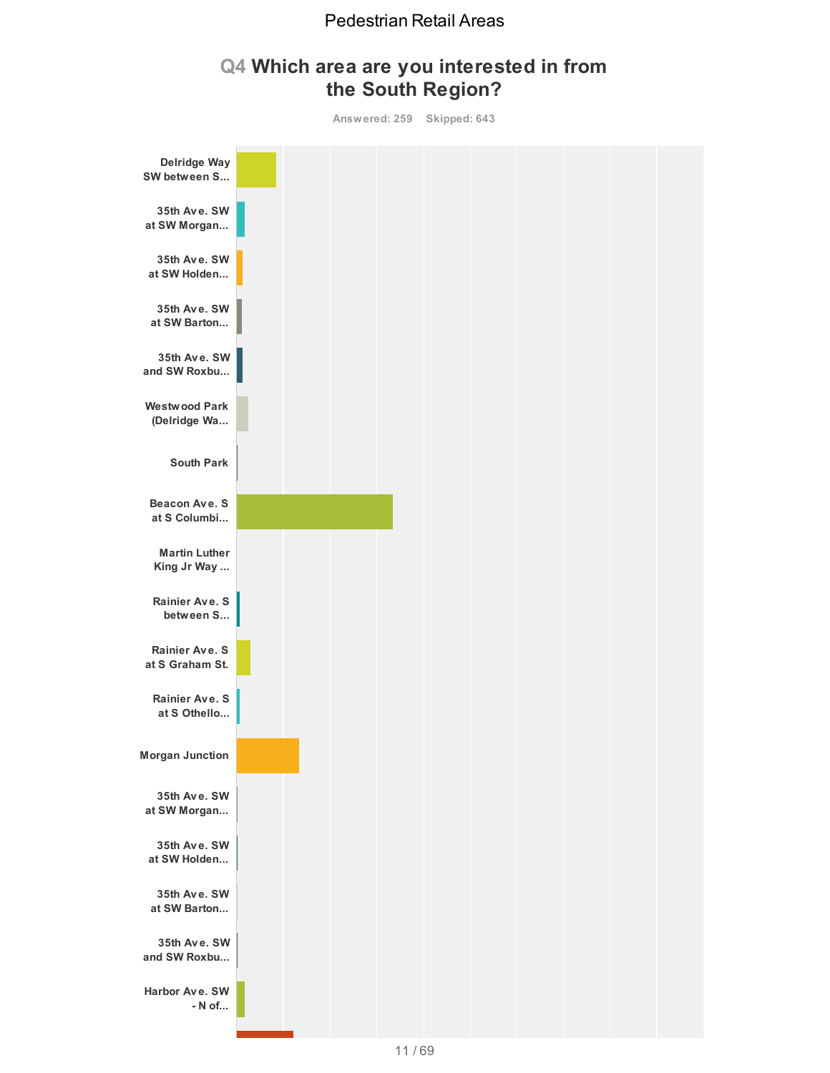## **Q4 Which area are you interested in from the South Region?**

**Answered: 259 Skipped: 643**

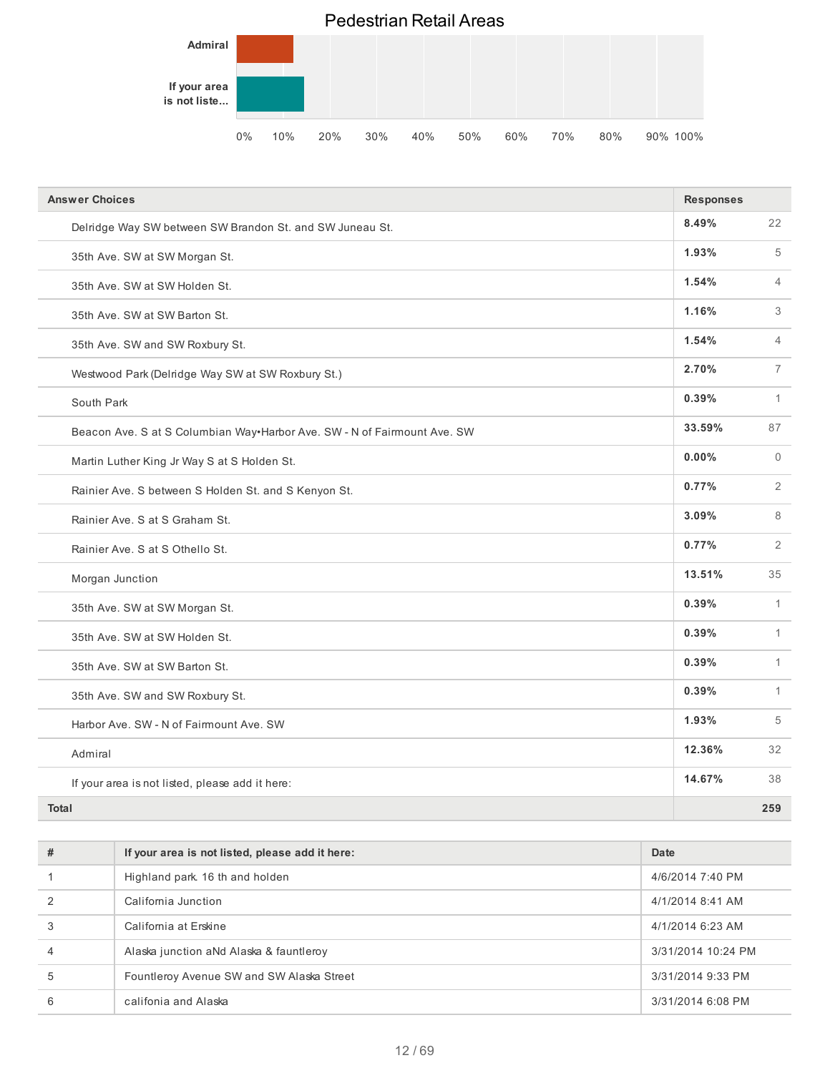

| <b>Answer Choices</b>                                                    |        |                |
|--------------------------------------------------------------------------|--------|----------------|
| Delridge Way SW between SW Brandon St. and SW Juneau St.                 | 8.49%  | 22             |
| 35th Ave. SW at SW Morgan St.                                            | 1.93%  | 5              |
| 35th Ave. SW at SW Holden St.                                            | 1.54%  | $\overline{4}$ |
| 35th Ave. SW at SW Barton St.                                            | 1.16%  | 3              |
| 35th Ave. SW and SW Roxbury St.                                          | 1.54%  | $\overline{4}$ |
| Westwood Park (Delridge Way SW at SW Roxbury St.)                        | 2.70%  | $\overline{7}$ |
| South Park                                                               | 0.39%  | $\mathbf{1}$   |
| Beacon Ave. S at S Columbian Way•Harbor Ave. SW - N of Fairmount Ave. SW | 33.59% | 87             |
| Martin Luther King Jr Way S at S Holden St.                              | 0.00%  | $\Omega$       |
| Rainier Ave. S between S Holden St. and S Kenyon St.                     | 0.77%  | $\overline{2}$ |
| Rainier Ave. S at S Graham St.                                           | 3.09%  | 8              |
| Rainier Ave. S at S Othello St.                                          | 0.77%  | 2              |
| Morgan Junction                                                          | 13.51% | 35             |
| 35th Ave. SW at SW Morgan St.                                            | 0.39%  | $\mathbf{1}$   |
| 35th Ave. SW at SW Holden St.                                            | 0.39%  | $\mathbf{1}$   |
| 35th Ave. SW at SW Barton St.                                            | 0.39%  | $\mathbf{1}$   |
| 35th Ave. SW and SW Roxbury St.                                          | 0.39%  | $\mathbf{1}$   |
| Harbor Ave. SW - N of Fairmount Ave. SW                                  | 1.93%  | 5              |
| Admiral                                                                  | 12.36% | 32             |
| If your area is not listed, please add it here:                          | 14.67% | 38             |
| <b>Total</b>                                                             |        | 259            |

| #              | If your area is not listed, please add it here: | Date               |
|----------------|-------------------------------------------------|--------------------|
|                | Highland park. 16 th and holden                 | 4/6/2014 7:40 PM   |
| $\mathcal{P}$  | California Junction                             | 4/1/2014 8:41 AM   |
| 3              | California at Erskine                           | 4/1/2014 6:23 AM   |
| $\overline{4}$ | Alaska junction aNd Alaska & fauntleroy         | 3/31/2014 10:24 PM |
| 5              | Fountleroy Avenue SW and SW Alaska Street       | 3/31/2014 9:33 PM  |
| 6              | califonia and Alaska                            | 3/31/2014 6:08 PM  |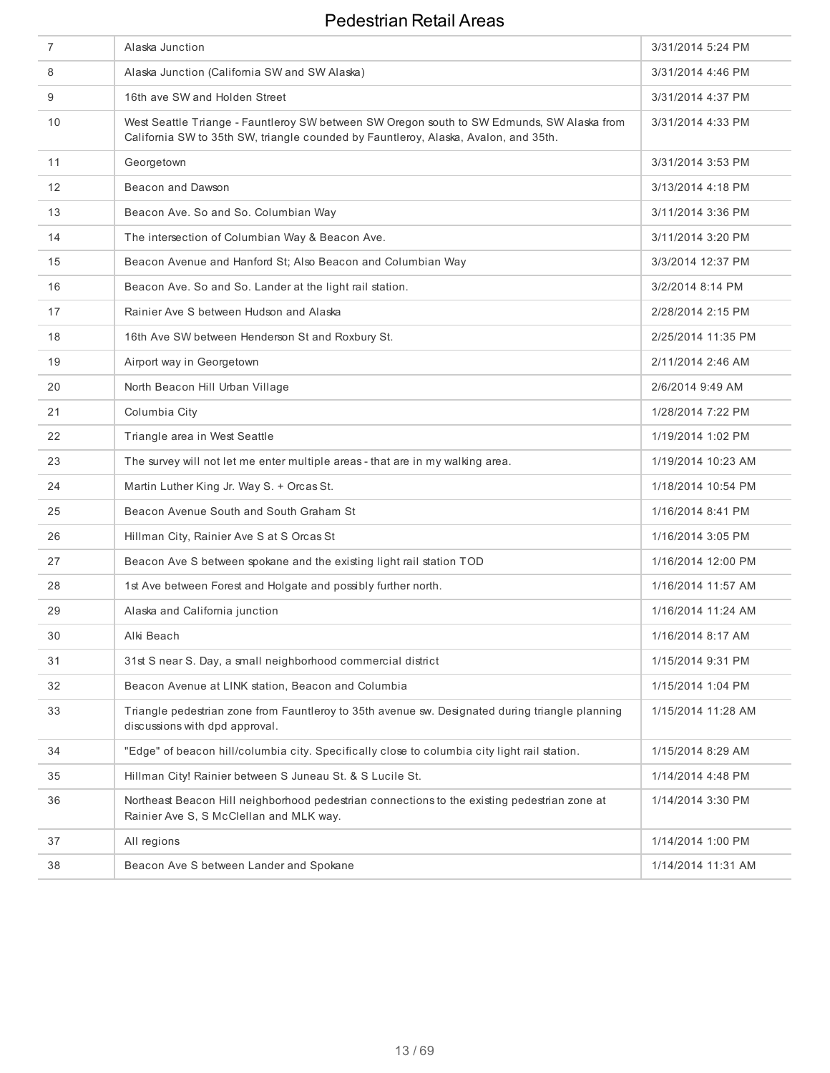| $\overline{7}$    | Alaska Junction                                                                                                                                                                   | 3/31/2014 5:24 PM  |
|-------------------|-----------------------------------------------------------------------------------------------------------------------------------------------------------------------------------|--------------------|
| 8                 | Alaska Junction (California SW and SW Alaska)                                                                                                                                     | 3/31/2014 4:46 PM  |
| 9                 | 16th ave SW and Holden Street                                                                                                                                                     | 3/31/2014 4:37 PM  |
| 10                | West Seattle Triange - Fauntleroy SW between SW Oregon south to SW Edmunds, SW Alaska from<br>California SW to 35th SW, triangle counded by Fauntleroy, Alaska, Avalon, and 35th. | 3/31/2014 4:33 PM  |
| 11                | Georgetown                                                                                                                                                                        | 3/31/2014 3:53 PM  |
| $12 \overline{ }$ | Beacon and Dawson                                                                                                                                                                 | 3/13/2014 4:18 PM  |
| 13                | Beacon Ave. So and So. Columbian Way                                                                                                                                              | 3/11/2014 3:36 PM  |
| 14                | The intersection of Columbian Way & Beacon Ave.                                                                                                                                   | 3/11/2014 3:20 PM  |
| 15                | Beacon Avenue and Hanford St; Also Beacon and Columbian Way                                                                                                                       | 3/3/2014 12:37 PM  |
| 16                | Beacon Ave. So and So. Lander at the light rail station.                                                                                                                          | 3/2/2014 8:14 PM   |
| 17                | Rainier Ave S between Hudson and Alaska                                                                                                                                           | 2/28/2014 2:15 PM  |
| 18                | 16th Ave SW between Henderson St and Roxbury St.                                                                                                                                  | 2/25/2014 11:35 PM |
| 19                | Airport way in Georgetown                                                                                                                                                         | 2/11/2014 2:46 AM  |
| 20                | North Beacon Hill Urban Village                                                                                                                                                   | 2/6/2014 9:49 AM   |
| 21                | Columbia City                                                                                                                                                                     | 1/28/2014 7:22 PM  |
| 22                | Triangle area in West Seattle                                                                                                                                                     | 1/19/2014 1:02 PM  |
| 23                | The survey will not let me enter multiple areas - that are in my walking area.                                                                                                    | 1/19/2014 10:23 AM |
| 24                | Martin Luther King Jr. Way S. + Orcas St.                                                                                                                                         | 1/18/2014 10:54 PM |
| 25                | Beacon Avenue South and South Graham St                                                                                                                                           | 1/16/2014 8:41 PM  |
| 26                | Hillman City, Rainier Ave S at S Orcas St                                                                                                                                         | 1/16/2014 3:05 PM  |
| 27                | Beacon Ave S between spokane and the existing light rail station TOD                                                                                                              | 1/16/2014 12:00 PM |
| 28                | 1st Ave between Forest and Holgate and possibly further north.                                                                                                                    | 1/16/2014 11:57 AM |
| 29                | Alaska and California junction                                                                                                                                                    | 1/16/2014 11:24 AM |
| 30                | Alki Beach                                                                                                                                                                        | 1/16/2014 8:17 AM  |
| 31                | 31st S near S. Day, a small neighborhood commercial district                                                                                                                      | 1/15/2014 9:31 PM  |
| 32                | Beacon Avenue at LINK station, Beacon and Columbia                                                                                                                                | 1/15/2014 1:04 PM  |
| 33                | Triangle pedestrian zone from Fauntleroy to 35th avenue sw. Designated during triangle planning<br>discussions with dpd approval.                                                 | 1/15/2014 11:28 AM |
| 34                | "Edge" of beacon hill/columbia city. Specifically close to columbia city light rail station.                                                                                      | 1/15/2014 8:29 AM  |
| 35                | Hillman City! Rainier between S Juneau St. & S Lucile St.                                                                                                                         | 1/14/2014 4:48 PM  |
| 36                | Northeast Beacon Hill neighborhood pedestrian connections to the existing pedestrian zone at<br>Rainier Ave S, S McClellan and MLK way.                                           | 1/14/2014 3:30 PM  |
| 37                | All regions                                                                                                                                                                       | 1/14/2014 1:00 PM  |
| 38                | Beacon Ave S between Lander and Spokane                                                                                                                                           | 1/14/2014 11:31 AM |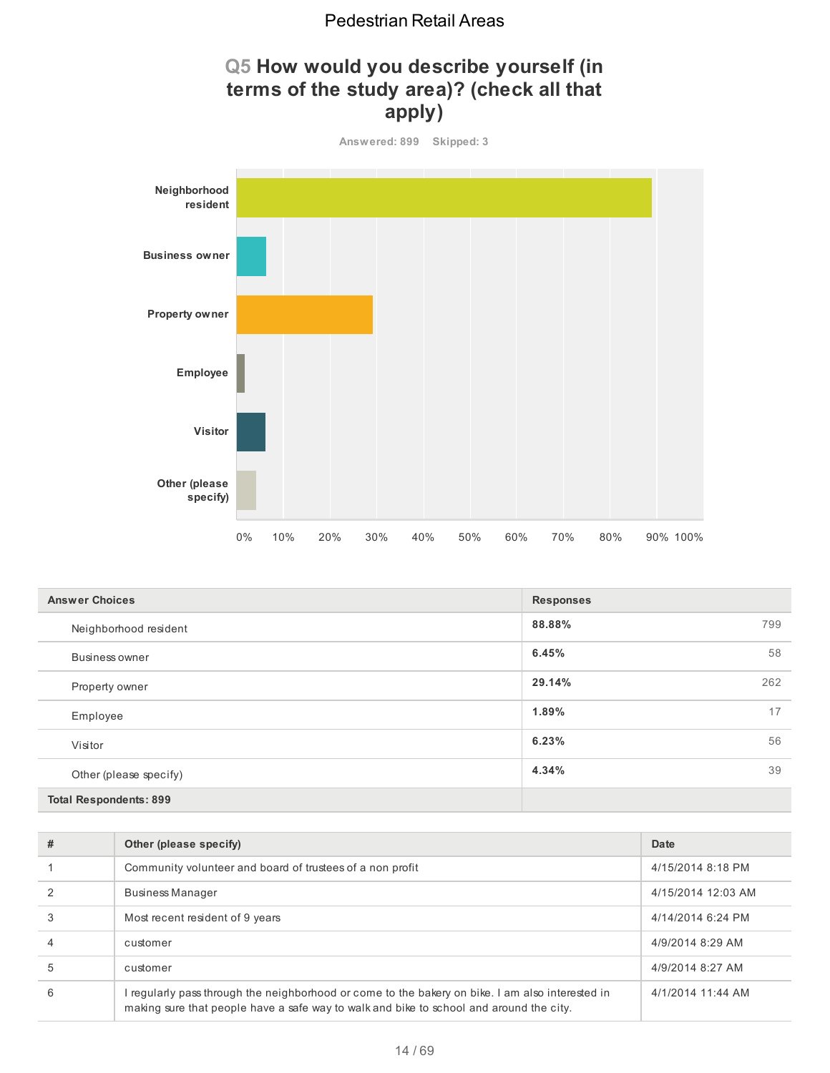# **Q5 How would you describe yourself (in terms of the study area)? (check all that apply)**



| <b>Answer Choices</b>         | <b>Responses</b> |
|-------------------------------|------------------|
| Neighborhood resident         | 88.88%<br>799    |
| Business owner                | 6.45%<br>58      |
| Property owner                | 29.14%<br>262    |
| Employee                      | 17<br>1.89%      |
| Visitor                       | 56<br>6.23%      |
| Other (please specify)        | 4.34%<br>39      |
| <b>Total Respondents: 899</b> |                  |

| # | Other (please specify)                                                                                                                                                                      | Date               |
|---|---------------------------------------------------------------------------------------------------------------------------------------------------------------------------------------------|--------------------|
|   | Community volunteer and board of trustees of a non profit                                                                                                                                   | 4/15/2014 8:18 PM  |
|   | <b>Business Manager</b>                                                                                                                                                                     | 4/15/2014 12:03 AM |
|   | Most recent resident of 9 years                                                                                                                                                             | 4/14/2014 6:24 PM  |
|   | customer                                                                                                                                                                                    | 4/9/2014 8:29 AM   |
| 5 | customer                                                                                                                                                                                    | 4/9/2014 8:27 AM   |
| 6 | I regularly pass through the neighborhood or come to the bakery on bike. I am also interested in<br>making sure that people have a safe way to walk and bike to school and around the city. | 4/1/2014 11:44 AM  |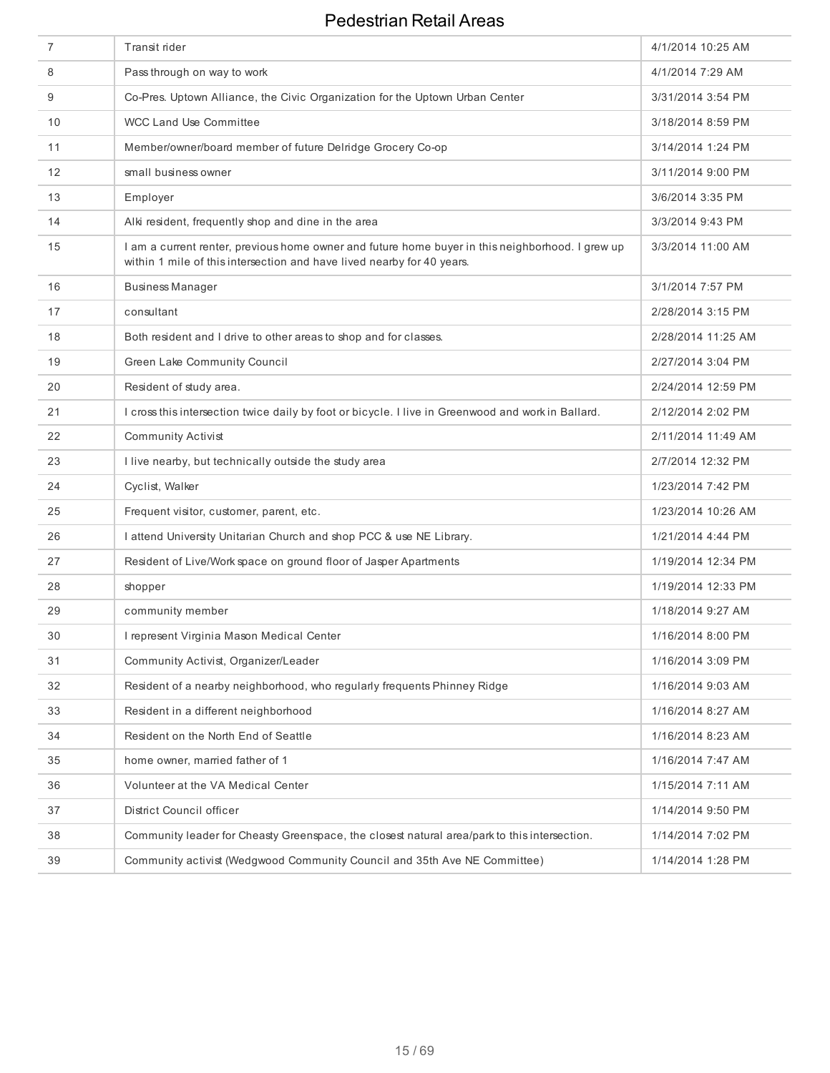| 7  | Transit rider                                                                                                                                                              | 4/1/2014 10:25 AM  |
|----|----------------------------------------------------------------------------------------------------------------------------------------------------------------------------|--------------------|
| 8  | Pass through on way to work                                                                                                                                                | 4/1/2014 7:29 AM   |
| 9  | Co-Pres. Uptown Alliance, the Civic Organization for the Uptown Urban Center                                                                                               | 3/31/2014 3:54 PM  |
| 10 | WCC Land Use Committee                                                                                                                                                     | 3/18/2014 8:59 PM  |
| 11 | Member/owner/board member of future Delridge Grocery Co-op                                                                                                                 | 3/14/2014 1:24 PM  |
| 12 | small business owner                                                                                                                                                       | 3/11/2014 9:00 PM  |
| 13 | Employer                                                                                                                                                                   | 3/6/2014 3:35 PM   |
| 14 | Alki resident, frequently shop and dine in the area                                                                                                                        | 3/3/2014 9:43 PM   |
| 15 | I am a current renter, previous home owner and future home buyer in this neighborhood. I grew up<br>within 1 mile of this intersection and have lived nearby for 40 years. | 3/3/2014 11:00 AM  |
| 16 | <b>Business Manager</b>                                                                                                                                                    | 3/1/2014 7:57 PM   |
| 17 | consultant                                                                                                                                                                 | 2/28/2014 3:15 PM  |
| 18 | Both resident and I drive to other areas to shop and for classes.                                                                                                          | 2/28/2014 11:25 AM |
| 19 | Green Lake Community Council                                                                                                                                               | 2/27/2014 3:04 PM  |
| 20 | Resident of study area.                                                                                                                                                    | 2/24/2014 12:59 PM |
| 21 | I cross this intersection twice daily by foot or bicycle. I live in Greenwood and work in Ballard.                                                                         | 2/12/2014 2:02 PM  |
| 22 | <b>Community Activist</b>                                                                                                                                                  | 2/11/2014 11:49 AM |
| 23 | I live nearby, but technically outside the study area                                                                                                                      | 2/7/2014 12:32 PM  |
| 24 | Cyclist, Walker                                                                                                                                                            | 1/23/2014 7:42 PM  |
| 25 | Frequent visitor, customer, parent, etc.                                                                                                                                   | 1/23/2014 10:26 AM |
| 26 | I attend University Unitarian Church and shop PCC & use NE Library.                                                                                                        | 1/21/2014 4:44 PM  |
| 27 | Resident of Live/Work space on ground floor of Jasper Apartments                                                                                                           | 1/19/2014 12:34 PM |
| 28 | shopper                                                                                                                                                                    | 1/19/2014 12:33 PM |
| 29 | community member                                                                                                                                                           | 1/18/2014 9:27 AM  |
| 30 | I represent Virginia Mason Medical Center                                                                                                                                  | 1/16/2014 8:00 PM  |
| 31 | Community Activist, Organizer/Leader                                                                                                                                       | 1/16/2014 3:09 PM  |
| 32 | Resident of a nearby neighborhood, who regularly frequents Phinney Ridge                                                                                                   | 1/16/2014 9:03 AM  |
| 33 | Resident in a different neighborhood                                                                                                                                       | 1/16/2014 8:27 AM  |
| 34 | Resident on the North End of Seattle                                                                                                                                       | 1/16/2014 8:23 AM  |
| 35 | home owner, married father of 1                                                                                                                                            | 1/16/2014 7:47 AM  |
| 36 | Volunteer at the VA Medical Center                                                                                                                                         | 1/15/2014 7:11 AM  |
| 37 | District Council officer                                                                                                                                                   | 1/14/2014 9:50 PM  |
| 38 | Community leader for Cheasty Greenspace, the closest natural area/park to this intersection.                                                                               | 1/14/2014 7:02 PM  |
| 39 | Community activist (Wedgwood Community Council and 35th Ave NE Committee)                                                                                                  | 1/14/2014 1:28 PM  |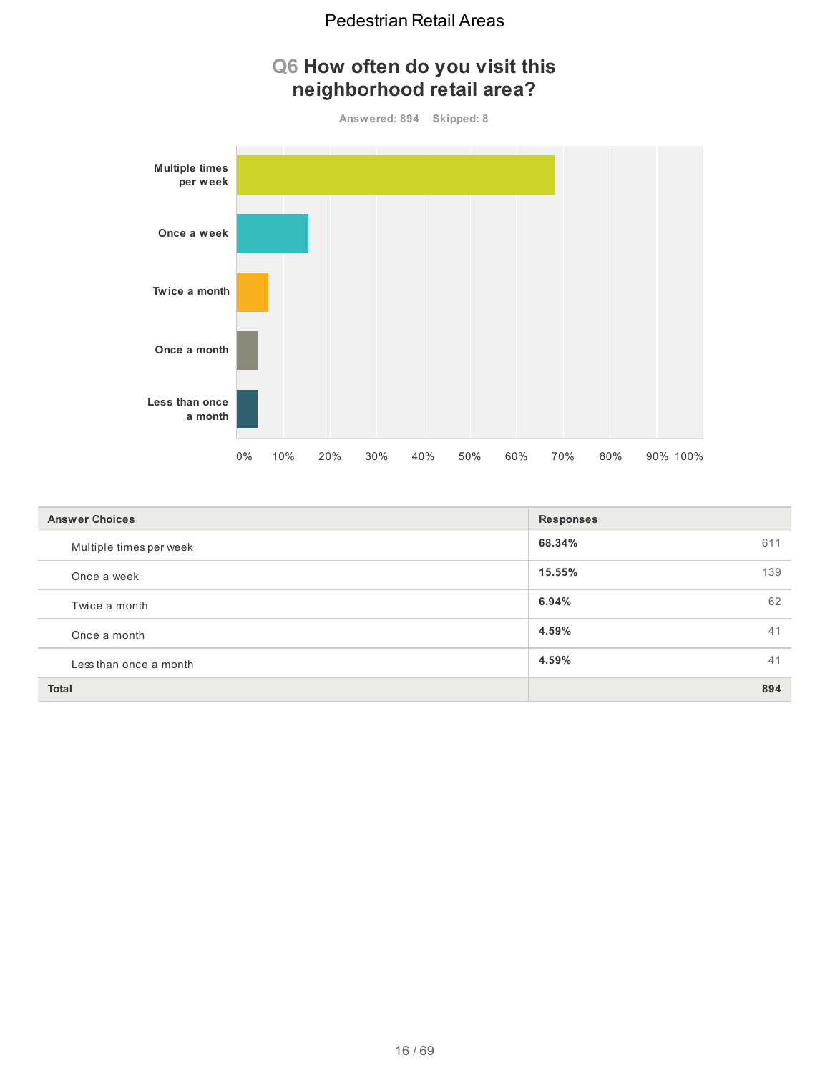# **Q6 How often do you visit this neighborhood retail area?**





| <b>Answer Choices</b>   | <b>Responses</b> |
|-------------------------|------------------|
| Multiple times per week | 68.34%<br>611    |
| Once a week             | 15.55%<br>139    |
| Twice a month           | 62<br>6.94%      |
| Once a month            | 41<br>4.59%      |
| Less than once a month  | 4.59%<br>41      |
| <b>Total</b>            | 894              |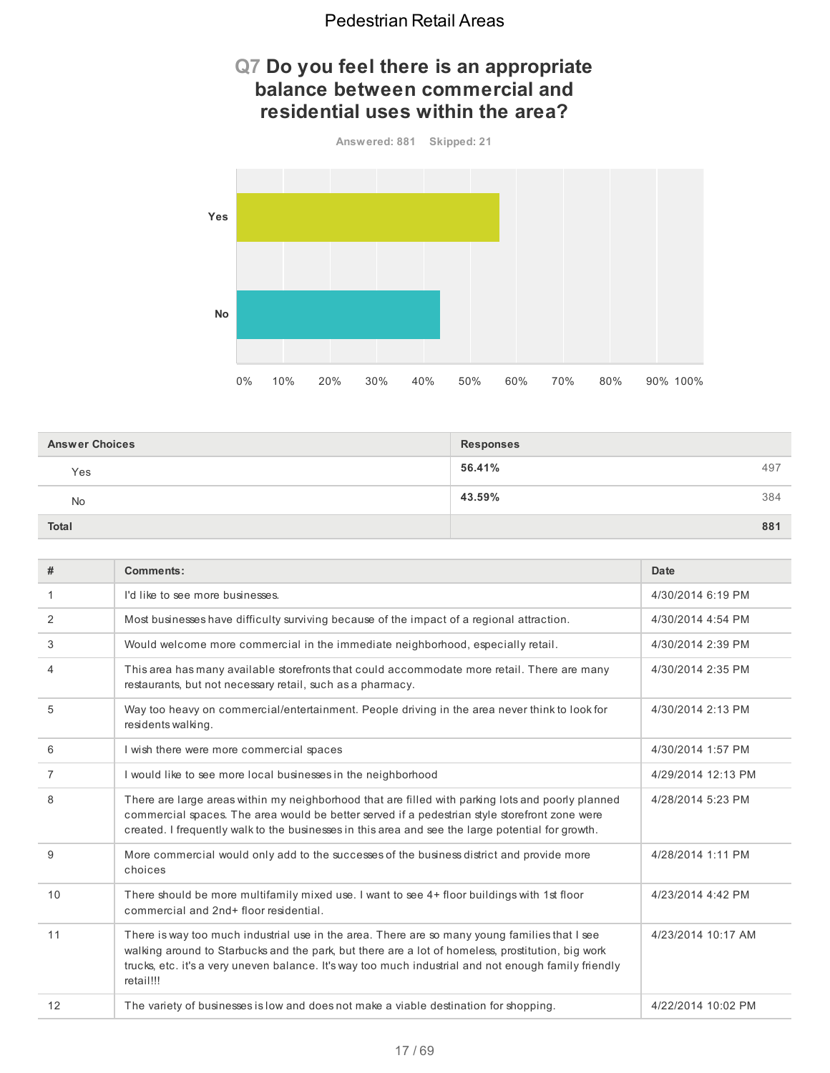## **Q7 Do you feel there is an appropriate balance between commercial and residential uses within the area?**



| <b>Answer Choices</b> | <b>Responses</b> |     |
|-----------------------|------------------|-----|
| Yes                   | 56.41%           | 497 |
| No                    | 43.59%           | 384 |
| Total                 |                  | 881 |

| #  | Comments:                                                                                                                                                                                                                                                                                                               | Date               |
|----|-------------------------------------------------------------------------------------------------------------------------------------------------------------------------------------------------------------------------------------------------------------------------------------------------------------------------|--------------------|
| 1  | I'd like to see more businesses.                                                                                                                                                                                                                                                                                        | 4/30/2014 6:19 PM  |
| 2  | Most businesses have difficulty surviving because of the impact of a regional attraction.                                                                                                                                                                                                                               | 4/30/2014 4:54 PM  |
| 3  | Would welcome more commercial in the immediate neighborhood, especially retail.                                                                                                                                                                                                                                         | 4/30/2014 2:39 PM  |
| 4  | This area has many available storefronts that could accommodate more retail. There are many<br>restaurants, but not necessary retail, such as a pharmacy.                                                                                                                                                               | 4/30/2014 2:35 PM  |
| 5  | Way too heavy on commercial/entertainment. People driving in the area never think to look for<br>residents walking.                                                                                                                                                                                                     | 4/30/2014 2:13 PM  |
| 6  | I wish there were more commercial spaces                                                                                                                                                                                                                                                                                | 4/30/2014 1:57 PM  |
| 7  | I would like to see more local businesses in the neighborhood                                                                                                                                                                                                                                                           | 4/29/2014 12:13 PM |
| 8  | There are large areas within my neighborhood that are filled with parking lots and poorly planned<br>commercial spaces. The area would be better served if a pedestrian style storefront zone were<br>created. I frequently walk to the businesses in this area and see the large potential for growth.                 | 4/28/2014 5:23 PM  |
| 9  | More commercial would only add to the successes of the business district and provide more<br>choices                                                                                                                                                                                                                    | 4/28/2014 1:11 PM  |
| 10 | There should be more multifamily mixed use. I want to see 4+ floor buildings with 1st floor<br>commercial and 2nd+ floor residential.                                                                                                                                                                                   | 4/23/2014 4:42 PM  |
| 11 | There is way too much industrial use in the area. There are so many young families that I see<br>walking around to Starbucks and the park, but there are a lot of homeless, prostitution, big work<br>trucks, etc. it's a very uneven balance. It's way too much industrial and not enough family friendly<br>retail!!! | 4/23/2014 10:17 AM |
| 12 | The variety of businesses is low and does not make a viable destination for shopping.                                                                                                                                                                                                                                   | 4/22/2014 10:02 PM |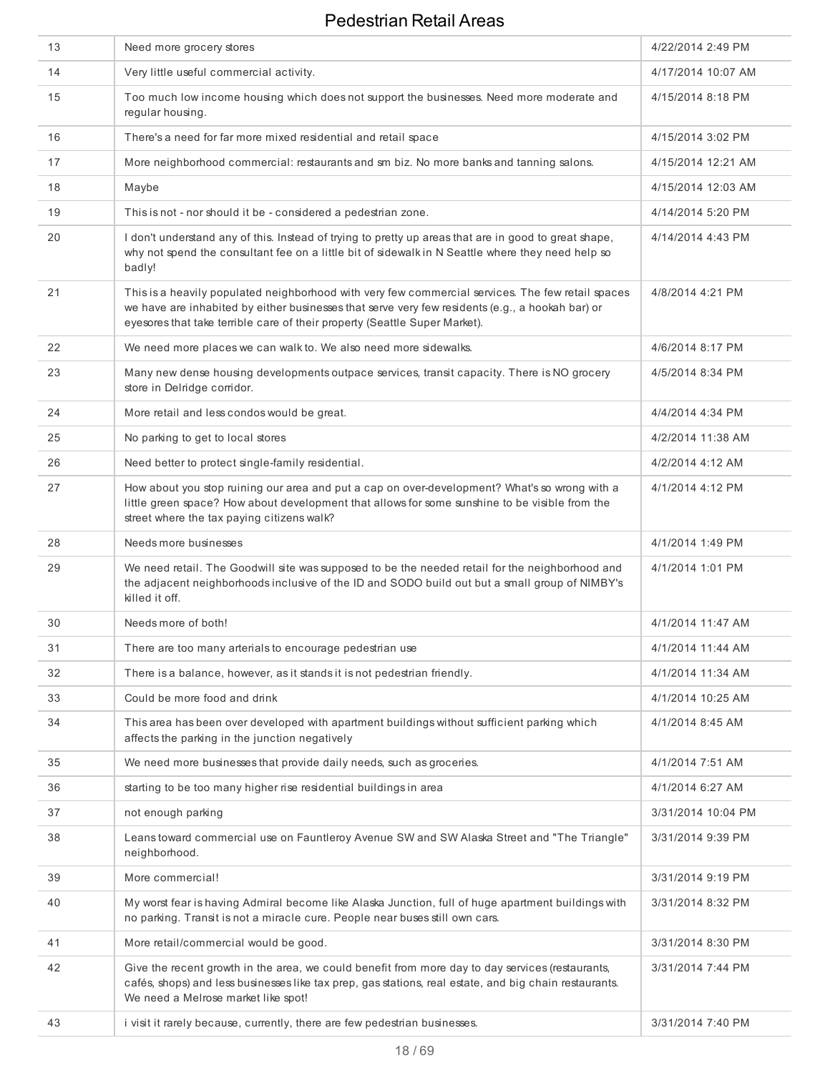| 13 | Need more grocery stores                                                                                                                                                                                                                                                            | 4/22/2014 2:49 PM  |
|----|-------------------------------------------------------------------------------------------------------------------------------------------------------------------------------------------------------------------------------------------------------------------------------------|--------------------|
| 14 | Very little useful commercial activity.                                                                                                                                                                                                                                             | 4/17/2014 10:07 AM |
| 15 | Too much low income housing which does not support the businesses. Need more moderate and<br>regular housing.                                                                                                                                                                       | 4/15/2014 8:18 PM  |
| 16 | There's a need for far more mixed residential and retail space                                                                                                                                                                                                                      | 4/15/2014 3:02 PM  |
| 17 | More neighborhood commercial: restaurants and sm biz. No more banks and tanning salons.                                                                                                                                                                                             | 4/15/2014 12:21 AM |
| 18 | Maybe                                                                                                                                                                                                                                                                               | 4/15/2014 12:03 AM |
| 19 | This is not - nor should it be - considered a pedestrian zone.                                                                                                                                                                                                                      | 4/14/2014 5:20 PM  |
| 20 | I don't understand any of this. Instead of trying to pretty up areas that are in good to great shape,<br>why not spend the consultant fee on a little bit of sidewalk in N Seattle where they need help so<br>badly!                                                                | 4/14/2014 4:43 PM  |
| 21 | This is a heavily populated neighborhood with very few commercial services. The few retail spaces<br>we have are inhabited by either businesses that serve very few residents (e.g., a hookah bar) or<br>eyesores that take terrible care of their property (Seattle Super Market). | 4/8/2014 4:21 PM   |
| 22 | We need more places we can walk to. We also need more sidewalks.                                                                                                                                                                                                                    | 4/6/2014 8:17 PM   |
| 23 | Many new dense housing developments outpace services, transit capacity. There is NO grocery<br>store in Delridge corridor.                                                                                                                                                          | 4/5/2014 8:34 PM   |
| 24 | More retail and less condos would be great.                                                                                                                                                                                                                                         | 4/4/2014 4:34 PM   |
| 25 | No parking to get to local stores                                                                                                                                                                                                                                                   | 4/2/2014 11:38 AM  |
| 26 | Need better to protect single-family residential.                                                                                                                                                                                                                                   | 4/2/2014 4:12 AM   |
| 27 | How about you stop ruining our area and put a cap on over-development? What's so wrong with a<br>little green space? How about development that allows for some sunshine to be visible from the<br>street where the tax paying citizens walk?                                       | 4/1/2014 4:12 PM   |
| 28 | Needs more businesses                                                                                                                                                                                                                                                               | 4/1/2014 1:49 PM   |
| 29 | We need retail. The Goodwill site was supposed to be the needed retail for the neighborhood and<br>the adjacent neighborhoods inclusive of the ID and SODO build out but a small group of NIMBY's<br>killed it off.                                                                 | 4/1/2014 1:01 PM   |
| 30 | Needs more of both!                                                                                                                                                                                                                                                                 | 4/1/2014 11:47 AM  |
| 31 | There are too many arterials to encourage pedestrian use                                                                                                                                                                                                                            | 4/1/2014 11:44 AM  |
| 32 | There is a balance, however, as it stands it is not pedestrian friendly.                                                                                                                                                                                                            | 4/1/2014 11:34 AM  |
| 33 | Could be more food and drink                                                                                                                                                                                                                                                        | 4/1/2014 10:25 AM  |
| 34 | This area has been over developed with apartment buildings without sufficient parking which<br>affects the parking in the junction negatively                                                                                                                                       | 4/1/2014 8:45 AM   |
| 35 | We need more businesses that provide daily needs, such as groceries.                                                                                                                                                                                                                | 4/1/2014 7:51 AM   |
| 36 | starting to be too many higher rise residential buildings in area                                                                                                                                                                                                                   | 4/1/2014 6:27 AM   |
| 37 | not enough parking                                                                                                                                                                                                                                                                  | 3/31/2014 10:04 PM |
| 38 | Leans toward commercial use on Fauntleroy Avenue SW and SW Alaska Street and "The Triangle"<br>neighborhood.                                                                                                                                                                        | 3/31/2014 9:39 PM  |
| 39 | More commercial!                                                                                                                                                                                                                                                                    | 3/31/2014 9:19 PM  |
| 40 | My worst fear is having Admiral become like Alaska Junction, full of huge apartment buildings with<br>no parking. Transit is not a miracle cure. People near buses still own cars.                                                                                                  | 3/31/2014 8:32 PM  |
| 41 | More retail/commercial would be good.                                                                                                                                                                                                                                               | 3/31/2014 8:30 PM  |
| 42 | Give the recent growth in the area, we could benefit from more day to day services (restaurants,<br>cafés, shops) and less businesses like tax prep, gas stations, real estate, and big chain restaurants.<br>We need a Melrose market like spot!                                   | 3/31/2014 7:44 PM  |
| 43 | i visit it rarely because, currently, there are few pedestrian businesses.                                                                                                                                                                                                          | 3/31/2014 7:40 PM  |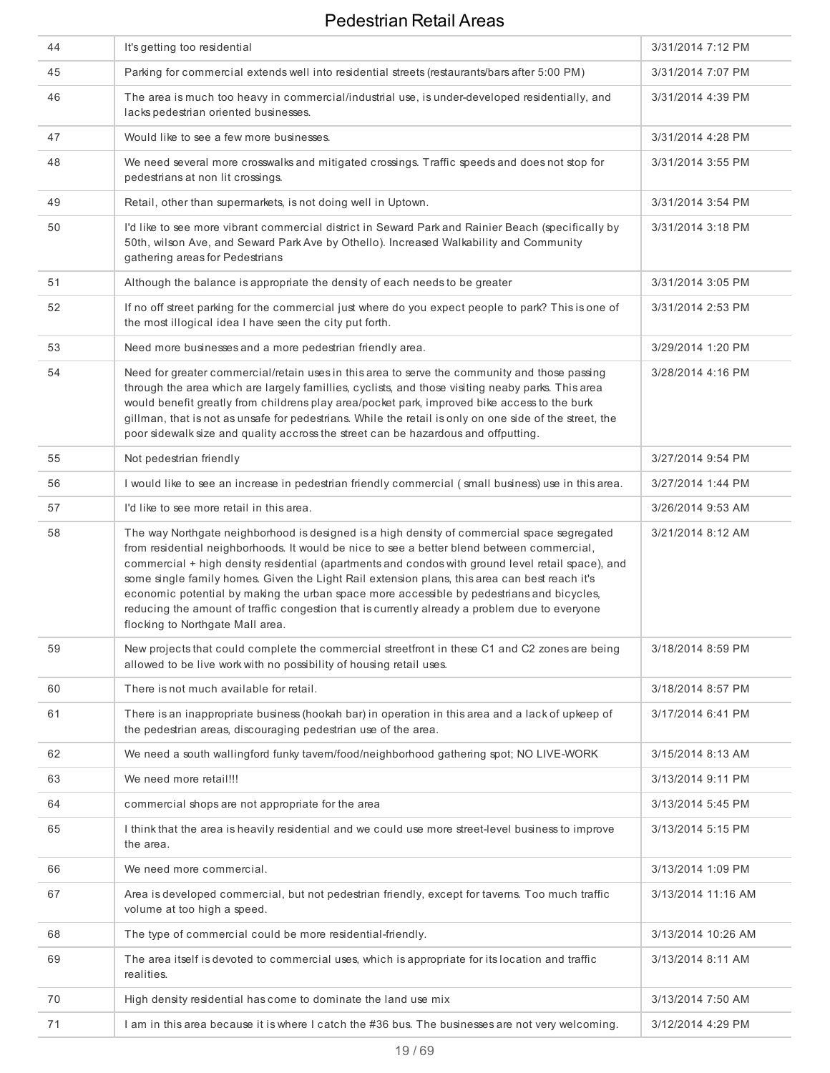| 44 | It's getting too residential                                                                                                                                                                                                                                                                                                                                                                                                                                                                                                                                                                                                      | 3/31/2014 7:12 PM  |
|----|-----------------------------------------------------------------------------------------------------------------------------------------------------------------------------------------------------------------------------------------------------------------------------------------------------------------------------------------------------------------------------------------------------------------------------------------------------------------------------------------------------------------------------------------------------------------------------------------------------------------------------------|--------------------|
| 45 | Parking for commercial extends well into residential streets (restaurants/bars after 5:00 PM)                                                                                                                                                                                                                                                                                                                                                                                                                                                                                                                                     | 3/31/2014 7:07 PM  |
| 46 | The area is much too heavy in commercial/industrial use, is under-developed residentially, and<br>lacks pedestrian oriented businesses.                                                                                                                                                                                                                                                                                                                                                                                                                                                                                           | 3/31/2014 4:39 PM  |
| 47 | Would like to see a few more businesses.                                                                                                                                                                                                                                                                                                                                                                                                                                                                                                                                                                                          | 3/31/2014 4:28 PM  |
| 48 | We need several more crosswalks and mitigated crossings. Traffic speeds and does not stop for<br>pedestrians at non lit crossings.                                                                                                                                                                                                                                                                                                                                                                                                                                                                                                | 3/31/2014 3:55 PM  |
| 49 | Retail, other than supermarkets, is not doing well in Uptown.                                                                                                                                                                                                                                                                                                                                                                                                                                                                                                                                                                     | 3/31/2014 3:54 PM  |
| 50 | I'd like to see more vibrant commercial district in Seward Park and Rainier Beach (specifically by<br>50th, wilson Ave, and Seward Park Ave by Othello). Increased Walkability and Community<br>gathering areas for Pedestrians                                                                                                                                                                                                                                                                                                                                                                                                   | 3/31/2014 3:18 PM  |
| 51 | Although the balance is appropriate the density of each needs to be greater                                                                                                                                                                                                                                                                                                                                                                                                                                                                                                                                                       | 3/31/2014 3:05 PM  |
| 52 | If no off street parking for the commercial just where do you expect people to park? This is one of<br>the most illogical idea I have seen the city put forth.                                                                                                                                                                                                                                                                                                                                                                                                                                                                    | 3/31/2014 2:53 PM  |
| 53 | Need more businesses and a more pedestrian friendly area.                                                                                                                                                                                                                                                                                                                                                                                                                                                                                                                                                                         | 3/29/2014 1:20 PM  |
| 54 | Need for greater commercial/retain uses in this area to serve the community and those passing<br>through the area which are largely famillies, cyclists, and those visiting neaby parks. This area<br>would benefit greatly from childrens play area/pocket park, improved bike access to the burk<br>gillman, that is not as unsafe for pedestrians. While the retail is only on one side of the street, the<br>poor sidewalk size and quality accross the street can be hazardous and offputting.                                                                                                                               | 3/28/2014 4:16 PM  |
| 55 | Not pedestrian friendly                                                                                                                                                                                                                                                                                                                                                                                                                                                                                                                                                                                                           | 3/27/2014 9:54 PM  |
| 56 | I would like to see an increase in pedestrian friendly commercial (small business) use in this area.                                                                                                                                                                                                                                                                                                                                                                                                                                                                                                                              | 3/27/2014 1:44 PM  |
| 57 | I'd like to see more retail in this area.                                                                                                                                                                                                                                                                                                                                                                                                                                                                                                                                                                                         | 3/26/2014 9:53 AM  |
| 58 | The way Northgate neighborhood is designed is a high density of commercial space segregated<br>from residential neighborhoods. It would be nice to see a better blend between commercial,<br>commercial + high density residential (apartments and condos with ground level retail space), and<br>some single family homes. Given the Light Rail extension plans, this area can best reach it's<br>economic potential by making the urban space more accessible by pedestrians and bicycles,<br>reducing the amount of traffic congestion that is currently already a problem due to everyone<br>flocking to Northgate Mall area. | 3/21/2014 8:12 AM  |
| 59 | New projects that could complete the commercial streetfront in these C1 and C2 zones are being<br>allowed to be live work with no possibility of housing retail uses.                                                                                                                                                                                                                                                                                                                                                                                                                                                             | 3/18/2014 8:59 PM  |
| 60 | There is not much available for retail.                                                                                                                                                                                                                                                                                                                                                                                                                                                                                                                                                                                           | 3/18/2014 8:57 PM  |
| 61 | There is an inappropriate business (hookah bar) in operation in this area and a lack of upkeep of<br>the pedestrian areas, discouraging pedestrian use of the area.                                                                                                                                                                                                                                                                                                                                                                                                                                                               | 3/17/2014 6:41 PM  |
| 62 | We need a south wallingford funky tavem/food/neighborhood gathering spot; NO LIVE-WORK                                                                                                                                                                                                                                                                                                                                                                                                                                                                                                                                            | 3/15/2014 8:13 AM  |
| 63 | We need more retail!!!                                                                                                                                                                                                                                                                                                                                                                                                                                                                                                                                                                                                            | 3/13/2014 9:11 PM  |
| 64 | commercial shops are not appropriate for the area                                                                                                                                                                                                                                                                                                                                                                                                                                                                                                                                                                                 | 3/13/2014 5:45 PM  |
| 65 | I think that the area is heavily residential and we could use more street-level business to improve<br>the area.                                                                                                                                                                                                                                                                                                                                                                                                                                                                                                                  | 3/13/2014 5:15 PM  |
| 66 | We need more commercial.                                                                                                                                                                                                                                                                                                                                                                                                                                                                                                                                                                                                          | 3/13/2014 1:09 PM  |
| 67 | Area is developed commercial, but not pedestrian friendly, except for tavems. Too much traffic<br>volume at too high a speed.                                                                                                                                                                                                                                                                                                                                                                                                                                                                                                     | 3/13/2014 11:16 AM |
| 68 | The type of commercial could be more residential-friendly.                                                                                                                                                                                                                                                                                                                                                                                                                                                                                                                                                                        | 3/13/2014 10:26 AM |
| 69 | The area itself is devoted to commercial uses, which is appropriate for its location and traffic<br>realities.                                                                                                                                                                                                                                                                                                                                                                                                                                                                                                                    | 3/13/2014 8:11 AM  |
| 70 | High density residential has come to dominate the land use mix                                                                                                                                                                                                                                                                                                                                                                                                                                                                                                                                                                    | 3/13/2014 7:50 AM  |
| 71 | I am in this area because it is where I catch the #36 bus. The businesses are not very welcoming.                                                                                                                                                                                                                                                                                                                                                                                                                                                                                                                                 | 3/12/2014 4:29 PM  |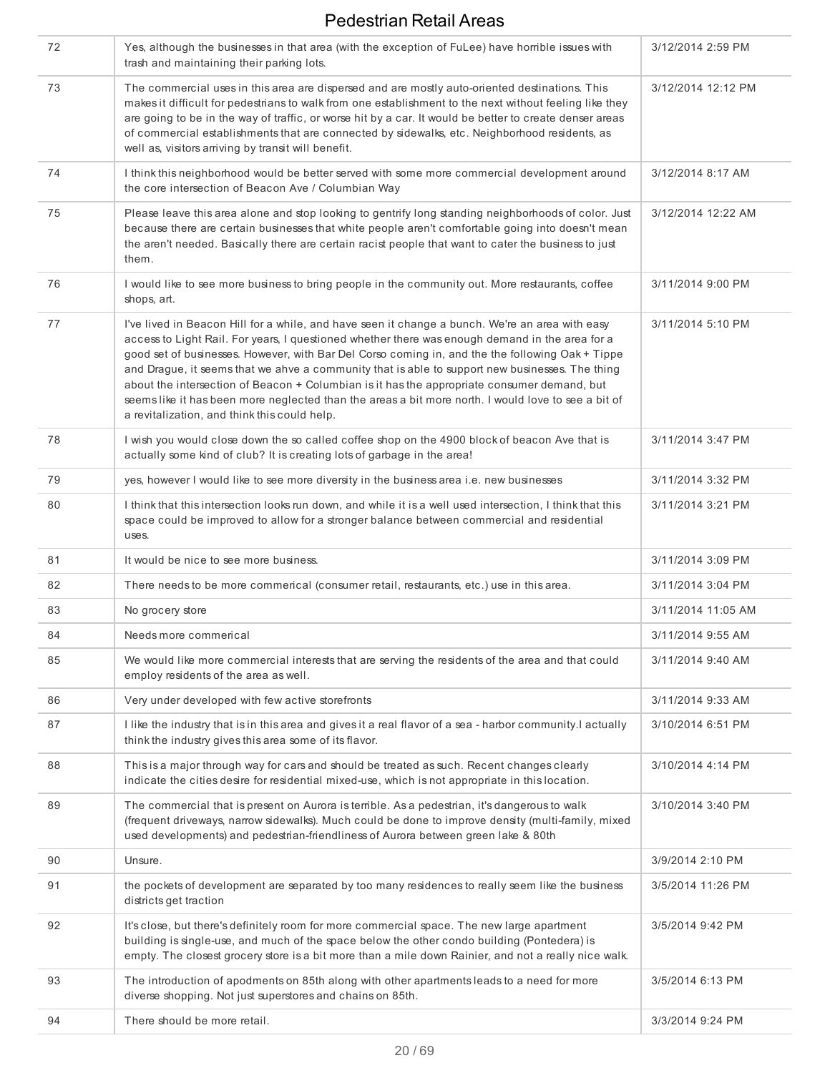| 72 | Yes, although the businesses in that area (with the exception of FuLee) have horrible issues with<br>trash and maintaining their parking lots.                                                                                                                                                                                                                                                                                                                                                                                                                                                                                                                  | 3/12/2014 2:59 PM  |
|----|-----------------------------------------------------------------------------------------------------------------------------------------------------------------------------------------------------------------------------------------------------------------------------------------------------------------------------------------------------------------------------------------------------------------------------------------------------------------------------------------------------------------------------------------------------------------------------------------------------------------------------------------------------------------|--------------------|
| 73 | The commercial uses in this area are dispersed and are mostly auto-oriented destinations. This<br>makes it difficult for pedestrians to walk from one establishment to the next without feeling like they<br>are going to be in the way of traffic, or worse hit by a car. It would be better to create denser areas<br>of commercial establishments that are connected by sidewalks, etc. Neighborhood residents, as<br>well as, visitors arriving by transit will benefit.                                                                                                                                                                                    | 3/12/2014 12:12 PM |
| 74 | I think this neighborhood would be better served with some more commercial development around<br>the core intersection of Beacon Ave / Columbian Way                                                                                                                                                                                                                                                                                                                                                                                                                                                                                                            | 3/12/2014 8:17 AM  |
| 75 | Please leave this area alone and stop looking to gentrify long standing neighborhoods of color. Just<br>because there are certain businesses that white people aren't comfortable going into doesn't mean<br>the aren't needed. Basically there are certain racist people that want to cater the business to just<br>them.                                                                                                                                                                                                                                                                                                                                      | 3/12/2014 12:22 AM |
| 76 | I would like to see more business to bring people in the community out. More restaurants, coffee<br>shops, art.                                                                                                                                                                                                                                                                                                                                                                                                                                                                                                                                                 | 3/11/2014 9:00 PM  |
| 77 | I've lived in Beacon Hill for a while, and have seen it change a bunch. We're an area with easy<br>access to Light Rail. For years, I questioned whether there was enough demand in the area for a<br>good set of businesses. However, with Bar Del Corso coming in, and the the following Oak + Tippe<br>and Drague, it seems that we ahve a community that is able to support new businesses. The thing<br>about the intersection of Beacon + Columbian is it has the appropriate consumer demand, but<br>seems like it has been more neglected than the areas a bit more north. I would love to see a bit of<br>a revitalization, and think this could help. | 3/11/2014 5:10 PM  |
| 78 | I wish you would close down the so called coffee shop on the 4900 block of beacon Ave that is<br>actually some kind of club? It is creating lots of garbage in the area!                                                                                                                                                                                                                                                                                                                                                                                                                                                                                        | 3/11/2014 3:47 PM  |
| 79 | yes, however I would like to see more diversity in the business area i.e. new businesses                                                                                                                                                                                                                                                                                                                                                                                                                                                                                                                                                                        | 3/11/2014 3:32 PM  |
| 80 | I think that this intersection looks run down, and while it is a well used intersection, I think that this<br>space could be improved to allow for a stronger balance between commercial and residential<br>uses.                                                                                                                                                                                                                                                                                                                                                                                                                                               | 3/11/2014 3:21 PM  |
| 81 | It would be nice to see more business.                                                                                                                                                                                                                                                                                                                                                                                                                                                                                                                                                                                                                          | 3/11/2014 3:09 PM  |
| 82 | There needs to be more commerical (consumer retail, restaurants, etc.) use in this area.                                                                                                                                                                                                                                                                                                                                                                                                                                                                                                                                                                        | 3/11/2014 3:04 PM  |
| 83 | No grocery store                                                                                                                                                                                                                                                                                                                                                                                                                                                                                                                                                                                                                                                | 3/11/2014 11:05 AM |
| 84 | Needs more commerical                                                                                                                                                                                                                                                                                                                                                                                                                                                                                                                                                                                                                                           | 3/11/2014 9:55 AM  |
| 85 | We would like more commercial interests that are serving the residents of the area and that could<br>employ residents of the area as well.                                                                                                                                                                                                                                                                                                                                                                                                                                                                                                                      | 3/11/2014 9:40 AM  |
| 86 | Very under developed with few active storefronts                                                                                                                                                                                                                                                                                                                                                                                                                                                                                                                                                                                                                | 3/11/2014 9:33 AM  |
| 87 | I like the industry that is in this area and gives it a real flavor of a sea - harbor community.I actually<br>think the industry gives this area some of its flavor.                                                                                                                                                                                                                                                                                                                                                                                                                                                                                            | 3/10/2014 6:51 PM  |
| 88 | This is a major through way for cars and should be treated as such. Recent changes clearly<br>indicate the cities desire for residential mixed-use, which is not appropriate in this location.                                                                                                                                                                                                                                                                                                                                                                                                                                                                  | 3/10/2014 4:14 PM  |
| 89 | The commercial that is present on Aurora is terrible. As a pedestrian, it's dangerous to walk<br>(frequent driveways, narrow sidewalks). Much could be done to improve density (multi-family, mixed<br>used developments) and pedestrian-friendliness of Aurora between green lake & 80th                                                                                                                                                                                                                                                                                                                                                                       | 3/10/2014 3:40 PM  |
| 90 | Unsure.                                                                                                                                                                                                                                                                                                                                                                                                                                                                                                                                                                                                                                                         | 3/9/2014 2:10 PM   |
| 91 | the pockets of development are separated by too many residences to really seem like the business<br>districts get traction                                                                                                                                                                                                                                                                                                                                                                                                                                                                                                                                      | 3/5/2014 11:26 PM  |
| 92 | It's close, but there's definitely room for more commercial space. The new large apartment<br>building is single-use, and much of the space below the other condo building (Pontedera) is<br>empty. The closest grocery store is a bit more than a mile down Rainier, and not a really nice walk.                                                                                                                                                                                                                                                                                                                                                               | 3/5/2014 9:42 PM   |
| 93 | The introduction of apodments on 85th along with other apartments leads to a need for more<br>diverse shopping. Not just superstores and chains on 85th.                                                                                                                                                                                                                                                                                                                                                                                                                                                                                                        | 3/5/2014 6:13 PM   |
| 94 | There should be more retail.                                                                                                                                                                                                                                                                                                                                                                                                                                                                                                                                                                                                                                    | 3/3/2014 9:24 PM   |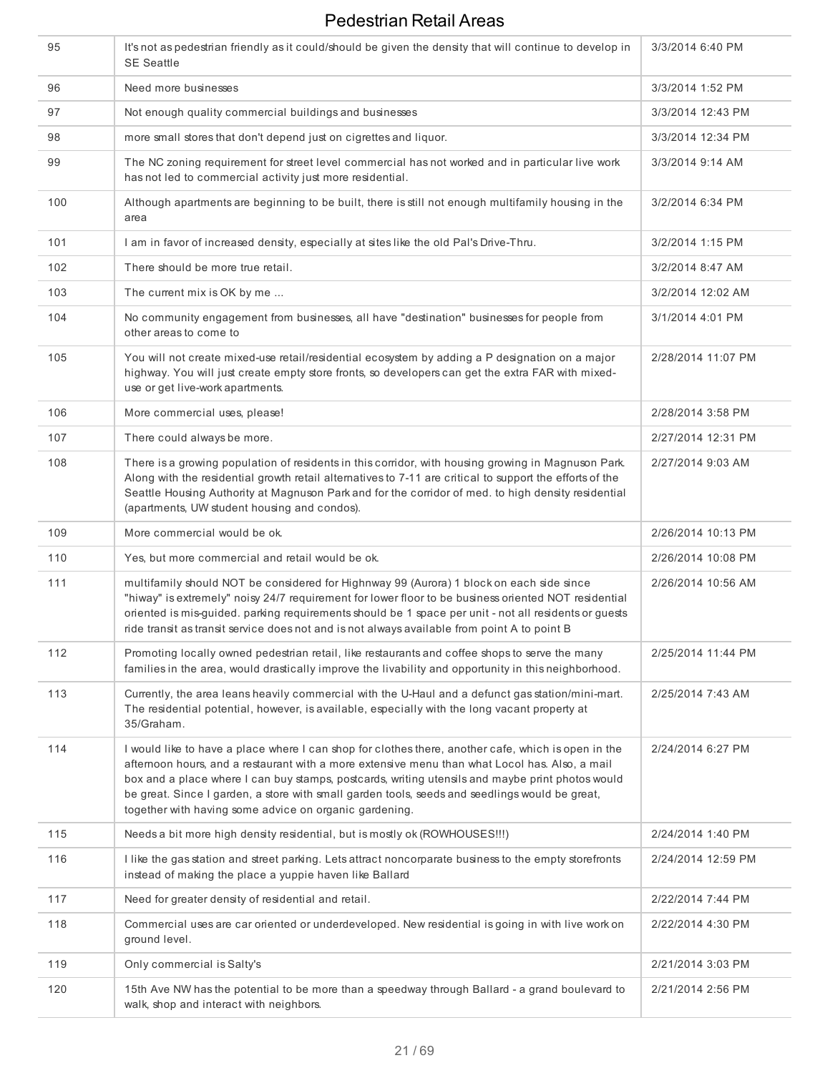| 95  | It's not as pedestrian friendly as it could/should be given the density that will continue to develop in<br><b>SE Seattle</b>                                                                                                                                                                                                                                                                                                                                        | 3/3/2014 6:40 PM   |
|-----|----------------------------------------------------------------------------------------------------------------------------------------------------------------------------------------------------------------------------------------------------------------------------------------------------------------------------------------------------------------------------------------------------------------------------------------------------------------------|--------------------|
| 96  | Need more businesses                                                                                                                                                                                                                                                                                                                                                                                                                                                 | 3/3/2014 1:52 PM   |
| 97  | Not enough quality commercial buildings and businesses                                                                                                                                                                                                                                                                                                                                                                                                               | 3/3/2014 12:43 PM  |
| 98  | more small stores that don't depend just on cigrettes and liquor.                                                                                                                                                                                                                                                                                                                                                                                                    | 3/3/2014 12:34 PM  |
| 99  | The NC zoning requirement for street level commercial has not worked and in particular live work<br>has not led to commercial activity just more residential.                                                                                                                                                                                                                                                                                                        | 3/3/2014 9:14 AM   |
| 100 | Although apartments are beginning to be built, there is still not enough multifamily housing in the<br>area                                                                                                                                                                                                                                                                                                                                                          | 3/2/2014 6:34 PM   |
| 101 | I am in favor of increased density, especially at sites like the old Pal's Drive-Thru.                                                                                                                                                                                                                                                                                                                                                                               | 3/2/2014 1:15 PM   |
| 102 | There should be more true retail.                                                                                                                                                                                                                                                                                                                                                                                                                                    | 3/2/2014 8:47 AM   |
| 103 | The current mix is OK by me                                                                                                                                                                                                                                                                                                                                                                                                                                          | 3/2/2014 12:02 AM  |
| 104 | No community engagement from businesses, all have "destination" businesses for people from<br>other areas to come to                                                                                                                                                                                                                                                                                                                                                 | 3/1/2014 4:01 PM   |
| 105 | You will not create mixed-use retail/residential ecosystem by adding a P designation on a major<br>highway. You will just create empty store fronts, so developers can get the extra FAR with mixed-<br>use or get live-work apartments.                                                                                                                                                                                                                             | 2/28/2014 11:07 PM |
| 106 | More commercial uses, please!                                                                                                                                                                                                                                                                                                                                                                                                                                        | 2/28/2014 3:58 PM  |
| 107 | There could always be more.                                                                                                                                                                                                                                                                                                                                                                                                                                          | 2/27/2014 12:31 PM |
| 108 | There is a growing population of residents in this corridor, with housing growing in Magnuson Park.<br>Along with the residential growth retail alternatives to 7-11 are critical to support the efforts of the<br>Seattle Housing Authority at Magnuson Park and for the corridor of med. to high density residential<br>(apartments, UW student housing and condos).                                                                                               | 2/27/2014 9:03 AM  |
| 109 | More commercial would be ok.                                                                                                                                                                                                                                                                                                                                                                                                                                         | 2/26/2014 10:13 PM |
| 110 | Yes, but more commercial and retail would be ok.                                                                                                                                                                                                                                                                                                                                                                                                                     | 2/26/2014 10:08 PM |
| 111 | multifamily should NOT be considered for Highnway 99 (Aurora) 1 block on each side since<br>"hiway" is extremely" noisy 24/7 requirement for lower floor to be business oriented NOT residential<br>oriented is mis-guided. parking requirements should be 1 space per unit - not all residents or guests<br>ride transit as transit service does not and is not always available from point A to point B                                                            | 2/26/2014 10:56 AM |
| 112 | Promoting locally owned pedestrian retail, like restaurants and coffee shops to serve the many<br>families in the area, would drastically improve the livability and opportunity in this neighborhood.                                                                                                                                                                                                                                                               | 2/25/2014 11:44 PM |
| 113 | Currently, the area leans heavily commercial with the U-Haul and a defunct gas station/mini-mart.<br>The residential potential, however, is available, especially with the long vacant property at<br>35/Graham.                                                                                                                                                                                                                                                     | 2/25/2014 7:43 AM  |
| 114 | I would like to have a place where I can shop for clothes there, another cafe, which is open in the<br>aftemoon hours, and a restaurant with a more extensive menu than what Locol has. Also, a mail<br>box and a place where I can buy stamps, postcards, writing utensils and maybe print photos would<br>be great. Since I garden, a store with small garden tools, seeds and seedlings would be great,<br>together with having some advice on organic gardening. | 2/24/2014 6:27 PM  |
| 115 |                                                                                                                                                                                                                                                                                                                                                                                                                                                                      | 2/24/2014 1:40 PM  |
|     | Needs a bit more high density residential, but is mostly ok (ROWHOUSES!!!)                                                                                                                                                                                                                                                                                                                                                                                           |                    |
| 116 | I like the gas station and street parking. Lets attract noncorparate business to the empty storefronts<br>instead of making the place a yuppie haven like Ballard                                                                                                                                                                                                                                                                                                    | 2/24/2014 12:59 PM |
| 117 | Need for greater density of residential and retail.                                                                                                                                                                                                                                                                                                                                                                                                                  | 2/22/2014 7:44 PM  |
| 118 | Commercial uses are car oriented or underdeveloped. New residential is going in with live work on<br>ground level.                                                                                                                                                                                                                                                                                                                                                   | 2/22/2014 4:30 PM  |
| 119 | Only commercial is Salty's                                                                                                                                                                                                                                                                                                                                                                                                                                           | 2/21/2014 3:03 PM  |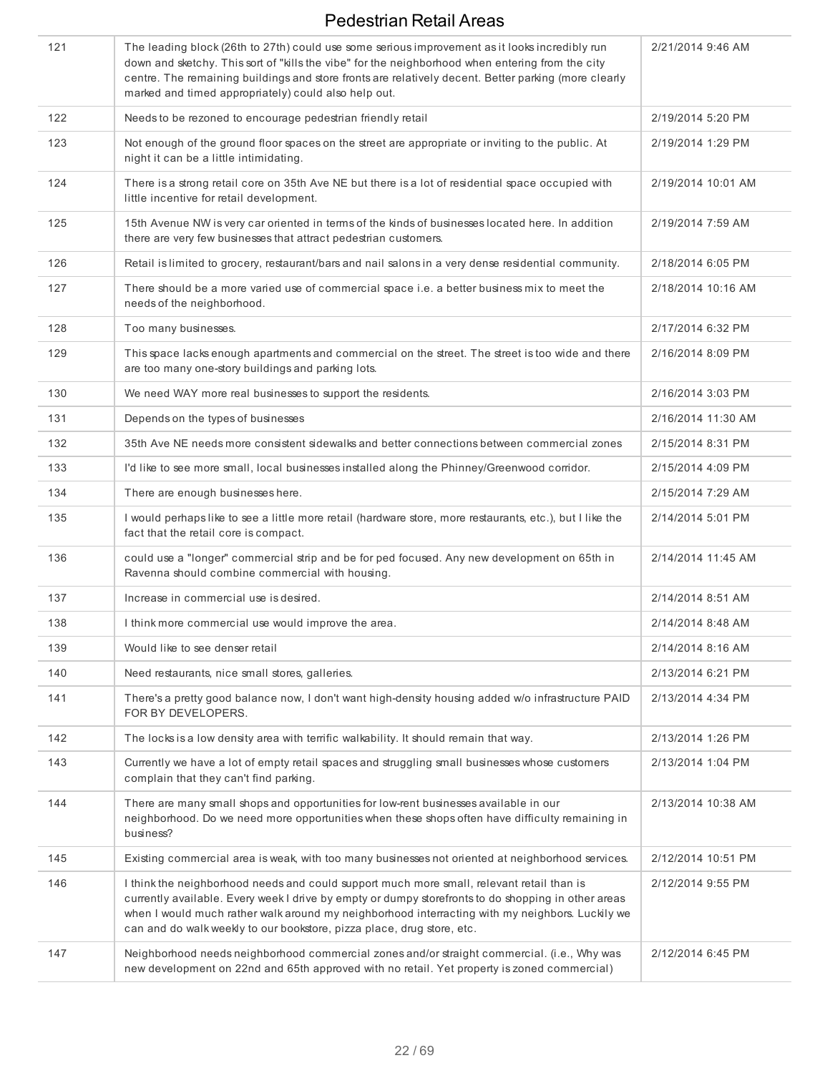| 121 | The leading block (26th to 27th) could use some serious improvement as it looks incredibly run<br>down and sketchy. This sort of "kills the vibe" for the neighborhood when entering from the city<br>centre. The remaining buildings and store fronts are relatively decent. Better parking (more clearly<br>marked and timed appropriately) could also help out.            | 2/21/2014 9:46 AM  |
|-----|-------------------------------------------------------------------------------------------------------------------------------------------------------------------------------------------------------------------------------------------------------------------------------------------------------------------------------------------------------------------------------|--------------------|
| 122 | Needs to be rezoned to encourage pedestrian friendly retail                                                                                                                                                                                                                                                                                                                   | 2/19/2014 5:20 PM  |
| 123 | Not enough of the ground floor spaces on the street are appropriate or inviting to the public. At<br>night it can be a little intimidating.                                                                                                                                                                                                                                   | 2/19/2014 1:29 PM  |
| 124 | There is a strong retail core on 35th Ave NE but there is a lot of residential space occupied with<br>little incentive for retail development.                                                                                                                                                                                                                                | 2/19/2014 10:01 AM |
| 125 | 15th Avenue NW is very car oriented in terms of the kinds of businesses located here. In addition<br>there are very few businesses that attract pedestrian customers.                                                                                                                                                                                                         | 2/19/2014 7:59 AM  |
| 126 | Retail is limited to grocery, restaurant/bars and nail salons in a very dense residential community.                                                                                                                                                                                                                                                                          | 2/18/2014 6:05 PM  |
| 127 | There should be a more varied use of commercial space i.e. a better business mix to meet the<br>needs of the neighborhood.                                                                                                                                                                                                                                                    | 2/18/2014 10:16 AM |
| 128 | Too many businesses.                                                                                                                                                                                                                                                                                                                                                          | 2/17/2014 6:32 PM  |
| 129 | This space lacks enough apartments and commercial on the street. The street is too wide and there<br>are too many one-story buildings and parking lots.                                                                                                                                                                                                                       | 2/16/2014 8:09 PM  |
| 130 | We need WAY more real businesses to support the residents.                                                                                                                                                                                                                                                                                                                    | 2/16/2014 3:03 PM  |
| 131 | Depends on the types of businesses                                                                                                                                                                                                                                                                                                                                            | 2/16/2014 11:30 AM |
| 132 | 35th Ave NE needs more consistent sidewalks and better connections between commercial zones                                                                                                                                                                                                                                                                                   | 2/15/2014 8:31 PM  |
| 133 | I'd like to see more small, local businesses installed along the Phinney/Greenwood corridor.                                                                                                                                                                                                                                                                                  | 2/15/2014 4:09 PM  |
| 134 | There are enough businesses here.                                                                                                                                                                                                                                                                                                                                             | 2/15/2014 7:29 AM  |
| 135 | I would perhaps like to see a little more retail (hardware store, more restaurants, etc.), but I like the<br>fact that the retail core is compact.                                                                                                                                                                                                                            | 2/14/2014 5:01 PM  |
| 136 | could use a "longer" commercial strip and be for ped focused. Any new development on 65th in<br>Ravenna should combine commercial with housing.                                                                                                                                                                                                                               | 2/14/2014 11:45 AM |
| 137 | Increase in commercial use is desired.                                                                                                                                                                                                                                                                                                                                        | 2/14/2014 8:51 AM  |
| 138 | I think more commercial use would improve the area.                                                                                                                                                                                                                                                                                                                           | 2/14/2014 8:48 AM  |
| 139 | Would like to see denser retail                                                                                                                                                                                                                                                                                                                                               | 2/14/2014 8:16 AM  |
| 140 | Need restaurants, nice small stores, galleries.                                                                                                                                                                                                                                                                                                                               | 2/13/2014 6:21 PM  |
| 141 | There's a pretty good balance now, I don't want high-density housing added w/o infrastructure PAID<br>FOR BY DEVELOPERS.                                                                                                                                                                                                                                                      | 2/13/2014 4:34 PM  |
| 142 | The locks is a low density area with terrific walkability. It should remain that way.                                                                                                                                                                                                                                                                                         | 2/13/2014 1:26 PM  |
| 143 | Currently we have a lot of empty retail spaces and struggling small businesses whose customers<br>complain that they can't find parking.                                                                                                                                                                                                                                      | 2/13/2014 1:04 PM  |
| 144 | There are many small shops and opportunities for low-rent businesses available in our<br>neighborhood. Do we need more opportunities when these shops often have difficulty remaining in<br>business?                                                                                                                                                                         | 2/13/2014 10:38 AM |
| 145 | Existing commercial area is weak, with too many businesses not oriented at neighborhood services.                                                                                                                                                                                                                                                                             | 2/12/2014 10:51 PM |
| 146 | I think the neighborhood needs and could support much more small, relevant retail than is<br>currently available. Every week I drive by empty or dumpy storefronts to do shopping in other areas<br>when I would much rather walk around my neighborhood interracting with my neighbors. Luckily we<br>can and do walk weekly to our bookstore, pizza place, drug store, etc. | 2/12/2014 9:55 PM  |
| 147 | Neighborhood needs neighborhood commercial zones and/or straight commercial. (i.e., Why was<br>new development on 22nd and 65th approved with no retail. Yet property is zoned commercial)                                                                                                                                                                                    | 2/12/2014 6:45 PM  |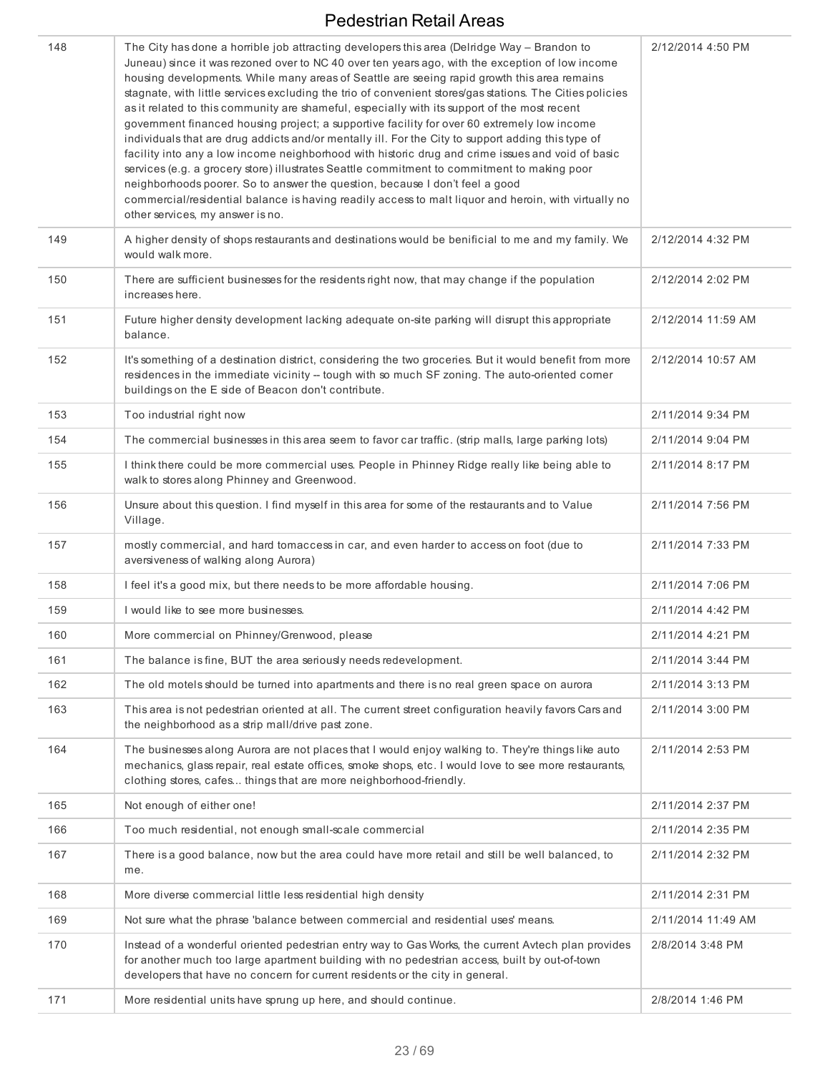| 148 | The City has done a horrible job attracting developers this area (Delridge Way - Brandon to<br>Juneau) since it was rezoned over to NC 40 over ten years ago, with the exception of low income<br>housing developments. While many areas of Seattle are seeing rapid growth this area remains<br>stagnate, with little services excluding the trio of convenient stores/gas stations. The Cities policies<br>as it related to this community are shameful, especially with its support of the most recent<br>government financed housing project; a supportive facility for over 60 extremely low income<br>individuals that are drug addicts and/or mentally ill. For the City to support adding this type of<br>facility into any a low income neighborhood with historic drug and crime issues and void of basic<br>services (e.g. a grocery store) illustrates Seattle commitment to commitment to making poor<br>neighborhoods poorer. So to answer the question, because I don't feel a good<br>commercial/residential balance is having readily access to malt liquor and heroin, with virtually no<br>other services, my answer is no. | 2/12/2014 4:50 PM  |
|-----|------------------------------------------------------------------------------------------------------------------------------------------------------------------------------------------------------------------------------------------------------------------------------------------------------------------------------------------------------------------------------------------------------------------------------------------------------------------------------------------------------------------------------------------------------------------------------------------------------------------------------------------------------------------------------------------------------------------------------------------------------------------------------------------------------------------------------------------------------------------------------------------------------------------------------------------------------------------------------------------------------------------------------------------------------------------------------------------------------------------------------------------------|--------------------|
| 149 | A higher density of shops restaurants and destinations would be benificial to me and my family. We<br>would walk more.                                                                                                                                                                                                                                                                                                                                                                                                                                                                                                                                                                                                                                                                                                                                                                                                                                                                                                                                                                                                                         | 2/12/2014 4:32 PM  |
| 150 | There are sufficient businesses for the residents right now, that may change if the population<br>increases here.                                                                                                                                                                                                                                                                                                                                                                                                                                                                                                                                                                                                                                                                                                                                                                                                                                                                                                                                                                                                                              | 2/12/2014 2:02 PM  |
| 151 | Future higher density development lacking adequate on-site parking will disrupt this appropriate<br>balance.                                                                                                                                                                                                                                                                                                                                                                                                                                                                                                                                                                                                                                                                                                                                                                                                                                                                                                                                                                                                                                   | 2/12/2014 11:59 AM |
| 152 | It's something of a destination district, considering the two groceries. But it would benefit from more<br>residences in the immediate vicinity -- tough with so much SF zoning. The auto-oriented corner<br>buildings on the E side of Beacon don't contribute.                                                                                                                                                                                                                                                                                                                                                                                                                                                                                                                                                                                                                                                                                                                                                                                                                                                                               | 2/12/2014 10:57 AM |
| 153 | Too industrial right now                                                                                                                                                                                                                                                                                                                                                                                                                                                                                                                                                                                                                                                                                                                                                                                                                                                                                                                                                                                                                                                                                                                       | 2/11/2014 9:34 PM  |
| 154 | The commercial businesses in this area seem to favor car traffic. (strip malls, large parking lots)                                                                                                                                                                                                                                                                                                                                                                                                                                                                                                                                                                                                                                                                                                                                                                                                                                                                                                                                                                                                                                            | 2/11/2014 9:04 PM  |
| 155 | I think there could be more commercial uses. People in Phinney Ridge really like being able to<br>walk to stores along Phinney and Greenwood.                                                                                                                                                                                                                                                                                                                                                                                                                                                                                                                                                                                                                                                                                                                                                                                                                                                                                                                                                                                                  | 2/11/2014 8:17 PM  |
| 156 | Unsure about this question. I find myself in this area for some of the restaurants and to Value<br>Village.                                                                                                                                                                                                                                                                                                                                                                                                                                                                                                                                                                                                                                                                                                                                                                                                                                                                                                                                                                                                                                    | 2/11/2014 7:56 PM  |
| 157 | mostly commercial, and hard tomaccess in car, and even harder to access on foot (due to<br>aversiveness of walking along Aurora)                                                                                                                                                                                                                                                                                                                                                                                                                                                                                                                                                                                                                                                                                                                                                                                                                                                                                                                                                                                                               | 2/11/2014 7:33 PM  |
| 158 | I feel it's a good mix, but there needs to be more affordable housing.                                                                                                                                                                                                                                                                                                                                                                                                                                                                                                                                                                                                                                                                                                                                                                                                                                                                                                                                                                                                                                                                         | 2/11/2014 7:06 PM  |
| 159 | I would like to see more businesses.                                                                                                                                                                                                                                                                                                                                                                                                                                                                                                                                                                                                                                                                                                                                                                                                                                                                                                                                                                                                                                                                                                           | 2/11/2014 4:42 PM  |
| 160 | More commercial on Phinney/Grenwood, please                                                                                                                                                                                                                                                                                                                                                                                                                                                                                                                                                                                                                                                                                                                                                                                                                                                                                                                                                                                                                                                                                                    | 2/11/2014 4:21 PM  |
| 161 | The balance is fine, BUT the area seriously needs redevelopment.                                                                                                                                                                                                                                                                                                                                                                                                                                                                                                                                                                                                                                                                                                                                                                                                                                                                                                                                                                                                                                                                               | 2/11/2014 3:44 PM  |
| 162 | The old motels should be turned into apartments and there is no real green space on aurora                                                                                                                                                                                                                                                                                                                                                                                                                                                                                                                                                                                                                                                                                                                                                                                                                                                                                                                                                                                                                                                     | 2/11/2014 3:13 PM  |
| 163 | This area is not pedestrian oriented at all. The current street configuration heavily favors Cars and<br>the neighborhood as a strip mall/drive past zone.                                                                                                                                                                                                                                                                                                                                                                                                                                                                                                                                                                                                                                                                                                                                                                                                                                                                                                                                                                                     | 2/11/2014 3:00 PM  |
| 164 | The businesses along Aurora are not places that I would enjoy walking to. They're things like auto<br>mechanics, glass repair, real estate offices, smoke shops, etc. I would love to see more restaurants,<br>clothing stores, cafes things that are more neighborhood-friendly.                                                                                                                                                                                                                                                                                                                                                                                                                                                                                                                                                                                                                                                                                                                                                                                                                                                              | 2/11/2014 2:53 PM  |
| 165 | Not enough of either one!                                                                                                                                                                                                                                                                                                                                                                                                                                                                                                                                                                                                                                                                                                                                                                                                                                                                                                                                                                                                                                                                                                                      | 2/11/2014 2:37 PM  |
| 166 | Too much residential, not enough small-scale commercial                                                                                                                                                                                                                                                                                                                                                                                                                                                                                                                                                                                                                                                                                                                                                                                                                                                                                                                                                                                                                                                                                        | 2/11/2014 2:35 PM  |
| 167 | There is a good balance, now but the area could have more retail and still be well balanced, to<br>me.                                                                                                                                                                                                                                                                                                                                                                                                                                                                                                                                                                                                                                                                                                                                                                                                                                                                                                                                                                                                                                         | 2/11/2014 2:32 PM  |
| 168 | More diverse commercial little less residential high density                                                                                                                                                                                                                                                                                                                                                                                                                                                                                                                                                                                                                                                                                                                                                                                                                                                                                                                                                                                                                                                                                   | 2/11/2014 2:31 PM  |
| 169 | Not sure what the phrase 'balance between commercial and residential uses' means.                                                                                                                                                                                                                                                                                                                                                                                                                                                                                                                                                                                                                                                                                                                                                                                                                                                                                                                                                                                                                                                              | 2/11/2014 11:49 AM |
| 170 | Instead of a wonderful oriented pedestrian entry way to Gas Works, the current Avtech plan provides<br>for another much too large apartment building with no pedestrian access, built by out-of-town<br>developers that have no concern for current residents or the city in general.                                                                                                                                                                                                                                                                                                                                                                                                                                                                                                                                                                                                                                                                                                                                                                                                                                                          | 2/8/2014 3:48 PM   |
| 171 | More residential units have sprung up here, and should continue.                                                                                                                                                                                                                                                                                                                                                                                                                                                                                                                                                                                                                                                                                                                                                                                                                                                                                                                                                                                                                                                                               | 2/8/2014 1:46 PM   |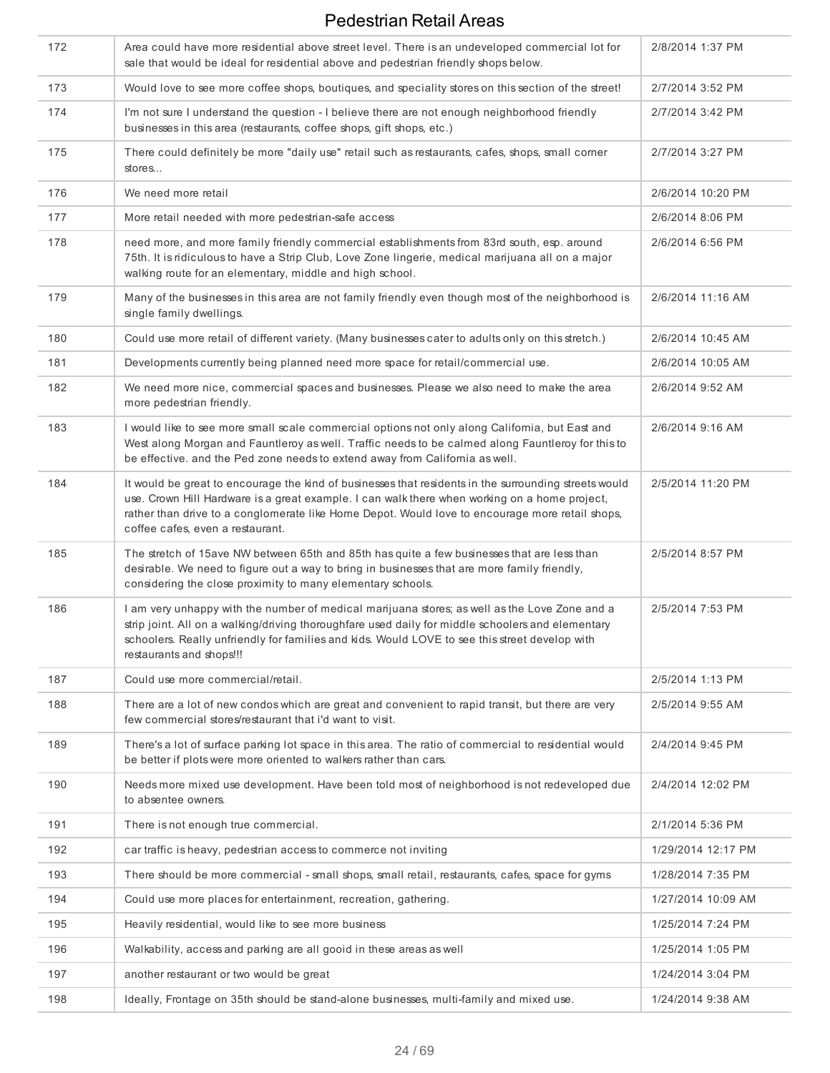| 172 | Area could have more residential above street level. There is an undeveloped commercial lot for<br>sale that would be ideal for residential above and pedestrian friendly shops below.                                                                                                                                                        | 2/8/2014 1:37 PM   |
|-----|-----------------------------------------------------------------------------------------------------------------------------------------------------------------------------------------------------------------------------------------------------------------------------------------------------------------------------------------------|--------------------|
| 173 | Would love to see more coffee shops, boutiques, and speciality stores on this section of the street!                                                                                                                                                                                                                                          | 2/7/2014 3:52 PM   |
| 174 | I'm not sure I understand the question - I believe there are not enough neighborhood friendly<br>businesses in this area (restaurants, coffee shops, gift shops, etc.)                                                                                                                                                                        | 2/7/2014 3:42 PM   |
| 175 | There could definitely be more "daily use" retail such as restaurants, cafes, shops, small corner<br>stores                                                                                                                                                                                                                                   | 2/7/2014 3:27 PM   |
| 176 | We need more retail                                                                                                                                                                                                                                                                                                                           | 2/6/2014 10:20 PM  |
| 177 | More retail needed with more pedestrian-safe access                                                                                                                                                                                                                                                                                           | 2/6/2014 8:06 PM   |
| 178 | need more, and more family friendly commercial establishments from 83rd south, esp. around<br>75th. It is ridiculous to have a Strip Club, Love Zone lingerie, medical marijuana all on a major<br>walking route for an elementary, middle and high school.                                                                                   | 2/6/2014 6:56 PM   |
| 179 | Many of the businesses in this area are not family friendly even though most of the neighborhood is<br>single family dwellings.                                                                                                                                                                                                               | 2/6/2014 11:16 AM  |
| 180 | Could use more retail of different variety. (Many businesses cater to adults only on this stretch.)                                                                                                                                                                                                                                           | 2/6/2014 10:45 AM  |
| 181 | Developments currently being planned need more space for retail/commercial use.                                                                                                                                                                                                                                                               | 2/6/2014 10:05 AM  |
| 182 | We need more nice, commercial spaces and businesses. Please we also need to make the area<br>more pedestrian friendly.                                                                                                                                                                                                                        | 2/6/2014 9:52 AM   |
| 183 | I would like to see more small scale commercial options not only along California, but East and<br>West along Morgan and Fauntleroy as well. Traffic needs to be calmed along Fauntleroy for this to<br>be effective. and the Ped zone needs to extend away from California as well.                                                          | 2/6/2014 9:16 AM   |
| 184 | It would be great to encourage the kind of businesses that residents in the surrounding streets would<br>use. Crown Hill Hardware is a great example. I can walk there when working on a home project,<br>rather than drive to a conglomerate like Home Depot. Would love to encourage more retail shops,<br>coffee cafes, even a restaurant. | 2/5/2014 11:20 PM  |
| 185 | The stretch of 15ave NW between 65th and 85th has quite a few businesses that are less than<br>desirable. We need to figure out a way to bring in businesses that are more family friendly,<br>considering the close proximity to many elementary schools.                                                                                    | 2/5/2014 8:57 PM   |
| 186 | I am very unhappy with the number of medical marijuana stores; as well as the Love Zone and a<br>strip joint. All on a walking/driving thoroughfare used daily for middle schoolers and elementary<br>schoolers. Really unfriendly for families and kids. Would LOVE to see this street develop with<br>restaurants and shops!!!              | 2/5/2014 7:53 PM   |
| 187 | Could use more commercial/retail.                                                                                                                                                                                                                                                                                                             | 2/5/2014 1:13 PM   |
| 188 | There are a lot of new condos which are great and convenient to rapid transit, but there are very<br>few commercial stores/restaurant that i'd want to visit.                                                                                                                                                                                 | 2/5/2014 9:55 AM   |
| 189 | There's a lot of surface parking lot space in this area. The ratio of commercial to residential would<br>be better if plots were more oriented to walkers rather than cars.                                                                                                                                                                   | 2/4/2014 9:45 PM   |
| 190 | Needs more mixed use development. Have been told most of neighborhood is not redeveloped due<br>to absentee owners.                                                                                                                                                                                                                           | 2/4/2014 12:02 PM  |
| 191 | There is not enough true commercial.                                                                                                                                                                                                                                                                                                          | 2/1/2014 5:36 PM   |
| 192 | car traffic is heavy, pedestrian access to commerce not inviting                                                                                                                                                                                                                                                                              | 1/29/2014 12:17 PM |
| 193 | There should be more commercial - small shops, small retail, restaurants, cafes, space for gyms                                                                                                                                                                                                                                               | 1/28/2014 7:35 PM  |
| 194 | Could use more places for entertainment, recreation, gathering.                                                                                                                                                                                                                                                                               | 1/27/2014 10:09 AM |
| 195 | Heavily residential, would like to see more business                                                                                                                                                                                                                                                                                          | 1/25/2014 7:24 PM  |
| 196 | Walkability, access and parking are all gooid in these areas as well                                                                                                                                                                                                                                                                          | 1/25/2014 1:05 PM  |
| 197 | another restaurant or two would be great                                                                                                                                                                                                                                                                                                      | 1/24/2014 3:04 PM  |
| 198 | Ideally, Frontage on 35th should be stand-alone businesses, multi-family and mixed use.                                                                                                                                                                                                                                                       | 1/24/2014 9:38 AM  |
|     |                                                                                                                                                                                                                                                                                                                                               |                    |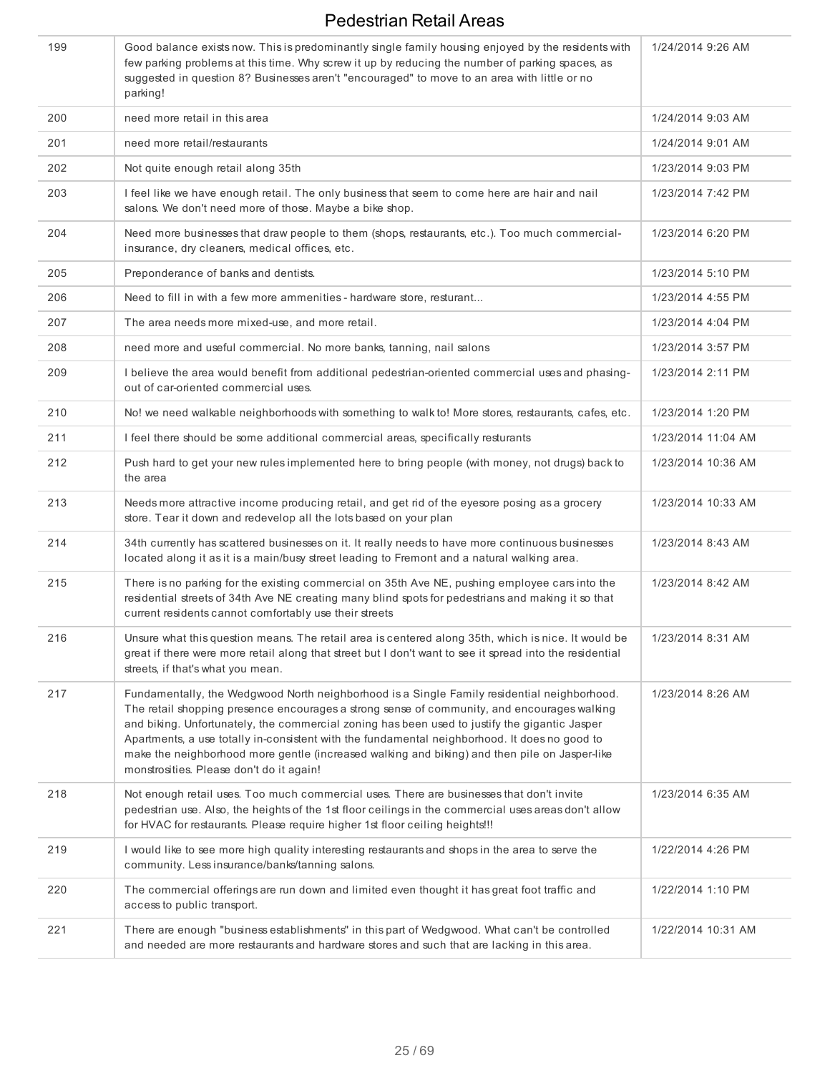| 199 | Good balance exists now. This is predominantly single family housing enjoyed by the residents with<br>few parking problems at this time. Why screw it up by reducing the number of parking spaces, as<br>suggested in question 8? Businesses aren't "encouraged" to move to an area with little or no<br>parking!                                                                                                                                                                                                                         | 1/24/2014 9:26 AM  |
|-----|-------------------------------------------------------------------------------------------------------------------------------------------------------------------------------------------------------------------------------------------------------------------------------------------------------------------------------------------------------------------------------------------------------------------------------------------------------------------------------------------------------------------------------------------|--------------------|
| 200 | need more retail in this area                                                                                                                                                                                                                                                                                                                                                                                                                                                                                                             | 1/24/2014 9:03 AM  |
| 201 | need more retail/restaurants                                                                                                                                                                                                                                                                                                                                                                                                                                                                                                              | 1/24/2014 9:01 AM  |
| 202 | Not quite enough retail along 35th                                                                                                                                                                                                                                                                                                                                                                                                                                                                                                        | 1/23/2014 9:03 PM  |
| 203 | I feel like we have enough retail. The only business that seem to come here are hair and nail<br>salons. We don't need more of those. Maybe a bike shop.                                                                                                                                                                                                                                                                                                                                                                                  | 1/23/2014 7:42 PM  |
| 204 | Need more businesses that draw people to them (shops, restaurants, etc.). Too much commercial-<br>insurance, dry cleaners, medical offices, etc.                                                                                                                                                                                                                                                                                                                                                                                          | 1/23/2014 6:20 PM  |
| 205 | Preponderance of banks and dentists.                                                                                                                                                                                                                                                                                                                                                                                                                                                                                                      | 1/23/2014 5:10 PM  |
| 206 | Need to fill in with a few more ammenities - hardware store, resturant                                                                                                                                                                                                                                                                                                                                                                                                                                                                    | 1/23/2014 4:55 PM  |
| 207 | The area needs more mixed-use, and more retail.                                                                                                                                                                                                                                                                                                                                                                                                                                                                                           | 1/23/2014 4:04 PM  |
| 208 | need more and useful commercial. No more banks, tanning, nail salons                                                                                                                                                                                                                                                                                                                                                                                                                                                                      | 1/23/2014 3:57 PM  |
| 209 | I believe the area would benefit from additional pedestrian-oriented commercial uses and phasing-<br>out of car-oriented commercial uses.                                                                                                                                                                                                                                                                                                                                                                                                 | 1/23/2014 2:11 PM  |
| 210 | No! we need walkable neighborhoods with something to walk to! More stores, restaurants, cafes, etc.                                                                                                                                                                                                                                                                                                                                                                                                                                       | 1/23/2014 1:20 PM  |
| 211 | I feel there should be some additional commercial areas, specifically resturants                                                                                                                                                                                                                                                                                                                                                                                                                                                          | 1/23/2014 11:04 AM |
| 212 | Push hard to get your new rules implemented here to bring people (with money, not drugs) back to<br>the area                                                                                                                                                                                                                                                                                                                                                                                                                              | 1/23/2014 10:36 AM |
| 213 | Needs more attractive income producing retail, and get rid of the eyesore posing as a grocery<br>store. Tear it down and redevelop all the lots based on your plan                                                                                                                                                                                                                                                                                                                                                                        | 1/23/2014 10:33 AM |
| 214 | 34th currently has scattered businesses on it. It really needs to have more continuous businesses<br>located along it as it is a main/busy street leading to Fremont and a natural walking area.                                                                                                                                                                                                                                                                                                                                          | 1/23/2014 8:43 AM  |
| 215 | There is no parking for the existing commercial on 35th Ave NE, pushing employee cars into the<br>residential streets of 34th Ave NE creating many blind spots for pedestrians and making it so that<br>current residents cannot comfortably use their streets                                                                                                                                                                                                                                                                            | 1/23/2014 8:42 AM  |
| 216 | Unsure what this question means. The retail area is centered along 35th, which is nice. It would be<br>great if there were more retail along that street but I don't want to see it spread into the residential<br>streets, if that's what you mean.                                                                                                                                                                                                                                                                                      | 1/23/2014 8:31 AM  |
| 217 | Fundamentally, the Wedgwood North neighborhood is a Single Family residential neighborhood.<br>The retail shopping presence encourages a strong sense of community, and encourages walking<br>and biking. Unfortunately, the commercial zoning has been used to justify the gigantic Jasper<br>Apartments, a use totally in-consistent with the fundamental neighborhood. It does no good to<br>make the neighborhood more gentle (increased walking and biking) and then pile on Jasper-like<br>monstrosities. Please don't do it again! | 1/23/2014 8:26 AM  |
| 218 | Not enough retail uses. Too much commercial uses. There are businesses that don't invite<br>pedestrian use. Also, the heights of the 1st floor ceilings in the commercial uses areas don't allow<br>for HVAC for restaurants. Please require higher 1st floor ceiling heights!!!                                                                                                                                                                                                                                                          | 1/23/2014 6:35 AM  |
| 219 | I would like to see more high quality interesting restaurants and shops in the area to serve the<br>community. Less insurance/banks/tanning salons.                                                                                                                                                                                                                                                                                                                                                                                       | 1/22/2014 4:26 PM  |
| 220 | The commercial offerings are run down and limited even thought it has great foot traffic and<br>access to public transport.                                                                                                                                                                                                                                                                                                                                                                                                               | 1/22/2014 1:10 PM  |
| 221 | There are enough "business establishments" in this part of Wedgwood. What can't be controlled<br>and needed are more restaurants and hardware stores and such that are lacking in this area.                                                                                                                                                                                                                                                                                                                                              | 1/22/2014 10:31 AM |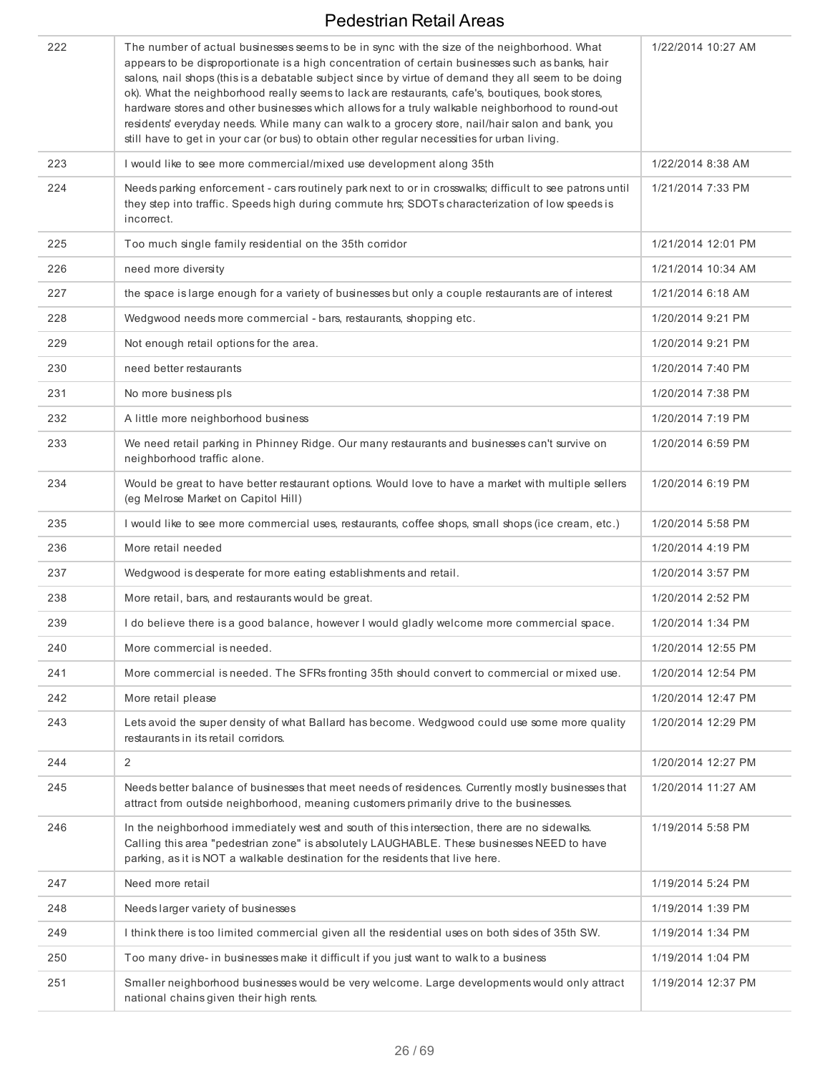| 222 | The number of actual businesses seems to be in sync with the size of the neighborhood. What<br>appears to be disproportionate is a high concentration of certain businesses such as banks, hair<br>salons, nail shops (this is a debatable subject since by virtue of demand they all seem to be doing<br>ok). What the neighborhood really seems to lack are restaurants, cafe's, boutiques, book stores,<br>hardware stores and other businesses which allows for a truly walkable neighborhood to round-out<br>residents' everyday needs. While many can walk to a grocery store, nail/hair salon and bank, you<br>still have to get in your car (or bus) to obtain other regular necessities for urban living. | 1/22/2014 10:27 AM |
|-----|--------------------------------------------------------------------------------------------------------------------------------------------------------------------------------------------------------------------------------------------------------------------------------------------------------------------------------------------------------------------------------------------------------------------------------------------------------------------------------------------------------------------------------------------------------------------------------------------------------------------------------------------------------------------------------------------------------------------|--------------------|
| 223 | I would like to see more commercial/mixed use development along 35th                                                                                                                                                                                                                                                                                                                                                                                                                                                                                                                                                                                                                                               | 1/22/2014 8:38 AM  |
| 224 | Needs parking enforcement - cars routinely park next to or in crosswalks; difficult to see patrons until<br>they step into traffic. Speeds high during commute hrs; SDOTs characterization of low speeds is<br>incorrect.                                                                                                                                                                                                                                                                                                                                                                                                                                                                                          | 1/21/2014 7:33 PM  |
| 225 | Too much single family residential on the 35th corridor                                                                                                                                                                                                                                                                                                                                                                                                                                                                                                                                                                                                                                                            | 1/21/2014 12:01 PM |
| 226 | need more diversity                                                                                                                                                                                                                                                                                                                                                                                                                                                                                                                                                                                                                                                                                                | 1/21/2014 10:34 AM |
| 227 | the space is large enough for a variety of businesses but only a couple restaurants are of interest                                                                                                                                                                                                                                                                                                                                                                                                                                                                                                                                                                                                                | 1/21/2014 6:18 AM  |
| 228 | Wedgwood needs more commercial - bars, restaurants, shopping etc.                                                                                                                                                                                                                                                                                                                                                                                                                                                                                                                                                                                                                                                  | 1/20/2014 9:21 PM  |
| 229 | Not enough retail options for the area.                                                                                                                                                                                                                                                                                                                                                                                                                                                                                                                                                                                                                                                                            | 1/20/2014 9:21 PM  |
| 230 | need better restaurants                                                                                                                                                                                                                                                                                                                                                                                                                                                                                                                                                                                                                                                                                            | 1/20/2014 7:40 PM  |
| 231 | No more business pls                                                                                                                                                                                                                                                                                                                                                                                                                                                                                                                                                                                                                                                                                               | 1/20/2014 7:38 PM  |
| 232 | A little more neighborhood business                                                                                                                                                                                                                                                                                                                                                                                                                                                                                                                                                                                                                                                                                | 1/20/2014 7:19 PM  |
| 233 | We need retail parking in Phinney Ridge. Our many restaurants and businesses can't survive on<br>neighborhood traffic alone.                                                                                                                                                                                                                                                                                                                                                                                                                                                                                                                                                                                       | 1/20/2014 6:59 PM  |
| 234 | Would be great to have better restaurant options. Would love to have a market with multiple sellers<br>(eg Melrose Market on Capitol Hill)                                                                                                                                                                                                                                                                                                                                                                                                                                                                                                                                                                         | 1/20/2014 6:19 PM  |
| 235 | I would like to see more commercial uses, restaurants, coffee shops, small shops (ice cream, etc.)                                                                                                                                                                                                                                                                                                                                                                                                                                                                                                                                                                                                                 | 1/20/2014 5:58 PM  |
| 236 | More retail needed                                                                                                                                                                                                                                                                                                                                                                                                                                                                                                                                                                                                                                                                                                 | 1/20/2014 4:19 PM  |
| 237 | Wedgwood is desperate for more eating establishments and retail.                                                                                                                                                                                                                                                                                                                                                                                                                                                                                                                                                                                                                                                   | 1/20/2014 3:57 PM  |
| 238 | More retail, bars, and restaurants would be great.                                                                                                                                                                                                                                                                                                                                                                                                                                                                                                                                                                                                                                                                 | 1/20/2014 2:52 PM  |
| 239 | I do believe there is a good balance, however I would gladly welcome more commercial space.                                                                                                                                                                                                                                                                                                                                                                                                                                                                                                                                                                                                                        | 1/20/2014 1:34 PM  |
| 240 | More commercial is needed.                                                                                                                                                                                                                                                                                                                                                                                                                                                                                                                                                                                                                                                                                         | 1/20/2014 12:55 PM |
| 241 | More commercial is needed. The SFRs fronting 35th should convert to commercial or mixed use.                                                                                                                                                                                                                                                                                                                                                                                                                                                                                                                                                                                                                       | 1/20/2014 12:54 PM |
| 242 | More retail please                                                                                                                                                                                                                                                                                                                                                                                                                                                                                                                                                                                                                                                                                                 | 1/20/2014 12:47 PM |
| 243 | Lets avoid the super density of what Ballard has become. Wedgwood could use some more quality<br>restaurants in its retail corridors.                                                                                                                                                                                                                                                                                                                                                                                                                                                                                                                                                                              | 1/20/2014 12:29 PM |
| 244 | $\overline{2}$                                                                                                                                                                                                                                                                                                                                                                                                                                                                                                                                                                                                                                                                                                     | 1/20/2014 12:27 PM |
| 245 | Needs better balance of businesses that meet needs of residences. Currently mostly businesses that<br>attract from outside neighborhood, meaning customers primarily drive to the businesses.                                                                                                                                                                                                                                                                                                                                                                                                                                                                                                                      | 1/20/2014 11:27 AM |
| 246 | In the neighborhood immediately west and south of this intersection, there are no sidewalks.<br>Calling this area "pedestrian zone" is absolutely LAUGHABLE. These businesses NEED to have<br>parking, as it is NOT a walkable destination for the residents that live here.                                                                                                                                                                                                                                                                                                                                                                                                                                       | 1/19/2014 5:58 PM  |
| 247 | Need more retail                                                                                                                                                                                                                                                                                                                                                                                                                                                                                                                                                                                                                                                                                                   | 1/19/2014 5:24 PM  |
| 248 | Needs larger variety of businesses                                                                                                                                                                                                                                                                                                                                                                                                                                                                                                                                                                                                                                                                                 | 1/19/2014 1:39 PM  |
| 249 | I think there is too limited commercial given all the residential uses on both sides of 35th SW.                                                                                                                                                                                                                                                                                                                                                                                                                                                                                                                                                                                                                   | 1/19/2014 1:34 PM  |
| 250 | Too many drive- in businesses make it difficult if you just want to walk to a business                                                                                                                                                                                                                                                                                                                                                                                                                                                                                                                                                                                                                             | 1/19/2014 1:04 PM  |
| 251 | Smaller neighborhood businesses would be very welcome. Large developments would only attract<br>national chains given their high rents.                                                                                                                                                                                                                                                                                                                                                                                                                                                                                                                                                                            | 1/19/2014 12:37 PM |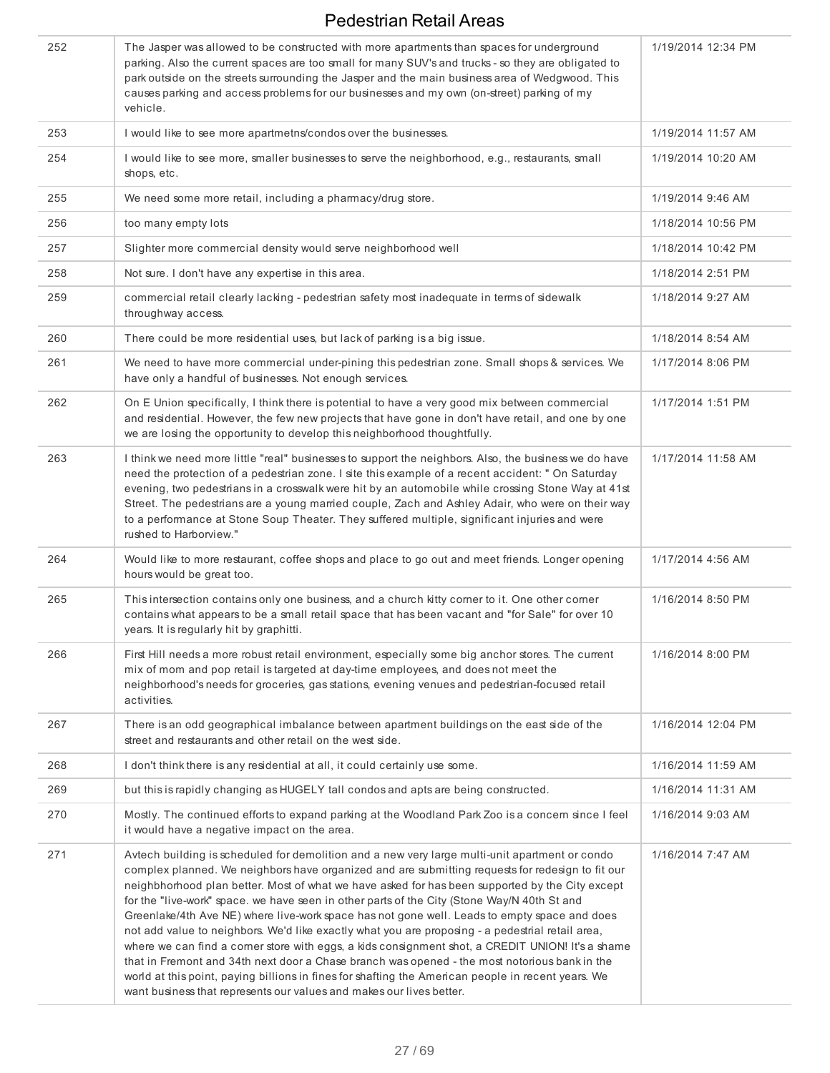| 252 | The Jasper was allowed to be constructed with more apartments than spaces for underground<br>parking. Also the current spaces are too small for many SUV's and trucks - so they are obligated to<br>park outside on the streets surrounding the Jasper and the main business area of Wedgwood. This<br>causes parking and access problems for our businesses and my own (on-street) parking of my<br>vehicle.                                                                                                                                                                                                                                                                                                                                                                                                                                                                                                                                                                               | 1/19/2014 12:34 PM |
|-----|---------------------------------------------------------------------------------------------------------------------------------------------------------------------------------------------------------------------------------------------------------------------------------------------------------------------------------------------------------------------------------------------------------------------------------------------------------------------------------------------------------------------------------------------------------------------------------------------------------------------------------------------------------------------------------------------------------------------------------------------------------------------------------------------------------------------------------------------------------------------------------------------------------------------------------------------------------------------------------------------|--------------------|
| 253 | I would like to see more apartmetns/condos over the businesses.                                                                                                                                                                                                                                                                                                                                                                                                                                                                                                                                                                                                                                                                                                                                                                                                                                                                                                                             | 1/19/2014 11:57 AM |
| 254 | I would like to see more, smaller businesses to serve the neighborhood, e.g., restaurants, small<br>shops, etc.                                                                                                                                                                                                                                                                                                                                                                                                                                                                                                                                                                                                                                                                                                                                                                                                                                                                             | 1/19/2014 10:20 AM |
| 255 | We need some more retail, including a pharmacy/drug store.                                                                                                                                                                                                                                                                                                                                                                                                                                                                                                                                                                                                                                                                                                                                                                                                                                                                                                                                  | 1/19/2014 9:46 AM  |
| 256 | too many empty lots                                                                                                                                                                                                                                                                                                                                                                                                                                                                                                                                                                                                                                                                                                                                                                                                                                                                                                                                                                         | 1/18/2014 10:56 PM |
| 257 | Slighter more commercial density would serve neighborhood well                                                                                                                                                                                                                                                                                                                                                                                                                                                                                                                                                                                                                                                                                                                                                                                                                                                                                                                              | 1/18/2014 10:42 PM |
| 258 | Not sure. I don't have any expertise in this area.                                                                                                                                                                                                                                                                                                                                                                                                                                                                                                                                                                                                                                                                                                                                                                                                                                                                                                                                          | 1/18/2014 2:51 PM  |
| 259 | commercial retail clearly lacking - pedestrian safety most inadequate in terms of sidewalk<br>throughway access.                                                                                                                                                                                                                                                                                                                                                                                                                                                                                                                                                                                                                                                                                                                                                                                                                                                                            | 1/18/2014 9:27 AM  |
| 260 | There could be more residential uses, but lack of parking is a big issue.                                                                                                                                                                                                                                                                                                                                                                                                                                                                                                                                                                                                                                                                                                                                                                                                                                                                                                                   | 1/18/2014 8:54 AM  |
| 261 | We need to have more commercial under-pining this pedestrian zone. Small shops & services. We<br>have only a handful of businesses. Not enough services.                                                                                                                                                                                                                                                                                                                                                                                                                                                                                                                                                                                                                                                                                                                                                                                                                                    | 1/17/2014 8:06 PM  |
| 262 | On E Union specifically, I think there is potential to have a very good mix between commercial<br>and residential. However, the few new projects that have gone in don't have retail, and one by one<br>we are losing the opportunity to develop this neighborhood thoughtfully.                                                                                                                                                                                                                                                                                                                                                                                                                                                                                                                                                                                                                                                                                                            | 1/17/2014 1:51 PM  |
| 263 | I think we need more little "real" businesses to support the neighbors. Also, the business we do have<br>need the protection of a pedestrian zone. I site this example of a recent accident: " On Saturday<br>evening, two pedestrians in a crosswalk were hit by an automobile while crossing Stone Way at 41st<br>Street. The pedestrians are a young married couple, Zach and Ashley Adair, who were on their way<br>to a performance at Stone Soup Theater. They suffered multiple, significant injuries and were<br>rushed to Harborview."                                                                                                                                                                                                                                                                                                                                                                                                                                             | 1/17/2014 11:58 AM |
| 264 | Would like to more restaurant, coffee shops and place to go out and meet friends. Longer opening<br>hours would be great too.                                                                                                                                                                                                                                                                                                                                                                                                                                                                                                                                                                                                                                                                                                                                                                                                                                                               | 1/17/2014 4:56 AM  |
| 265 | This intersection contains only one business, and a church kitty corner to it. One other corner<br>contains what appears to be a small retail space that has been vacant and "for Sale" for over 10<br>years. It is regularly hit by graphitti.                                                                                                                                                                                                                                                                                                                                                                                                                                                                                                                                                                                                                                                                                                                                             | 1/16/2014 8:50 PM  |
| 266 | First Hill needs a more robust retail environment, especially some big anchor stores. The current<br>mix of mom and pop retail is targeted at day-time employees, and does not meet the<br>neighborhood's needs for groceries, gas stations, evening venues and pedestrian-focused retail<br>activities.                                                                                                                                                                                                                                                                                                                                                                                                                                                                                                                                                                                                                                                                                    | 1/16/2014 8:00 PM  |
| 267 | There is an odd geographical imbalance between apartment buildings on the east side of the<br>street and restaurants and other retail on the west side.                                                                                                                                                                                                                                                                                                                                                                                                                                                                                                                                                                                                                                                                                                                                                                                                                                     | 1/16/2014 12:04 PM |
| 268 | I don't think there is any residential at all, it could certainly use some.                                                                                                                                                                                                                                                                                                                                                                                                                                                                                                                                                                                                                                                                                                                                                                                                                                                                                                                 | 1/16/2014 11:59 AM |
| 269 | but this is rapidly changing as HUGELY tall condos and apts are being constructed.                                                                                                                                                                                                                                                                                                                                                                                                                                                                                                                                                                                                                                                                                                                                                                                                                                                                                                          | 1/16/2014 11:31 AM |
| 270 | Mostly. The continued efforts to expand parking at the Woodland Park Zoo is a concern since I feel<br>it would have a negative impact on the area.                                                                                                                                                                                                                                                                                                                                                                                                                                                                                                                                                                                                                                                                                                                                                                                                                                          | 1/16/2014 9:03 AM  |
| 271 | Avtech building is scheduled for demolition and a new very large multi-unit apartment or condo<br>complex planned. We neighbors have organized and are submitting requests for redesign to fit our<br>neighbhorhood plan better. Most of what we have asked for has been supported by the City except<br>for the "live-work" space. we have seen in other parts of the City (Stone Way/N 40th St and<br>Greenlake/4th Ave NE) where live-work space has not gone well. Leads to empty space and does<br>not add value to neighbors. We'd like exactly what you are proposing - a pedestrial retail area,<br>where we can find a comer store with eggs, a kids consignment shot, a CREDIT UNION! It's a shame<br>that in Fremont and 34th next door a Chase branch was opened - the most notorious bank in the<br>world at this point, paying billions in fines for shafting the American people in recent years. We<br>want business that represents our values and makes our lives better. | 1/16/2014 7:47 AM  |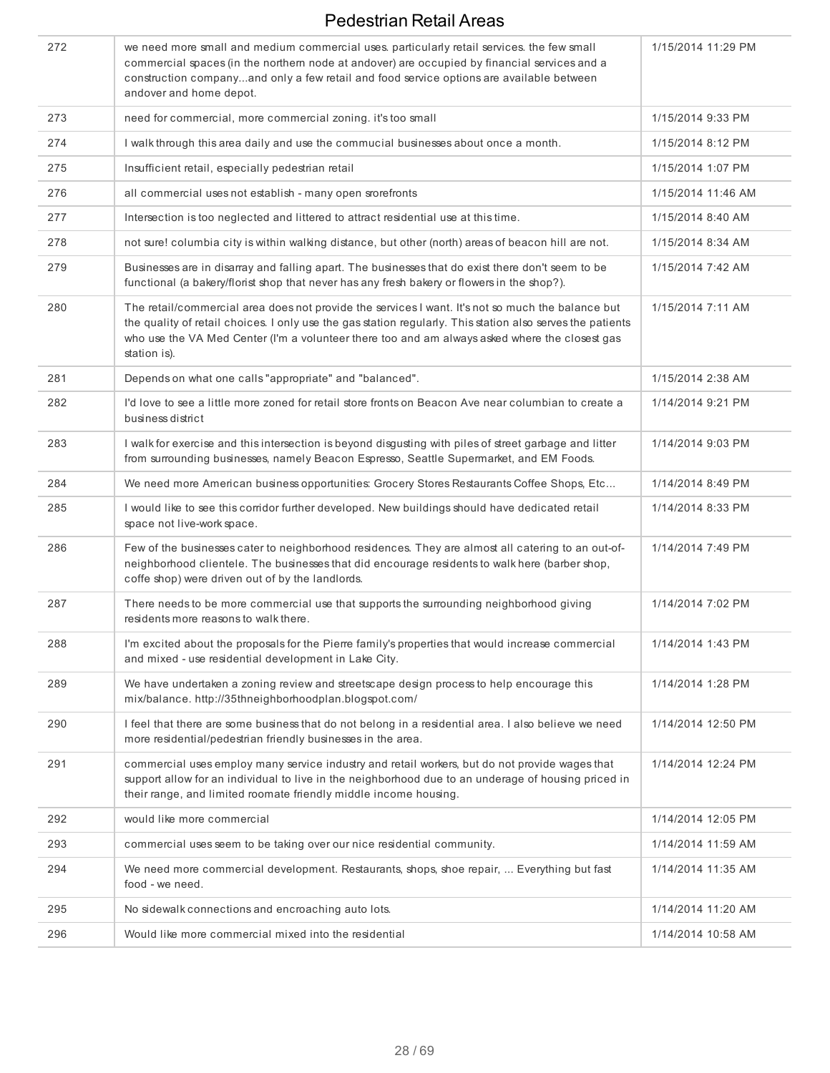| 272 | we need more small and medium commercial uses. particularly retail services. the few small<br>commercial spaces (in the northern node at andover) are occupied by financial services and a<br>construction companyand only a few retail and food service options are available between<br>andover and home depot.                 | 1/15/2014 11:29 PM |
|-----|-----------------------------------------------------------------------------------------------------------------------------------------------------------------------------------------------------------------------------------------------------------------------------------------------------------------------------------|--------------------|
| 273 | need for commercial, more commercial zoning. it's too small                                                                                                                                                                                                                                                                       | 1/15/2014 9:33 PM  |
| 274 | I walk through this area daily and use the commucial businesses about once a month.                                                                                                                                                                                                                                               | 1/15/2014 8:12 PM  |
| 275 | Insufficient retail, especially pedestrian retail                                                                                                                                                                                                                                                                                 | 1/15/2014 1:07 PM  |
| 276 | all commercial uses not establish - many open srorefronts                                                                                                                                                                                                                                                                         | 1/15/2014 11:46 AM |
| 277 | Intersection is too neglected and littered to attract residential use at this time.                                                                                                                                                                                                                                               | 1/15/2014 8:40 AM  |
| 278 | not sure! columbia city is within walking distance, but other (north) areas of beacon hill are not.                                                                                                                                                                                                                               | 1/15/2014 8:34 AM  |
| 279 | Businesses are in disarray and falling apart. The businesses that do exist there don't seem to be<br>functional (a bakery/florist shop that never has any fresh bakery or flowers in the shop?).                                                                                                                                  | 1/15/2014 7:42 AM  |
| 280 | The retail/commercial area does not provide the services I want. It's not so much the balance but<br>the quality of retail choices. I only use the gas station regularly. This station also serves the patients<br>who use the VA Med Center (I'm a volunteer there too and am always asked where the closest gas<br>station is). | 1/15/2014 7:11 AM  |
| 281 | Depends on what one calls "appropriate" and "balanced".                                                                                                                                                                                                                                                                           | 1/15/2014 2:38 AM  |
| 282 | I'd love to see a little more zoned for retail store fronts on Beacon Ave near columbian to create a<br>business district                                                                                                                                                                                                         | 1/14/2014 9:21 PM  |
| 283 | I walk for exercise and this intersection is beyond disgusting with piles of street garbage and litter<br>from surrounding businesses, namely Beacon Espresso, Seattle Supermarket, and EM Foods.                                                                                                                                 | 1/14/2014 9:03 PM  |
| 284 | We need more American business opportunities: Grocery Stores Restaurants Coffee Shops, Etc                                                                                                                                                                                                                                        | 1/14/2014 8:49 PM  |
| 285 | I would like to see this corridor further developed. New buildings should have dedicated retail<br>space not live-work space.                                                                                                                                                                                                     | 1/14/2014 8:33 PM  |
| 286 | Few of the businesses cater to neighborhood residences. They are almost all catering to an out-of-<br>neighborhood clientele. The businesses that did encourage residents to walk here (barber shop,<br>coffe shop) were driven out of by the landlords.                                                                          | 1/14/2014 7:49 PM  |
| 287 | There needs to be more commercial use that supports the surrounding neighborhood giving<br>residents more reasons to walk there.                                                                                                                                                                                                  | 1/14/2014 7:02 PM  |
| 288 | I'm excited about the proposals for the Pierre family's properties that would increase commercial<br>and mixed - use residential development in Lake City.                                                                                                                                                                        | 1/14/2014 1:43 PM  |
| 289 | We have undertaken a zoning review and streetscape design process to help encourage this<br>mix/balance.http://35thneighborhoodplan.blogspot.com/                                                                                                                                                                                 | 1/14/2014 1:28 PM  |
| 290 | I feel that there are some business that do not belong in a residential area. I also believe we need<br>more residential/pedestrian friendly businesses in the area.                                                                                                                                                              | 1/14/2014 12:50 PM |
| 291 | commercial uses employ many service industry and retail workers, but do not provide wages that<br>support allow for an individual to live in the neighborhood due to an underage of housing priced in<br>their range, and limited roomate friendly middle income housing.                                                         | 1/14/2014 12:24 PM |
| 292 | would like more commercial                                                                                                                                                                                                                                                                                                        | 1/14/2014 12:05 PM |
| 293 | commercial uses seem to be taking over our nice residential community.                                                                                                                                                                                                                                                            | 1/14/2014 11:59 AM |
| 294 | We need more commercial development. Restaurants, shops, shoe repair,  Everything but fast<br>food - we need.                                                                                                                                                                                                                     | 1/14/2014 11:35 AM |
| 295 | No sidewalk connections and encroaching auto lots.                                                                                                                                                                                                                                                                                | 1/14/2014 11:20 AM |
| 296 | Would like more commercial mixed into the residential                                                                                                                                                                                                                                                                             | 1/14/2014 10:58 AM |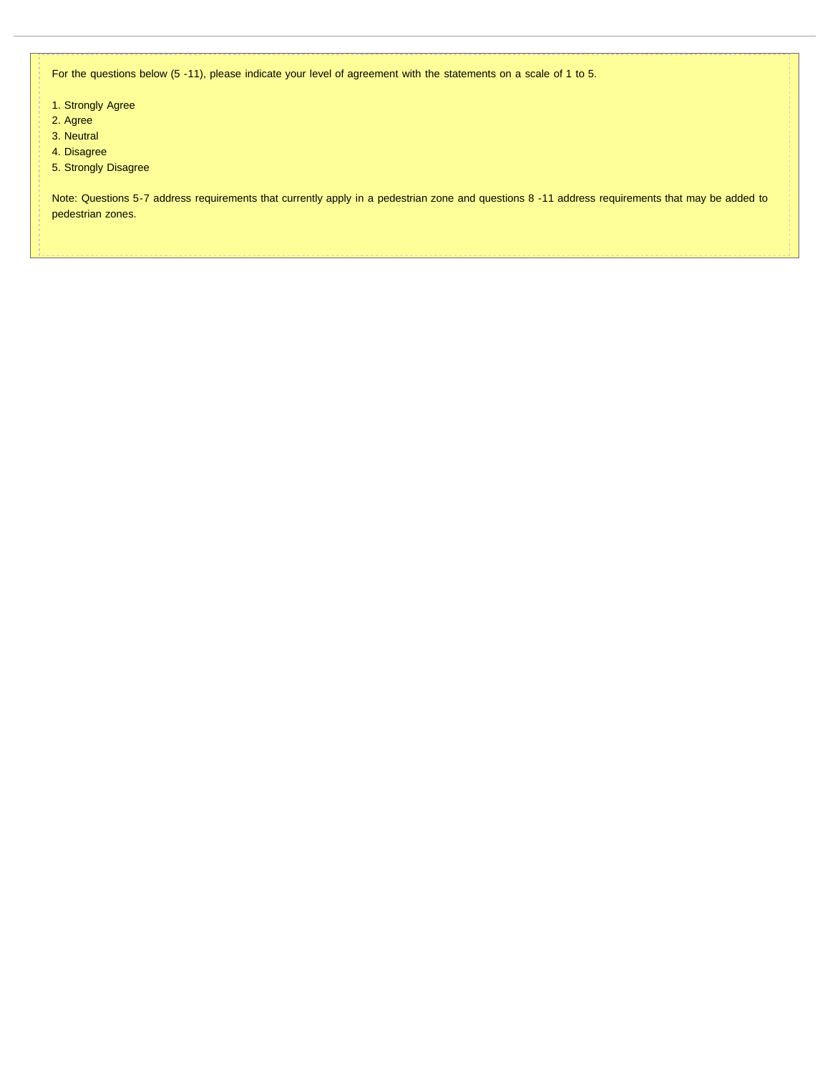For the questions below (5 -11), please indicate your level of agreement with the statements on a scale of 1 to 5.

- 1. Strongly Agree
- 2. Agree
- 3. Neutral
- 4. Disagree
- 5. Strongly Disagree

Note: Questions 5-7 address requirements that currently apply in a pedestrian zone and questions 8 -11 address requirements that may be added to pedestrian zones.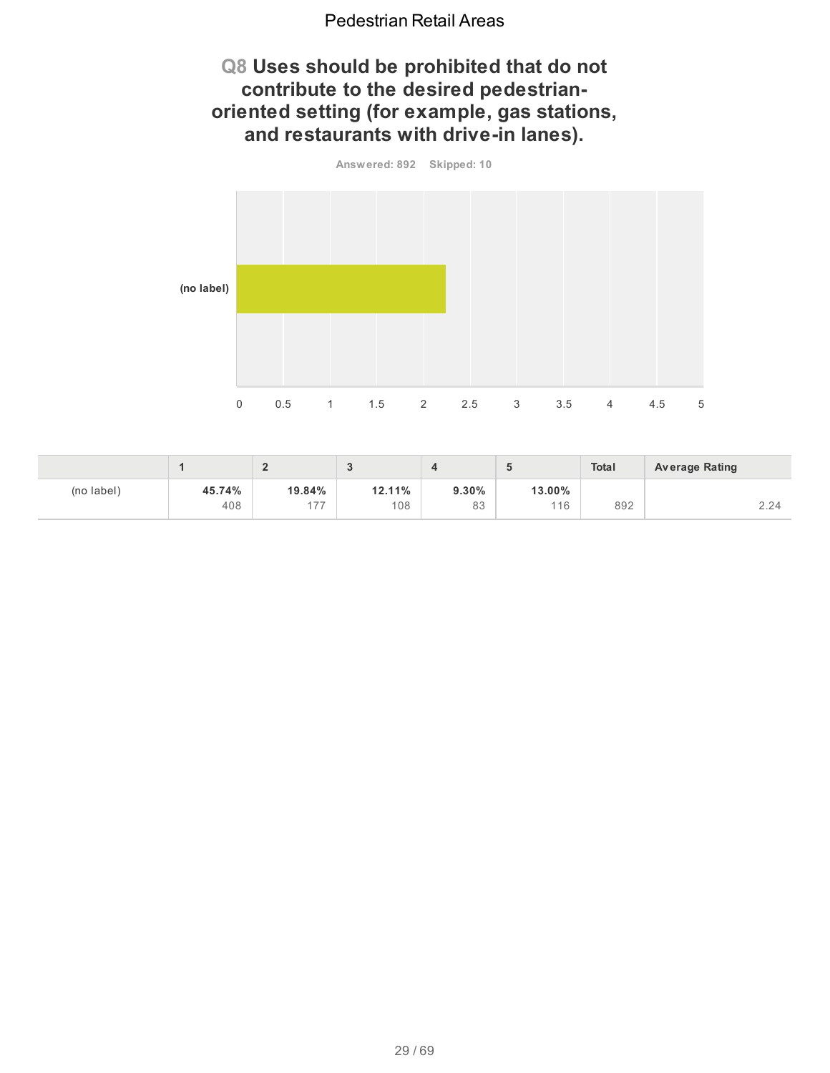## **Q8 Uses should be prohibited that do not contribute to the desired pedestrianoriented setting (for example, gas stations, and restaurants with drive-in lanes).**



|            |        |                                           | <b>N</b> |       |        | <b>Total</b> | <b>Average Rating</b> |
|------------|--------|-------------------------------------------|----------|-------|--------|--------------|-----------------------|
| (no label) | 45.74% | 19.84%                                    | 12.11%   | 9.30% | 13.00% |              |                       |
|            | 408    | $\rightarrow$ $\rightarrow$<br>$\sqrt{ }$ | 108      | 83    | 116    | 892          | 2.24                  |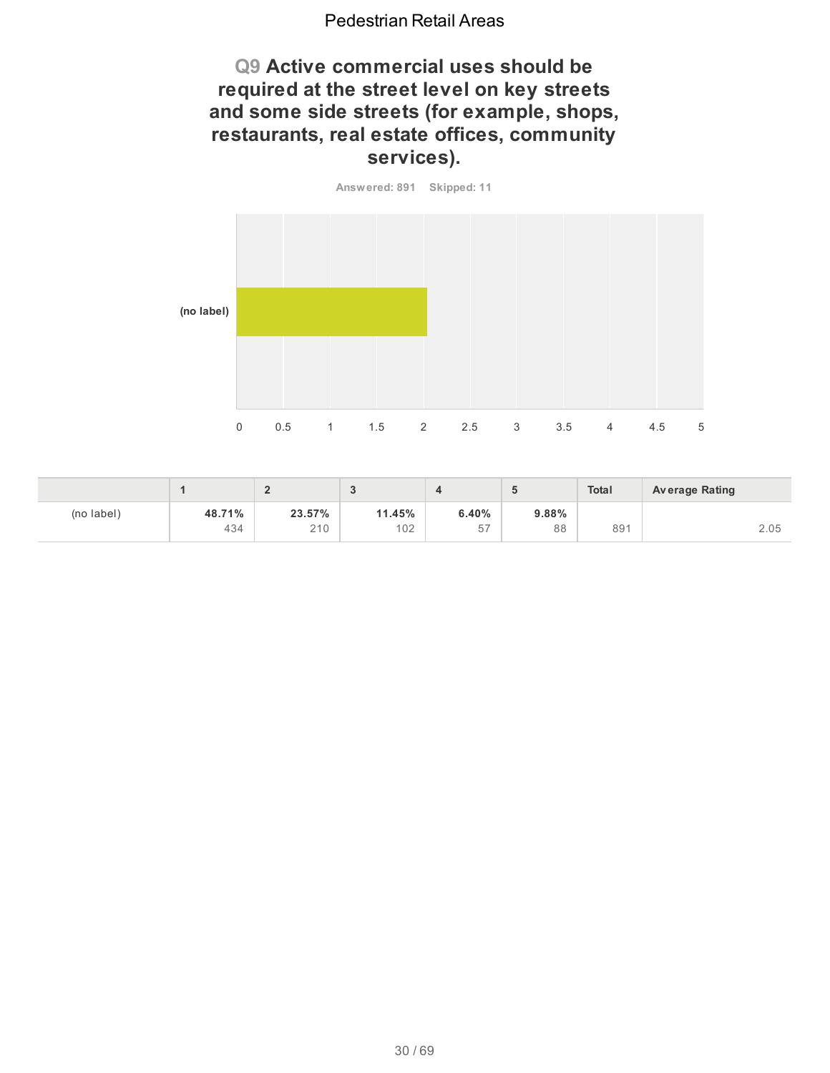## **Q9 Active commercial uses should be required at the street level on key streets and some side streets (for example, shops, restaurants, real estate offices, community services).**

**Answered: 891 Skipped: 11**



|            |        |        | $\sim$ |       | $\sim$ | <b>Total</b> | <b>Average Rating</b> |
|------------|--------|--------|--------|-------|--------|--------------|-----------------------|
| (no label) | 48.71% | 23.57% | 11.45% | 6.40% | 9.88%  |              |                       |
|            | 434    | 210    | 102    | 57    | 88     | 891          | 2.05                  |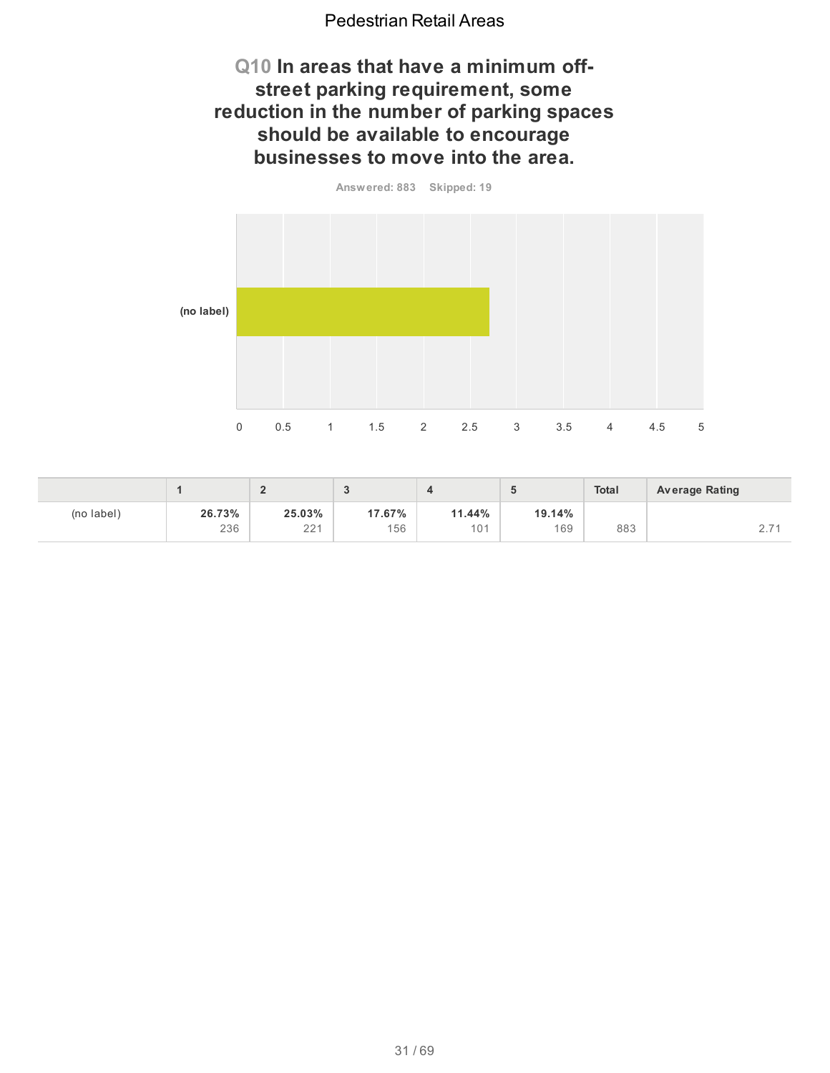## **Q10 In areas that have a minimum offstreet parking requirement, some reduction in the number of parking spaces should be available to encourage businesses to move into the area.**

**Answered: 883 Skipped: 19**



|            |        | £<br>∸        |        |        |        | <b>Total</b> | <b>Average Rating</b> |
|------------|--------|---------------|--------|--------|--------|--------------|-----------------------|
| (no label) | 26.73% | 25.03%<br>001 | 17.67% | 11.44% | 19.14% |              | $\rightarrow$         |
|            | 236    | ∠∠            | 156    | 101    | 169    | 883          | <u>.</u>              |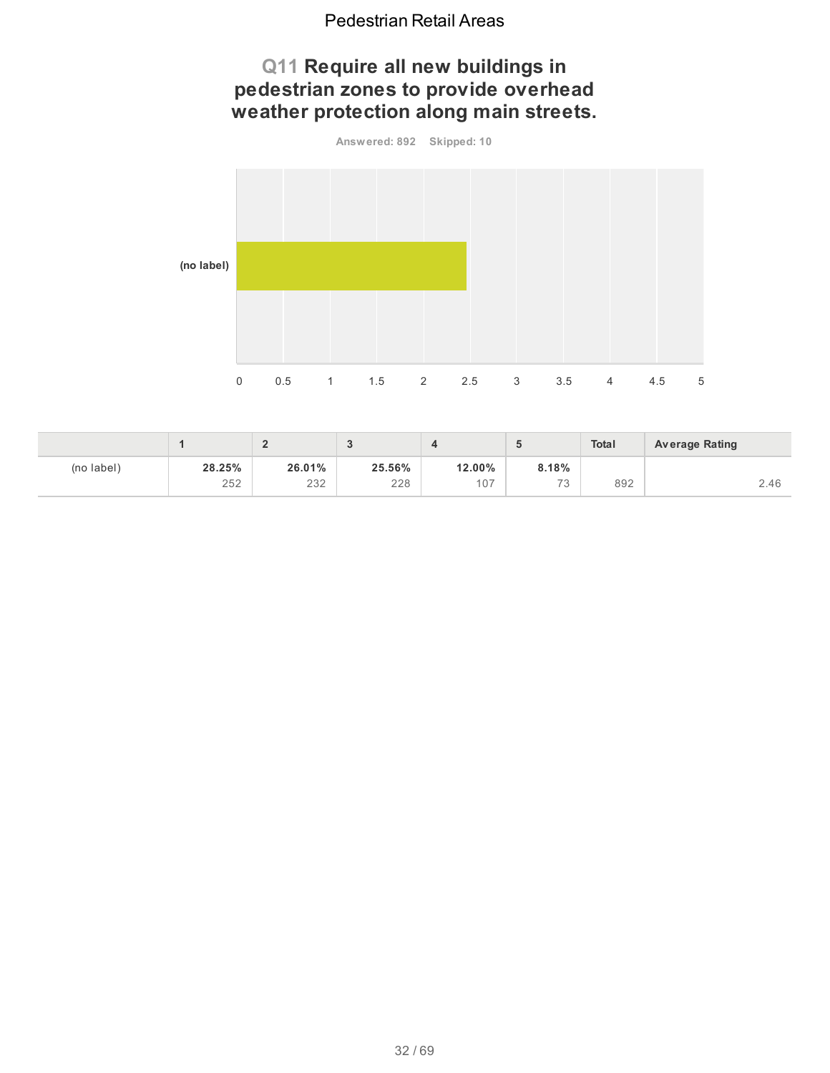# **Q11 Require all new buildings in pedestrian zones to provide overhead weather protection along main streets.**

**Answered: 892 Skipped: 10 (no label)** 0 0.5 1 1.5 2 2.5 3 3.5 4 4.5 5

|            |               | c<br>-        |               |               | u                | <b>Total</b> | <b>Average Rating</b> |
|------------|---------------|---------------|---------------|---------------|------------------|--------------|-----------------------|
| (no label) | 28.25%<br>252 | 26.01%<br>232 | 25.56%<br>228 | 12.00%<br>107 | 8.18%<br>72<br>J | 892          | 2.46                  |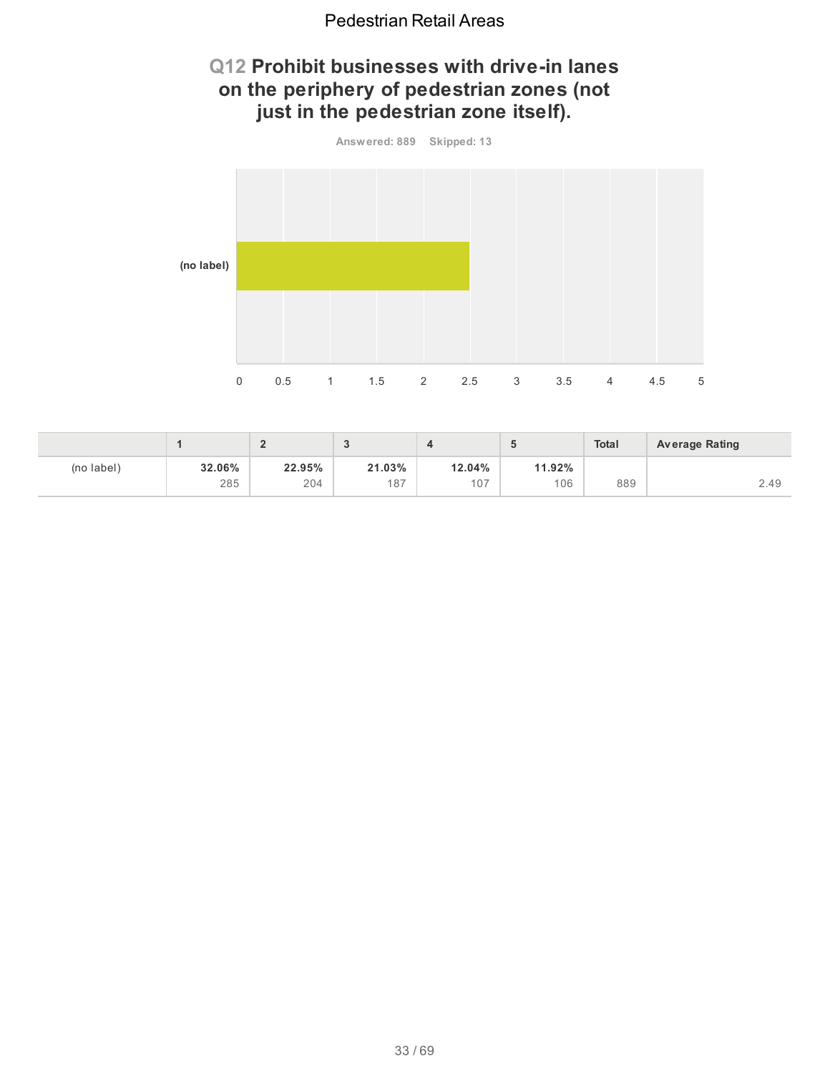# **Q12 Prohibit businesses with drive-in lanes on the periphery of pedestrian zones (not just in the pedestrian zone itself).**



|            |               | -             | Ð<br>- 1      |               |               | <b>Total</b> | <b>Average Rating</b> |
|------------|---------------|---------------|---------------|---------------|---------------|--------------|-----------------------|
| (no label) | 32.06%<br>285 | 22.95%<br>204 | 21.03%<br>187 | 12.04%<br>107 | 11.92%<br>106 | 889          | 2.49                  |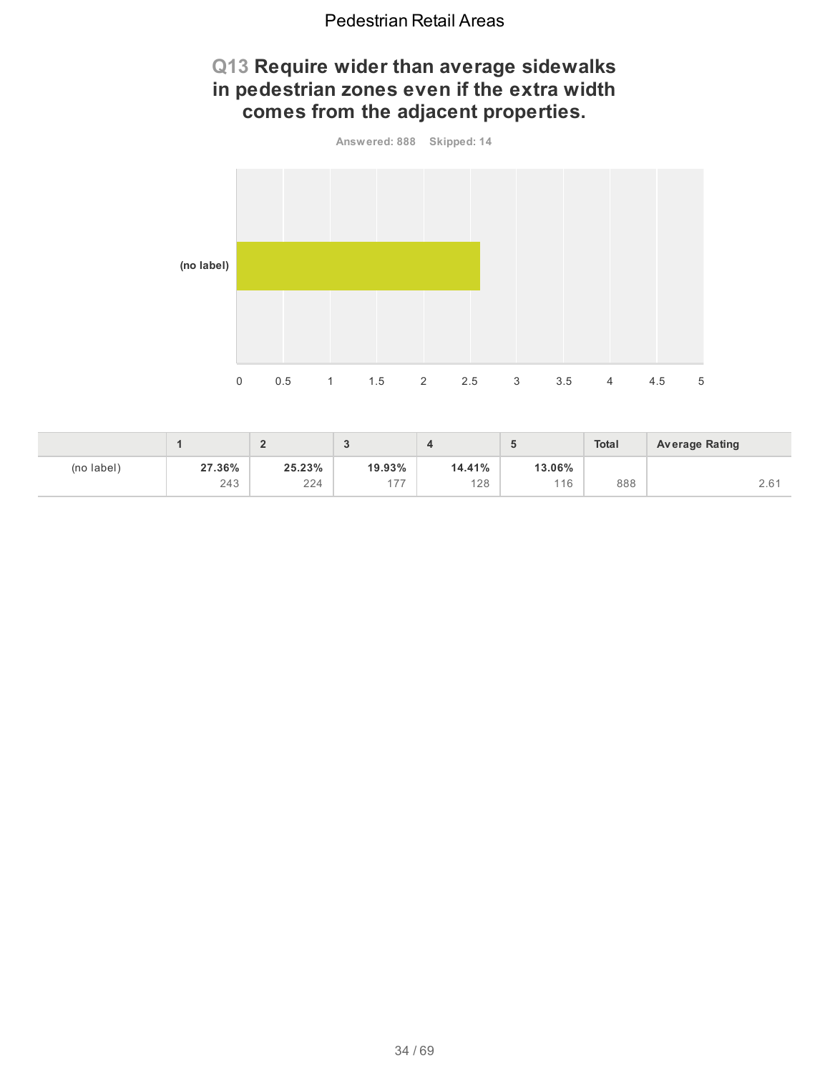# **Q13 Require wider than average sidewalks in pedestrian zones even if the extra width comes from the adjacent properties.**



|            |               | Æ             | -              |               |               | <b>Total</b> | <b>Average Rating</b>                   |
|------------|---------------|---------------|----------------|---------------|---------------|--------------|-----------------------------------------|
| (no label) | 27.36%<br>243 | 25.23%<br>224 | 19.93%<br>$-7$ | 14.41%<br>128 | 13.06%<br>116 | 888          | $\sim$ $\sim$ $\sim$<br>$\sim$ . $\sim$ |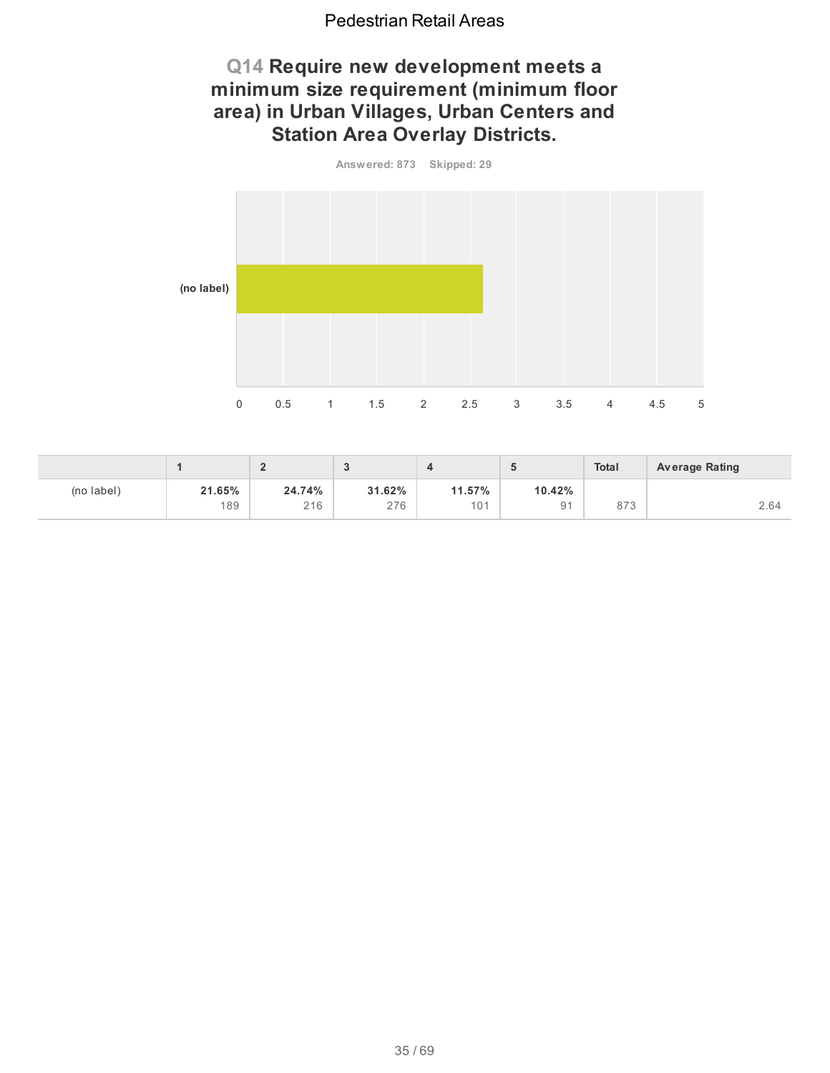# **Q14 Require new development meets a minimum size requirement (minimum floor area) in Urban Villages, Urban Centers and Station Area Overlay Districts.**



|            |        | £<br>- |        |                 |                | <b>Total</b> | <b>Average Rating</b> |
|------------|--------|--------|--------|-----------------|----------------|--------------|-----------------------|
| (no label) | 21.65% | 24.74% | 31.62% | 11.57%          | 10.42%         | 070          | $\cap$ $\cap$ $\land$ |
|            | 189    | 216    | 276    | 10 <sup>1</sup> | 9 <sub>1</sub> | O / J        | 2.64                  |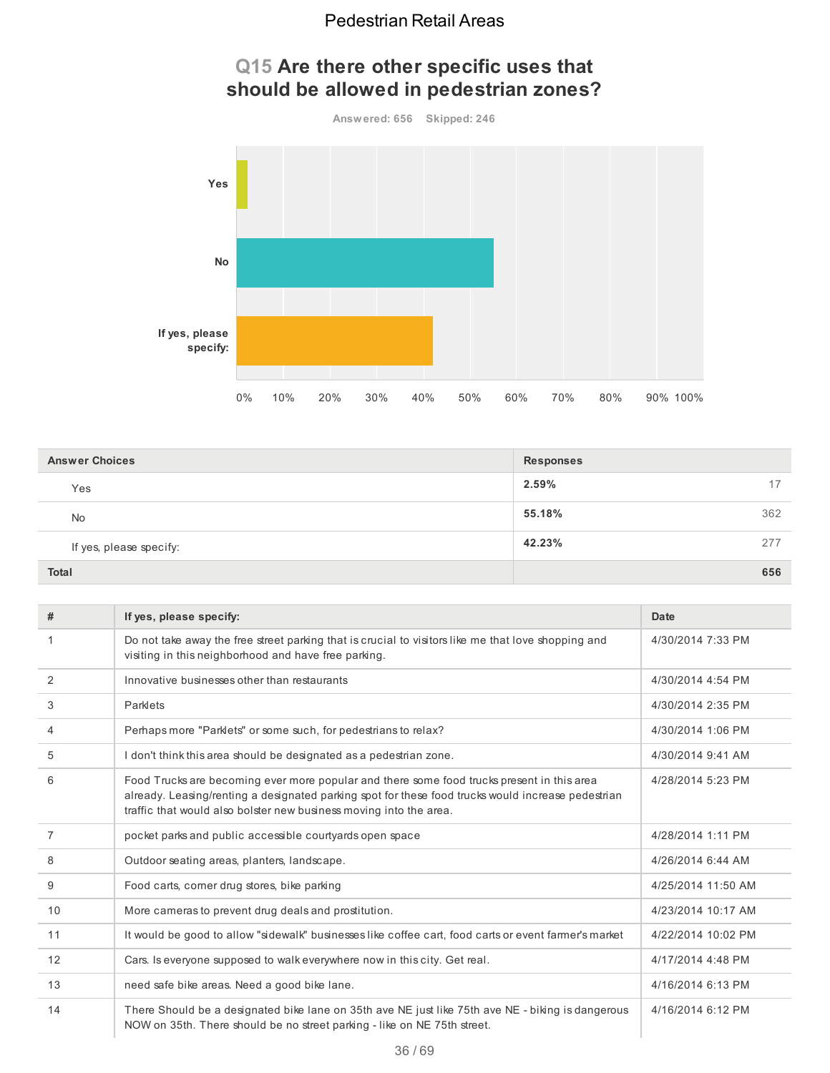

# **Q15 Are there other specific uses that should be allowed in pedestrian zones?**

| <b>Answer Choices</b>   | <b>Responses</b> |
|-------------------------|------------------|
| Yes                     | 2.59%<br>17      |
| No                      | 362<br>55.18%    |
| If yes, please specify: | 42.23%<br>277    |
| <b>Total</b>            | 656              |

| #              | If yes, please specify:                                                                                                                                                                                                                                                | Date               |
|----------------|------------------------------------------------------------------------------------------------------------------------------------------------------------------------------------------------------------------------------------------------------------------------|--------------------|
|                | Do not take away the free street parking that is crucial to visitors like me that love shopping and<br>visiting in this neighborhood and have free parking.                                                                                                            | 4/30/2014 7:33 PM  |
| 2              | Innovative businesses other than restaurants                                                                                                                                                                                                                           | 4/30/2014 4:54 PM  |
| 3              | Parklets                                                                                                                                                                                                                                                               | 4/30/2014 2:35 PM  |
| 4              | Perhaps more "Parklets" or some such, for pedestrians to relax?                                                                                                                                                                                                        | 4/30/2014 1:06 PM  |
| 5              | I don't think this area should be designated as a pedestrian zone.                                                                                                                                                                                                     | 4/30/2014 9:41 AM  |
| 6              | Food Trucks are becoming ever more popular and there some food trucks present in this area<br>already. Leasing/renting a designated parking spot for these food trucks would increase pedestrian<br>traffic that would also bolster new business moving into the area. | 4/28/2014 5:23 PM  |
| $\overline{7}$ | pocket parks and public accessible courtyards open space                                                                                                                                                                                                               | 4/28/2014 1:11 PM  |
| 8              | Outdoor seating areas, planters, landscape.                                                                                                                                                                                                                            | 4/26/2014 6:44 AM  |
| 9              | Food carts, corner drug stores, bike parking                                                                                                                                                                                                                           | 4/25/2014 11:50 AM |
| 10             | More cameras to prevent drug deals and prostitution.                                                                                                                                                                                                                   | 4/23/2014 10:17 AM |
| 11             | It would be good to allow "sidewalk" businesses like coffee cart, food carts or event farmer's market                                                                                                                                                                  | 4/22/2014 10:02 PM |
| 12             | Cars. Is everyone supposed to walk everywhere now in this city. Get real.                                                                                                                                                                                              | 4/17/2014 4:48 PM  |
| 13             | need safe bike areas. Need a good bike lane.                                                                                                                                                                                                                           | 4/16/2014 6:13 PM  |
| 14             | There Should be a designated bike lane on 35th ave NE just like 75th ave NE - biking is dangerous<br>NOW on 35th. There should be no street parking - like on NE 75th street.                                                                                          | 4/16/2014 6:12 PM  |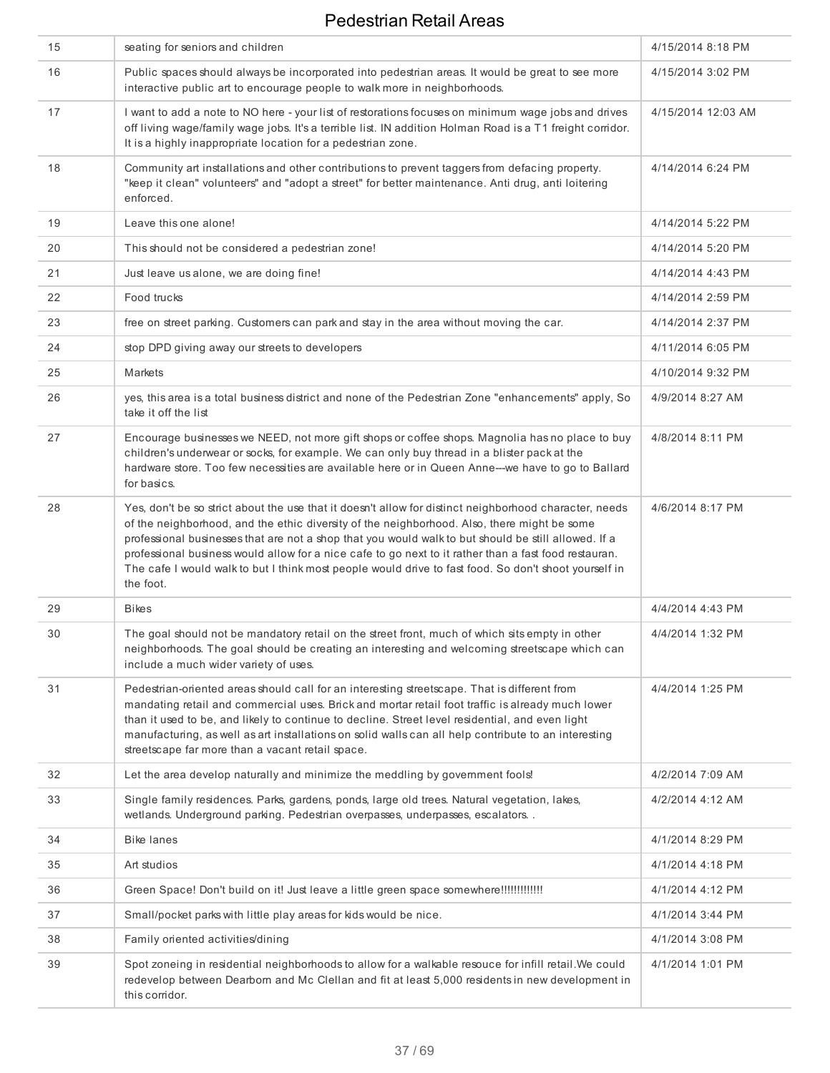| 15 | seating for seniors and children                                                                                                                                                                                                                                                                                                                                                                                                                                                                                                             | 4/15/2014 8:18 PM  |
|----|----------------------------------------------------------------------------------------------------------------------------------------------------------------------------------------------------------------------------------------------------------------------------------------------------------------------------------------------------------------------------------------------------------------------------------------------------------------------------------------------------------------------------------------------|--------------------|
| 16 | Public spaces should always be incorporated into pedestrian areas. It would be great to see more<br>interactive public art to encourage people to walk more in neighborhoods.                                                                                                                                                                                                                                                                                                                                                                | 4/15/2014 3:02 PM  |
| 17 | I want to add a note to NO here - your list of restorations focuses on minimum wage jobs and drives<br>off living wage/family wage jobs. It's a terrible list. IN addition Holman Road is a T1 freight corridor.<br>It is a highly inappropriate location for a pedestrian zone.                                                                                                                                                                                                                                                             | 4/15/2014 12:03 AM |
| 18 | Community art installations and other contributions to prevent taggers from defacing property.<br>"keep it clean" volunteers" and "adopt a street" for better maintenance. Anti drug, anti loitering<br>enforced.                                                                                                                                                                                                                                                                                                                            | 4/14/2014 6:24 PM  |
| 19 | Leave this one alone!                                                                                                                                                                                                                                                                                                                                                                                                                                                                                                                        | 4/14/2014 5:22 PM  |
| 20 | This should not be considered a pedestrian zone!                                                                                                                                                                                                                                                                                                                                                                                                                                                                                             | 4/14/2014 5:20 PM  |
| 21 | Just leave us alone, we are doing fine!                                                                                                                                                                                                                                                                                                                                                                                                                                                                                                      | 4/14/2014 4:43 PM  |
| 22 | Food trucks                                                                                                                                                                                                                                                                                                                                                                                                                                                                                                                                  | 4/14/2014 2:59 PM  |
| 23 | free on street parking. Customers can park and stay in the area without moving the car.                                                                                                                                                                                                                                                                                                                                                                                                                                                      | 4/14/2014 2:37 PM  |
| 24 | stop DPD giving away our streets to developers                                                                                                                                                                                                                                                                                                                                                                                                                                                                                               | 4/11/2014 6:05 PM  |
| 25 | Markets                                                                                                                                                                                                                                                                                                                                                                                                                                                                                                                                      | 4/10/2014 9:32 PM  |
| 26 | yes, this area is a total business district and none of the Pedestrian Zone "enhancements" apply, So<br>take it off the list                                                                                                                                                                                                                                                                                                                                                                                                                 | 4/9/2014 8:27 AM   |
| 27 | Encourage businesses we NEED, not more gift shops or coffee shops. Magnolia has no place to buy<br>children's underwear or socks, for example. We can only buy thread in a blister pack at the<br>hardware store. Too few necessities are available here or in Queen Anne---we have to go to Ballard<br>for basics.                                                                                                                                                                                                                          | 4/8/2014 8:11 PM   |
| 28 | Yes, don't be so strict about the use that it doesn't allow for distinct neighborhood character, needs<br>of the neighborhood, and the ethic diversity of the neighborhood. Also, there might be some<br>professional businesses that are not a shop that you would walk to but should be still allowed. If a<br>professional business would allow for a nice cafe to go next to it rather than a fast food restauran.<br>The cafe I would walk to but I think most people would drive to fast food. So don't shoot yourself in<br>the foot. | 4/6/2014 8:17 PM   |
| 29 | <b>Bikes</b>                                                                                                                                                                                                                                                                                                                                                                                                                                                                                                                                 | 4/4/2014 4:43 PM   |
| 30 | The goal should not be mandatory retail on the street front, much of which sits empty in other<br>neighborhoods. The goal should be creating an interesting and welcoming streetscape which can<br>include a much wider variety of uses.                                                                                                                                                                                                                                                                                                     | 4/4/2014 1:32 PM   |
| 31 | Pedestrian-oriented areas should call for an interesting streetscape. That is different from<br>mandating retail and commercial uses. Brick and mortar retail foot traffic is already much lower<br>than it used to be, and likely to continue to decline. Street level residential, and even light<br>manufacturing, as well as art installations on solid walls can all help contribute to an interesting<br>streetscape far more than a vacant retail space.                                                                              | 4/4/2014 1:25 PM   |
| 32 | Let the area develop naturally and minimize the meddling by government fools!                                                                                                                                                                                                                                                                                                                                                                                                                                                                | 4/2/2014 7:09 AM   |
| 33 | Single family residences. Parks, gardens, ponds, large old trees. Natural vegetation, lakes,<br>wetlands. Underground parking. Pedestrian overpasses, underpasses, escalators. .                                                                                                                                                                                                                                                                                                                                                             | 4/2/2014 4:12 AM   |
| 34 | <b>Bike lanes</b>                                                                                                                                                                                                                                                                                                                                                                                                                                                                                                                            | 4/1/2014 8:29 PM   |
| 35 | Art studios                                                                                                                                                                                                                                                                                                                                                                                                                                                                                                                                  | 4/1/2014 4:18 PM   |
| 36 | Green Space! Don't build on it! Just leave a little green space somewhere!!!!!!!!!!!!!!                                                                                                                                                                                                                                                                                                                                                                                                                                                      | 4/1/2014 4:12 PM   |
| 37 | Small/pocket parks with little play areas for kids would be nice.                                                                                                                                                                                                                                                                                                                                                                                                                                                                            | 4/1/2014 3:44 PM   |
| 38 | Family oriented activities/dining                                                                                                                                                                                                                                                                                                                                                                                                                                                                                                            | 4/1/2014 3:08 PM   |
| 39 | Spot zoneing in residential neighborhoods to allow for a walkable resouce for infill retail. We could<br>redevelop between Dearborn and Mc Clellan and fit at least 5,000 residents in new development in<br>this corridor.                                                                                                                                                                                                                                                                                                                  | 4/1/2014 1:01 PM   |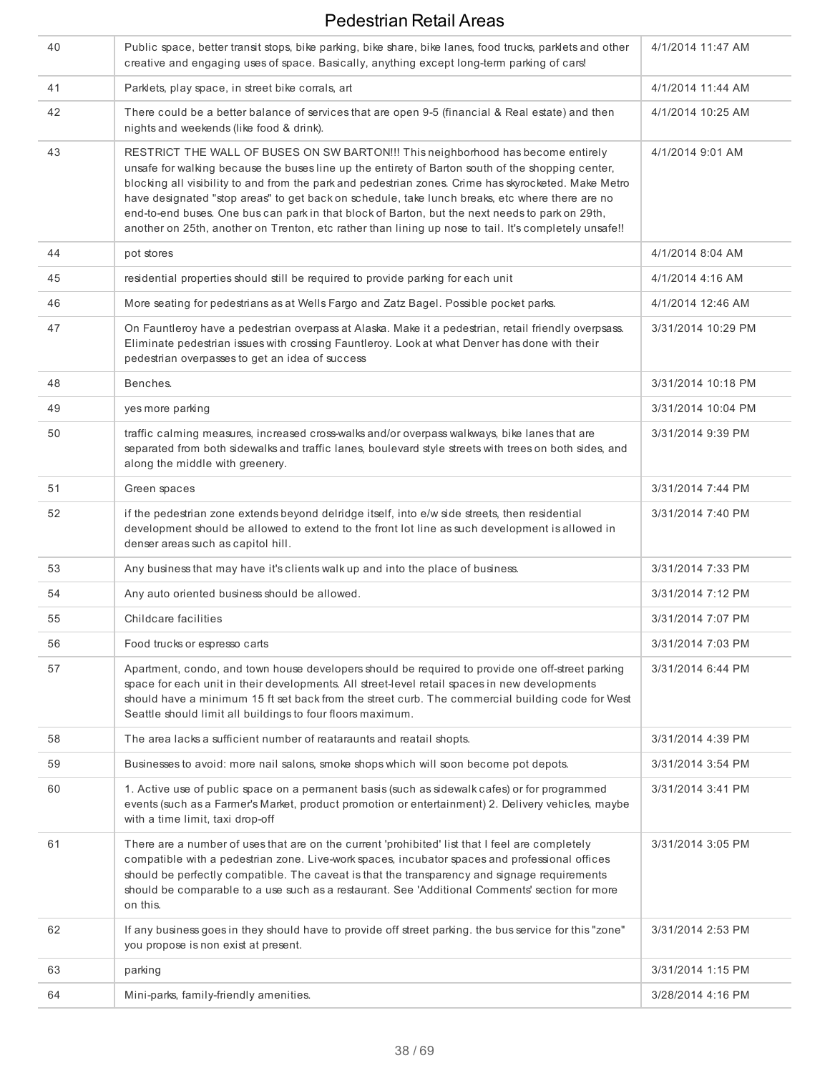| 40 | Public space, better transit stops, bike parking, bike share, bike lanes, food trucks, parklets and other<br>creative and engaging uses of space. Basically, anything except long-term parking of cars!                                                                                                                                                                                                                                                                                                                                                                                                      | 4/1/2014 11:47 AM  |
|----|--------------------------------------------------------------------------------------------------------------------------------------------------------------------------------------------------------------------------------------------------------------------------------------------------------------------------------------------------------------------------------------------------------------------------------------------------------------------------------------------------------------------------------------------------------------------------------------------------------------|--------------------|
| 41 | Parklets, play space, in street bike corrals, art                                                                                                                                                                                                                                                                                                                                                                                                                                                                                                                                                            | 4/1/2014 11:44 AM  |
| 42 | There could be a better balance of services that are open 9-5 (financial & Real estate) and then<br>nights and weekends (like food & drink).                                                                                                                                                                                                                                                                                                                                                                                                                                                                 | 4/1/2014 10:25 AM  |
| 43 | RESTRICT THE WALL OF BUSES ON SW BARTON!!! This neighborhood has become entirely<br>unsafe for walking because the buses line up the entirety of Barton south of the shopping center,<br>blocking all visibility to and from the park and pedestrian zones. Crime has skyrocketed. Make Metro<br>have designated "stop areas" to get back on schedule, take lunch breaks, etc where there are no<br>end-to-end buses. One bus can park in that block of Barton, but the next needs to park on 29th,<br>another on 25th, another on Trenton, etc rather than lining up nose to tail. It's completely unsafe!! | 4/1/2014 9:01 AM   |
| 44 | pot stores                                                                                                                                                                                                                                                                                                                                                                                                                                                                                                                                                                                                   | 4/1/2014 8:04 AM   |
| 45 | residential properties should still be required to provide parking for each unit                                                                                                                                                                                                                                                                                                                                                                                                                                                                                                                             | 4/1/2014 4:16 AM   |
| 46 | More seating for pedestrians as at Wells Fargo and Zatz Bagel. Possible pocket parks.                                                                                                                                                                                                                                                                                                                                                                                                                                                                                                                        | 4/1/2014 12:46 AM  |
| 47 | On Fauntleroy have a pedestrian overpass at Alaska. Make it a pedestrian, retail friendly overpsass.<br>Eliminate pedestrian issues with crossing Fauntleroy. Look at what Denver has done with their<br>pedestrian overpasses to get an idea of success                                                                                                                                                                                                                                                                                                                                                     | 3/31/2014 10:29 PM |
| 48 | Benches.                                                                                                                                                                                                                                                                                                                                                                                                                                                                                                                                                                                                     | 3/31/2014 10:18 PM |
| 49 | yes more parking                                                                                                                                                                                                                                                                                                                                                                                                                                                                                                                                                                                             | 3/31/2014 10:04 PM |
| 50 | traffic calming measures, increased cross-walks and/or overpass walkways, bike lanes that are<br>separated from both sidewalks and traffic lanes, boulevard style streets with trees on both sides, and<br>along the middle with greenery.                                                                                                                                                                                                                                                                                                                                                                   | 3/31/2014 9:39 PM  |
| 51 | Green spaces                                                                                                                                                                                                                                                                                                                                                                                                                                                                                                                                                                                                 | 3/31/2014 7:44 PM  |
| 52 | if the pedestrian zone extends beyond delridge itself, into e/w side streets, then residential<br>development should be allowed to extend to the front lot line as such development is allowed in<br>denser areas such as capitol hill.                                                                                                                                                                                                                                                                                                                                                                      | 3/31/2014 7:40 PM  |
| 53 | Any business that may have it's clients walk up and into the place of business.                                                                                                                                                                                                                                                                                                                                                                                                                                                                                                                              | 3/31/2014 7:33 PM  |
| 54 | Any auto oriented business should be allowed.                                                                                                                                                                                                                                                                                                                                                                                                                                                                                                                                                                | 3/31/2014 7:12 PM  |
| 55 | Childcare facilities                                                                                                                                                                                                                                                                                                                                                                                                                                                                                                                                                                                         | 3/31/2014 7:07 PM  |
| 56 | Food trucks or espresso carts                                                                                                                                                                                                                                                                                                                                                                                                                                                                                                                                                                                | 3/31/2014 7:03 PM  |
| 57 | Apartment, condo, and town house developers should be required to provide one off-street parking<br>space for each unit in their developments. All street-level retail spaces in new developments<br>should have a minimum 15 ft set back from the street curb. The commercial building code for West<br>Seattle should limit all buildings to four floors maximum.                                                                                                                                                                                                                                          | 3/31/2014 6:44 PM  |
| 58 | The area lacks a sufficient number of reataraunts and reatail shopts.                                                                                                                                                                                                                                                                                                                                                                                                                                                                                                                                        | 3/31/2014 4:39 PM  |
| 59 | Businesses to avoid: more nail salons, smoke shops which will soon become pot depots.                                                                                                                                                                                                                                                                                                                                                                                                                                                                                                                        | 3/31/2014 3:54 PM  |
| 60 | 1. Active use of public space on a permanent basis (such as sidewalk cafes) or for programmed<br>events (such as a Farmer's Market, product promotion or entertainment) 2. Delivery vehicles, maybe<br>with a time limit, taxi drop-off                                                                                                                                                                                                                                                                                                                                                                      | 3/31/2014 3:41 PM  |
| 61 | There are a number of uses that are on the current 'prohibited' list that I feel are completely<br>compatible with a pedestrian zone. Live-work spaces, incubator spaces and professional offices<br>should be perfectly compatible. The caveat is that the transparency and signage requirements<br>should be comparable to a use such as a restaurant. See 'Additional Comments' section for more<br>on this.                                                                                                                                                                                              | 3/31/2014 3:05 PM  |
| 62 | If any business goes in they should have to provide off street parking. the bus service for this "zone"<br>you propose is non exist at present.                                                                                                                                                                                                                                                                                                                                                                                                                                                              | 3/31/2014 2:53 PM  |
| 63 | parking                                                                                                                                                                                                                                                                                                                                                                                                                                                                                                                                                                                                      | 3/31/2014 1:15 PM  |
| 64 | Mini-parks, family-friendly amenities.                                                                                                                                                                                                                                                                                                                                                                                                                                                                                                                                                                       | 3/28/2014 4:16 PM  |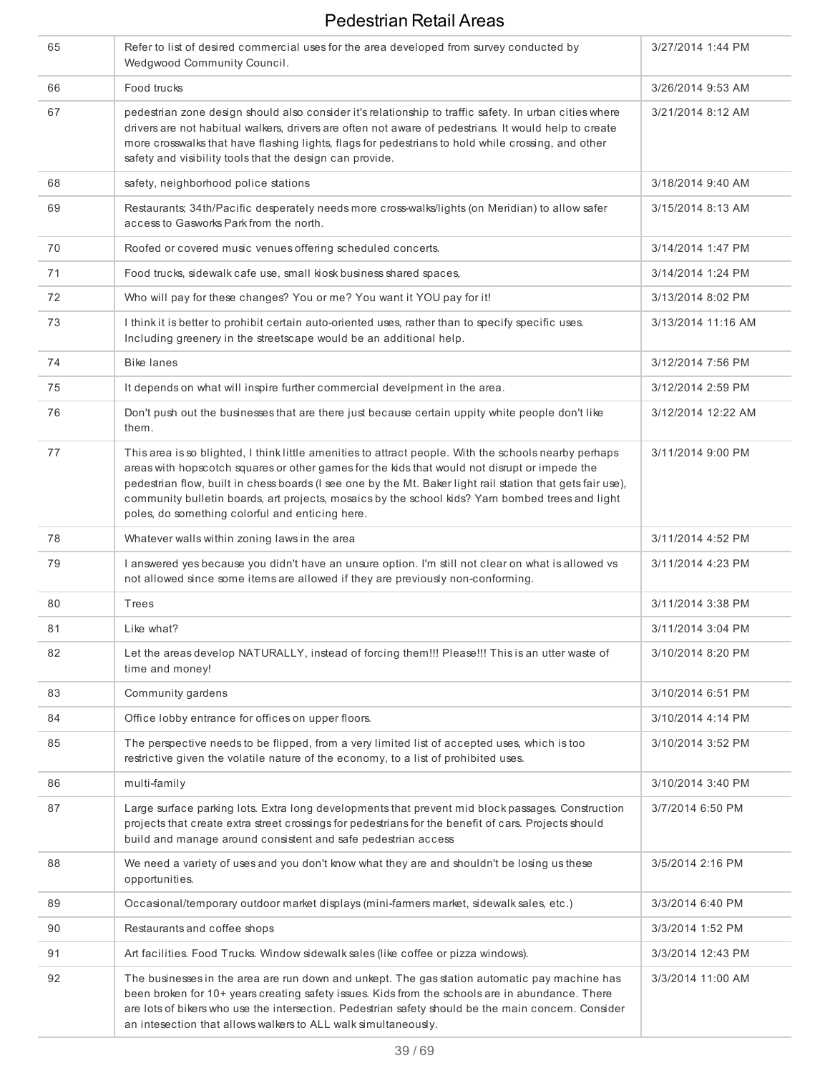| 65 | Refer to list of desired commercial uses for the area developed from survey conducted by<br>Wedgwood Community Council.                                                                                                                                                                                                                                                                                                                                                     | 3/27/2014 1:44 PM  |
|----|-----------------------------------------------------------------------------------------------------------------------------------------------------------------------------------------------------------------------------------------------------------------------------------------------------------------------------------------------------------------------------------------------------------------------------------------------------------------------------|--------------------|
| 66 | Food trucks                                                                                                                                                                                                                                                                                                                                                                                                                                                                 | 3/26/2014 9:53 AM  |
| 67 | pedestrian zone design should also consider it's relationship to traffic safety. In urban cities where<br>drivers are not habitual walkers, drivers are often not aware of pedestrians. It would help to create<br>more crosswalks that have flashing lights, flags for pedestrians to hold while crossing, and other<br>safety and visibility tools that the design can provide.                                                                                           | 3/21/2014 8:12 AM  |
| 68 | safety, neighborhood police stations                                                                                                                                                                                                                                                                                                                                                                                                                                        | 3/18/2014 9:40 AM  |
| 69 | Restaurants; 34th/Pacific desperately needs more cross-walks/lights (on Meridian) to allow safer<br>access to Gasworks Park from the north.                                                                                                                                                                                                                                                                                                                                 | 3/15/2014 8:13 AM  |
| 70 | Roofed or covered music venues offering scheduled concerts.                                                                                                                                                                                                                                                                                                                                                                                                                 | 3/14/2014 1:47 PM  |
| 71 | Food trucks, sidewalk cafe use, small kiosk business shared spaces,                                                                                                                                                                                                                                                                                                                                                                                                         | 3/14/2014 1:24 PM  |
| 72 | Who will pay for these changes? You or me? You want it YOU pay for it!                                                                                                                                                                                                                                                                                                                                                                                                      | 3/13/2014 8:02 PM  |
| 73 | I think it is better to prohibit certain auto-oriented uses, rather than to specify specific uses.<br>Including greenery in the streetscape would be an additional help.                                                                                                                                                                                                                                                                                                    | 3/13/2014 11:16 AM |
| 74 | <b>Bike lanes</b>                                                                                                                                                                                                                                                                                                                                                                                                                                                           | 3/12/2014 7:56 PM  |
| 75 | It depends on what will inspire further commercial develpment in the area.                                                                                                                                                                                                                                                                                                                                                                                                  | 3/12/2014 2:59 PM  |
| 76 | Don't push out the businesses that are there just because certain uppity white people don't like<br>them.                                                                                                                                                                                                                                                                                                                                                                   | 3/12/2014 12:22 AM |
| 77 | This area is so blighted, I think little amenities to attract people. With the schools nearby perhaps<br>areas with hopscotch squares or other games for the kids that would not disrupt or impede the<br>pedestrian flow, built in chess boards (I see one by the Mt. Baker light rail station that gets fair use),<br>community bulletin boards, art projects, mosaics by the school kids? Yarn bombed trees and light<br>poles, do something colorful and enticing here. | 3/11/2014 9:00 PM  |
| 78 | Whatever walls within zoning laws in the area                                                                                                                                                                                                                                                                                                                                                                                                                               | 3/11/2014 4:52 PM  |
| 79 | I answered yes because you didn't have an unsure option. I'm still not clear on what is allowed vs<br>not allowed since some items are allowed if they are previously non-conforming.                                                                                                                                                                                                                                                                                       | 3/11/2014 4:23 PM  |
| 80 | Trees                                                                                                                                                                                                                                                                                                                                                                                                                                                                       | 3/11/2014 3:38 PM  |
| 81 | Like what?                                                                                                                                                                                                                                                                                                                                                                                                                                                                  | 3/11/2014 3:04 PM  |
| 82 | Let the areas develop NATURALLY, instead of forcing them!!! Please!!! This is an utter waste of<br>time and money!                                                                                                                                                                                                                                                                                                                                                          | 3/10/2014 8:20 PM  |
| 83 | Community gardens                                                                                                                                                                                                                                                                                                                                                                                                                                                           | 3/10/2014 6:51 PM  |
| 84 | Office lobby entrance for offices on upper floors.                                                                                                                                                                                                                                                                                                                                                                                                                          | 3/10/2014 4:14 PM  |
| 85 | The perspective needs to be flipped, from a very limited list of accepted uses, which is too<br>restrictive given the volatile nature of the economy, to a list of prohibited uses.                                                                                                                                                                                                                                                                                         | 3/10/2014 3:52 PM  |
| 86 | multi-family                                                                                                                                                                                                                                                                                                                                                                                                                                                                | 3/10/2014 3:40 PM  |
| 87 | Large surface parking lots. Extra long developments that prevent mid block passages. Construction<br>projects that create extra street crossings for pedestrians for the benefit of cars. Projects should<br>build and manage around consistent and safe pedestrian access                                                                                                                                                                                                  | 3/7/2014 6:50 PM   |
| 88 | We need a variety of uses and you don't know what they are and shouldn't be losing us these<br>opportunities.                                                                                                                                                                                                                                                                                                                                                               | 3/5/2014 2:16 PM   |
| 89 | Occasional/temporary outdoor market displays (mini-farmers market, sidewalk sales, etc.)                                                                                                                                                                                                                                                                                                                                                                                    | 3/3/2014 6:40 PM   |
| 90 | Restaurants and coffee shops                                                                                                                                                                                                                                                                                                                                                                                                                                                | 3/3/2014 1:52 PM   |
| 91 | Art facilities. Food Trucks. Window sidewalk sales (like coffee or pizza windows).                                                                                                                                                                                                                                                                                                                                                                                          | 3/3/2014 12:43 PM  |
| 92 | The businesses in the area are run down and unkept. The gas station automatic pay machine has<br>been broken for 10+ years creating safety issues. Kids from the schools are in abundance. There<br>are lots of bikers who use the intersection. Pedestrian safety should be the main concern. Consider<br>an intesection that allows walkers to ALL walk simultaneously.                                                                                                   | 3/3/2014 11:00 AM  |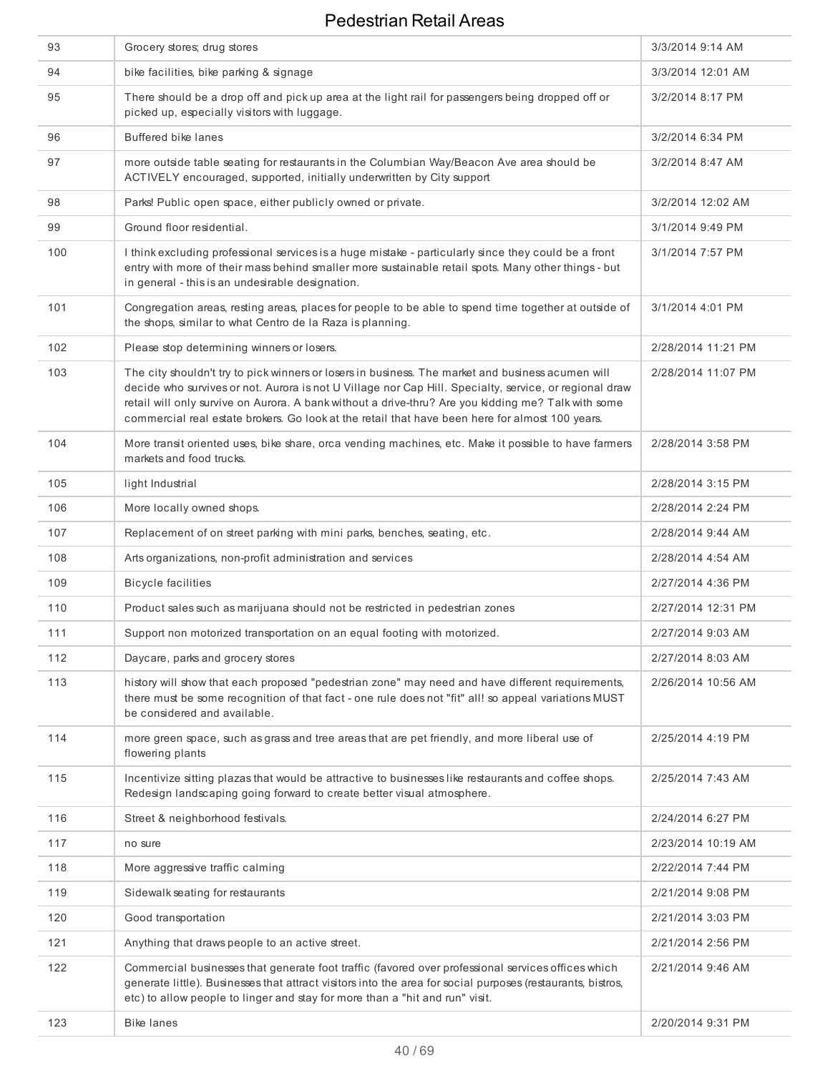| 93  | Grocery stores; drug stores                                                                                                                                                                                                                                                                                                                                                                                           | 3/3/2014 9:14 AM   |
|-----|-----------------------------------------------------------------------------------------------------------------------------------------------------------------------------------------------------------------------------------------------------------------------------------------------------------------------------------------------------------------------------------------------------------------------|--------------------|
| 94  | bike facilities, bike parking & signage                                                                                                                                                                                                                                                                                                                                                                               | 3/3/2014 12:01 AM  |
| 95  | There should be a drop off and pick up area at the light rail for passengers being dropped off or<br>picked up, especially visitors with luggage.                                                                                                                                                                                                                                                                     | 3/2/2014 8:17 PM   |
| 96  | <b>Buffered bike lanes</b>                                                                                                                                                                                                                                                                                                                                                                                            | 3/2/2014 6:34 PM   |
| 97  | more outside table seating for restaurants in the Columbian Way/Beacon Ave area should be<br>ACTIVELY encouraged, supported, initially underwritten by City support                                                                                                                                                                                                                                                   | 3/2/2014 8:47 AM   |
| 98  | Parks! Public open space, either publicly owned or private.                                                                                                                                                                                                                                                                                                                                                           | 3/2/2014 12:02 AM  |
| 99  | Ground floor residential.                                                                                                                                                                                                                                                                                                                                                                                             | 3/1/2014 9:49 PM   |
| 100 | I think excluding professional services is a huge mistake - particularly since they could be a front<br>entry with more of their mass behind smaller more sustainable retail spots. Many other things - but<br>in general - this is an undesirable designation.                                                                                                                                                       | 3/1/2014 7:57 PM   |
| 101 | Congregation areas, resting areas, places for people to be able to spend time together at outside of<br>the shops, similar to what Centro de la Raza is planning.                                                                                                                                                                                                                                                     | 3/1/2014 4:01 PM   |
| 102 | Please stop determining winners or losers.                                                                                                                                                                                                                                                                                                                                                                            | 2/28/2014 11:21 PM |
| 103 | The city shouldn't try to pick winners or losers in business. The market and business acumen will<br>decide who survives or not. Aurora is not U Village nor Cap Hill. Specialty, service, or regional draw<br>retail will only survive on Aurora. A bank without a drive-thru? Are you kidding me? Talk with some<br>commercial real estate brokers. Go look at the retail that have been here for almost 100 years. | 2/28/2014 11:07 PM |
| 104 | More transit oriented uses, bike share, orca vending machines, etc. Make it possible to have farmers<br>markets and food trucks.                                                                                                                                                                                                                                                                                      | 2/28/2014 3:58 PM  |
| 105 | light Industrial                                                                                                                                                                                                                                                                                                                                                                                                      | 2/28/2014 3:15 PM  |
| 106 | More locally owned shops.                                                                                                                                                                                                                                                                                                                                                                                             | 2/28/2014 2:24 PM  |
| 107 | Replacement of on street parking with mini parks, benches, seating, etc.                                                                                                                                                                                                                                                                                                                                              | 2/28/2014 9:44 AM  |
| 108 | Arts organizations, non-profit administration and services                                                                                                                                                                                                                                                                                                                                                            | 2/28/2014 4:54 AM  |
| 109 | <b>Bicycle facilities</b>                                                                                                                                                                                                                                                                                                                                                                                             | 2/27/2014 4:36 PM  |
| 110 | Product sales such as marijuana should not be restricted in pedestrian zones                                                                                                                                                                                                                                                                                                                                          | 2/27/2014 12:31 PM |
| 111 | Support non motorized transportation on an equal footing with motorized.                                                                                                                                                                                                                                                                                                                                              | 2/27/2014 9:03 AM  |
| 112 | Daycare, parks and grocery stores                                                                                                                                                                                                                                                                                                                                                                                     | 2/27/2014 8:03 AM  |
| 113 | history will show that each proposed "pedestrian zone" may need and have different requirements,<br>there must be some recognition of that fact - one rule does not "fit" all! so appeal variations MUST<br>be considered and available.                                                                                                                                                                              | 2/26/2014 10:56 AM |
| 114 | more green space, such as grass and tree areas that are pet friendly, and more liberal use of<br>flowering plants                                                                                                                                                                                                                                                                                                     | 2/25/2014 4:19 PM  |
| 115 | Incentivize sitting plazas that would be attractive to businesses like restaurants and coffee shops.<br>Redesign landscaping going forward to create better visual atmosphere.                                                                                                                                                                                                                                        | 2/25/2014 7:43 AM  |
| 116 | Street & neighborhood festivals.                                                                                                                                                                                                                                                                                                                                                                                      | 2/24/2014 6:27 PM  |
| 117 | no sure                                                                                                                                                                                                                                                                                                                                                                                                               | 2/23/2014 10:19 AM |
| 118 | More aggressive traffic calming                                                                                                                                                                                                                                                                                                                                                                                       | 2/22/2014 7:44 PM  |
| 119 | Sidewalk seating for restaurants                                                                                                                                                                                                                                                                                                                                                                                      | 2/21/2014 9:08 PM  |
| 120 | Good transportation                                                                                                                                                                                                                                                                                                                                                                                                   | 2/21/2014 3:03 PM  |
| 121 | Anything that draws people to an active street.                                                                                                                                                                                                                                                                                                                                                                       | 2/21/2014 2:56 PM  |
| 122 | Commercial businesses that generate foot traffic (favored over professional services offices which<br>generate little). Businesses that attract visitors into the area for social purposes (restaurants, bistros,<br>etc) to allow people to linger and stay for more than a "hit and run" visit.                                                                                                                     | 2/21/2014 9:46 AM  |
| 123 | <b>Bike lanes</b>                                                                                                                                                                                                                                                                                                                                                                                                     | 2/20/2014 9:31 PM  |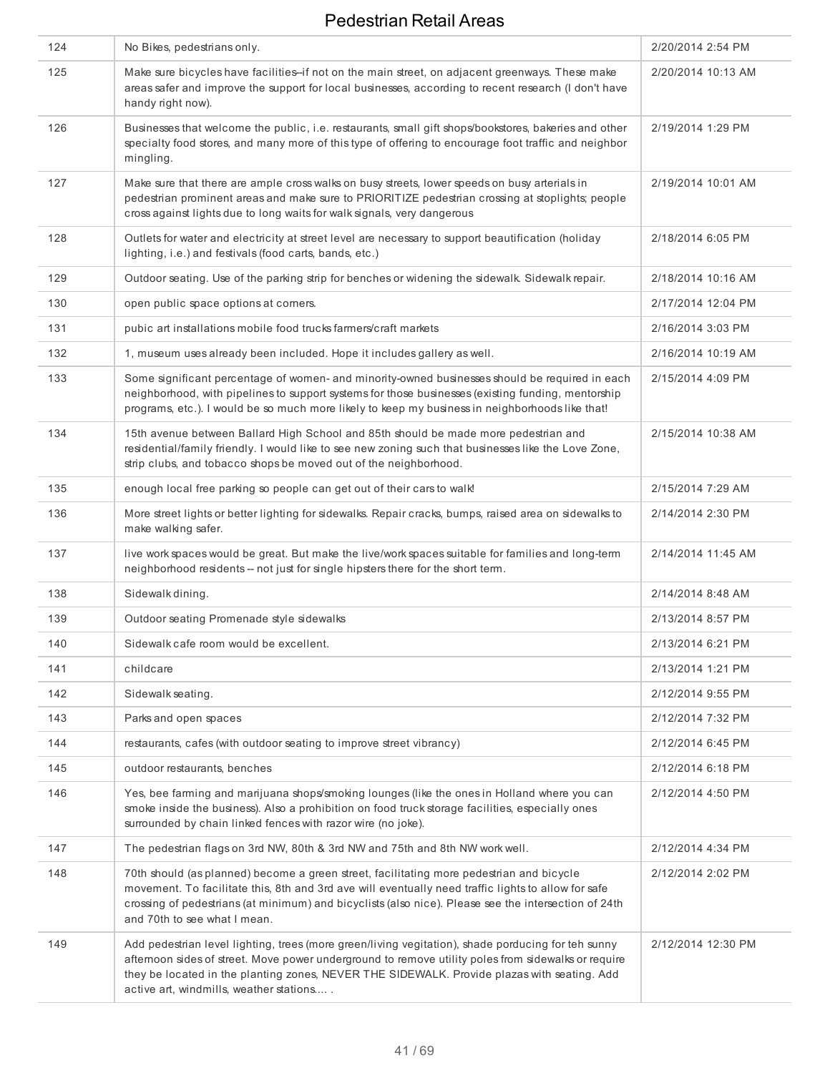| 124 | No Bikes, pedestrians only.                                                                                                                                                                                                                                                                                                                         | 2/20/2014 2:54 PM  |
|-----|-----------------------------------------------------------------------------------------------------------------------------------------------------------------------------------------------------------------------------------------------------------------------------------------------------------------------------------------------------|--------------------|
| 125 | Make sure bicycles have facilities-if not on the main street, on adjacent greenways. These make<br>areas safer and improve the support for local businesses, according to recent research (I don't have<br>handy right now).                                                                                                                        | 2/20/2014 10:13 AM |
| 126 | Businesses that welcome the public, i.e. restaurants, small gift shops/bookstores, bakeries and other<br>specialty food stores, and many more of this type of offering to encourage foot traffic and neighbor<br>mingling.                                                                                                                          | 2/19/2014 1:29 PM  |
| 127 | Make sure that there are ample cross walks on busy streets, lower speeds on busy arterials in<br>pedestrian prominent areas and make sure to PRIORITIZE pedestrian crossing at stoplights; people<br>cross against lights due to long waits for walk signals, very dangerous                                                                        | 2/19/2014 10:01 AM |
| 128 | Outlets for water and electricity at street level are necessary to support beautification (holiday<br>lighting, i.e.) and festivals (food carts, bands, etc.)                                                                                                                                                                                       | 2/18/2014 6:05 PM  |
| 129 | Outdoor seating. Use of the parking strip for benches or widening the sidewalk. Sidewalk repair.                                                                                                                                                                                                                                                    | 2/18/2014 10:16 AM |
| 130 | open public space options at corners.                                                                                                                                                                                                                                                                                                               | 2/17/2014 12:04 PM |
| 131 | pubic art installations mobile food trucks farmers/craft markets                                                                                                                                                                                                                                                                                    | 2/16/2014 3:03 PM  |
| 132 | 1, museum uses already been included. Hope it includes gallery as well.                                                                                                                                                                                                                                                                             | 2/16/2014 10:19 AM |
| 133 | Some significant percentage of women- and minority-owned businesses should be required in each<br>neighborhood, with pipelines to support systems for those businesses (existing funding, mentorship<br>programs, etc.). I would be so much more likely to keep my business in neighborhoods like that!                                             | 2/15/2014 4:09 PM  |
| 134 | 15th avenue between Ballard High School and 85th should be made more pedestrian and<br>residential/family friendly. I would like to see new zoning such that businesses like the Love Zone,<br>strip clubs, and tobacco shops be moved out of the neighborhood.                                                                                     | 2/15/2014 10:38 AM |
| 135 | enough local free parking so people can get out of their cars to walk!                                                                                                                                                                                                                                                                              | 2/15/2014 7:29 AM  |
| 136 | More street lights or better lighting for sidewalks. Repair cracks, bumps, raised area on sidewalks to<br>make walking safer.                                                                                                                                                                                                                       | 2/14/2014 2:30 PM  |
| 137 | live work spaces would be great. But make the live/work spaces suitable for families and long-term<br>neighborhood residents -- not just for single hipsters there for the short term.                                                                                                                                                              | 2/14/2014 11:45 AM |
| 138 | Sidewalk dining.                                                                                                                                                                                                                                                                                                                                    | 2/14/2014 8:48 AM  |
| 139 | Outdoor seating Promenade style sidewalks                                                                                                                                                                                                                                                                                                           | 2/13/2014 8:57 PM  |
| 140 | Sidewalk cafe room would be excellent.                                                                                                                                                                                                                                                                                                              | 2/13/2014 6:21 PM  |
| 141 | childcare                                                                                                                                                                                                                                                                                                                                           | 2/13/2014 1:21 PM  |
| 142 | Sidewalk seating.                                                                                                                                                                                                                                                                                                                                   | 2/12/2014 9:55 PM  |
| 143 | Parks and open spaces                                                                                                                                                                                                                                                                                                                               | 2/12/2014 7:32 PM  |
| 144 | restaurants, cafes (with outdoor seating to improve street vibrancy)                                                                                                                                                                                                                                                                                | 2/12/2014 6:45 PM  |
| 145 | outdoor restaurants, benches                                                                                                                                                                                                                                                                                                                        | 2/12/2014 6:18 PM  |
| 146 | Yes, bee farming and marijuana shops/smoking lounges (like the ones in Holland where you can<br>smoke inside the business). Also a prohibition on food truck storage facilities, especially ones<br>surrounded by chain linked fences with razor wire (no joke).                                                                                    | 2/12/2014 4:50 PM  |
| 147 | The pedestrian flags on 3rd NW, 80th & 3rd NW and 75th and 8th NW work well.                                                                                                                                                                                                                                                                        | 2/12/2014 4:34 PM  |
| 148 | 70th should (as planned) become a green street, facilitating more pedestrian and bicycle<br>movement. To facilitate this, 8th and 3rd ave will eventually need traffic lights to allow for safe<br>crossing of pedestrians (at minimum) and bicyclists (also nice). Please see the intersection of 24th<br>and 70th to see what I mean.             | 2/12/2014 2:02 PM  |
| 149 | Add pedestrian level lighting, trees (more green/living vegitation), shade porducing for teh sunny<br>afternoon sides of street. Move power underground to remove utility poles from sidewalks or require<br>they be located in the planting zones, NEVER THE SIDEWALK. Provide plazas with seating. Add<br>active art, windmills, weather stations | 2/12/2014 12:30 PM |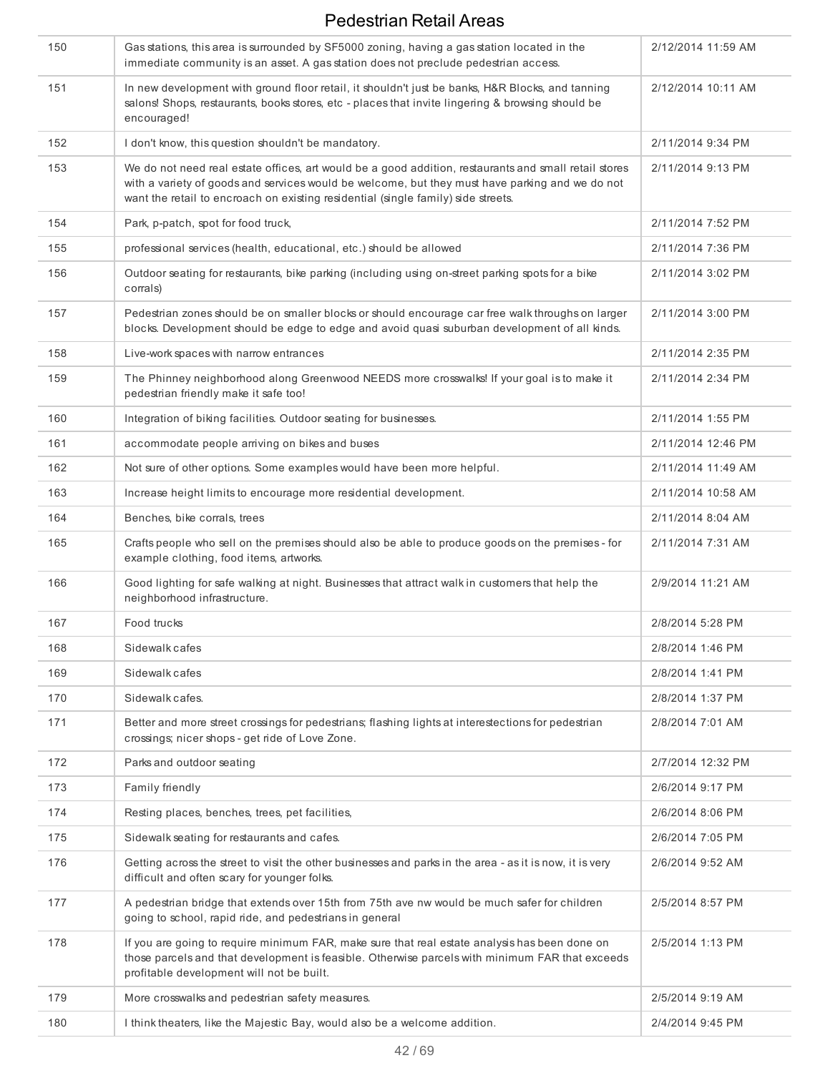| 150 | Gas stations, this area is surrounded by SF5000 zoning, having a gas station located in the<br>immediate community is an asset. A gas station does not preclude pedestrian access.                                                                                                            | 2/12/2014 11:59 AM |
|-----|-----------------------------------------------------------------------------------------------------------------------------------------------------------------------------------------------------------------------------------------------------------------------------------------------|--------------------|
| 151 | In new development with ground floor retail, it shouldn't just be banks, H&R Blocks, and tanning<br>salons! Shops, restaurants, books stores, etc - places that invite lingering & browsing should be<br>encouraged!                                                                          | 2/12/2014 10:11 AM |
| 152 | I don't know, this question shouldn't be mandatory.                                                                                                                                                                                                                                           | 2/11/2014 9:34 PM  |
| 153 | We do not need real estate offices, art would be a good addition, restaurants and small retail stores<br>with a variety of goods and services would be welcome, but they must have parking and we do not<br>want the retail to encroach on existing residential (single family) side streets. | 2/11/2014 9:13 PM  |
| 154 | Park, p-patch, spot for food truck,                                                                                                                                                                                                                                                           | 2/11/2014 7:52 PM  |
| 155 | professional services (health, educational, etc.) should be allowed                                                                                                                                                                                                                           | 2/11/2014 7:36 PM  |
| 156 | Outdoor seating for restaurants, bike parking (including using on-street parking spots for a bike<br>corrals)                                                                                                                                                                                 | 2/11/2014 3:02 PM  |
| 157 | Pedestrian zones should be on smaller blocks or should encourage car free walk throughs on larger<br>blocks. Development should be edge to edge and avoid quasi suburban development of all kinds.                                                                                            | 2/11/2014 3:00 PM  |
| 158 | Live-work spaces with narrow entrances                                                                                                                                                                                                                                                        | 2/11/2014 2:35 PM  |
| 159 | The Phinney neighborhood along Greenwood NEEDS more crosswalks! If your goal is to make it<br>pedestrian friendly make it safe too!                                                                                                                                                           | 2/11/2014 2:34 PM  |
| 160 | Integration of biking facilities. Outdoor seating for businesses.                                                                                                                                                                                                                             | 2/11/2014 1:55 PM  |
| 161 | accommodate people arriving on bikes and buses                                                                                                                                                                                                                                                | 2/11/2014 12:46 PM |
| 162 | Not sure of other options. Some examples would have been more helpful.                                                                                                                                                                                                                        | 2/11/2014 11:49 AM |
| 163 | Increase height limits to encourage more residential development.                                                                                                                                                                                                                             | 2/11/2014 10:58 AM |
| 164 | Benches, bike corrals, trees                                                                                                                                                                                                                                                                  | 2/11/2014 8:04 AM  |
| 165 | Crafts people who sell on the premises should also be able to produce goods on the premises - for<br>example clothing, food items, artworks.                                                                                                                                                  | 2/11/2014 7:31 AM  |
| 166 | Good lighting for safe walking at night. Businesses that attract walk in customers that help the<br>neighborhood infrastructure.                                                                                                                                                              | 2/9/2014 11:21 AM  |
| 167 | Food trucks                                                                                                                                                                                                                                                                                   | 2/8/2014 5:28 PM   |
| 168 | Sidewalk cafes                                                                                                                                                                                                                                                                                | 2/8/2014 1:46 PM   |
| 169 | Sidewalk cafes                                                                                                                                                                                                                                                                                | 2/8/2014 1:41 PM   |
| 170 | Sidewalk cafes.                                                                                                                                                                                                                                                                               | 2/8/2014 1:37 PM   |
| 171 | Better and more street crossings for pedestrians; flashing lights at interestections for pedestrian<br>crossings; nicer shops - get ride of Love Zone.                                                                                                                                        | 2/8/2014 7:01 AM   |
| 172 | Parks and outdoor seating                                                                                                                                                                                                                                                                     | 2/7/2014 12:32 PM  |
| 173 | Family friendly                                                                                                                                                                                                                                                                               | 2/6/2014 9:17 PM   |
| 174 | Resting places, benches, trees, pet facilities,                                                                                                                                                                                                                                               | 2/6/2014 8:06 PM   |
| 175 | Sidewalk seating for restaurants and cafes.                                                                                                                                                                                                                                                   | 2/6/2014 7:05 PM   |
| 176 | Getting across the street to visit the other businesses and parks in the area - as it is now, it is very<br>difficult and often scary for younger folks.                                                                                                                                      | 2/6/2014 9:52 AM   |
| 177 | A pedestrian bridge that extends over 15th from 75th ave nw would be much safer for children<br>going to school, rapid ride, and pedestrians in general                                                                                                                                       | 2/5/2014 8:57 PM   |
| 178 | If you are going to require minimum FAR, make sure that real estate analysis has been done on<br>those parcels and that development is feasible. Otherwise parcels with minimum FAR that exceeds<br>profitable development will not be built.                                                 | 2/5/2014 1:13 PM   |
| 179 | More crosswalks and pedestrian safety measures.                                                                                                                                                                                                                                               | 2/5/2014 9:19 AM   |
| 180 | I think theaters, like the Majestic Bay, would also be a welcome addition.                                                                                                                                                                                                                    | 2/4/2014 9:45 PM   |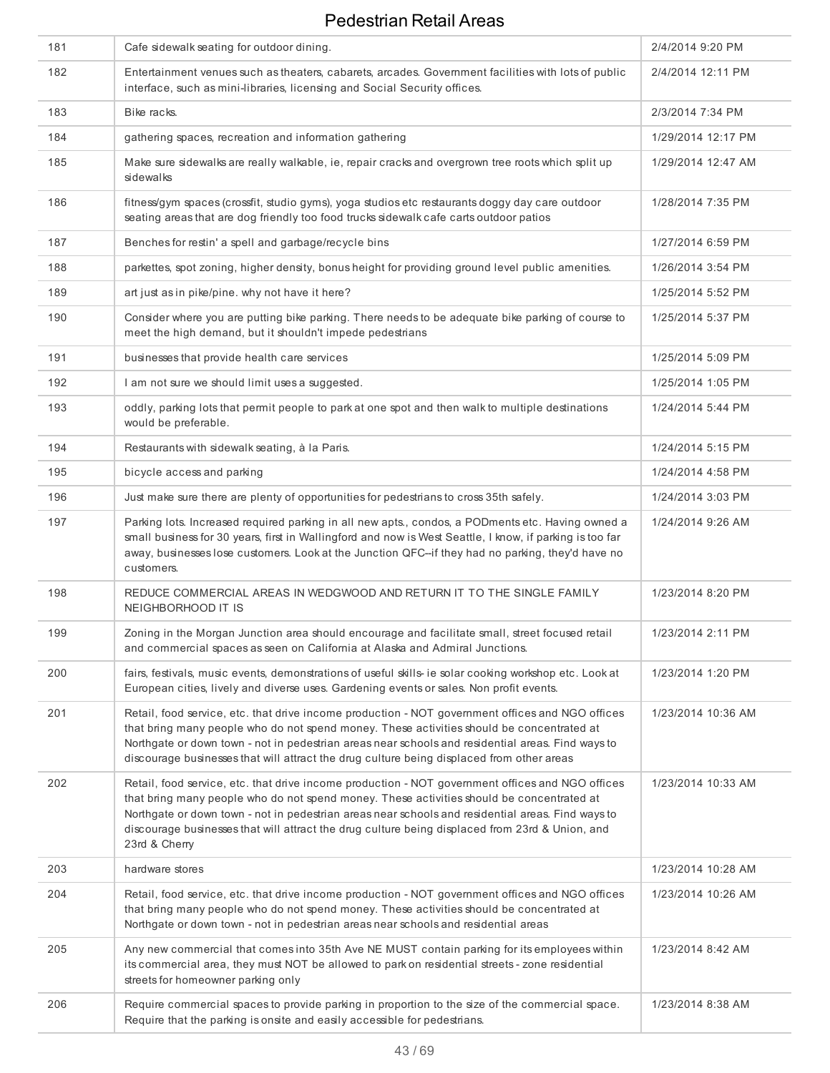| 181 | Cafe sidewalk seating for outdoor dining.                                                                                                                                                                                                                                                                                                                                                                              | 2/4/2014 9:20 PM   |
|-----|------------------------------------------------------------------------------------------------------------------------------------------------------------------------------------------------------------------------------------------------------------------------------------------------------------------------------------------------------------------------------------------------------------------------|--------------------|
| 182 | Entertainment venues such as theaters, cabarets, arcades. Government facilities with lots of public<br>interface, such as mini-libraries, licensing and Social Security offices.                                                                                                                                                                                                                                       | 2/4/2014 12:11 PM  |
| 183 | Bike racks.                                                                                                                                                                                                                                                                                                                                                                                                            | 2/3/2014 7:34 PM   |
| 184 | gathering spaces, recreation and information gathering                                                                                                                                                                                                                                                                                                                                                                 | 1/29/2014 12:17 PM |
| 185 | Make sure sidewalks are really walkable, ie, repair cracks and overgrown tree roots which split up<br>sidewalks                                                                                                                                                                                                                                                                                                        | 1/29/2014 12:47 AM |
| 186 | fitness/gym spaces (crossfit, studio gyms), yoga studios etc restaurants doggy day care outdoor<br>seating areas that are dog friendly too food trucks sidewalk cafe carts outdoor patios                                                                                                                                                                                                                              | 1/28/2014 7:35 PM  |
| 187 | Benches for restin' a spell and garbage/recycle bins                                                                                                                                                                                                                                                                                                                                                                   | 1/27/2014 6:59 PM  |
| 188 | parkettes, spot zoning, higher density, bonus height for providing ground level public amenities.                                                                                                                                                                                                                                                                                                                      | 1/26/2014 3:54 PM  |
| 189 | art just as in pike/pine. why not have it here?                                                                                                                                                                                                                                                                                                                                                                        | 1/25/2014 5:52 PM  |
| 190 | Consider where you are putting bike parking. There needs to be adequate bike parking of course to<br>meet the high demand, but it shouldn't impede pedestrians                                                                                                                                                                                                                                                         | 1/25/2014 5:37 PM  |
| 191 | businesses that provide health care services                                                                                                                                                                                                                                                                                                                                                                           | 1/25/2014 5:09 PM  |
| 192 | I am not sure we should limit uses a suggested.                                                                                                                                                                                                                                                                                                                                                                        | 1/25/2014 1:05 PM  |
| 193 | oddly, parking lots that permit people to park at one spot and then walk to multiple destinations<br>would be preferable.                                                                                                                                                                                                                                                                                              | 1/24/2014 5:44 PM  |
| 194 | Restaurants with sidewalk seating, à la Paris.                                                                                                                                                                                                                                                                                                                                                                         | 1/24/2014 5:15 PM  |
| 195 | bicycle access and parking                                                                                                                                                                                                                                                                                                                                                                                             | 1/24/2014 4:58 PM  |
| 196 | Just make sure there are plenty of opportunities for pedestrians to cross 35th safely.                                                                                                                                                                                                                                                                                                                                 | 1/24/2014 3:03 PM  |
| 197 | Parking lots. Increased required parking in all new apts., condos, a PODments etc. Having owned a<br>small business for 30 years, first in Wallingford and now is West Seattle, I know, if parking is too far<br>away, businesses lose customers. Look at the Junction QFC--if they had no parking, they'd have no<br>customers.                                                                                       | 1/24/2014 9:26 AM  |
| 198 | REDUCE COMMERCIAL AREAS IN WEDGWOOD AND RETURN IT TO THE SINGLE FAMILY<br>NEIGHBORHOOD IT IS                                                                                                                                                                                                                                                                                                                           | 1/23/2014 8:20 PM  |
| 199 | Zoning in the Morgan Junction area should encourage and facilitate small, street focused retail<br>and commercial spaces as seen on California at Alaska and Admiral Junctions.                                                                                                                                                                                                                                        | 1/23/2014 2:11 PM  |
| 200 | fairs, festivals, music events, demonstrations of useful skills- ie solar cooking workshop etc. Look at<br>European cities, lively and diverse uses. Gardening events or sales. Non profit events.                                                                                                                                                                                                                     | 1/23/2014 1:20 PM  |
| 201 | Retail, food service, etc. that drive income production - NOT government offices and NGO offices<br>that bring many people who do not spend money. These activities should be concentrated at<br>Northgate or down town - not in pedestrian areas near schools and residential areas. Find ways to<br>discourage businesses that will attract the drug culture being displaced from other areas                        | 1/23/2014 10:36 AM |
| 202 | Retail, food service, etc. that drive income production - NOT government offices and NGO offices<br>that bring many people who do not spend money. These activities should be concentrated at<br>Northgate or down town - not in pedestrian areas near schools and residential areas. Find ways to<br>discourage businesses that will attract the drug culture being displaced from 23rd & Union, and<br>23rd & Cherry | 1/23/2014 10:33 AM |
| 203 | hardware stores                                                                                                                                                                                                                                                                                                                                                                                                        | 1/23/2014 10:28 AM |
| 204 | Retail, food service, etc. that drive income production - NOT government offices and NGO offices<br>that bring many people who do not spend money. These activities should be concentrated at<br>Northgate or down town - not in pedestrian areas near schools and residential areas                                                                                                                                   | 1/23/2014 10:26 AM |
| 205 | Any new commercial that comes into 35th Ave NE MUST contain parking for its employees within<br>its commercial area, they must NOT be allowed to park on residential streets - zone residential<br>streets for homeowner parking only                                                                                                                                                                                  | 1/23/2014 8:42 AM  |
| 206 | Require commercial spaces to provide parking in proportion to the size of the commercial space.<br>Require that the parking is onsite and easily accessible for pedestrians.                                                                                                                                                                                                                                           | 1/23/2014 8:38 AM  |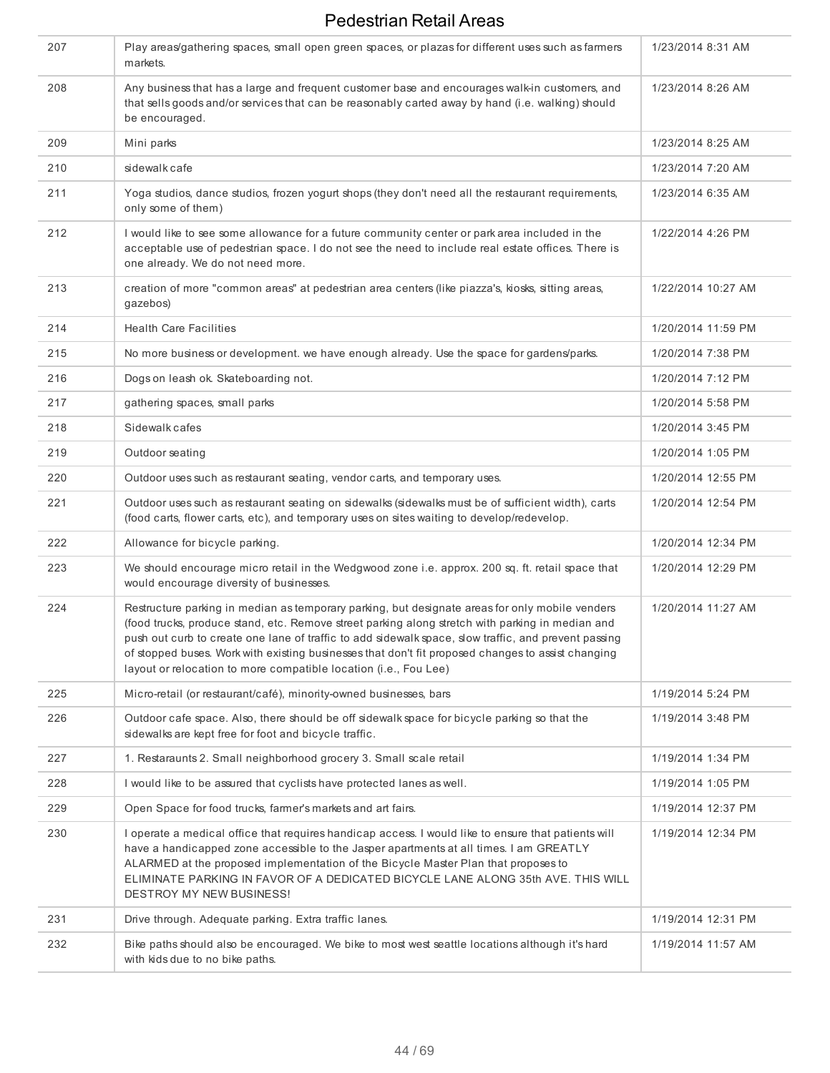| 207 | Play areas/gathering spaces, small open green spaces, or plazas for different uses such as farmers<br>markets.                                                                                                                                                                                                                                                                                                                                                                        | 1/23/2014 8:31 AM  |
|-----|---------------------------------------------------------------------------------------------------------------------------------------------------------------------------------------------------------------------------------------------------------------------------------------------------------------------------------------------------------------------------------------------------------------------------------------------------------------------------------------|--------------------|
| 208 | Any business that has a large and frequent customer base and encourages walk-in customers, and<br>that sells goods and/or services that can be reasonably carted away by hand (i.e. walking) should<br>be encouraged.                                                                                                                                                                                                                                                                 | 1/23/2014 8:26 AM  |
| 209 | Mini parks                                                                                                                                                                                                                                                                                                                                                                                                                                                                            | 1/23/2014 8:25 AM  |
| 210 | sidewalk cafe                                                                                                                                                                                                                                                                                                                                                                                                                                                                         | 1/23/2014 7:20 AM  |
| 211 | Yoga studios, dance studios, frozen yogurt shops (they don't need all the restaurant requirements,<br>only some of them)                                                                                                                                                                                                                                                                                                                                                              | 1/23/2014 6:35 AM  |
| 212 | I would like to see some allowance for a future community center or park area included in the<br>acceptable use of pedestrian space. I do not see the need to include real estate offices. There is<br>one already. We do not need more.                                                                                                                                                                                                                                              | 1/22/2014 4:26 PM  |
| 213 | creation of more "common areas" at pedestrian area centers (like piazza's, kiosks, sitting areas,<br>qazebos)                                                                                                                                                                                                                                                                                                                                                                         | 1/22/2014 10:27 AM |
| 214 | <b>Health Care Facilities</b>                                                                                                                                                                                                                                                                                                                                                                                                                                                         | 1/20/2014 11:59 PM |
| 215 | No more business or development, we have enough already. Use the space for gardens/parks.                                                                                                                                                                                                                                                                                                                                                                                             | 1/20/2014 7:38 PM  |
| 216 | Dogs on leash ok. Skateboarding not.                                                                                                                                                                                                                                                                                                                                                                                                                                                  | 1/20/2014 7:12 PM  |
| 217 | gathering spaces, small parks                                                                                                                                                                                                                                                                                                                                                                                                                                                         | 1/20/2014 5:58 PM  |
| 218 | Sidewalk cafes                                                                                                                                                                                                                                                                                                                                                                                                                                                                        | 1/20/2014 3:45 PM  |
| 219 | Outdoor seating                                                                                                                                                                                                                                                                                                                                                                                                                                                                       | 1/20/2014 1:05 PM  |
| 220 | Outdoor uses such as restaurant seating, vendor carts, and temporary uses.                                                                                                                                                                                                                                                                                                                                                                                                            | 1/20/2014 12:55 PM |
| 221 | Outdoor uses such as restaurant seating on sidewalks (sidewalks must be of sufficient width), carts<br>(food carts, flower carts, etc), and temporary uses on sites waiting to develop/redevelop.                                                                                                                                                                                                                                                                                     | 1/20/2014 12:54 PM |
| 222 | Allowance for bicycle parking.                                                                                                                                                                                                                                                                                                                                                                                                                                                        | 1/20/2014 12:34 PM |
| 223 | We should encourage micro retail in the Wedgwood zone i.e. approx. 200 sq. ft. retail space that<br>would encourage diversity of businesses.                                                                                                                                                                                                                                                                                                                                          | 1/20/2014 12:29 PM |
| 224 | Restructure parking in median as temporary parking, but designate areas for only mobile venders<br>(food trucks, produce stand, etc. Remove street parking along stretch with parking in median and<br>push out curb to create one lane of traffic to add sidewalk space, slow traffic, and prevent passing<br>of stopped buses. Work with existing businesses that don't fit proposed changes to assist changing<br>layout or relocation to more compatible location (i.e., Fou Lee) | 1/20/2014 11:27 AM |
| 225 | Micro-retail (or restaurant/café), minority-owned businesses, bars                                                                                                                                                                                                                                                                                                                                                                                                                    | 1/19/2014 5:24 PM  |
| 226 | Outdoor cafe space. Also, there should be off sidewalk space for bicycle parking so that the<br>sidewalks are kept free for foot and bicycle traffic.                                                                                                                                                                                                                                                                                                                                 | 1/19/2014 3:48 PM  |
| 227 | 1. Restaraunts 2. Small neighborhood grocery 3. Small scale retail                                                                                                                                                                                                                                                                                                                                                                                                                    | 1/19/2014 1:34 PM  |
| 228 | I would like to be assured that cyclists have protected lanes as well.                                                                                                                                                                                                                                                                                                                                                                                                                | 1/19/2014 1:05 PM  |
| 229 | Open Space for food trucks, farmer's markets and art fairs.                                                                                                                                                                                                                                                                                                                                                                                                                           | 1/19/2014 12:37 PM |
| 230 | I operate a medical office that requires handicap access. I would like to ensure that patients will<br>have a handicapped zone accessible to the Jasper apartments at all times. I am GREATLY<br>ALARMED at the proposed implementation of the Bicycle Master Plan that proposes to<br>ELIMINATE PARKING IN FAVOR OF A DEDICATED BICYCLE LANE ALONG 35th AVE. THIS WILL<br>DESTROY MY NEW BUSINESS!                                                                                   | 1/19/2014 12:34 PM |
| 231 | Drive through. Adequate parking. Extra traffic lanes.                                                                                                                                                                                                                                                                                                                                                                                                                                 | 1/19/2014 12:31 PM |
| 232 | Bike paths should also be encouraged. We bike to most west seattle locations although it's hard<br>with kids due to no bike paths.                                                                                                                                                                                                                                                                                                                                                    | 1/19/2014 11:57 AM |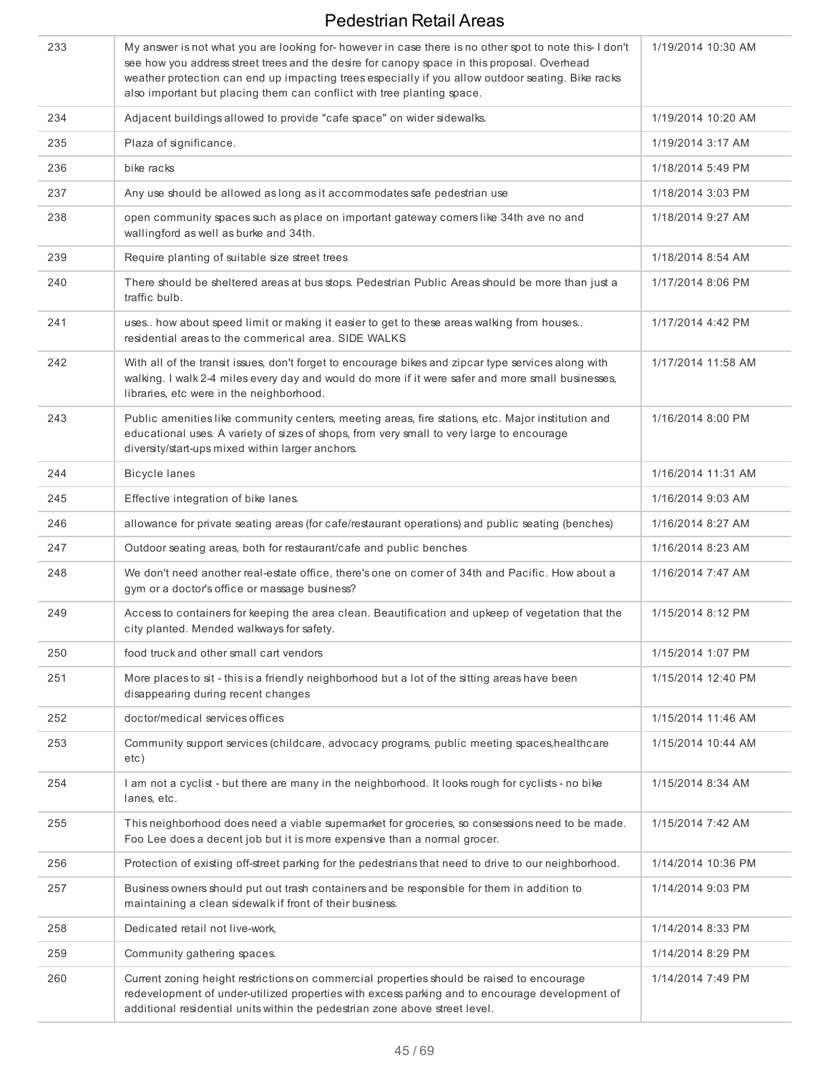| 233 | My answer is not what you are looking for-however in case there is no other spot to note this-I don't<br>see how you address street trees and the desire for canopy space in this proposal. Overhead<br>weather protection can end up impacting trees especially if you allow outdoor seating. Bike racks<br>also important but placing them can conflict with tree planting space. | 1/19/2014 10:30 AM |
|-----|-------------------------------------------------------------------------------------------------------------------------------------------------------------------------------------------------------------------------------------------------------------------------------------------------------------------------------------------------------------------------------------|--------------------|
| 234 | Adjacent buildings allowed to provide "cafe space" on wider sidewalks.                                                                                                                                                                                                                                                                                                              | 1/19/2014 10:20 AM |
| 235 | Plaza of significance.                                                                                                                                                                                                                                                                                                                                                              | 1/19/2014 3:17 AM  |
| 236 | bike racks                                                                                                                                                                                                                                                                                                                                                                          | 1/18/2014 5:49 PM  |
| 237 | Any use should be allowed as long as it accommodates safe pedestrian use                                                                                                                                                                                                                                                                                                            | 1/18/2014 3:03 PM  |
| 238 | open community spaces such as place on important gateway comers like 34th ave no and<br>wallingford as well as burke and 34th.                                                                                                                                                                                                                                                      | 1/18/2014 9:27 AM  |
| 239 | Require planting of suitable size street trees                                                                                                                                                                                                                                                                                                                                      | 1/18/2014 8:54 AM  |
| 240 | There should be sheltered areas at bus stops. Pedestrian Public Areas should be more than just a<br>traffic bulb.                                                                                                                                                                                                                                                                   | 1/17/2014 8:06 PM  |
| 241 | uses how about speed limit or making it easier to get to these areas walking from houses<br>residential areas to the commerical area. SIDE WALKS                                                                                                                                                                                                                                    | 1/17/2014 4:42 PM  |
| 242 | With all of the transit issues, don't forget to encourage bikes and zipcar type services along with<br>walking. I walk 2-4 miles every day and would do more if it were safer and more small businesses,<br>libraries, etc were in the neighborhood.                                                                                                                                | 1/17/2014 11:58 AM |
| 243 | Public amenities like community centers, meeting areas, fire stations, etc. Major institution and<br>educational uses. A variety of sizes of shops, from very small to very large to encourage<br>diversity/start-ups mixed within larger anchors.                                                                                                                                  | 1/16/2014 8:00 PM  |
| 244 | <b>Bicycle lanes</b>                                                                                                                                                                                                                                                                                                                                                                | 1/16/2014 11:31 AM |
| 245 | Effective integration of bike lanes.                                                                                                                                                                                                                                                                                                                                                | 1/16/2014 9:03 AM  |
| 246 | allowance for private seating areas (for cafe/restaurant operations) and public seating (benches)                                                                                                                                                                                                                                                                                   | 1/16/2014 8:27 AM  |
| 247 | Outdoor seating areas, both for restaurant/cafe and public benches                                                                                                                                                                                                                                                                                                                  | 1/16/2014 8:23 AM  |
| 248 | We don't need another real-estate office, there's one on corner of 34th and Pacific. How about a<br>gym or a doctor's office or massage business?                                                                                                                                                                                                                                   | 1/16/2014 7:47 AM  |
| 249 | Access to containers for keeping the area clean. Beautification and upkeep of vegetation that the<br>city planted. Mended walkways for safety.                                                                                                                                                                                                                                      | 1/15/2014 8:12 PM  |
| 250 | food truck and other small cart vendors                                                                                                                                                                                                                                                                                                                                             | 1/15/2014 1:07 PM  |
| 251 | More places to sit - this is a friendly neighborhood but a lot of the sitting areas have been<br>disappearing during recent changes                                                                                                                                                                                                                                                 | 1/15/2014 12:40 PM |
| 252 | doctor/medical services offices                                                                                                                                                                                                                                                                                                                                                     | 1/15/2014 11:46 AM |
| 253 | Community support services (childcare, advocacy programs, public meeting spaces, healthcare<br>etc)                                                                                                                                                                                                                                                                                 | 1/15/2014 10:44 AM |
| 254 | I am not a cyclist - but there are many in the neighborhood. It looks rough for cyclists - no bike<br>lanes, etc.                                                                                                                                                                                                                                                                   | 1/15/2014 8:34 AM  |
| 255 | This neighborhood does need a viable supermarket for groceries, so consessions need to be made.<br>Foo Lee does a decent job but it is more expensive than a normal grocer.                                                                                                                                                                                                         | 1/15/2014 7:42 AM  |
| 256 | Protection of existing off-street parking for the pedestrians that need to drive to our neighborhood.                                                                                                                                                                                                                                                                               | 1/14/2014 10:36 PM |
| 257 | Business owners should put out trash containers and be responsible for them in addition to<br>maintaining a clean sidewalk if front of their business.                                                                                                                                                                                                                              | 1/14/2014 9:03 PM  |
| 258 | Dedicated retail not live-work,                                                                                                                                                                                                                                                                                                                                                     | 1/14/2014 8:33 PM  |
| 259 | Community gathering spaces.                                                                                                                                                                                                                                                                                                                                                         | 1/14/2014 8:29 PM  |
| 260 | Current zoning height restrictions on commercial properties should be raised to encourage<br>redevelopment of under-utilized properties with excess parking and to encourage development of<br>additional residential units within the pedestrian zone above street level.                                                                                                          | 1/14/2014 7:49 PM  |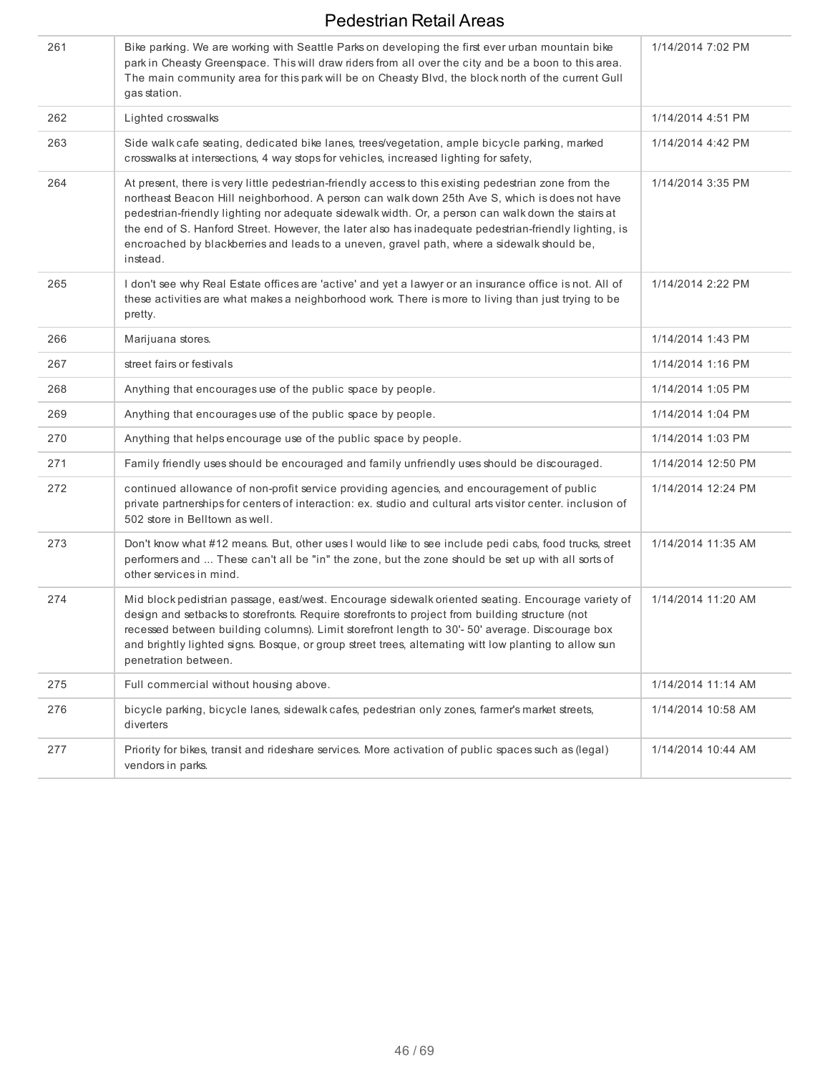| 261 | Bike parking. We are working with Seattle Parks on developing the first ever urban mountain bike<br>park in Cheasty Greenspace. This will draw riders from all over the city and be a boon to this area.<br>The main community area for this park will be on Cheasty Blvd, the block north of the current Gull<br>gas station.                                                                                                                                                                                                  | 1/14/2014 7:02 PM  |
|-----|---------------------------------------------------------------------------------------------------------------------------------------------------------------------------------------------------------------------------------------------------------------------------------------------------------------------------------------------------------------------------------------------------------------------------------------------------------------------------------------------------------------------------------|--------------------|
| 262 | Lighted crosswalks                                                                                                                                                                                                                                                                                                                                                                                                                                                                                                              | 1/14/2014 4:51 PM  |
| 263 | Side walk cafe seating, dedicated bike lanes, trees/vegetation, ample bicycle parking, marked<br>crosswalks at intersections, 4 way stops for vehicles, increased lighting for safety,                                                                                                                                                                                                                                                                                                                                          | 1/14/2014 4:42 PM  |
| 264 | At present, there is very little pedestrian-friendly access to this existing pedestrian zone from the<br>northeast Beacon Hill neighborhood. A person can walk down 25th Ave S, which is does not have<br>pedestrian-friendly lighting nor adequate sidewalk width. Or, a person can walk down the stairs at<br>the end of S. Hanford Street. However, the later also has inadequate pedestrian-friendly lighting, is<br>encroached by blackberries and leads to a uneven, gravel path, where a sidewalk should be,<br>instead. | 1/14/2014 3:35 PM  |
| 265 | I don't see why Real Estate offices are 'active' and yet a lawyer or an insurance office is not. All of<br>these activities are what makes a neighborhood work. There is more to living than just trying to be<br>pretty.                                                                                                                                                                                                                                                                                                       | 1/14/2014 2:22 PM  |
| 266 | Marijuana stores.                                                                                                                                                                                                                                                                                                                                                                                                                                                                                                               | 1/14/2014 1:43 PM  |
| 267 | street fairs or festivals                                                                                                                                                                                                                                                                                                                                                                                                                                                                                                       | 1/14/2014 1:16 PM  |
| 268 | Anything that encourages use of the public space by people.                                                                                                                                                                                                                                                                                                                                                                                                                                                                     | 1/14/2014 1:05 PM  |
| 269 | Anything that encourages use of the public space by people.                                                                                                                                                                                                                                                                                                                                                                                                                                                                     | 1/14/2014 1:04 PM  |
| 270 | Anything that helps encourage use of the public space by people.                                                                                                                                                                                                                                                                                                                                                                                                                                                                | 1/14/2014 1:03 PM  |
| 271 | Family friendly uses should be encouraged and family unfriendly uses should be discouraged.                                                                                                                                                                                                                                                                                                                                                                                                                                     | 1/14/2014 12:50 PM |
| 272 | continued allowance of non-profit service providing agencies, and encouragement of public<br>private partnerships for centers of interaction: ex. studio and cultural arts visitor center. inclusion of<br>502 store in Belltown as well.                                                                                                                                                                                                                                                                                       | 1/14/2014 12:24 PM |
| 273 | Don't know what #12 means. But, other uses I would like to see include pedi cabs, food trucks, street<br>performers and  These can't all be "in" the zone, but the zone should be set up with all sorts of<br>other services in mind.                                                                                                                                                                                                                                                                                           | 1/14/2014 11:35 AM |
| 274 | Mid block pedistrian passage, east/west. Encourage sidewalk oriented seating. Encourage variety of<br>design and setbacks to storefronts. Require storefronts to project from building structure (not<br>recessed between building columns). Limit storefront length to 30'-50' average. Discourage box<br>and brightly lighted signs. Bosque, or group street trees, alternating witt low planting to allow sun<br>penetration between.                                                                                        | 1/14/2014 11:20 AM |
| 275 | Full commercial without housing above.                                                                                                                                                                                                                                                                                                                                                                                                                                                                                          | 1/14/2014 11:14 AM |
| 276 | bicycle parking, bicycle lanes, sidewalk cafes, pedestrian only zones, farmer's market streets,<br>diverters                                                                                                                                                                                                                                                                                                                                                                                                                    | 1/14/2014 10:58 AM |
| 277 | Priority for bikes, transit and rideshare services. More activation of public spaces such as (legal)<br>vendors in parks.                                                                                                                                                                                                                                                                                                                                                                                                       | 1/14/2014 10:44 AM |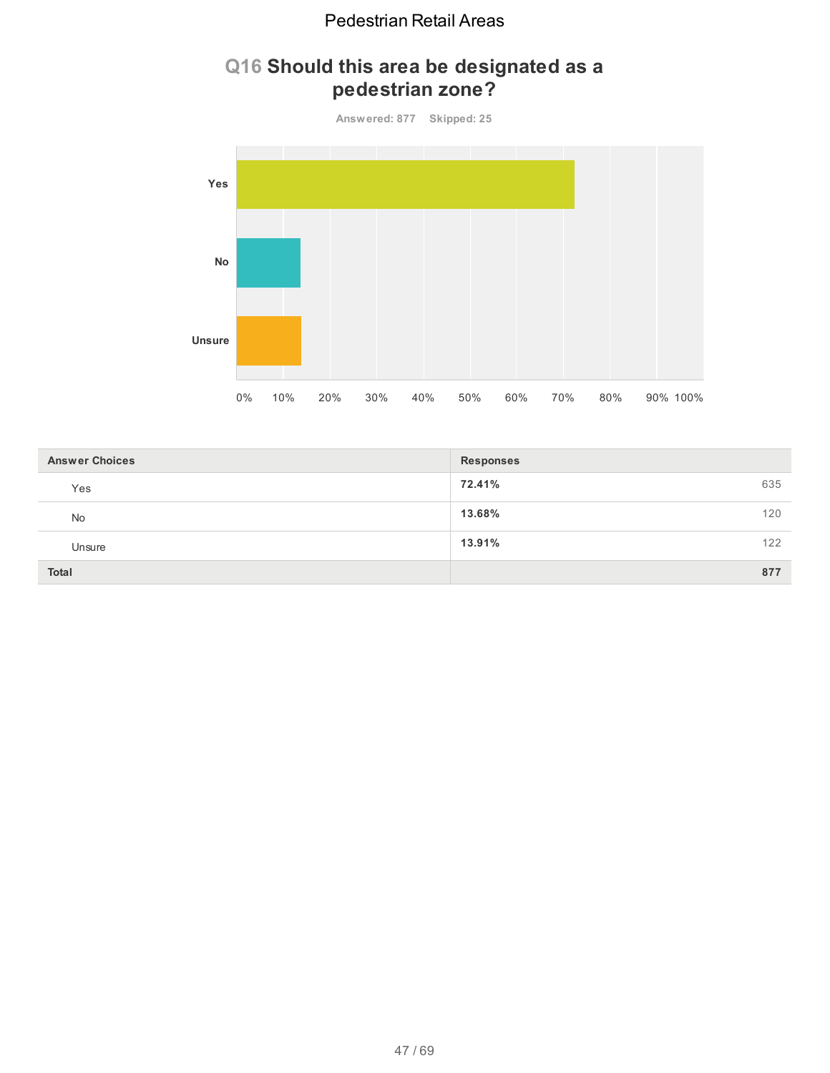## **Q16 Should this area be designated as a pedestrian zone?**



| <b>Answer Choices</b> | <b>Responses</b> |  |
|-----------------------|------------------|--|
| Yes                   | 72.41%<br>635    |  |
| <b>No</b>             | 13.68%<br>120    |  |
| Unsure                | 13.91%<br>122    |  |
| <b>Total</b>          | 877              |  |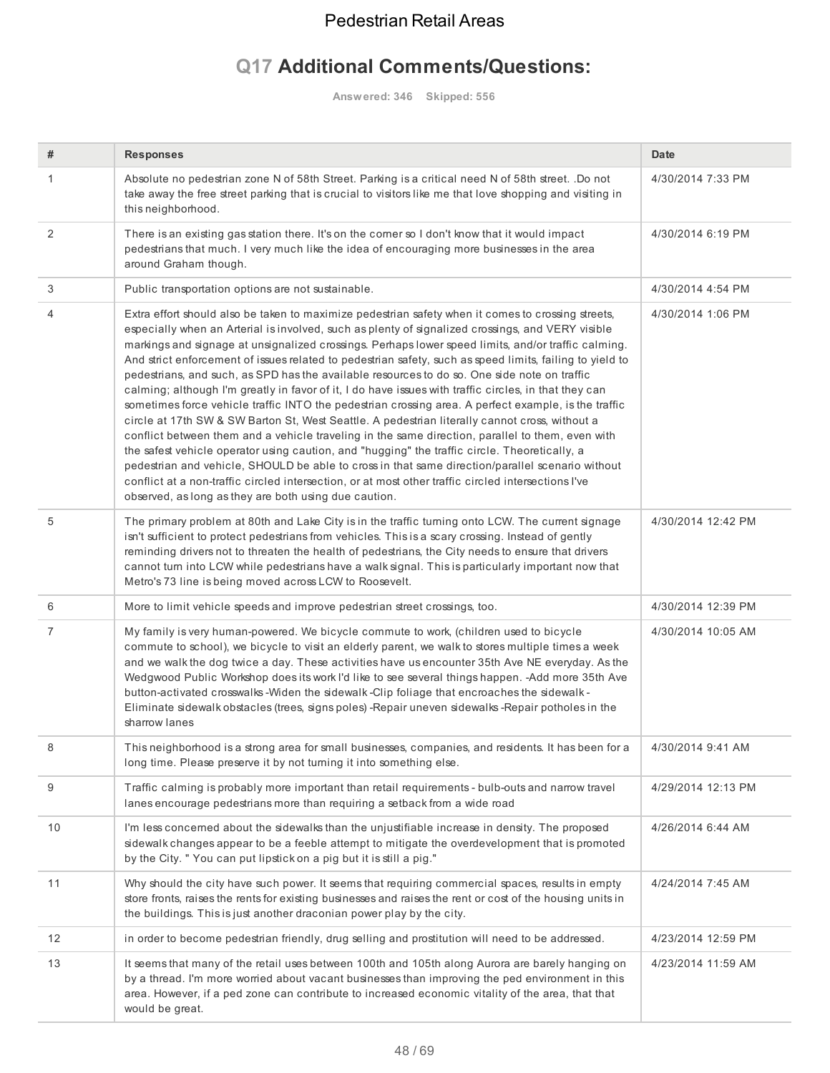# **Q17 Additional Comments/Questions:**

**Answered: 346 Skipped: 556**

| #  | <b>Responses</b>                                                                                                                                                                                                                                                                                                                                                                                                                                                                                                                                                                                                                                                                                                                                                                                                                                                                                                                                                                                                                                                                                                                                                                                                                                                                                                       | <b>Date</b>        |
|----|------------------------------------------------------------------------------------------------------------------------------------------------------------------------------------------------------------------------------------------------------------------------------------------------------------------------------------------------------------------------------------------------------------------------------------------------------------------------------------------------------------------------------------------------------------------------------------------------------------------------------------------------------------------------------------------------------------------------------------------------------------------------------------------------------------------------------------------------------------------------------------------------------------------------------------------------------------------------------------------------------------------------------------------------------------------------------------------------------------------------------------------------------------------------------------------------------------------------------------------------------------------------------------------------------------------------|--------------------|
| 1  | Absolute no pedestrian zone N of 58th Street. Parking is a critical need N of 58th street. .Do not<br>take away the free street parking that is crucial to visitors like me that love shopping and visiting in<br>this neighborhood.                                                                                                                                                                                                                                                                                                                                                                                                                                                                                                                                                                                                                                                                                                                                                                                                                                                                                                                                                                                                                                                                                   | 4/30/2014 7:33 PM  |
| 2  | There is an existing gas station there. It's on the corner so I don't know that it would impact<br>pedestrians that much. I very much like the idea of encouraging more businesses in the area<br>around Graham though.                                                                                                                                                                                                                                                                                                                                                                                                                                                                                                                                                                                                                                                                                                                                                                                                                                                                                                                                                                                                                                                                                                | 4/30/2014 6:19 PM  |
| 3  | Public transportation options are not sustainable.                                                                                                                                                                                                                                                                                                                                                                                                                                                                                                                                                                                                                                                                                                                                                                                                                                                                                                                                                                                                                                                                                                                                                                                                                                                                     | 4/30/2014 4:54 PM  |
| 4  | Extra effort should also be taken to maximize pedestrian safety when it comes to crossing streets,<br>especially when an Arterial is involved, such as plenty of signalized crossings, and VERY visible<br>markings and signage at unsignalized crossings. Perhaps lower speed limits, and/or traffic calming.<br>And strict enforcement of issues related to pedestrian safety, such as speed limits, failing to yield to<br>pedestrians, and such, as SPD has the available resources to do so. One side note on traffic<br>calming; although I'm greatly in favor of it, I do have issues with traffic circles, in that they can<br>sometimes force vehicle traffic INTO the pedestrian crossing area. A perfect example, is the traffic<br>circle at 17th SW & SW Barton St, West Seattle. A pedestrian literally cannot cross, without a<br>conflict between them and a vehicle traveling in the same direction, parallel to them, even with<br>the safest vehicle operator using caution, and "hugging" the traffic circle. Theoretically, a<br>pedestrian and vehicle, SHOULD be able to cross in that same direction/parallel scenario without<br>conflict at a non-traffic circled intersection, or at most other traffic circled intersections I've<br>observed, as long as they are both using due caution. | 4/30/2014 1:06 PM  |
| 5  | The primary problem at 80th and Lake City is in the traffic turning onto LCW. The current signage<br>isn't sufficient to protect pedestrians from vehicles. This is a scary crossing. Instead of gently<br>reminding drivers not to threaten the health of pedestrians, the City needs to ensure that drivers<br>cannot turn into LCW while pedestrians have a walk signal. This is particularly important now that<br>Metro's 73 line is being moved across LCW to Roosevelt.                                                                                                                                                                                                                                                                                                                                                                                                                                                                                                                                                                                                                                                                                                                                                                                                                                         | 4/30/2014 12:42 PM |
| 6  | More to limit vehicle speeds and improve pedestrian street crossings, too.                                                                                                                                                                                                                                                                                                                                                                                                                                                                                                                                                                                                                                                                                                                                                                                                                                                                                                                                                                                                                                                                                                                                                                                                                                             | 4/30/2014 12:39 PM |
| 7  | My family is very human-powered. We bicycle commute to work, (children used to bicycle<br>commute to school), we bicycle to visit an elderly parent, we walk to stores multiple times a week<br>and we walk the dog twice a day. These activities have us encounter 35th Ave NE everyday. As the<br>Wedgwood Public Workshop does its work I'd like to see several things happen. - Add more 35th Ave<br>button-activated crosswalks -Widen the sidewalk -Clip foliage that encroaches the sidewalk -<br>Eliminate sidewalk obstacles (trees, signs poles) -Repair uneven sidewalks -Repair potholes in the<br>sharrow lanes                                                                                                                                                                                                                                                                                                                                                                                                                                                                                                                                                                                                                                                                                           | 4/30/2014 10:05 AM |
|    | This neighborhood is a strong area for small businesses, companies, and residents. It has been for a<br>long time. Please preserve it by not turning it into something else.                                                                                                                                                                                                                                                                                                                                                                                                                                                                                                                                                                                                                                                                                                                                                                                                                                                                                                                                                                                                                                                                                                                                           | 4/30/2014 9:41 AM  |
| 9  | Traffic calming is probably more important than retail requirements - bulb-outs and narrow travel<br>lanes encourage pedestrians more than requiring a setback from a wide road                                                                                                                                                                                                                                                                                                                                                                                                                                                                                                                                                                                                                                                                                                                                                                                                                                                                                                                                                                                                                                                                                                                                        | 4/29/2014 12:13 PM |
| 10 | I'm less concerned about the sidewalks than the unjustifiable increase in density. The proposed<br>sidewalk changes appear to be a feeble attempt to mitigate the overdevelopment that is promoted<br>by the City. " You can put lipstick on a pig but it is still a pig."                                                                                                                                                                                                                                                                                                                                                                                                                                                                                                                                                                                                                                                                                                                                                                                                                                                                                                                                                                                                                                             | 4/26/2014 6:44 AM  |
| 11 | Why should the city have such power. It seems that requiring commercial spaces, results in empty<br>store fronts, raises the rents for existing businesses and raises the rent or cost of the housing units in<br>the buildings. This is just another draconian power play by the city.                                                                                                                                                                                                                                                                                                                                                                                                                                                                                                                                                                                                                                                                                                                                                                                                                                                                                                                                                                                                                                | 4/24/2014 7:45 AM  |
| 12 | in order to become pedestrian friendly, drug selling and prostitution will need to be addressed.                                                                                                                                                                                                                                                                                                                                                                                                                                                                                                                                                                                                                                                                                                                                                                                                                                                                                                                                                                                                                                                                                                                                                                                                                       | 4/23/2014 12:59 PM |
| 13 | It seems that many of the retail uses between 100th and 105th along Aurora are barely hanging on<br>by a thread. I'm more worried about vacant businesses than improving the ped environment in this<br>area. However, if a ped zone can contribute to increased economic vitality of the area, that that<br>would be great.                                                                                                                                                                                                                                                                                                                                                                                                                                                                                                                                                                                                                                                                                                                                                                                                                                                                                                                                                                                           | 4/23/2014 11:59 AM |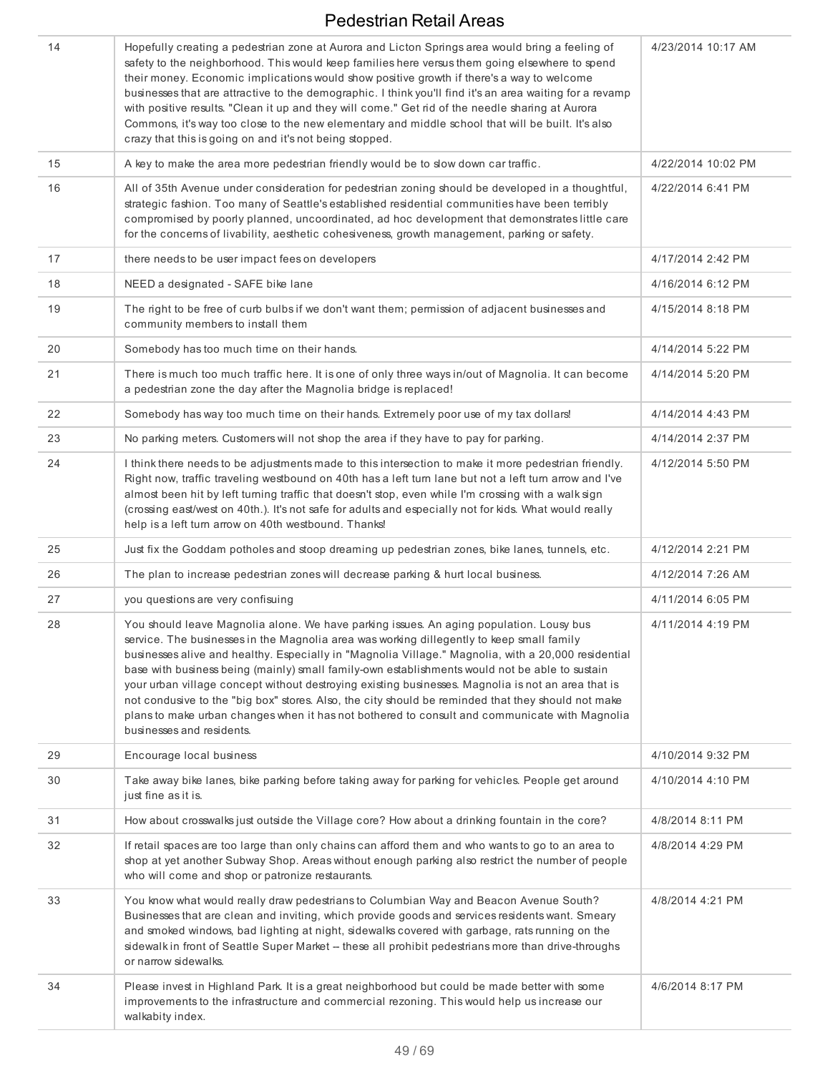| 14 | Hopefully creating a pedestrian zone at Aurora and Licton Springs area would bring a feeling of<br>safety to the neighborhood. This would keep families here versus them going elsewhere to spend<br>their money. Economic implications would show positive growth if there's a way to welcome<br>businesses that are attractive to the demographic. I think you'll find it's an area waiting for a revamp<br>with positive results. "Clean it up and they will come." Get rid of the needle sharing at Aurora<br>Commons, it's way too close to the new elementary and middle school that will be built. It's also<br>crazy that this is going on and it's not being stopped.                                                          | 4/23/2014 10:17 AM |
|----|-----------------------------------------------------------------------------------------------------------------------------------------------------------------------------------------------------------------------------------------------------------------------------------------------------------------------------------------------------------------------------------------------------------------------------------------------------------------------------------------------------------------------------------------------------------------------------------------------------------------------------------------------------------------------------------------------------------------------------------------|--------------------|
| 15 | A key to make the area more pedestrian friendly would be to slow down car traffic.                                                                                                                                                                                                                                                                                                                                                                                                                                                                                                                                                                                                                                                      | 4/22/2014 10:02 PM |
| 16 | All of 35th Avenue under consideration for pedestrian zoning should be developed in a thoughtful,<br>strategic fashion. Too many of Seattle's established residential communities have been terribly<br>compromised by poorly planned, uncoordinated, ad hoc development that demonstrates little care<br>for the concerns of livability, aesthetic cohesiveness, growth management, parking or safety.                                                                                                                                                                                                                                                                                                                                 | 4/22/2014 6:41 PM  |
| 17 | there needs to be user impact fees on developers                                                                                                                                                                                                                                                                                                                                                                                                                                                                                                                                                                                                                                                                                        | 4/17/2014 2:42 PM  |
| 18 | NEED a designated - SAFE bike lane                                                                                                                                                                                                                                                                                                                                                                                                                                                                                                                                                                                                                                                                                                      | 4/16/2014 6:12 PM  |
| 19 | The right to be free of curb bulbs if we don't want them; permission of adjacent businesses and<br>community members to install them                                                                                                                                                                                                                                                                                                                                                                                                                                                                                                                                                                                                    | 4/15/2014 8:18 PM  |
| 20 | Somebody has too much time on their hands.                                                                                                                                                                                                                                                                                                                                                                                                                                                                                                                                                                                                                                                                                              | 4/14/2014 5:22 PM  |
| 21 | There is much too much traffic here. It is one of only three ways in/out of Magnolia. It can become<br>a pedestrian zone the day after the Magnolia bridge is replaced!                                                                                                                                                                                                                                                                                                                                                                                                                                                                                                                                                                 | 4/14/2014 5:20 PM  |
| 22 | Somebody has way too much time on their hands. Extremely poor use of my tax dollars!                                                                                                                                                                                                                                                                                                                                                                                                                                                                                                                                                                                                                                                    | 4/14/2014 4:43 PM  |
| 23 | No parking meters. Customers will not shop the area if they have to pay for parking.                                                                                                                                                                                                                                                                                                                                                                                                                                                                                                                                                                                                                                                    | 4/14/2014 2:37 PM  |
| 24 | I think there needs to be adjustments made to this intersection to make it more pedestrian friendly.<br>Right now, traffic traveling westbound on 40th has a left turn lane but not a left turn arrow and I've<br>almost been hit by left turning traffic that doesn't stop, even while I'm crossing with a walk sign<br>(crossing east/west on 40th.). It's not safe for adults and especially not for kids. What would really<br>help is a left turn arrow on 40th westbound. Thanks!                                                                                                                                                                                                                                                 | 4/12/2014 5:50 PM  |
| 25 | Just fix the Goddam potholes and stoop dreaming up pedestrian zones, bike lanes, tunnels, etc.                                                                                                                                                                                                                                                                                                                                                                                                                                                                                                                                                                                                                                          | 4/12/2014 2:21 PM  |
| 26 | The plan to increase pedestrian zones will decrease parking & hurt local business.                                                                                                                                                                                                                                                                                                                                                                                                                                                                                                                                                                                                                                                      | 4/12/2014 7:26 AM  |
| 27 | you questions are very confisuing                                                                                                                                                                                                                                                                                                                                                                                                                                                                                                                                                                                                                                                                                                       | 4/11/2014 6:05 PM  |
| 28 | You should leave Magnolia alone. We have parking issues. An aging population. Lousy bus<br>service. The businesses in the Magnolia area was working dillegently to keep small family<br>businesses alive and healthy. Especially in "Magnolia Village." Magnolia, with a 20,000 residential<br>base with business being (mainly) small family-own establishments would not be able to sustain<br>your urban village concept without destroying existing businesses. Magnolia is not an area that is<br>not condusive to the "big box" stores. Also, the city should be reminded that they should not make<br>plans to make urban changes when it has not bothered to consult and communicate with Magnolia<br>businesses and residents. | 4/11/2014 4:19 PM  |
| 29 | Encourage local business                                                                                                                                                                                                                                                                                                                                                                                                                                                                                                                                                                                                                                                                                                                | 4/10/2014 9:32 PM  |
| 30 | Take away bike lanes, bike parking before taking away for parking for vehicles. People get around<br>just fine as it is.                                                                                                                                                                                                                                                                                                                                                                                                                                                                                                                                                                                                                | 4/10/2014 4:10 PM  |
| 31 | How about crosswalks just outside the Village core? How about a drinking fountain in the core?                                                                                                                                                                                                                                                                                                                                                                                                                                                                                                                                                                                                                                          | 4/8/2014 8:11 PM   |
| 32 | If retail spaces are too large than only chains can afford them and who wants to go to an area to<br>shop at yet another Subway Shop. Areas without enough parking also restrict the number of people<br>who will come and shop or patronize restaurants.                                                                                                                                                                                                                                                                                                                                                                                                                                                                               | 4/8/2014 4:29 PM   |
| 33 | You know what would really draw pedestrians to Columbian Way and Beacon Avenue South?<br>Businesses that are clean and inviting, which provide goods and services residents want. Smeary<br>and smoked windows, bad lighting at night, sidewalks covered with garbage, rats running on the<br>sidewalk in front of Seattle Super Market -- these all prohibit pedestrians more than drive-throughs<br>or narrow sidewalks.                                                                                                                                                                                                                                                                                                              | 4/8/2014 4:21 PM   |
| 34 | Please invest in Highland Park. It is a great neighborhood but could be made better with some<br>improvements to the infrastructure and commercial rezoning. This would help us increase our<br>walkabity index.                                                                                                                                                                                                                                                                                                                                                                                                                                                                                                                        | 4/6/2014 8:17 PM   |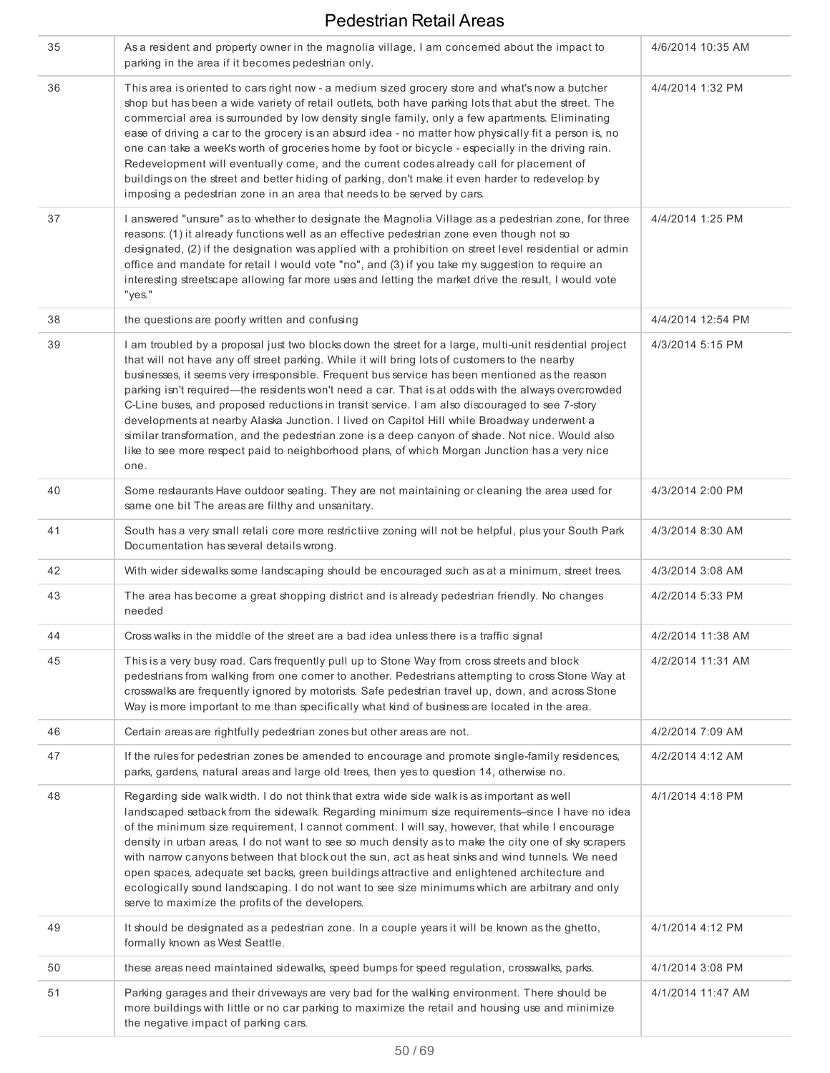| 35 |                                                                                                                                                                                                                                                                                                                                                                                                                                                                                                                                                                                                                                                                                                                                                                                                                               |                   |
|----|-------------------------------------------------------------------------------------------------------------------------------------------------------------------------------------------------------------------------------------------------------------------------------------------------------------------------------------------------------------------------------------------------------------------------------------------------------------------------------------------------------------------------------------------------------------------------------------------------------------------------------------------------------------------------------------------------------------------------------------------------------------------------------------------------------------------------------|-------------------|
|    | As a resident and property owner in the magnolia village, I am concerned about the impact to<br>parking in the area if it becomes pedestrian only.                                                                                                                                                                                                                                                                                                                                                                                                                                                                                                                                                                                                                                                                            | 4/6/2014 10:35 AM |
| 36 | This area is oriented to cars right now - a medium sized grocery store and what's now a butcher<br>shop but has been a wide variety of retail outlets, both have parking lots that abut the street. The<br>commercial area is surrounded by low density single family, only a few apartments. Eliminating<br>ease of driving a car to the grocery is an absurd idea - no matter how physically fit a person is, no<br>one can take a week's worth of groceries home by foot or bicycle - especially in the driving rain.<br>Redevelopment will eventually come, and the current codes already call for placement of<br>buildings on the street and better hiding of parking, don't make it even harder to redevelop by<br>imposing a pedestrian zone in an area that needs to be served by cars.                              | 4/4/2014 1:32 PM  |
| 37 | I answered "unsure" as to whether to designate the Magnolia Village as a pedestrian zone, for three<br>reasons: (1) it already functions well as an effective pedestrian zone even though not so<br>designated, (2) if the designation was applied with a prohibition on street level residential or admin<br>office and mandate for retail I would vote "no", and (3) if you take my suggestion to require an<br>interesting streetscape allowing far more uses and letting the market drive the result, I would vote<br>"yes."                                                                                                                                                                                                                                                                                              | 4/4/2014 1:25 PM  |
| 38 | the questions are poorly written and confusing                                                                                                                                                                                                                                                                                                                                                                                                                                                                                                                                                                                                                                                                                                                                                                                | 4/4/2014 12:54 PM |
| 39 | I am troubled by a proposal just two blocks down the street for a large, multi-unit residential project<br>that will not have any off street parking. While it will bring lots of customers to the nearby<br>businesses, it seems very irresponsible. Frequent bus service has been mentioned as the reason<br>parking isn't required—the residents won't need a car. That is at odds with the always overcrowded<br>C-Line buses, and proposed reductions in transit service. I am also discouraged to see 7-story<br>developments at nearby Alaska Junction. I lived on Capitol Hill while Broadway underwent a<br>similar transformation, and the pedestrian zone is a deep canyon of shade. Not nice. Would also<br>like to see more respect paid to neighborhood plans, of which Morgan Junction has a very nice<br>one. | 4/3/2014 5:15 PM  |
| 40 | Some restaurants Have outdoor seating. They are not maintaining or cleaning the area used for<br>same one bit The areas are filthy and unsanitary.                                                                                                                                                                                                                                                                                                                                                                                                                                                                                                                                                                                                                                                                            | 4/3/2014 2:00 PM  |
| 41 | South has a very small retali core more restrictiive zoning will not be helpful, plus your South Park<br>Documentation has several details wrong.                                                                                                                                                                                                                                                                                                                                                                                                                                                                                                                                                                                                                                                                             | 4/3/2014 8:30 AM  |
| 42 | With wider sidewalks some landscaping should be encouraged such as at a minimum, street trees.                                                                                                                                                                                                                                                                                                                                                                                                                                                                                                                                                                                                                                                                                                                                | 4/3/2014 3:08 AM  |
| 43 | The area has become a great shopping district and is already pedestrian friendly. No changes<br>needed                                                                                                                                                                                                                                                                                                                                                                                                                                                                                                                                                                                                                                                                                                                        | 4/2/2014 5:33 PM  |
| 44 | Cross walks in the middle of the street are a bad idea unless there is a traffic signal                                                                                                                                                                                                                                                                                                                                                                                                                                                                                                                                                                                                                                                                                                                                       | 4/2/2014 11:38 AM |
| 45 | This is a very busy road. Cars frequently pull up to Stone Way from cross streets and block<br>pedestrians from walking from one corner to another. Pedestrians attempting to cross Stone Way at<br>crosswalks are frequently ignored by motorists. Safe pedestrian travel up, down, and across Stone<br>Way is more important to me than specifically what kind of business are located in the area.                                                                                                                                                                                                                                                                                                                                                                                                                         | 4/2/2014 11:31 AM |
| 46 | Certain areas are rightfully pedestrian zones but other areas are not.                                                                                                                                                                                                                                                                                                                                                                                                                                                                                                                                                                                                                                                                                                                                                        | 4/2/2014 7:09 AM  |
| 47 | If the rules for pedestrian zones be amended to encourage and promote single-family residences,<br>parks, gardens, natural areas and large old trees, then yes to question 14, otherwise no.                                                                                                                                                                                                                                                                                                                                                                                                                                                                                                                                                                                                                                  | 4/2/2014 4:12 AM  |
| 48 | Regarding side walk width. I do not think that extra wide side walk is as important as well<br>landscaped setback from the sidewalk. Regarding minimum size requirements-since I have no idea<br>of the minimum size requirement, I cannot comment. I will say, however, that while I encourage<br>density in urban areas, I do not want to see so much density as to make the city one of sky scrapers<br>with narrow canyons between that block out the sun, act as heat sinks and wind tunnels. We need<br>open spaces, adequate set backs, green buildings attractive and enlightened architecture and<br>ecologically sound landscaping. I do not want to see size minimums which are arbitrary and only<br>serve to maximize the profits of the developers.                                                             | 4/1/2014 4:18 PM  |
| 49 | It should be designated as a pedestrian zone. In a couple years it will be known as the ghetto,<br>formally known as West Seattle.                                                                                                                                                                                                                                                                                                                                                                                                                                                                                                                                                                                                                                                                                            | 4/1/2014 4:12 PM  |
| 50 | these areas need maintained sidewalks, speed bumps for speed regulation, crosswalks, parks.                                                                                                                                                                                                                                                                                                                                                                                                                                                                                                                                                                                                                                                                                                                                   | 4/1/2014 3:08 PM  |
|    |                                                                                                                                                                                                                                                                                                                                                                                                                                                                                                                                                                                                                                                                                                                                                                                                                               |                   |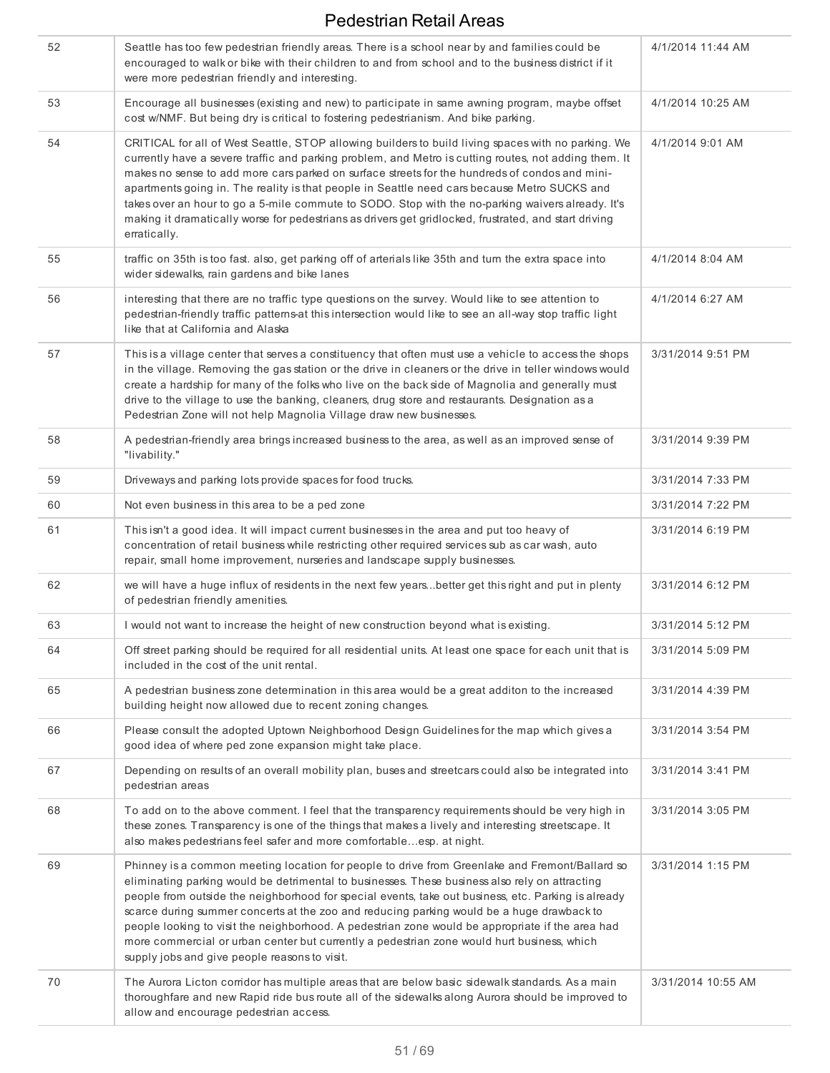| 52 | Seattle has too few pedestrian friendly areas. There is a school near by and families could be<br>encouraged to walk or bike with their children to and from school and to the business district if it<br>were more pedestrian friendly and interesting.                                                                                                                                                                                                                                                                                                                                                                                                | 4/1/2014 11:44 AM  |
|----|---------------------------------------------------------------------------------------------------------------------------------------------------------------------------------------------------------------------------------------------------------------------------------------------------------------------------------------------------------------------------------------------------------------------------------------------------------------------------------------------------------------------------------------------------------------------------------------------------------------------------------------------------------|--------------------|
| 53 | Encourage all businesses (existing and new) to participate in same awning program, maybe offset<br>cost w/NMF. But being dry is critical to fostering pedestrianism. And bike parking.                                                                                                                                                                                                                                                                                                                                                                                                                                                                  | 4/1/2014 10:25 AM  |
| 54 | CRITICAL for all of West Seattle, STOP allowing builders to build living spaces with no parking. We<br>currently have a severe traffic and parking problem, and Metro is cutting routes, not adding them. It<br>makes no sense to add more cars parked on surface streets for the hundreds of condos and mini-<br>apartments going in. The reality is that people in Seattle need cars because Metro SUCKS and<br>takes over an hour to go a 5-mile commute to SODO. Stop with the no-parking waivers already. It's<br>making it dramatically worse for pedestrians as drivers get gridlocked, frustrated, and start driving<br>erratically.            | 4/1/2014 9:01 AM   |
| 55 | traffic on 35th is too fast. also, get parking off of arterials like 35th and turn the extra space into<br>wider sidewalks, rain gardens and bike lanes                                                                                                                                                                                                                                                                                                                                                                                                                                                                                                 | 4/1/2014 8:04 AM   |
| 56 | interesting that there are no traffic type questions on the survey. Would like to see attention to<br>pedestrian-friendly traffic patterns at this intersection would like to see an all-way stop traffic light<br>like that at California and Alaska                                                                                                                                                                                                                                                                                                                                                                                                   | 4/1/2014 6:27 AM   |
| 57 | This is a village center that serves a constituency that often must use a vehicle to access the shops<br>in the village. Removing the gas station or the drive in cleaners or the drive in teller windows would<br>create a hardship for many of the folks who live on the back side of Magnolia and generally must<br>drive to the village to use the banking, cleaners, drug store and restaurants. Designation as a<br>Pedestrian Zone will not help Magnolia Village draw new businesses.                                                                                                                                                           | 3/31/2014 9:51 PM  |
| 58 | A pedestrian-friendly area brings increased business to the area, as well as an improved sense of<br>"livability."                                                                                                                                                                                                                                                                                                                                                                                                                                                                                                                                      | 3/31/2014 9:39 PM  |
| 59 | Driveways and parking lots provide spaces for food trucks.                                                                                                                                                                                                                                                                                                                                                                                                                                                                                                                                                                                              | 3/31/2014 7:33 PM  |
| 60 | Not even business in this area to be a ped zone                                                                                                                                                                                                                                                                                                                                                                                                                                                                                                                                                                                                         | 3/31/2014 7:22 PM  |
| 61 | This isn't a good idea. It will impact current businesses in the area and put too heavy of<br>concentration of retail business while restricting other required services sub as car wash, auto<br>repair, small home improvement, nurseries and landscape supply businesses.                                                                                                                                                                                                                                                                                                                                                                            | 3/31/2014 6:19 PM  |
| 62 | we will have a huge influx of residents in the next few yearsbetter get this right and put in plenty<br>of pedestrian friendly amenities.                                                                                                                                                                                                                                                                                                                                                                                                                                                                                                               | 3/31/2014 6:12 PM  |
| 63 | I would not want to increase the height of new construction beyond what is existing.                                                                                                                                                                                                                                                                                                                                                                                                                                                                                                                                                                    | 3/31/2014 5:12 PM  |
| 64 | Off street parking should be required for all residential units. At least one space for each unit that is<br>included in the cost of the unit rental.                                                                                                                                                                                                                                                                                                                                                                                                                                                                                                   | 3/31/2014 5:09 PM  |
| 65 | A pedestrian business zone determination in this area would be a great additon to the increased<br>building height now allowed due to recent zoning changes.                                                                                                                                                                                                                                                                                                                                                                                                                                                                                            | 3/31/2014 4:39 PM  |
| 66 | Please consult the adopted Uptown Neighborhood Design Guidelines for the map which gives a<br>good idea of where ped zone expansion might take place.                                                                                                                                                                                                                                                                                                                                                                                                                                                                                                   | 3/31/2014 3:54 PM  |
| 67 | Depending on results of an overall mobility plan, buses and streetcars could also be integrated into<br>pedestrian areas                                                                                                                                                                                                                                                                                                                                                                                                                                                                                                                                | 3/31/2014 3:41 PM  |
| 68 | To add on to the above comment. I feel that the transparency requirements should be very high in<br>these zones. Transparency is one of the things that makes a lively and interesting streetscape. It<br>also makes pedestrians feel safer and more comfortableesp. at night.                                                                                                                                                                                                                                                                                                                                                                          | 3/31/2014 3:05 PM  |
| 69 | Phinney is a common meeting location for people to drive from Greenlake and Fremont/Ballard so<br>eliminating parking would be detrimental to businesses. These business also rely on attracting<br>people from outside the neighborhood for special events, take out business, etc. Parking is already<br>scarce during summer concerts at the zoo and reducing parking would be a huge drawback to<br>people looking to visit the neighborhood. A pedestrian zone would be appropriate if the area had<br>more commercial or urban center but currently a pedestrian zone would hurt business, which<br>supply jobs and give people reasons to visit. | 3/31/2014 1:15 PM  |
| 70 | The Aurora Licton corridor has multiple areas that are below basic sidewalk standards. As a main<br>thoroughfare and new Rapid ride bus route all of the sidewalks along Aurora should be improved to<br>allow and encourage pedestrian access.                                                                                                                                                                                                                                                                                                                                                                                                         | 3/31/2014 10:55 AM |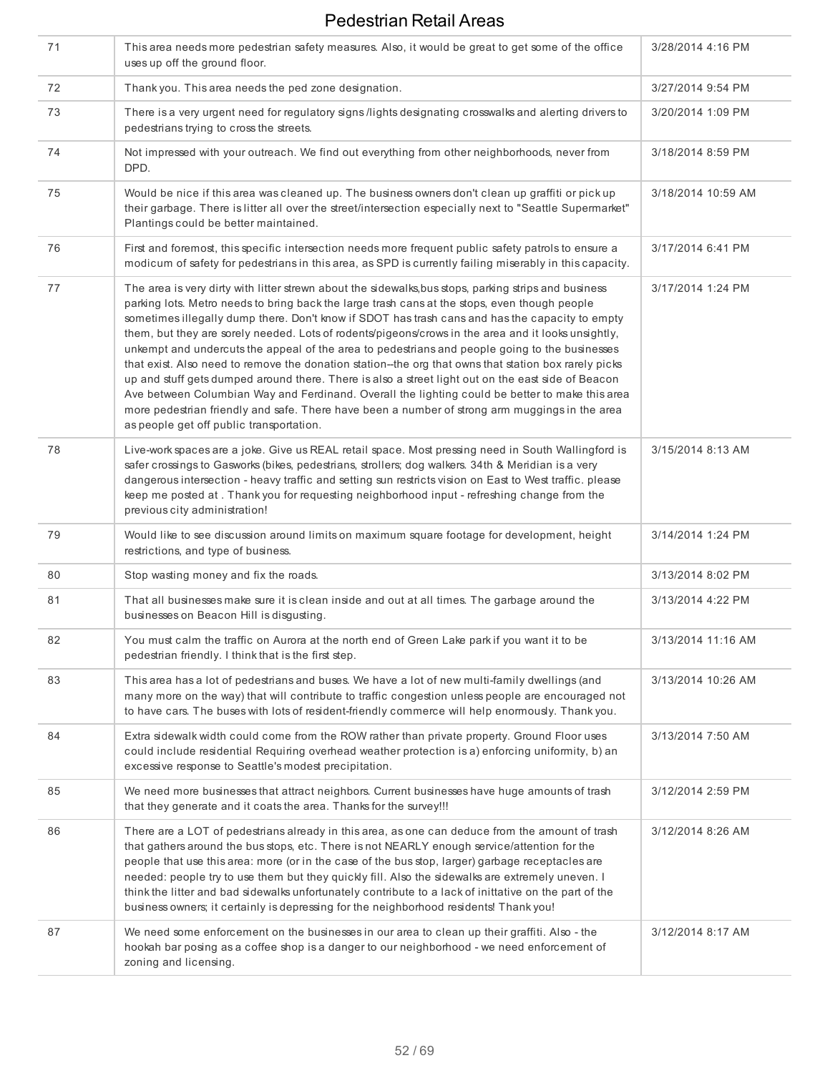| 71 | This area needs more pedestrian safety measures. Also, it would be great to get some of the office<br>uses up off the ground floor.                                                                                                                                                                                                                                                                                                                                                                                                                                                                                                                                                                                                                                                                                                                                                                                                                                                | 3/28/2014 4:16 PM  |
|----|------------------------------------------------------------------------------------------------------------------------------------------------------------------------------------------------------------------------------------------------------------------------------------------------------------------------------------------------------------------------------------------------------------------------------------------------------------------------------------------------------------------------------------------------------------------------------------------------------------------------------------------------------------------------------------------------------------------------------------------------------------------------------------------------------------------------------------------------------------------------------------------------------------------------------------------------------------------------------------|--------------------|
| 72 | Thank you. This area needs the ped zone designation.                                                                                                                                                                                                                                                                                                                                                                                                                                                                                                                                                                                                                                                                                                                                                                                                                                                                                                                               | 3/27/2014 9:54 PM  |
| 73 | There is a very urgent need for regulatory signs /lights designating crosswalks and alerting drivers to<br>pedestrians trying to cross the streets.                                                                                                                                                                                                                                                                                                                                                                                                                                                                                                                                                                                                                                                                                                                                                                                                                                | 3/20/2014 1:09 PM  |
| 74 | Not impressed with your outreach. We find out everything from other neighborhoods, never from<br>DPD.                                                                                                                                                                                                                                                                                                                                                                                                                                                                                                                                                                                                                                                                                                                                                                                                                                                                              | 3/18/2014 8:59 PM  |
| 75 | Would be nice if this area was cleaned up. The business owners don't clean up graffiti or pick up<br>their garbage. There is litter all over the street/intersection especially next to "Seattle Supermarket"<br>Plantings could be better maintained.                                                                                                                                                                                                                                                                                                                                                                                                                                                                                                                                                                                                                                                                                                                             | 3/18/2014 10:59 AM |
| 76 | First and foremost, this specific intersection needs more frequent public safety patrols to ensure a<br>modicum of safety for pedestrians in this area, as SPD is currently failing miserably in this capacity.                                                                                                                                                                                                                                                                                                                                                                                                                                                                                                                                                                                                                                                                                                                                                                    | 3/17/2014 6:41 PM  |
| 77 | The area is very dirty with litter strewn about the sidewalks, bus stops, parking strips and business<br>parking lots. Metro needs to bring back the large trash cans at the stops, even though people<br>sometimes illegally dump there. Don't know if SDOT has trash cans and has the capacity to empty<br>them, but they are sorely needed. Lots of rodents/pigeons/crows in the area and it looks unsightly,<br>unkempt and undercuts the appeal of the area to pedestrians and people going to the businesses<br>that exist. Also need to remove the donation station--the org that owns that station box rarely picks<br>up and stuff gets dumped around there. There is also a street light out on the east side of Beacon<br>Ave between Columbian Way and Ferdinand. Overall the lighting could be better to make this area<br>more pedestrian friendly and safe. There have been a number of strong arm muggings in the area<br>as people get off public transportation. | 3/17/2014 1:24 PM  |
| 78 | Live-work spaces are a joke. Give us REAL retail space. Most pressing need in South Wallingford is<br>safer crossings to Gasworks (bikes, pedestrians, strollers; dog walkers. 34th & Meridian is a very<br>dangerous intersection - heavy traffic and setting sun restricts vision on East to West traffic. please<br>keep me posted at . Thank you for requesting neighborhood input - refreshing change from the<br>previous city administration!                                                                                                                                                                                                                                                                                                                                                                                                                                                                                                                               | 3/15/2014 8:13 AM  |
| 79 | Would like to see discussion around limits on maximum square footage for development, height<br>restrictions, and type of business.                                                                                                                                                                                                                                                                                                                                                                                                                                                                                                                                                                                                                                                                                                                                                                                                                                                | 3/14/2014 1:24 PM  |
| 80 | Stop wasting money and fix the roads.                                                                                                                                                                                                                                                                                                                                                                                                                                                                                                                                                                                                                                                                                                                                                                                                                                                                                                                                              | 3/13/2014 8:02 PM  |
| 81 | That all businesses make sure it is clean inside and out at all times. The garbage around the<br>businesses on Beacon Hill is disqusting.                                                                                                                                                                                                                                                                                                                                                                                                                                                                                                                                                                                                                                                                                                                                                                                                                                          | 3/13/2014 4:22 PM  |
| 82 | You must calm the traffic on Aurora at the north end of Green Lake park if you want it to be<br>pedestrian friendly. I think that is the first step.                                                                                                                                                                                                                                                                                                                                                                                                                                                                                                                                                                                                                                                                                                                                                                                                                               | 3/13/2014 11:16 AM |
| 83 | This area has a lot of pedestrians and buses. We have a lot of new multi-family dwellings (and<br>many more on the way) that will contribute to traffic congestion unless people are encouraged not<br>to have cars. The buses with lots of resident-friendly commerce will help enormously. Thank you.                                                                                                                                                                                                                                                                                                                                                                                                                                                                                                                                                                                                                                                                            | 3/13/2014 10:26 AM |
| 84 | Extra sidewalk width could come from the ROW rather than private property. Ground Floor uses<br>could include residential Requiring overhead weather protection is a) enforcing uniformity, b) an<br>excessive response to Seattle's modest precipitation.                                                                                                                                                                                                                                                                                                                                                                                                                                                                                                                                                                                                                                                                                                                         | 3/13/2014 7:50 AM  |
| 85 | We need more businesses that attract neighbors. Current businesses have huge amounts of trash<br>that they generate and it coats the area. Thanks for the survey!!!                                                                                                                                                                                                                                                                                                                                                                                                                                                                                                                                                                                                                                                                                                                                                                                                                | 3/12/2014 2:59 PM  |
| 86 | There are a LOT of pedestrians already in this area, as one can deduce from the amount of trash<br>that gathers around the bus stops, etc. There is not NEARLY enough service/attention for the<br>people that use this area: more (or in the case of the bus stop, larger) garbage receptacles are<br>needed: people try to use them but they quickly fill. Also the sidewalks are extremely uneven. I<br>think the litter and bad sidewalks unfortunately contribute to a lack of inittative on the part of the<br>business owners; it certainly is depressing for the neighborhood residents! Thank you!                                                                                                                                                                                                                                                                                                                                                                        | 3/12/2014 8:26 AM  |
| 87 | We need some enforcement on the businesses in our area to clean up their graffiti. Also - the<br>hookah bar posing as a coffee shop is a danger to our neighborhood - we need enforcement of<br>zoning and licensing.                                                                                                                                                                                                                                                                                                                                                                                                                                                                                                                                                                                                                                                                                                                                                              | 3/12/2014 8:17 AM  |
|    |                                                                                                                                                                                                                                                                                                                                                                                                                                                                                                                                                                                                                                                                                                                                                                                                                                                                                                                                                                                    |                    |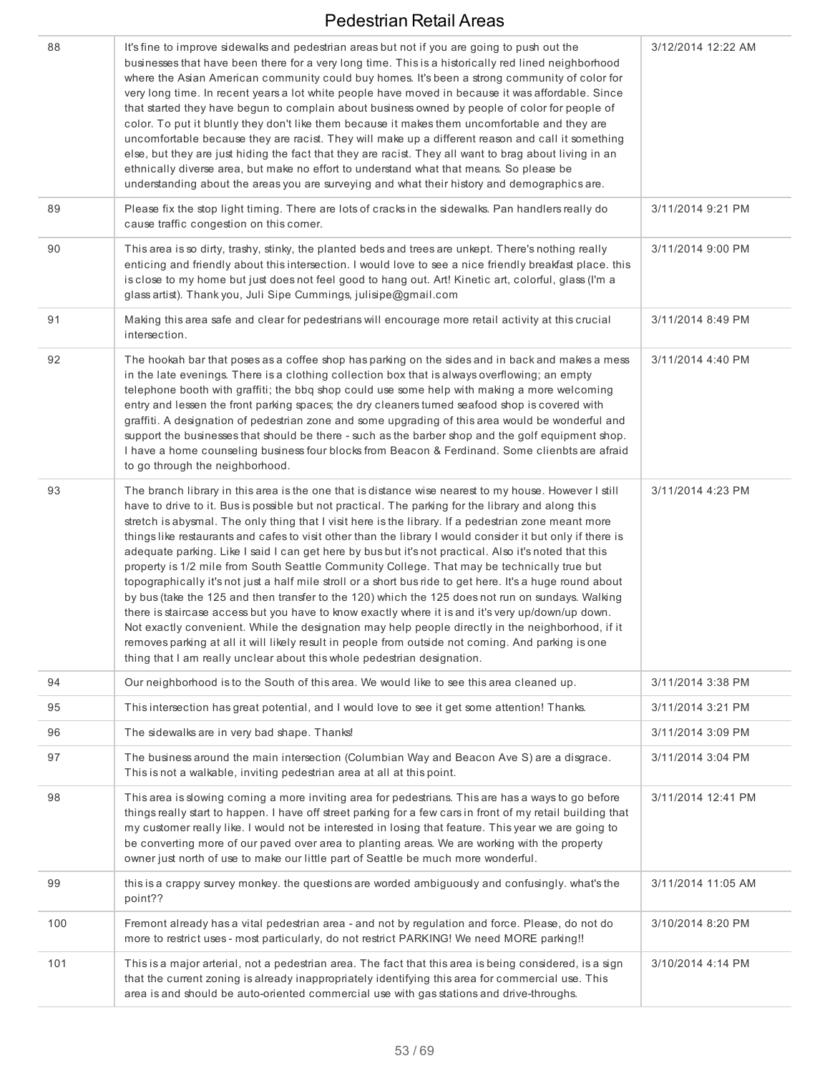| 88  | It's fine to improve sidewalks and pedestrian areas but not if you are going to push out the<br>businesses that have been there for a very long time. This is a historically red lined neighborhood<br>where the Asian American community could buy homes. It's been a strong community of color for<br>very long time. In recent years a lot white people have moved in because it was affordable. Since<br>that started they have begun to complain about business owned by people of color for people of<br>color. To put it bluntly they don't like them because it makes them uncomfortable and they are<br>uncomfortable because they are racist. They will make up a different reason and call it something<br>else, but they are just hiding the fact that they are racist. They all want to brag about living in an<br>ethnically diverse area, but make no effort to understand what that means. So please be<br>understanding about the areas you are surveying and what their history and demographics are.                                                                                                                                                                                                                                | 3/12/2014 12:22 AM |
|-----|--------------------------------------------------------------------------------------------------------------------------------------------------------------------------------------------------------------------------------------------------------------------------------------------------------------------------------------------------------------------------------------------------------------------------------------------------------------------------------------------------------------------------------------------------------------------------------------------------------------------------------------------------------------------------------------------------------------------------------------------------------------------------------------------------------------------------------------------------------------------------------------------------------------------------------------------------------------------------------------------------------------------------------------------------------------------------------------------------------------------------------------------------------------------------------------------------------------------------------------------------------|--------------------|
| 89  | Please fix the stop light timing. There are lots of cracks in the sidewalks. Pan handlers really do<br>cause traffic congestion on this corner.                                                                                                                                                                                                                                                                                                                                                                                                                                                                                                                                                                                                                                                                                                                                                                                                                                                                                                                                                                                                                                                                                                        | 3/11/2014 9:21 PM  |
| 90  | This area is so dirty, trashy, stinky, the planted beds and trees are unkept. There's nothing really<br>enticing and friendly about this intersection. I would love to see a nice friendly breakfast place. this<br>is close to my home but just does not feel good to hang out. Art! Kinetic art, colorful, glass (I'm a<br>glass artist). Thank you, Juli Sipe Cummings, julisipe@gmail.com                                                                                                                                                                                                                                                                                                                                                                                                                                                                                                                                                                                                                                                                                                                                                                                                                                                          | 3/11/2014 9:00 PM  |
| 91  | Making this area safe and clear for pedestrians will encourage more retail activity at this crucial<br>intersection.                                                                                                                                                                                                                                                                                                                                                                                                                                                                                                                                                                                                                                                                                                                                                                                                                                                                                                                                                                                                                                                                                                                                   | 3/11/2014 8:49 PM  |
| 92  | The hookah bar that poses as a coffee shop has parking on the sides and in back and makes a mess<br>in the late evenings. There is a clothing collection box that is always overflowing; an empty<br>telephone booth with graffiti; the bbq shop could use some help with making a more welcoming<br>entry and lessen the front parking spaces; the dry cleaners turned seafood shop is covered with<br>graffiti. A designation of pedestrian zone and some upgrading of this area would be wonderful and<br>support the businesses that should be there - such as the barber shop and the golf equipment shop.<br>I have a home counseling business four blocks from Beacon & Ferdinand. Some clienbts are afraid<br>to go through the neighborhood.                                                                                                                                                                                                                                                                                                                                                                                                                                                                                                  | 3/11/2014 4:40 PM  |
| 93  | The branch library in this area is the one that is distance wise nearest to my house. However I still<br>have to drive to it. Bus is possible but not practical. The parking for the library and along this<br>stretch is abysmal. The only thing that I visit here is the library. If a pedestrian zone meant more<br>things like restaurants and cafes to visit other than the library I would consider it but only if there is<br>adequate parking. Like I said I can get here by bus but it's not practical. Also it's noted that this<br>property is 1/2 mile from South Seattle Community College. That may be technically true but<br>topographically it's not just a half mile stroll or a short bus ride to get here. It's a huge round about<br>by bus (take the 125 and then transfer to the 120) which the 125 does not run on sundays. Walking<br>there is staircase access but you have to know exactly where it is and it's very up/down/up down.<br>Not exactly convenient. While the designation may help people directly in the neighborhood, if it<br>removes parking at all it will likely result in people from outside not coming. And parking is one<br>thing that I am really unclear about this whole pedestrian designation. | 3/11/2014 4:23 PM  |
| 94  | Our neighborhood is to the South of this area. We would like to see this area cleaned up.                                                                                                                                                                                                                                                                                                                                                                                                                                                                                                                                                                                                                                                                                                                                                                                                                                                                                                                                                                                                                                                                                                                                                              | 3/11/2014 3:38 PM  |
| 95  | This intersection has great potential, and I would love to see it get some attention! Thanks.                                                                                                                                                                                                                                                                                                                                                                                                                                                                                                                                                                                                                                                                                                                                                                                                                                                                                                                                                                                                                                                                                                                                                          | 3/11/2014 3:21 PM  |
| 96  | The sidewalks are in very bad shape. Thanks!                                                                                                                                                                                                                                                                                                                                                                                                                                                                                                                                                                                                                                                                                                                                                                                                                                                                                                                                                                                                                                                                                                                                                                                                           | 3/11/2014 3:09 PM  |
| 97  | The business around the main intersection (Columbian Way and Beacon Ave S) are a disgrace.<br>This is not a walkable, inviting pedestrian area at all at this point.                                                                                                                                                                                                                                                                                                                                                                                                                                                                                                                                                                                                                                                                                                                                                                                                                                                                                                                                                                                                                                                                                   | 3/11/2014 3:04 PM  |
| 98  | This area is slowing coming a more inviting area for pedestrians. This are has a ways to go before<br>things really start to happen. I have off street parking for a few cars in front of my retail building that<br>my customer really like. I would not be interested in losing that feature. This year we are going to<br>be converting more of our paved over area to planting areas. We are working with the property<br>owner just north of use to make our little part of Seattle be much more wonderful.                                                                                                                                                                                                                                                                                                                                                                                                                                                                                                                                                                                                                                                                                                                                       | 3/11/2014 12:41 PM |
| 99  | this is a crappy survey monkey. the questions are worded ambiguously and confusingly. what's the<br>point??                                                                                                                                                                                                                                                                                                                                                                                                                                                                                                                                                                                                                                                                                                                                                                                                                                                                                                                                                                                                                                                                                                                                            | 3/11/2014 11:05 AM |
| 100 | Fremont already has a vital pedestrian area - and not by regulation and force. Please, do not do<br>more to restrict uses - most particularly, do not restrict PARKING! We need MORE parking!!                                                                                                                                                                                                                                                                                                                                                                                                                                                                                                                                                                                                                                                                                                                                                                                                                                                                                                                                                                                                                                                         | 3/10/2014 8:20 PM  |
| 101 | This is a major arterial, not a pedestrian area. The fact that this area is being considered, is a sign<br>that the current zoning is already inappropriately identifying this area for commercial use. This<br>area is and should be auto-oriented commercial use with gas stations and drive-throughs.                                                                                                                                                                                                                                                                                                                                                                                                                                                                                                                                                                                                                                                                                                                                                                                                                                                                                                                                               | 3/10/2014 4:14 PM  |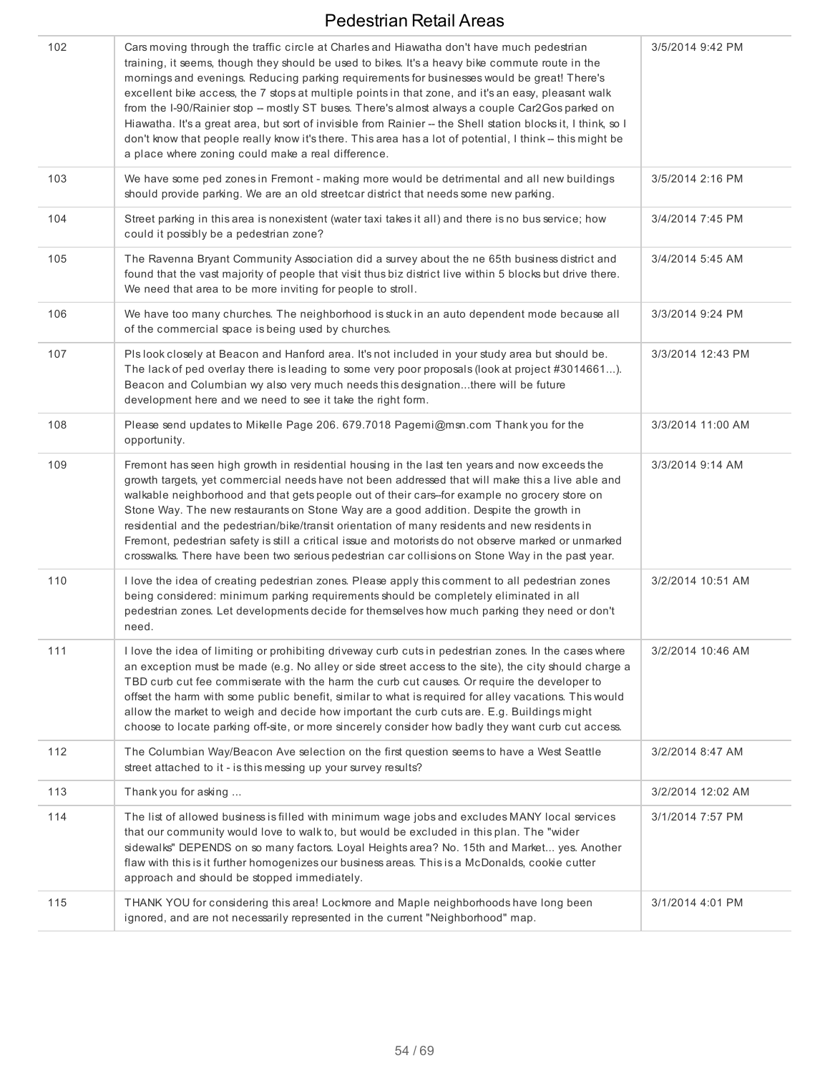| 102 | Cars moving through the traffic circle at Charles and Hiawatha don't have much pedestrian<br>training, it seems, though they should be used to bikes. It's a heavy bike commute route in the<br>mornings and evenings. Reducing parking requirements for businesses would be great! There's<br>excellent bike access, the 7 stops at multiple points in that zone, and it's an easy, pleasant walk<br>from the I-90/Rainier stop -- mostly ST buses. There's almost always a couple Car2Gos parked on<br>Hiawatha. It's a great area, but sort of invisible from Rainier -- the Shell station blocks it, I think, so I<br>don't know that people really know it's there. This area has a lot of potential, I think -- this might be<br>a place where zoning could make a real difference. | 3/5/2014 9:42 PM  |
|-----|-------------------------------------------------------------------------------------------------------------------------------------------------------------------------------------------------------------------------------------------------------------------------------------------------------------------------------------------------------------------------------------------------------------------------------------------------------------------------------------------------------------------------------------------------------------------------------------------------------------------------------------------------------------------------------------------------------------------------------------------------------------------------------------------|-------------------|
| 103 | We have some ped zones in Fremont - making more would be detrimental and all new buildings<br>should provide parking. We are an old streetcar district that needs some new parking.                                                                                                                                                                                                                                                                                                                                                                                                                                                                                                                                                                                                       | 3/5/2014 2:16 PM  |
| 104 | Street parking in this area is nonexistent (water taxi takes it all) and there is no bus service; how<br>could it possibly be a pedestrian zone?                                                                                                                                                                                                                                                                                                                                                                                                                                                                                                                                                                                                                                          | 3/4/2014 7:45 PM  |
| 105 | The Ravenna Bryant Community Association did a survey about the ne 65th business district and<br>found that the vast majority of people that visit thus biz district live within 5 blocks but drive there.<br>We need that area to be more inviting for people to stroll.                                                                                                                                                                                                                                                                                                                                                                                                                                                                                                                 | 3/4/2014 5:45 AM  |
| 106 | We have too many churches. The neighborhood is stuck in an auto dependent mode because all<br>of the commercial space is being used by churches.                                                                                                                                                                                                                                                                                                                                                                                                                                                                                                                                                                                                                                          | 3/3/2014 9:24 PM  |
| 107 | PIs look closely at Beacon and Hanford area. It's not included in your study area but should be.<br>The lack of ped overlay there is leading to some very poor proposals (look at project #3014661).<br>Beacon and Columbian wy also very much needs this designationthere will be future<br>development here and we need to see it take the right form.                                                                                                                                                                                                                                                                                                                                                                                                                                  | 3/3/2014 12:43 PM |
| 108 | Please send updates to Mikelle Page 206. 679.7018 Pagemi@msn.com Thank you for the<br>opportunity.                                                                                                                                                                                                                                                                                                                                                                                                                                                                                                                                                                                                                                                                                        | 3/3/2014 11:00 AM |
| 109 | Fremont has seen high growth in residential housing in the last ten years and now exceeds the<br>growth targets, yet commercial needs have not been addressed that will make this a live able and<br>walkable neighborhood and that gets people out of their cars-for example no grocery store on<br>Stone Way. The new restaurants on Stone Way are a good addition. Despite the growth in<br>residential and the pedestrian/bike/transit orientation of many residents and new residents in<br>Fremont, pedestrian safety is still a critical issue and motorists do not observe marked or unmarked<br>crosswalks. There have been two serious pedestrian car collisions on Stone Way in the past year.                                                                                 | 3/3/2014 9:14 AM  |
| 110 | I love the idea of creating pedestrian zones. Please apply this comment to all pedestrian zones<br>being considered: minimum parking requirements should be completely eliminated in all<br>pedestrian zones. Let developments decide for themselves how much parking they need or don't<br>need.                                                                                                                                                                                                                                                                                                                                                                                                                                                                                         | 3/2/2014 10:51 AM |
| 111 | I love the idea of limiting or prohibiting driveway curb cuts in pedestrian zones. In the cases where<br>an exception must be made (e.g. No alley or side street access to the site), the city should charge a<br>TBD curb cut fee commiserate with the harm the curb cut causes. Or require the developer to<br>offset the harm with some public benefit, similar to what is required for alley vacations. This would<br>allow the market to weigh and decide how important the curb cuts are. E.g. Buildings might<br>choose to locate parking off-site, or more sincerely consider how badly they want curb cut access.                                                                                                                                                                | 3/2/2014 10:46 AM |
| 112 | The Columbian Way/Beacon Ave selection on the first question seems to have a West Seattle<br>street attached to it - is this messing up your survey results?                                                                                                                                                                                                                                                                                                                                                                                                                                                                                                                                                                                                                              | 3/2/2014 8:47 AM  |
| 113 | Thank you for asking                                                                                                                                                                                                                                                                                                                                                                                                                                                                                                                                                                                                                                                                                                                                                                      | 3/2/2014 12:02 AM |
| 114 | The list of allowed business is filled with minimum wage jobs and excludes MANY local services<br>that our community would love to walk to, but would be excluded in this plan. The "wider<br>sidewalks" DEPENDS on so many factors. Loyal Heights area? No. 15th and Market yes. Another<br>flaw with this is it further homogenizes our business areas. This is a McDonalds, cookie cutter<br>approach and should be stopped immediately.                                                                                                                                                                                                                                                                                                                                               | 3/1/2014 7:57 PM  |
| 115 | THANK YOU for considering this area! Lockmore and Maple neighborhoods have long been<br>ignored, and are not necessarily represented in the current "Neighborhood" map.                                                                                                                                                                                                                                                                                                                                                                                                                                                                                                                                                                                                                   | 3/1/2014 4:01 PM  |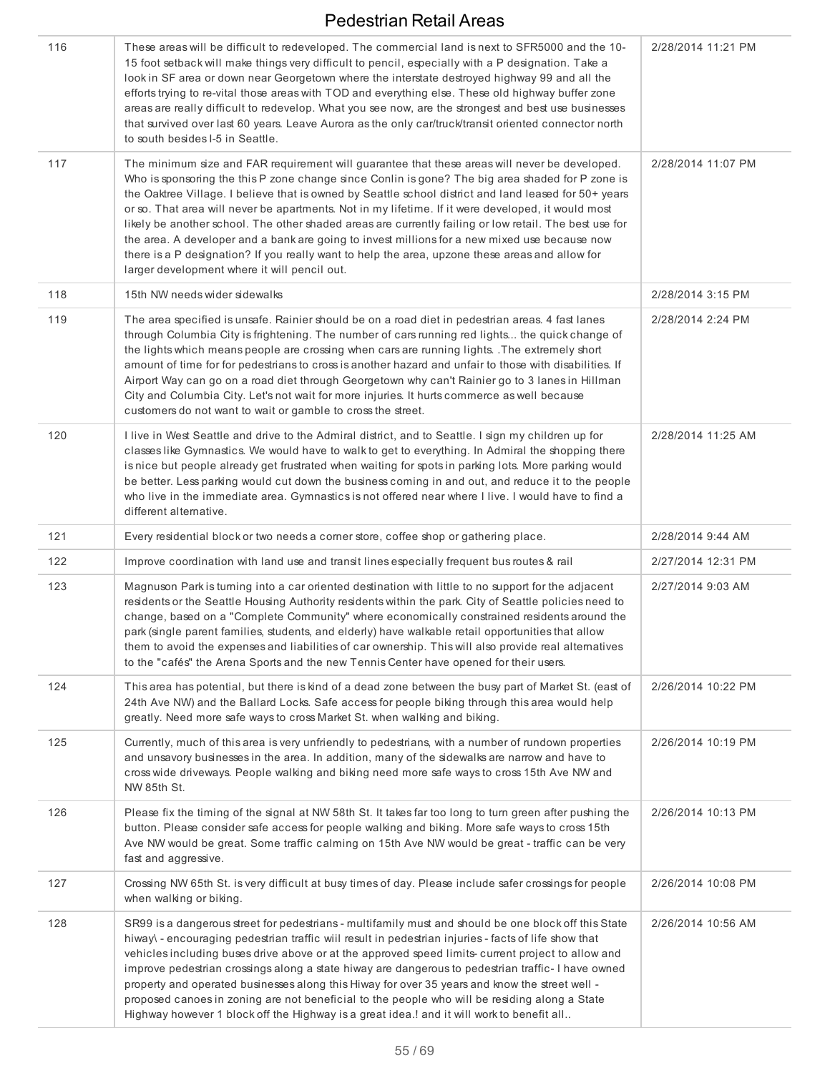| 116 | These areas will be difficult to redeveloped. The commercial land is next to SFR5000 and the 10-<br>15 foot setback will make things very difficult to pencil, especially with a P designation. Take a<br>look in SF area or down near Georgetown where the interstate destroyed highway 99 and all the<br>efforts trying to re-vital those areas with TOD and everything else. These old highway buffer zone<br>areas are really difficult to redevelop. What you see now, are the strongest and best use businesses<br>that survived over last 60 years. Leave Aurora as the only car/truck/transit oriented connector north<br>to south besides I-5 in Seattle.                                                                                                             | 2/28/2014 11:21 PM |
|-----|--------------------------------------------------------------------------------------------------------------------------------------------------------------------------------------------------------------------------------------------------------------------------------------------------------------------------------------------------------------------------------------------------------------------------------------------------------------------------------------------------------------------------------------------------------------------------------------------------------------------------------------------------------------------------------------------------------------------------------------------------------------------------------|--------------------|
| 117 | The minimum size and FAR requirement will guarantee that these areas will never be developed.<br>Who is sponsoring the this P zone change since Conlin is gone? The big area shaded for P zone is<br>the Oaktree Village. I believe that is owned by Seattle school district and land leased for 50+ years<br>or so. That area will never be apartments. Not in my lifetime. If it were developed, it would most<br>likely be another school. The other shaded areas are currently failing or low retail. The best use for<br>the area. A developer and a bank are going to invest millions for a new mixed use because now<br>there is a P designation? If you really want to help the area, upzone these areas and allow for<br>larger development where it will pencil out. | 2/28/2014 11:07 PM |
| 118 | 15th NW needs wider sidewalks                                                                                                                                                                                                                                                                                                                                                                                                                                                                                                                                                                                                                                                                                                                                                  | 2/28/2014 3:15 PM  |
| 119 | The area specified is unsafe. Rainier should be on a road diet in pedestrian areas. 4 fast lanes<br>through Columbia City is frightening. The number of cars running red lights the quick change of<br>the lights which means people are crossing when cars are running lights. The extremely short<br>amount of time for for pedestrians to cross is another hazard and unfair to those with disabilities. If<br>Airport Way can go on a road diet through Georgetown why can't Rainier go to 3 lanes in Hillman<br>City and Columbia City. Let's not wait for more injuries. It hurts commerce as well because<br>customers do not want to wait or gamble to cross the street.                                                                                               | 2/28/2014 2:24 PM  |
| 120 | I live in West Seattle and drive to the Admiral district, and to Seattle. I sign my children up for<br>classes like Gymnastics. We would have to walk to get to everything. In Admiral the shopping there<br>is nice but people already get frustrated when waiting for spots in parking lots. More parking would<br>be better. Less parking would cut down the business coming in and out, and reduce it to the people<br>who live in the immediate area. Gymnastics is not offered near where I live. I would have to find a<br>different alternative.                                                                                                                                                                                                                       | 2/28/2014 11:25 AM |
| 121 | Every residential block or two needs a corner store, coffee shop or gathering place.                                                                                                                                                                                                                                                                                                                                                                                                                                                                                                                                                                                                                                                                                           | 2/28/2014 9:44 AM  |
| 122 | Improve coordination with land use and transit lines especially frequent bus routes & rail                                                                                                                                                                                                                                                                                                                                                                                                                                                                                                                                                                                                                                                                                     | 2/27/2014 12:31 PM |
| 123 | Magnuson Park is turning into a car oriented destination with little to no support for the adjacent<br>residents or the Seattle Housing Authority residents within the park. City of Seattle policies need to<br>change, based on a "Complete Community" where economically constrained residents around the<br>park (single parent families, students, and elderly) have walkable retail opportunities that allow<br>them to avoid the expenses and liabilities of car ownership. This will also provide real alternatives<br>to the "cafés" the Arena Sports and the new Tennis Center have opened for their users.                                                                                                                                                          | 2/27/2014 9:03 AM  |
| 124 | This area has potential, but there is kind of a dead zone between the busy part of Market St. (east of<br>24th Ave NW) and the Ballard Locks. Safe access for people biking through this area would help<br>greatly. Need more safe ways to cross Market St. when walking and biking.                                                                                                                                                                                                                                                                                                                                                                                                                                                                                          | 2/26/2014 10:22 PM |
| 125 | Currently, much of this area is very unfriendly to pedestrians, with a number of rundown properties<br>and unsavory businesses in the area. In addition, many of the sidewalks are narrow and have to<br>cross wide driveways. People walking and biking need more safe ways to cross 15th Ave NW and<br>NW 85th St.                                                                                                                                                                                                                                                                                                                                                                                                                                                           | 2/26/2014 10:19 PM |
| 126 | Please fix the timing of the signal at NW 58th St. It takes far too long to tum green after pushing the<br>button. Please consider safe access for people walking and biking. More safe ways to cross 15th<br>Ave NW would be great. Some traffic calming on 15th Ave NW would be great - traffic can be very<br>fast and aggressive.                                                                                                                                                                                                                                                                                                                                                                                                                                          | 2/26/2014 10:13 PM |
| 127 | Crossing NW 65th St. is very difficult at busy times of day. Please include safer crossings for people<br>when walking or biking.                                                                                                                                                                                                                                                                                                                                                                                                                                                                                                                                                                                                                                              | 2/26/2014 10:08 PM |
| 128 | SR99 is a dangerous street for pedestrians - multifamily must and should be one block off this State<br>hiway\ - encouraging pedestrian traffic wiil result in pedestrian injuries - facts of life show that<br>vehicles including buses drive above or at the approved speed limits- current project to allow and<br>improve pedestrian crossings along a state hiway are dangerous to pedestrian traffic-I have owned<br>property and operated businesses along this Hiway for over 35 years and know the street well -<br>proposed canoes in zoning are not beneficial to the people who will be residing along a State<br>Highway however 1 block off the Highway is a great idea.! and it will work to benefit all                                                        | 2/26/2014 10:56 AM |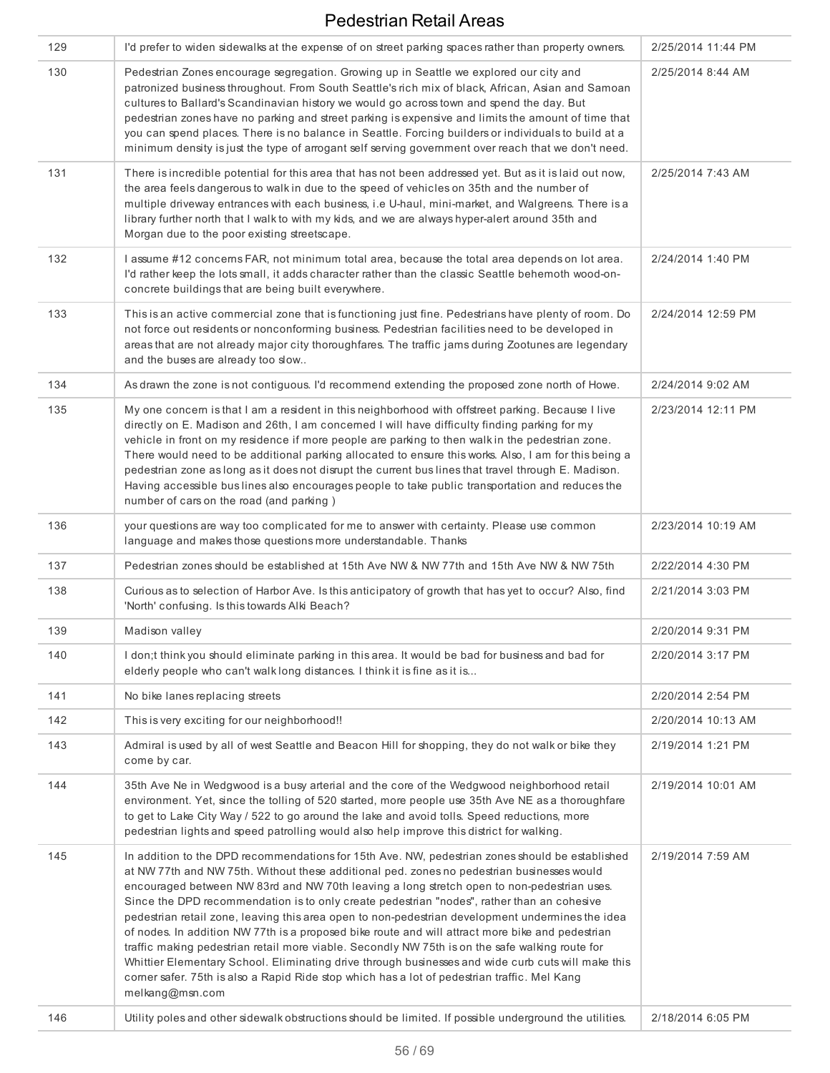| 129 | I'd prefer to widen sidewalks at the expense of on street parking spaces rather than property owners.                                                                                                                                                                                                                                                                                                                                                                                                                                                                                                                                                                                                                                                                                                                                                                                                                         | 2/25/2014 11:44 PM |
|-----|-------------------------------------------------------------------------------------------------------------------------------------------------------------------------------------------------------------------------------------------------------------------------------------------------------------------------------------------------------------------------------------------------------------------------------------------------------------------------------------------------------------------------------------------------------------------------------------------------------------------------------------------------------------------------------------------------------------------------------------------------------------------------------------------------------------------------------------------------------------------------------------------------------------------------------|--------------------|
| 130 | Pedestrian Zones encourage segregation. Growing up in Seattle we explored our city and<br>patronized business throughout. From South Seattle's rich mix of black, African, Asian and Samoan<br>cultures to Ballard's Scandinavian history we would go across town and spend the day. But<br>pedestrian zones have no parking and street parking is expensive and limits the amount of time that<br>you can spend places. There is no balance in Seattle. Forcing builders or individuals to build at a<br>minimum density is just the type of arrogant self serving government over reach that we don't need.                                                                                                                                                                                                                                                                                                                 | 2/25/2014 8:44 AM  |
| 131 | There is incredible potential for this area that has not been addressed yet. But as it is laid out now,<br>the area feels dangerous to walk in due to the speed of vehicles on 35th and the number of<br>multiple driveway entrances with each business, i.e U-haul, mini-market, and Walgreens. There is a<br>library further north that I walk to with my kids, and we are always hyper-alert around 35th and<br>Morgan due to the poor existing streetscape.                                                                                                                                                                                                                                                                                                                                                                                                                                                               | 2/25/2014 7:43 AM  |
| 132 | I assume #12 concerns FAR, not minimum total area, because the total area depends on lot area.<br>I'd rather keep the lots small, it adds character rather than the classic Seattle behemoth wood-on-<br>concrete buildings that are being built everywhere.                                                                                                                                                                                                                                                                                                                                                                                                                                                                                                                                                                                                                                                                  | 2/24/2014 1:40 PM  |
| 133 | This is an active commercial zone that is functioning just fine. Pedestrians have plenty of room. Do<br>not force out residents or nonconforming business. Pedestrian facilities need to be developed in<br>areas that are not already major city thoroughfares. The traffic jams during Zootunes are legendary<br>and the buses are already too slow                                                                                                                                                                                                                                                                                                                                                                                                                                                                                                                                                                         | 2/24/2014 12:59 PM |
| 134 | As drawn the zone is not contiguous. I'd recommend extending the proposed zone north of Howe.                                                                                                                                                                                                                                                                                                                                                                                                                                                                                                                                                                                                                                                                                                                                                                                                                                 | 2/24/2014 9:02 AM  |
| 135 | My one concern is that I am a resident in this neighborhood with offstreet parking. Because I live<br>directly on E. Madison and 26th, I am concerned I will have difficulty finding parking for my<br>vehicle in front on my residence if more people are parking to then walk in the pedestrian zone.<br>There would need to be additional parking allocated to ensure this works. Also, I am for this being a<br>pedestrian zone as long as it does not disrupt the current bus lines that travel through E. Madison.<br>Having accessible bus lines also encourages people to take public transportation and reduces the<br>number of cars on the road (and parking)                                                                                                                                                                                                                                                      | 2/23/2014 12:11 PM |
| 136 | your questions are way too complicated for me to answer with certainty. Please use common<br>language and makes those questions more understandable. Thanks                                                                                                                                                                                                                                                                                                                                                                                                                                                                                                                                                                                                                                                                                                                                                                   | 2/23/2014 10:19 AM |
| 137 | Pedestrian zones should be established at 15th Ave NW & NW 77th and 15th Ave NW & NW 75th                                                                                                                                                                                                                                                                                                                                                                                                                                                                                                                                                                                                                                                                                                                                                                                                                                     | 2/22/2014 4:30 PM  |
| 138 | Curious as to selection of Harbor Ave. Is this anticipatory of growth that has yet to occur? Also, find<br>'North' confusing. Is this towards Alki Beach?                                                                                                                                                                                                                                                                                                                                                                                                                                                                                                                                                                                                                                                                                                                                                                     | 2/21/2014 3:03 PM  |
| 139 | Madison valley                                                                                                                                                                                                                                                                                                                                                                                                                                                                                                                                                                                                                                                                                                                                                                                                                                                                                                                | 2/20/2014 9:31 PM  |
| 140 | I don;t think you should eliminate parking in this area. It would be bad for business and bad for<br>elderly people who can't walklong distances. I think it is fine as it is                                                                                                                                                                                                                                                                                                                                                                                                                                                                                                                                                                                                                                                                                                                                                 | 2/20/2014 3:17 PM  |
| 141 | No bike lanes replacing streets                                                                                                                                                                                                                                                                                                                                                                                                                                                                                                                                                                                                                                                                                                                                                                                                                                                                                               | 2/20/2014 2:54 PM  |
| 142 | This is very exciting for our neighborhood!!                                                                                                                                                                                                                                                                                                                                                                                                                                                                                                                                                                                                                                                                                                                                                                                                                                                                                  | 2/20/2014 10:13 AM |
| 143 | Admiral is used by all of west Seattle and Beacon Hill for shopping, they do not walk or bike they<br>come by car.                                                                                                                                                                                                                                                                                                                                                                                                                                                                                                                                                                                                                                                                                                                                                                                                            | 2/19/2014 1:21 PM  |
| 144 | 35th Ave Ne in Wedgwood is a busy arterial and the core of the Wedgwood neighborhood retail<br>environment. Yet, since the tolling of 520 started, more people use 35th Ave NE as a thoroughfare<br>to get to Lake City Way / 522 to go around the lake and avoid tolls. Speed reductions, more<br>pedestrian lights and speed patrolling would also help improve this district for walking.                                                                                                                                                                                                                                                                                                                                                                                                                                                                                                                                  | 2/19/2014 10:01 AM |
| 145 | In addition to the DPD recommendations for 15th Ave. NW, pedestrian zones should be established<br>at NW 77th and NW 75th. Without these additional ped. zones no pedestrian businesses would<br>encouraged between NW 83rd and NW 70th leaving a long stretch open to non-pedestrian uses.<br>Since the DPD recommendation is to only create pedestrian "nodes", rather than an cohesive<br>pedestrian retail zone, leaving this area open to non-pedestrian development undermines the idea<br>of nodes. In addition NW 77th is a proposed bike route and will attract more bike and pedestrian<br>traffic making pedestrian retail more viable. Secondly NW 75th is on the safe walking route for<br>Whittier Elementary School. Eliminating drive through businesses and wide curb cuts will make this<br>corner safer. 75th is also a Rapid Ride stop which has a lot of pedestrian traffic. Mel Kang<br>melkang@msn.com | 2/19/2014 7:59 AM  |
| 146 | Utility poles and other sidewalk obstructions should be limited. If possible underground the utilities.                                                                                                                                                                                                                                                                                                                                                                                                                                                                                                                                                                                                                                                                                                                                                                                                                       | 2/18/2014 6:05 PM  |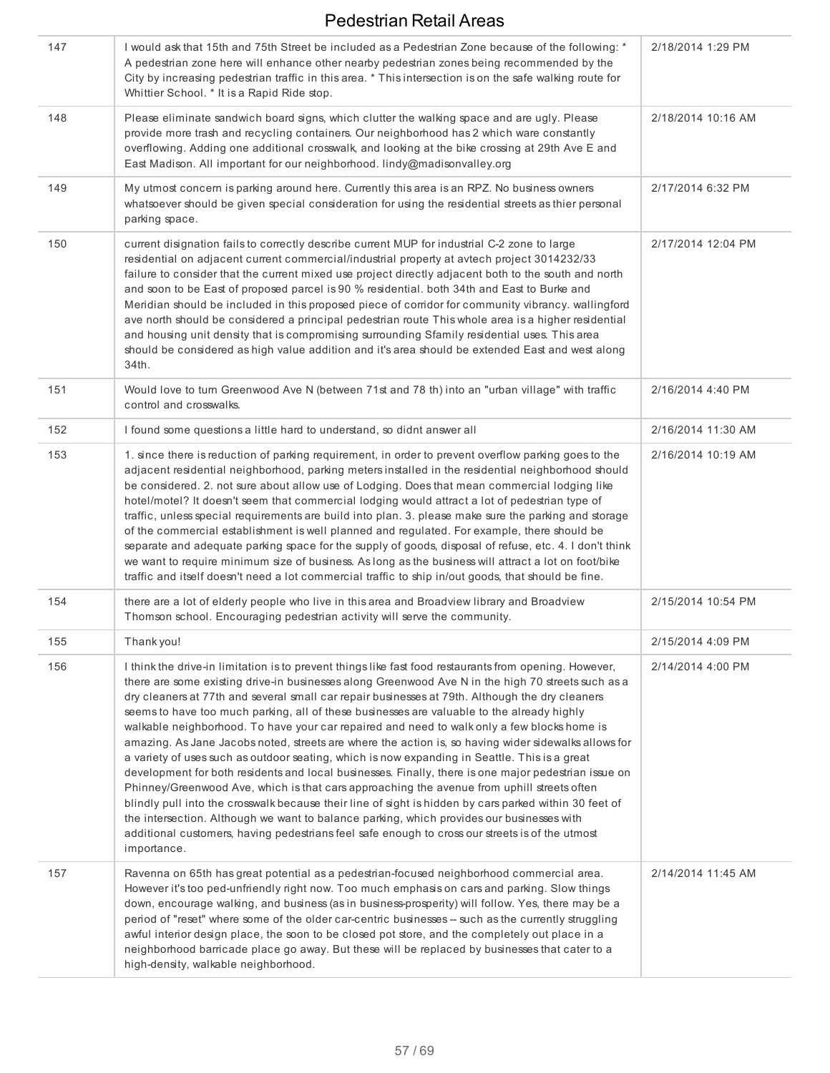| 147 | I would ask that 15th and 75th Street be included as a Pedestrian Zone because of the following: *<br>A pedestrian zone here will enhance other nearby pedestrian zones being recommended by the<br>City by increasing pedestrian traffic in this area. * This intersection is on the safe walking route for<br>Whittier School. * It is a Rapid Ride stop.                                                                                                                                                                                                                                                                                                                                                                                                                                                                                                                                                                                                                                                                                                                                                                                                                                                                                          | 2/18/2014 1:29 PM  |
|-----|------------------------------------------------------------------------------------------------------------------------------------------------------------------------------------------------------------------------------------------------------------------------------------------------------------------------------------------------------------------------------------------------------------------------------------------------------------------------------------------------------------------------------------------------------------------------------------------------------------------------------------------------------------------------------------------------------------------------------------------------------------------------------------------------------------------------------------------------------------------------------------------------------------------------------------------------------------------------------------------------------------------------------------------------------------------------------------------------------------------------------------------------------------------------------------------------------------------------------------------------------|--------------------|
| 148 | Please eliminate sandwich board signs, which clutter the walking space and are ugly. Please<br>provide more trash and recycling containers. Our neighborhood has 2 which ware constantly<br>overflowing. Adding one additional crosswalk, and looking at the bike crossing at 29th Ave E and<br>East Madison. All important for our neighborhood. lindy@madisonvalley.org                                                                                                                                                                                                                                                                                                                                                                                                                                                                                                                                                                                                                                                                                                                                                                                                                                                                            | 2/18/2014 10:16 AM |
| 149 | My utmost concern is parking around here. Currently this area is an RPZ. No business owners<br>whatsoever should be given special consideration for using the residential streets as thier personal<br>parking space.                                                                                                                                                                                                                                                                                                                                                                                                                                                                                                                                                                                                                                                                                                                                                                                                                                                                                                                                                                                                                                | 2/17/2014 6:32 PM  |
| 150 | current disignation fails to correctly describe current MUP for industrial C-2 zone to large<br>residential on adjacent current commercial/industrial property at avtech project 3014232/33<br>failure to consider that the current mixed use project directly adjacent both to the south and north<br>and soon to be East of proposed parcel is 90 % residential. both 34th and East to Burke and<br>Meridian should be included in this proposed piece of corridor for community vibrancy. wallingford<br>ave north should be considered a principal pedestrian route This whole area is a higher residential<br>and housing unit density that is compromising surrounding Sfamily residential uses. This area<br>should be considered as high value addition and it's area should be extended East and west along<br>34th.                                                                                                                                                                                                                                                                                                                                                                                                                        | 2/17/2014 12:04 PM |
| 151 | Would love to turn Greenwood Ave N (between 71st and 78 th) into an "urban village" with traffic<br>control and crosswalks.                                                                                                                                                                                                                                                                                                                                                                                                                                                                                                                                                                                                                                                                                                                                                                                                                                                                                                                                                                                                                                                                                                                          | 2/16/2014 4:40 PM  |
| 152 | I found some questions a little hard to understand, so didnt answer all                                                                                                                                                                                                                                                                                                                                                                                                                                                                                                                                                                                                                                                                                                                                                                                                                                                                                                                                                                                                                                                                                                                                                                              | 2/16/2014 11:30 AM |
| 153 | 1. since there is reduction of parking requirement, in order to prevent overflow parking goes to the<br>adjacent residential neighborhood, parking meters installed in the residential neighborhood should<br>be considered. 2. not sure about allow use of Lodging. Does that mean commercial lodging like<br>hotel/motel? It doesn't seem that commercial lodging would attract a lot of pedestrian type of<br>traffic, unless special requirements are build into plan. 3. please make sure the parking and storage<br>of the commercial establishment is well planned and regulated. For example, there should be<br>separate and adequate parking space for the supply of goods, disposal of refuse, etc. 4. I don't think<br>we want to require minimum size of business. As long as the business will attract a lot on foot/bike<br>traffic and itself doesn't need a lot commercial traffic to ship in/out goods, that should be fine.                                                                                                                                                                                                                                                                                                       | 2/16/2014 10:19 AM |
| 154 | there are a lot of elderly people who live in this area and Broadview library and Broadview<br>Thomson school. Encouraging pedestrian activity will serve the community.                                                                                                                                                                                                                                                                                                                                                                                                                                                                                                                                                                                                                                                                                                                                                                                                                                                                                                                                                                                                                                                                             | 2/15/2014 10:54 PM |
| 155 | Thank you!                                                                                                                                                                                                                                                                                                                                                                                                                                                                                                                                                                                                                                                                                                                                                                                                                                                                                                                                                                                                                                                                                                                                                                                                                                           | 2/15/2014 4:09 PM  |
| 156 | I think the drive-in limitation is to prevent things like fast food restaurants from opening. However,<br>there are some existing drive-in businesses along Greenwood Ave N in the high 70 streets such as a<br>dry cleaners at 77th and several small car repair businesses at 79th. Although the dry cleaners<br>seems to have too much parking, all of these businesses are valuable to the already highly<br>walkable neighborhood. To have your car repaired and need to walk only a few blocks home is<br>amazing. As Jane Jacobs noted, streets are where the action is, so having wider sidewalks allows for<br>a variety of uses such as outdoor seating, which is now expanding in Seattle. This is a great<br>development for both residents and local businesses. Finally, there is one major pedestrian issue on<br>Phinney/Greenwood Ave, which is that cars approaching the avenue from uphill streets often<br>blindly pull into the crosswalk because their line of sight is hidden by cars parked within 30 feet of<br>the intersection. Although we want to balance parking, which provides our businesses with<br>additional customers, having pedestrians feel safe enough to cross our streets is of the utmost<br>importance. | 2/14/2014 4:00 PM  |
| 157 | Ravenna on 65th has great potential as a pedestrian-focused neighborhood commercial area.<br>However it's too ped-unfriendly right now. Too much emphasis on cars and parking. Slow things<br>down, encourage walking, and business (as in business-prosperity) will follow. Yes, there may be a<br>period of "reset" where some of the older car-centric businesses -- such as the currently struggling<br>awful interior design place, the soon to be closed pot store, and the completely out place in a<br>neighborhood barricade place go away. But these will be replaced by businesses that cater to a<br>high-density, walkable neighborhood.                                                                                                                                                                                                                                                                                                                                                                                                                                                                                                                                                                                                | 2/14/2014 11:45 AM |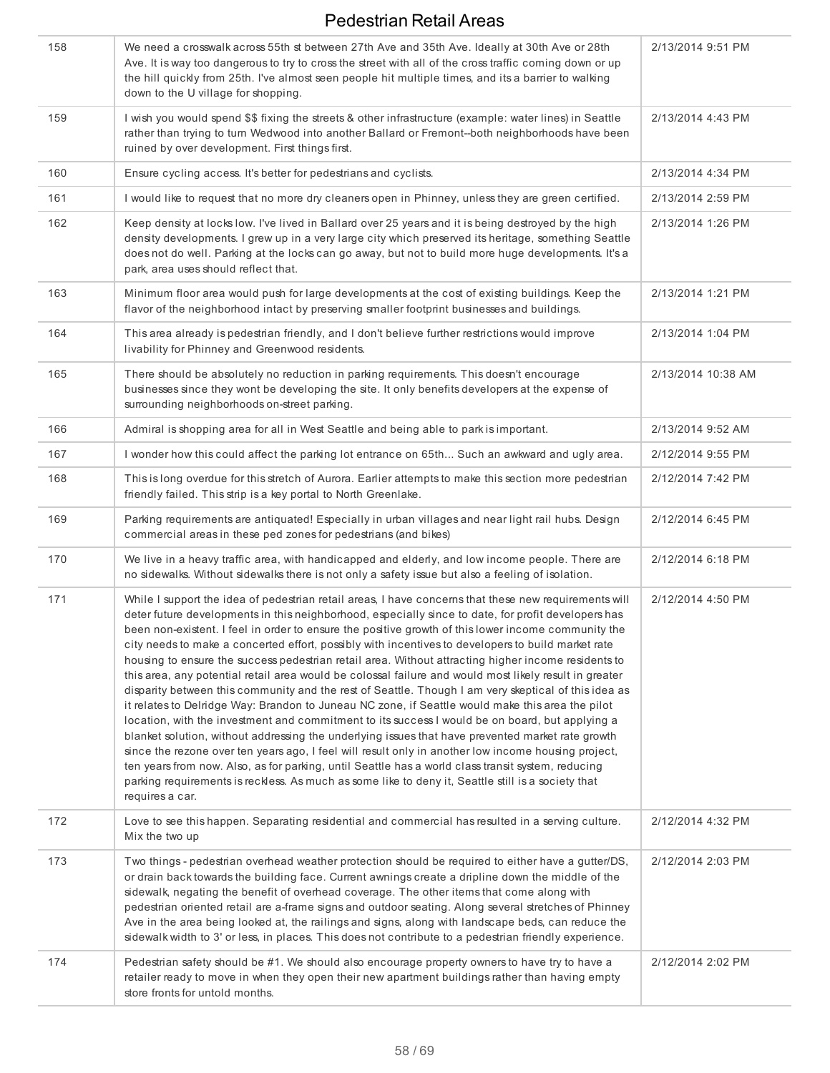| 158 | We need a crosswalk across 55th st between 27th Ave and 35th Ave. Ideally at 30th Ave or 28th<br>Ave. It is way too dangerous to try to cross the street with all of the cross traffic coming down or up<br>the hill quickly from 25th. I've almost seen people hit multiple times, and its a barrier to walking<br>down to the U village for shopping.                                                                                                                                                                                                                                                                                                                                                                                                                                                                                                                                                                                                                                                                                                                                                                                                                                                                                                                                                                                                                                              | 2/13/2014 9:51 PM  |
|-----|------------------------------------------------------------------------------------------------------------------------------------------------------------------------------------------------------------------------------------------------------------------------------------------------------------------------------------------------------------------------------------------------------------------------------------------------------------------------------------------------------------------------------------------------------------------------------------------------------------------------------------------------------------------------------------------------------------------------------------------------------------------------------------------------------------------------------------------------------------------------------------------------------------------------------------------------------------------------------------------------------------------------------------------------------------------------------------------------------------------------------------------------------------------------------------------------------------------------------------------------------------------------------------------------------------------------------------------------------------------------------------------------------|--------------------|
| 159 | I wish you would spend \$\$ fixing the streets & other infrastructure (example: water lines) in Seattle<br>rather than trying to turn Wedwood into another Ballard or Fremont--both neighborhoods have been<br>ruined by over development. First things first.                                                                                                                                                                                                                                                                                                                                                                                                                                                                                                                                                                                                                                                                                                                                                                                                                                                                                                                                                                                                                                                                                                                                       | 2/13/2014 4:43 PM  |
| 160 | Ensure cycling access. It's better for pedestrians and cyclists.                                                                                                                                                                                                                                                                                                                                                                                                                                                                                                                                                                                                                                                                                                                                                                                                                                                                                                                                                                                                                                                                                                                                                                                                                                                                                                                                     | 2/13/2014 4:34 PM  |
| 161 | I would like to request that no more dry cleaners open in Phinney, unless they are green certified.                                                                                                                                                                                                                                                                                                                                                                                                                                                                                                                                                                                                                                                                                                                                                                                                                                                                                                                                                                                                                                                                                                                                                                                                                                                                                                  | 2/13/2014 2:59 PM  |
| 162 | Keep density at locks low. I've lived in Ballard over 25 years and it is being destroyed by the high<br>density developments. I grew up in a very large city which preserved its heritage, something Seattle<br>does not do well. Parking at the locks can go away, but not to build more huge developments. It's a<br>park, area uses should reflect that.                                                                                                                                                                                                                                                                                                                                                                                                                                                                                                                                                                                                                                                                                                                                                                                                                                                                                                                                                                                                                                          | 2/13/2014 1:26 PM  |
| 163 | Minimum floor area would push for large developments at the cost of existing buildings. Keep the<br>flavor of the neighborhood intact by preserving smaller footprint businesses and buildings.                                                                                                                                                                                                                                                                                                                                                                                                                                                                                                                                                                                                                                                                                                                                                                                                                                                                                                                                                                                                                                                                                                                                                                                                      | 2/13/2014 1:21 PM  |
| 164 | This area already is pedestrian friendly, and I don't believe further restrictions would improve<br>livability for Phinney and Greenwood residents.                                                                                                                                                                                                                                                                                                                                                                                                                                                                                                                                                                                                                                                                                                                                                                                                                                                                                                                                                                                                                                                                                                                                                                                                                                                  | 2/13/2014 1:04 PM  |
| 165 | There should be absolutely no reduction in parking requirements. This doesn't encourage<br>businesses since they wont be developing the site. It only benefits developers at the expense of<br>surrounding neighborhoods on-street parking.                                                                                                                                                                                                                                                                                                                                                                                                                                                                                                                                                                                                                                                                                                                                                                                                                                                                                                                                                                                                                                                                                                                                                          | 2/13/2014 10:38 AM |
| 166 | Admiral is shopping area for all in West Seattle and being able to park is important.                                                                                                                                                                                                                                                                                                                                                                                                                                                                                                                                                                                                                                                                                                                                                                                                                                                                                                                                                                                                                                                                                                                                                                                                                                                                                                                | 2/13/2014 9:52 AM  |
| 167 | I wonder how this could affect the parking lot entrance on 65th Such an awkward and ugly area.                                                                                                                                                                                                                                                                                                                                                                                                                                                                                                                                                                                                                                                                                                                                                                                                                                                                                                                                                                                                                                                                                                                                                                                                                                                                                                       | 2/12/2014 9:55 PM  |
| 168 | This is long overdue for this stretch of Aurora. Earlier attempts to make this section more pedestrian<br>friendly failed. This strip is a key portal to North Greenlake.                                                                                                                                                                                                                                                                                                                                                                                                                                                                                                                                                                                                                                                                                                                                                                                                                                                                                                                                                                                                                                                                                                                                                                                                                            | 2/12/2014 7:42 PM  |
| 169 | Parking requirements are antiquated! Especially in urban villages and near light rail hubs. Design<br>commercial areas in these ped zones for pedestrians (and bikes)                                                                                                                                                                                                                                                                                                                                                                                                                                                                                                                                                                                                                                                                                                                                                                                                                                                                                                                                                                                                                                                                                                                                                                                                                                | 2/12/2014 6:45 PM  |
| 170 | We live in a heavy traffic area, with handicapped and elderly, and low income people. There are<br>no sidewalks. Without sidewalks there is not only a safety issue but also a feeling of isolation.                                                                                                                                                                                                                                                                                                                                                                                                                                                                                                                                                                                                                                                                                                                                                                                                                                                                                                                                                                                                                                                                                                                                                                                                 | 2/12/2014 6:18 PM  |
| 171 | While I support the idea of pedestrian retail areas, I have concerns that these new requirements will<br>deter future developments in this neighborhood, especially since to date, for profit developers has<br>been non-existent. I feel in order to ensure the positive growth of this lower income community the<br>city needs to make a concerted effort, possibly with incentives to developers to build market rate<br>housing to ensure the success pedestrian retail area. Without attracting higher income residents to<br>this area, any potential retail area would be colossal failure and would most likely result in greater<br>disparity between this community and the rest of Seattle. Though I am very skeptical of this idea as<br>it relates to Delridge Way: Brandon to Juneau NC zone, if Seattle would make this area the pilot<br>location, with the investment and commitment to its success I would be on board, but applying a<br>blanket solution, without addressing the underlying issues that have prevented market rate growth<br>since the rezone over ten years ago, I feel will result only in another low income housing project,<br>ten years from now. Also, as for parking, until Seattle has a world class transit system, reducing<br>parking requirements is reckless. As much as some like to deny it, Seattle still is a society that<br>requires a car. | 2/12/2014 4:50 PM  |
| 172 | Love to see this happen. Separating residential and commercial has resulted in a serving culture.<br>Mix the two up                                                                                                                                                                                                                                                                                                                                                                                                                                                                                                                                                                                                                                                                                                                                                                                                                                                                                                                                                                                                                                                                                                                                                                                                                                                                                  | 2/12/2014 4:32 PM  |
| 173 | Two things - pedestrian overhead weather protection should be required to either have a gutter/DS,<br>or drain back towards the building face. Current awnings create a dripline down the middle of the<br>sidewalk, negating the benefit of overhead coverage. The other items that come along with<br>pedestrian oriented retail are a-frame signs and outdoor seating. Along several stretches of Phinney<br>Ave in the area being looked at, the railings and signs, along with landscape beds, can reduce the<br>sidewalk width to 3' or less, in places. This does not contribute to a pedestrian friendly experience.                                                                                                                                                                                                                                                                                                                                                                                                                                                                                                                                                                                                                                                                                                                                                                         | 2/12/2014 2:03 PM  |
| 174 | Pedestrian safety should be #1. We should also encourage property owners to have try to have a<br>retailer ready to move in when they open their new apartment buildings rather than having empty<br>store fronts for untold months.                                                                                                                                                                                                                                                                                                                                                                                                                                                                                                                                                                                                                                                                                                                                                                                                                                                                                                                                                                                                                                                                                                                                                                 | 2/12/2014 2:02 PM  |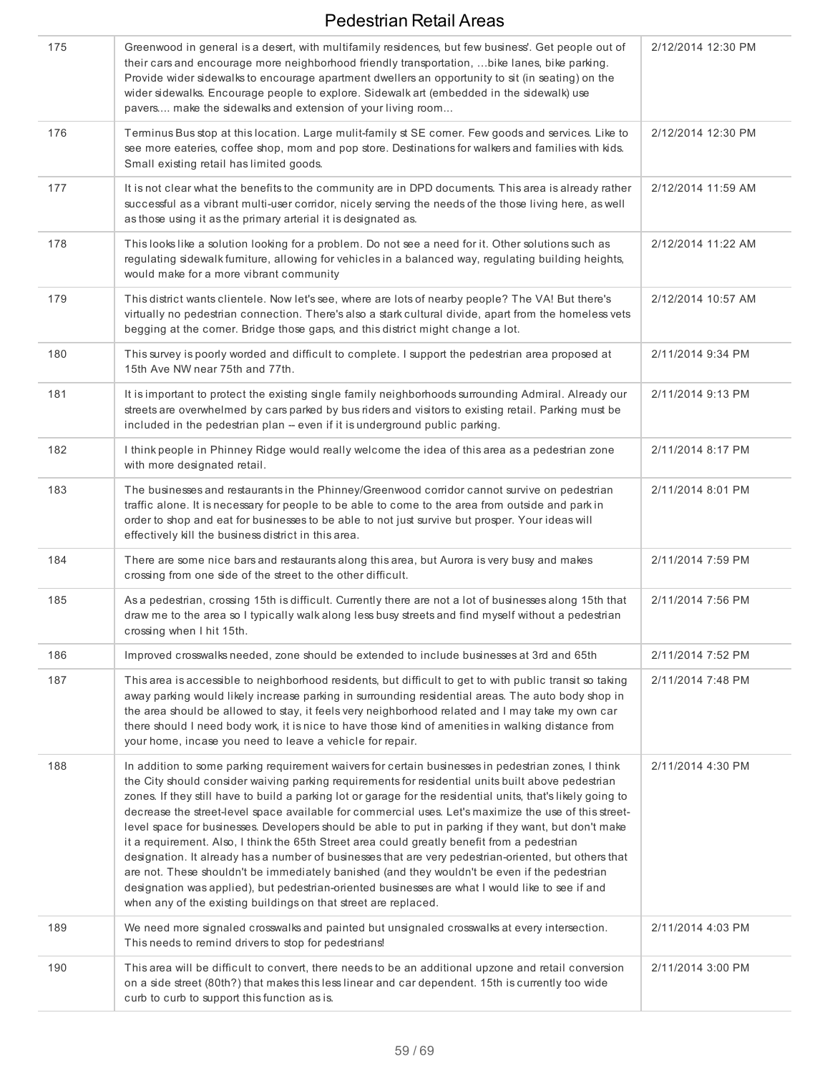| 175 | Greenwood in general is a desert, with multifamily residences, but few business'. Get people out of<br>their cars and encourage more neighborhood friendly transportation,  bike lanes, bike parking.<br>Provide wider sidewalks to encourage apartment dwellers an opportunity to sit (in seating) on the<br>wider sidewalks. Encourage people to explore. Sidewalk art (embedded in the sidewalk) use<br>pavers make the sidewalks and extension of your living room                                                                                                                                                                                                                                                                                                                                                                                                                                                                                                                                                      | 2/12/2014 12:30 PM |
|-----|-----------------------------------------------------------------------------------------------------------------------------------------------------------------------------------------------------------------------------------------------------------------------------------------------------------------------------------------------------------------------------------------------------------------------------------------------------------------------------------------------------------------------------------------------------------------------------------------------------------------------------------------------------------------------------------------------------------------------------------------------------------------------------------------------------------------------------------------------------------------------------------------------------------------------------------------------------------------------------------------------------------------------------|--------------------|
| 176 | Terminus Bus stop at this location. Large mulit-family st SE corner. Few goods and services. Like to<br>see more eateries, coffee shop, mom and pop store. Destinations for walkers and families with kids.<br>Small existing retail has limited goods.                                                                                                                                                                                                                                                                                                                                                                                                                                                                                                                                                                                                                                                                                                                                                                     | 2/12/2014 12:30 PM |
| 177 | It is not clear what the benefits to the community are in DPD documents. This area is already rather<br>successful as a vibrant multi-user corridor, nicely serving the needs of the those living here, as well<br>as those using it as the primary arterial it is designated as.                                                                                                                                                                                                                                                                                                                                                                                                                                                                                                                                                                                                                                                                                                                                           | 2/12/2014 11:59 AM |
| 178 | This looks like a solution looking for a problem. Do not see a need for it. Other solutions such as<br>regulating sidewalk furniture, allowing for vehicles in a balanced way, regulating building heights,<br>would make for a more vibrant community                                                                                                                                                                                                                                                                                                                                                                                                                                                                                                                                                                                                                                                                                                                                                                      | 2/12/2014 11:22 AM |
| 179 | This district wants clientele. Now let's see, where are lots of nearby people? The VA! But there's<br>virtually no pedestrian connection. There's also a stark cultural divide, apart from the homeless vets<br>begging at the corner. Bridge those gaps, and this district might change a lot.                                                                                                                                                                                                                                                                                                                                                                                                                                                                                                                                                                                                                                                                                                                             | 2/12/2014 10:57 AM |
| 180 | This survey is poorly worded and difficult to complete. I support the pedestrian area proposed at<br>15th Ave NW near 75th and 77th.                                                                                                                                                                                                                                                                                                                                                                                                                                                                                                                                                                                                                                                                                                                                                                                                                                                                                        | 2/11/2014 9:34 PM  |
| 181 | It is important to protect the existing single family neighborhoods surrounding Admiral. Already our<br>streets are overwhelmed by cars parked by bus riders and visitors to existing retail. Parking must be<br>included in the pedestrian plan - even if it is underground public parking.                                                                                                                                                                                                                                                                                                                                                                                                                                                                                                                                                                                                                                                                                                                                | 2/11/2014 9:13 PM  |
| 182 | I think people in Phinney Ridge would really welcome the idea of this area as a pedestrian zone<br>with more designated retail.                                                                                                                                                                                                                                                                                                                                                                                                                                                                                                                                                                                                                                                                                                                                                                                                                                                                                             | 2/11/2014 8:17 PM  |
| 183 | The businesses and restaurants in the Phinney/Greenwood corridor cannot survive on pedestrian<br>traffic alone. It is necessary for people to be able to come to the area from outside and park in<br>order to shop and eat for businesses to be able to not just survive but prosper. Your ideas will<br>effectively kill the business district in this area.                                                                                                                                                                                                                                                                                                                                                                                                                                                                                                                                                                                                                                                              | 2/11/2014 8:01 PM  |
| 184 | There are some nice bars and restaurants along this area, but Aurora is very busy and makes<br>crossing from one side of the street to the other difficult.                                                                                                                                                                                                                                                                                                                                                                                                                                                                                                                                                                                                                                                                                                                                                                                                                                                                 | 2/11/2014 7:59 PM  |
| 185 | As a pedestrian, crossing 15th is difficult. Currently there are not a lot of businesses along 15th that<br>draw me to the area so I typically walk along less busy streets and find myself without a pedestrian<br>crossing when I hit 15th.                                                                                                                                                                                                                                                                                                                                                                                                                                                                                                                                                                                                                                                                                                                                                                               | 2/11/2014 7:56 PM  |
| 186 | Improved crosswalks needed, zone should be extended to include businesses at 3rd and 65th                                                                                                                                                                                                                                                                                                                                                                                                                                                                                                                                                                                                                                                                                                                                                                                                                                                                                                                                   | 2/11/2014 7:52 PM  |
| 187 | This area is accessible to neighborhood residents, but difficult to get to with public transit so taking<br>away parking would likely increase parking in surrounding residential areas. The auto body shop in<br>the area should be allowed to stay, it feels very neighborhood related and I may take my own car<br>there should I need body work, it is nice to have those kind of amenities in walking distance from<br>your home, incase you need to leave a vehicle for repair.                                                                                                                                                                                                                                                                                                                                                                                                                                                                                                                                       | 2/11/2014 7:48 PM  |
| 188 | In addition to some parking requirement waivers for certain businesses in pedestrian zones, I think<br>the City should consider waiving parking requirements for residential units built above pedestrian<br>zones. If they still have to build a parking lot or garage for the residential units, that's likely going to<br>decrease the street-level space available for commercial uses. Let's maximize the use of this street-<br>level space for businesses. Developers should be able to put in parking if they want, but don't make<br>it a requirement. Also, I think the 65th Street area could greatly benefit from a pedestrian<br>designation. It already has a number of businesses that are very pedestrian-oriented, but others that<br>are not. These shouldn't be immediately banished (and they wouldn't be even if the pedestrian<br>designation was applied), but pedestrian-oriented businesses are what I would like to see if and<br>when any of the existing buildings on that street are replaced. | 2/11/2014 4:30 PM  |
| 189 | We need more signaled crosswalks and painted but unsignaled crosswalks at every intersection.<br>This needs to remind drivers to stop for pedestrians!                                                                                                                                                                                                                                                                                                                                                                                                                                                                                                                                                                                                                                                                                                                                                                                                                                                                      | 2/11/2014 4:03 PM  |
| 190 | This area will be difficult to convert, there needs to be an additional upzone and retail conversion<br>on a side street (80th?) that makes this less linear and car dependent. 15th is currently too wide<br>curb to curb to support this function as is.                                                                                                                                                                                                                                                                                                                                                                                                                                                                                                                                                                                                                                                                                                                                                                  | 2/11/2014 3:00 PM  |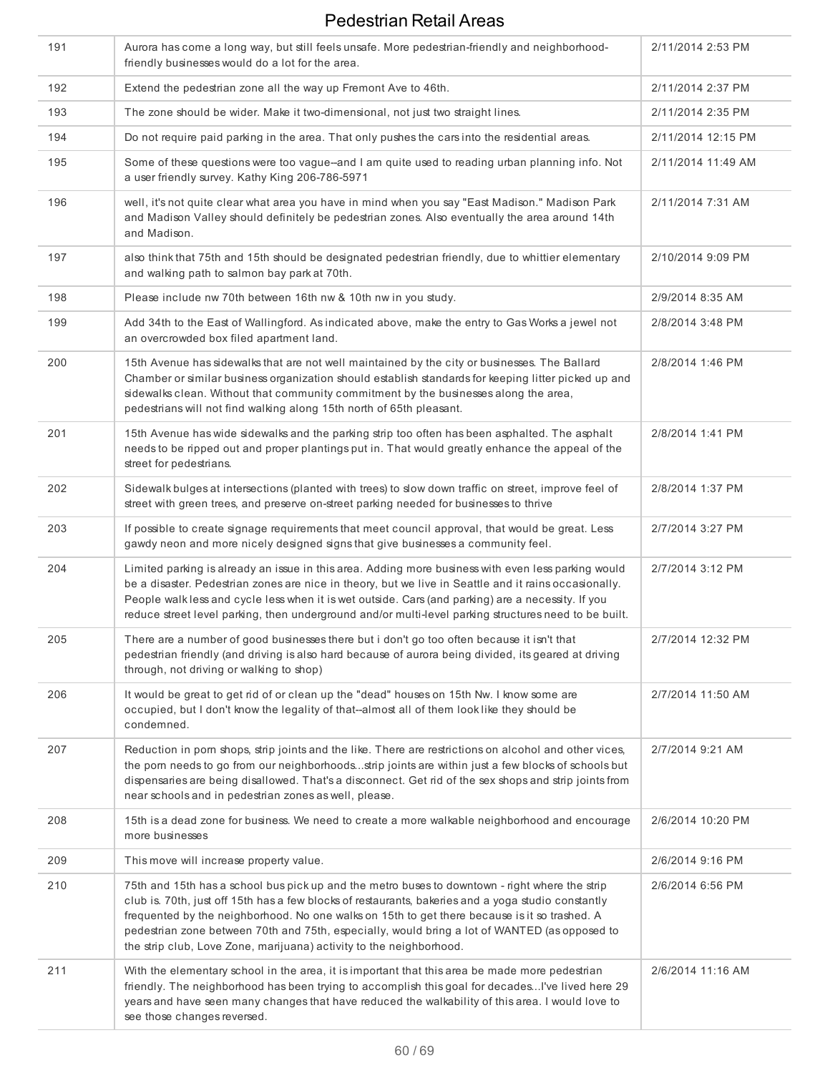| 191 | Aurora has come a long way, but still feels unsafe. More pedestrian-friendly and neighborhood-<br>friendly businesses would do a lot for the area.                                                                                                                                                                                                                                                                                                                             | 2/11/2014 2:53 PM  |
|-----|--------------------------------------------------------------------------------------------------------------------------------------------------------------------------------------------------------------------------------------------------------------------------------------------------------------------------------------------------------------------------------------------------------------------------------------------------------------------------------|--------------------|
| 192 | Extend the pedestrian zone all the way up Fremont Ave to 46th.                                                                                                                                                                                                                                                                                                                                                                                                                 | 2/11/2014 2:37 PM  |
| 193 | The zone should be wider. Make it two-dimensional, not just two straight lines.                                                                                                                                                                                                                                                                                                                                                                                                | 2/11/2014 2:35 PM  |
| 194 | Do not require paid parking in the area. That only pushes the cars into the residential areas.                                                                                                                                                                                                                                                                                                                                                                                 | 2/11/2014 12:15 PM |
| 195 | Some of these questions were too vague-and I am quite used to reading urban planning info. Not<br>a user friendly survey. Kathy King 206-786-5971                                                                                                                                                                                                                                                                                                                              | 2/11/2014 11:49 AM |
| 196 | well, it's not quite clear what area you have in mind when you say "East Madison." Madison Park<br>and Madison Valley should definitely be pedestrian zones. Also eventually the area around 14th<br>and Madison.                                                                                                                                                                                                                                                              | 2/11/2014 7:31 AM  |
| 197 | also think that 75th and 15th should be designated pedestrian friendly, due to whittier elementary<br>and walking path to salmon bay park at 70th.                                                                                                                                                                                                                                                                                                                             | 2/10/2014 9:09 PM  |
| 198 | Please include nw 70th between 16th nw & 10th nw in you study.                                                                                                                                                                                                                                                                                                                                                                                                                 | 2/9/2014 8:35 AM   |
| 199 | Add 34th to the East of Wallingford. As indicated above, make the entry to Gas Works a jewel not<br>an overcrowded box filed apartment land.                                                                                                                                                                                                                                                                                                                                   | 2/8/2014 3:48 PM   |
| 200 | 15th Avenue has sidewalks that are not well maintained by the city or businesses. The Ballard<br>Chamber or similar business organization should establish standards for keeping litter picked up and<br>sidewalks clean. Without that community commitment by the businesses along the area,<br>pedestrians will not find walking along 15th north of 65th pleasant.                                                                                                          | 2/8/2014 1:46 PM   |
| 201 | 15th Avenue has wide sidewalks and the parking strip too often has been asphalted. The asphalt<br>needs to be ripped out and proper plantings put in. That would greatly enhance the appeal of the<br>street for pedestrians.                                                                                                                                                                                                                                                  | 2/8/2014 1:41 PM   |
| 202 | Sidewalk bulges at intersections (planted with trees) to slow down traffic on street, improve feel of<br>street with green trees, and preserve on-street parking needed for businesses to thrive                                                                                                                                                                                                                                                                               | 2/8/2014 1:37 PM   |
| 203 | If possible to create signage requirements that meet council approval, that would be great. Less<br>gawdy neon and more nicely designed signs that give businesses a community feel.                                                                                                                                                                                                                                                                                           | 2/7/2014 3:27 PM   |
| 204 | Limited parking is already an issue in this area. Adding more business with even less parking would<br>be a disaster. Pedestrian zones are nice in theory, but we live in Seattle and it rains occasionally.<br>People walk less and cycle less when it is wet outside. Cars (and parking) are a necessity. If you<br>reduce street level parking, then underground and/or multi-level parking structures need to be built.                                                    | 2/7/2014 3:12 PM   |
| 205 | There are a number of good businesses there but i don't go too often because it isn't that<br>pedestrian friendly (and driving is also hard because of aurora being divided, its geared at driving<br>through, not driving or walking to shop)                                                                                                                                                                                                                                 | 2/7/2014 12:32 PM  |
| 206 | It would be great to get rid of or clean up the "dead" houses on 15th Nw. I know some are<br>occupied, but I don't know the legality of that--almost all of them look like they should be<br>condemned.                                                                                                                                                                                                                                                                        | 2/7/2014 11:50 AM  |
| 207 | Reduction in porn shops, strip joints and the like. There are restrictions on alcohol and other vices,<br>the porn needs to go from our neighborhoodsstrip joints are within just a few blocks of schools but<br>dispensaries are being disallowed. That's a disconnect. Get rid of the sex shops and strip joints from<br>near schools and in pedestrian zones as well, please.                                                                                               | 2/7/2014 9:21 AM   |
| 208 | 15th is a dead zone for business. We need to create a more walkable neighborhood and encourage<br>more businesses                                                                                                                                                                                                                                                                                                                                                              | 2/6/2014 10:20 PM  |
| 209 | This move will increase property value.                                                                                                                                                                                                                                                                                                                                                                                                                                        | 2/6/2014 9:16 PM   |
| 210 | 75th and 15th has a school bus pick up and the metro buses to downtown - right where the strip<br>club is. 70th, just off 15th has a few blocks of restaurants, bakeries and a yoga studio constantly<br>frequented by the neighborhood. No one walks on 15th to get there because is it so trashed. A<br>pedestrian zone between 70th and 75th, especially, would bring a lot of WANTED (as opposed to<br>the strip club, Love Zone, marijuana) activity to the neighborhood. | 2/6/2014 6:56 PM   |
| 211 | With the elementary school in the area, it is important that this area be made more pedestrian<br>friendly. The neighborhood has been trying to accomplish this goal for decadesI've lived here 29<br>years and have seen many changes that have reduced the walkability of this area. I would love to<br>see those changes reversed.                                                                                                                                          | 2/6/2014 11:16 AM  |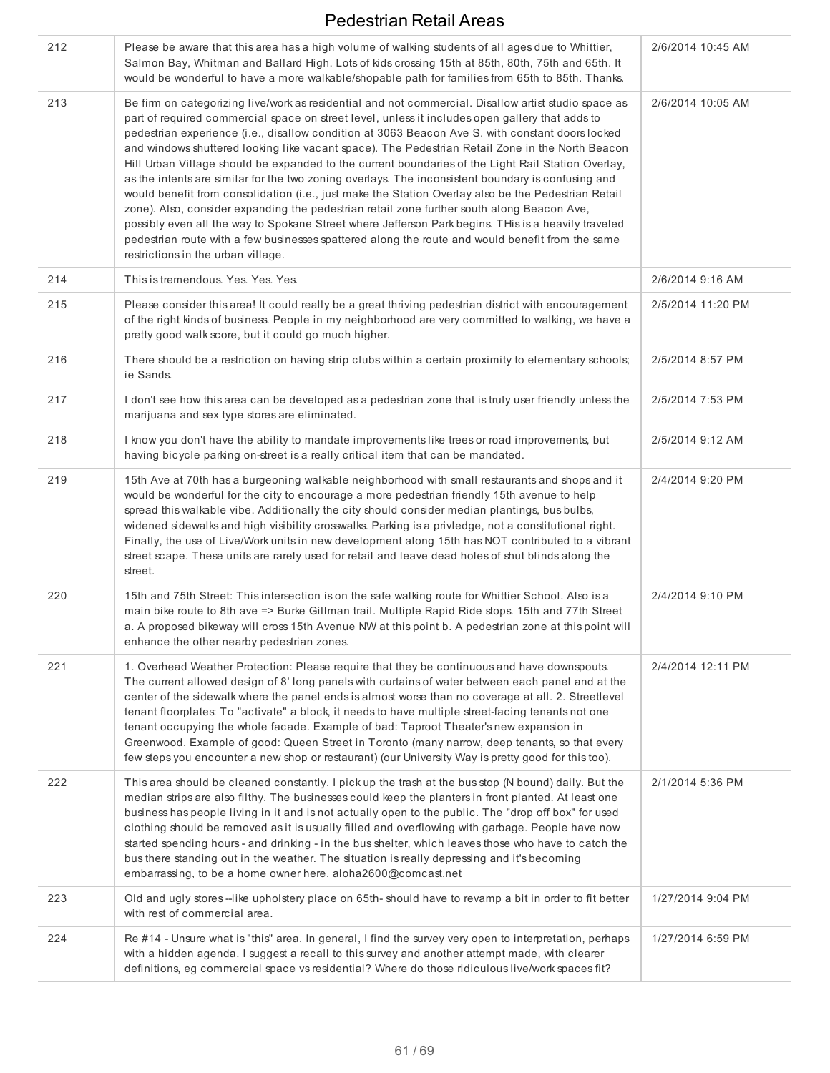| 212 | Please be aware that this area has a high volume of walking students of all ages due to Whittier,<br>Salmon Bay, Whitman and Ballard High. Lots of kids crossing 15th at 85th, 80th, 75th and 65th. It<br>would be wonderful to have a more walkable/shopable path for families from 65th to 85th. Thanks.                                                                                                                                                                                                                                                                                                                                                                                                                                                                                                                                                                                                                                                                                                                                                                        | 2/6/2014 10:45 AM |
|-----|-----------------------------------------------------------------------------------------------------------------------------------------------------------------------------------------------------------------------------------------------------------------------------------------------------------------------------------------------------------------------------------------------------------------------------------------------------------------------------------------------------------------------------------------------------------------------------------------------------------------------------------------------------------------------------------------------------------------------------------------------------------------------------------------------------------------------------------------------------------------------------------------------------------------------------------------------------------------------------------------------------------------------------------------------------------------------------------|-------------------|
| 213 | Be firm on categorizing live/work as residential and not commercial. Disallow artist studio space as<br>part of required commercial space on street level, unless it includes open gallery that adds to<br>pedestrian experience (i.e., disallow condition at 3063 Beacon Ave S. with constant doors locked<br>and windows shuttered looking like vacant space). The Pedestrian Retail Zone in the North Beacon<br>Hill Urban Village should be expanded to the current boundaries of the Light Rail Station Overlay,<br>as the intents are similar for the two zoning overlays. The inconsistent boundary is confusing and<br>would benefit from consolidation (i.e., just make the Station Overlay also be the Pedestrian Retail<br>zone). Also, consider expanding the pedestrian retail zone further south along Beacon Ave,<br>possibly even all the way to Spokane Street where Jefferson Park begins. This is a heavily traveled<br>pedestrian route with a few businesses spattered along the route and would benefit from the same<br>restrictions in the urban village. | 2/6/2014 10:05 AM |
| 214 | This is tremendous. Yes. Yes. Yes.                                                                                                                                                                                                                                                                                                                                                                                                                                                                                                                                                                                                                                                                                                                                                                                                                                                                                                                                                                                                                                                | 2/6/2014 9:16 AM  |
| 215 | Please consider this area! It could really be a great thriving pedestrian district with encouragement<br>of the right kinds of business. People in my neighborhood are very committed to walking, we have a<br>pretty good walk score, but it could go much higher.                                                                                                                                                                                                                                                                                                                                                                                                                                                                                                                                                                                                                                                                                                                                                                                                               | 2/5/2014 11:20 PM |
| 216 | There should be a restriction on having strip clubs within a certain proximity to elementary schools;<br>ie Sands.                                                                                                                                                                                                                                                                                                                                                                                                                                                                                                                                                                                                                                                                                                                                                                                                                                                                                                                                                                | 2/5/2014 8:57 PM  |
| 217 | I don't see how this area can be developed as a pedestrian zone that is truly user friendly unless the<br>marijuana and sex type stores are eliminated.                                                                                                                                                                                                                                                                                                                                                                                                                                                                                                                                                                                                                                                                                                                                                                                                                                                                                                                           | 2/5/2014 7:53 PM  |
| 218 | I know you don't have the ability to mandate improvements like trees or road improvements, but<br>having bicycle parking on-street is a really critical item that can be mandated.                                                                                                                                                                                                                                                                                                                                                                                                                                                                                                                                                                                                                                                                                                                                                                                                                                                                                                | 2/5/2014 9:12 AM  |
| 219 | 15th Ave at 70th has a burgeoning walkable neighborhood with small restaurants and shops and it<br>would be wonderful for the city to encourage a more pedestrian friendly 15th avenue to help<br>spread this walkable vibe. Additionally the city should consider median plantings, bus bulbs,<br>widened sidewalks and high visibility crosswalks. Parking is a privledge, not a constitutional right.<br>Finally, the use of Live/Work units in new development along 15th has NOT contributed to a vibrant<br>street scape. These units are rarely used for retail and leave dead holes of shut blinds along the<br>street.                                                                                                                                                                                                                                                                                                                                                                                                                                                   | 2/4/2014 9:20 PM  |
| 220 | 15th and 75th Street: This intersection is on the safe walking route for Whittier School. Also is a<br>main bike route to 8th ave => Burke Gillman trail. Multiple Rapid Ride stops. 15th and 77th Street<br>a. A proposed bikeway will cross 15th Avenue NW at this point b. A pedestrian zone at this point will<br>enhance the other nearby pedestrian zones.                                                                                                                                                                                                                                                                                                                                                                                                                                                                                                                                                                                                                                                                                                                  | 2/4/2014 9:10 PM  |
| 221 | 1. Overhead Weather Protection: Please require that they be continuous and have downspouts.<br>The current allowed design of 8' long panels with curtains of water between each panel and at the<br>center of the sidewalk where the panel ends is almost worse than no coverage at all. 2. Streetlevel<br>tenant floorplates: To "activate" a block, it needs to have multiple street-facing tenants not one<br>tenant occupying the whole facade. Example of bad: Taproot Theater's new expansion in<br>Greenwood. Example of good: Queen Street in Toronto (many narrow, deep tenants, so that every<br>few steps you encounter a new shop or restaurant) (our University Way is pretty good for this too).                                                                                                                                                                                                                                                                                                                                                                    | 2/4/2014 12:11 PM |
| 222 | This area should be cleaned constantly. I pick up the trash at the bus stop (N bound) daily. But the<br>median strips are also filthy. The businesses could keep the planters in front planted. At least one<br>business has people living in it and is not actually open to the public. The "drop off box" for used<br>clothing should be removed as it is usually filled and overflowing with garbage. People have now<br>started spending hours - and drinking - in the bus shelter, which leaves those who have to catch the<br>bus there standing out in the weather. The situation is really depressing and it's becoming<br>embarrassing, to be a home owner here. aloha2600@comcast.net                                                                                                                                                                                                                                                                                                                                                                                   | 2/1/2014 5:36 PM  |
| 223 | Old and ugly stores --like upholstery place on 65th-should have to revamp a bit in order to fit better<br>with rest of commercial area.                                                                                                                                                                                                                                                                                                                                                                                                                                                                                                                                                                                                                                                                                                                                                                                                                                                                                                                                           | 1/27/2014 9:04 PM |
| 224 | Re #14 - Unsure what is "this" area. In general, I find the survey very open to interpretation, perhaps<br>with a hidden agenda. I suggest a recall to this survey and another attempt made, with clearer<br>definitions, eg commercial space vs residential? Where do those ridiculous live/work spaces fit?                                                                                                                                                                                                                                                                                                                                                                                                                                                                                                                                                                                                                                                                                                                                                                     | 1/27/2014 6:59 PM |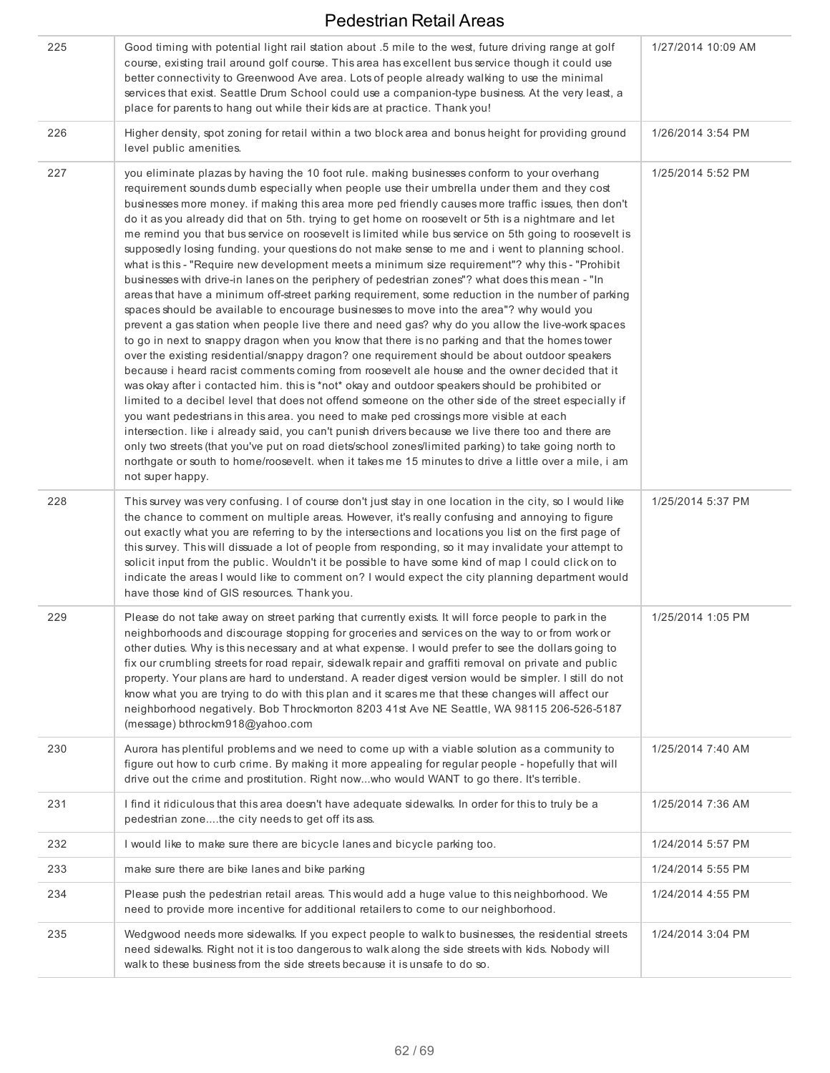| 225 | Good timing with potential light rail station about .5 mile to the west, future driving range at golf<br>course, existing trail around golf course. This area has excellent bus service though it could use<br>better connectivity to Greenwood Ave area. Lots of people already walking to use the minimal<br>services that exist. Seattle Drum School could use a companion-type business. At the very least, a<br>place for parents to hang out while their kids are at practice. Thank you!                                                                                                                                                                                                                                                                                                                                                                                                                                                                                                                                                                                                                                                                                                                                                                                                                                                                                                                                                                                                                                                                                                                                                                                                                                                                                                                                                                                                                                                                                                                                                                                       | 1/27/2014 10:09 AM |
|-----|---------------------------------------------------------------------------------------------------------------------------------------------------------------------------------------------------------------------------------------------------------------------------------------------------------------------------------------------------------------------------------------------------------------------------------------------------------------------------------------------------------------------------------------------------------------------------------------------------------------------------------------------------------------------------------------------------------------------------------------------------------------------------------------------------------------------------------------------------------------------------------------------------------------------------------------------------------------------------------------------------------------------------------------------------------------------------------------------------------------------------------------------------------------------------------------------------------------------------------------------------------------------------------------------------------------------------------------------------------------------------------------------------------------------------------------------------------------------------------------------------------------------------------------------------------------------------------------------------------------------------------------------------------------------------------------------------------------------------------------------------------------------------------------------------------------------------------------------------------------------------------------------------------------------------------------------------------------------------------------------------------------------------------------------------------------------------------------|--------------------|
| 226 | Higher density, spot zoning for retail within a two block area and bonus height for providing ground<br>level public amenities.                                                                                                                                                                                                                                                                                                                                                                                                                                                                                                                                                                                                                                                                                                                                                                                                                                                                                                                                                                                                                                                                                                                                                                                                                                                                                                                                                                                                                                                                                                                                                                                                                                                                                                                                                                                                                                                                                                                                                       | 1/26/2014 3:54 PM  |
| 227 | you eliminate plazas by having the 10 foot rule. making businesses conform to your overhang<br>requirement sounds dumb especially when people use their umbrella under them and they cost<br>businesses more money. If making this area more ped friendly causes more traffic issues, then don't<br>do it as you already did that on 5th. trying to get home on roosevelt or 5th is a nightmare and let<br>me remind you that bus service on roosevelt is limited while bus service on 5th going to roosevelt is<br>supposedly losing funding. your questions do not make sense to me and i went to planning school.<br>what is this - "Require new development meets a minimum size requirement"? why this - "Prohibit<br>businesses with drive-in lanes on the periphery of pedestrian zones"? what does this mean - "In<br>areas that have a minimum off-street parking requirement, some reduction in the number of parking<br>spaces should be available to encourage businesses to move into the area"? why would you<br>prevent a gas station when people live there and need gas? why do you allow the live-work spaces<br>to go in next to snappy dragon when you know that there is no parking and that the homes tower<br>over the existing residential/snappy dragon? one requirement should be about outdoor speakers<br>because i heard racist comments coming from roosevelt ale house and the owner decided that it<br>was okay after i contacted him. this is *not* okay and outdoor speakers should be prohibited or<br>limited to a decibel level that does not offend someone on the other side of the street especially if<br>you want pedestrians in this area. you need to make ped crossings more visible at each<br>intersection. like i already said, you can't punish drivers because we live there too and there are<br>only two streets (that you've put on road diets/school zones/limited parking) to take going north to<br>northgate or south to home/roosevelt. when it takes me 15 minutes to drive a little over a mile, i am<br>not super happy. | 1/25/2014 5:52 PM  |
| 228 | This survey was very confusing. I of course don't just stay in one location in the city, so I would like<br>the chance to comment on multiple areas. However, it's really confusing and annoying to figure<br>out exactly what you are referring to by the intersections and locations you list on the first page of<br>this survey. This will dissuade a lot of people from responding, so it may invalidate your attempt to<br>solicit input from the public. Wouldn't it be possible to have some kind of map I could click on to<br>indicate the areas I would like to comment on? I would expect the city planning department would<br>have those kind of GIS resources. Thank you.                                                                                                                                                                                                                                                                                                                                                                                                                                                                                                                                                                                                                                                                                                                                                                                                                                                                                                                                                                                                                                                                                                                                                                                                                                                                                                                                                                                              | 1/25/2014 5:37 PM  |
| 229 | Please do not take away on street parking that currently exists. It will force people to park in the<br>neighborhoods and discourage stopping for groceries and services on the way to or from work or<br>other duties. Why is this necessary and at what expense. I would prefer to see the dollars going to<br>fix our crumbling streets for road repair, sidewalk repair and graffiti removal on private and public<br>property. Your plans are hard to understand. A reader digest version would be simpler. I still do not<br>know what you are trying to do with this plan and it scares me that these changes will affect our<br>neighborhood negatively. Bob Throckmorton 8203 41st Ave NE Seattle, WA 98115 206-526-5187<br>(message) bthrockm918@yahoo.com                                                                                                                                                                                                                                                                                                                                                                                                                                                                                                                                                                                                                                                                                                                                                                                                                                                                                                                                                                                                                                                                                                                                                                                                                                                                                                                  | 1/25/2014 1:05 PM  |
| 230 | Aurora has plentiful problems and we need to come up with a viable solution as a community to<br>figure out how to curb crime. By making it more appealing for regular people - hopefully that will<br>drive out the crime and prostitution. Right nowwho would WANT to go there. It's terrible.                                                                                                                                                                                                                                                                                                                                                                                                                                                                                                                                                                                                                                                                                                                                                                                                                                                                                                                                                                                                                                                                                                                                                                                                                                                                                                                                                                                                                                                                                                                                                                                                                                                                                                                                                                                      | 1/25/2014 7:40 AM  |
| 231 | I find it ridiculous that this area doesn't have adequate sidewalks. In order for this to truly be a<br>pedestrian zonethe city needs to get off its ass.                                                                                                                                                                                                                                                                                                                                                                                                                                                                                                                                                                                                                                                                                                                                                                                                                                                                                                                                                                                                                                                                                                                                                                                                                                                                                                                                                                                                                                                                                                                                                                                                                                                                                                                                                                                                                                                                                                                             | 1/25/2014 7:36 AM  |
| 232 | I would like to make sure there are bicycle lanes and bicycle parking too.                                                                                                                                                                                                                                                                                                                                                                                                                                                                                                                                                                                                                                                                                                                                                                                                                                                                                                                                                                                                                                                                                                                                                                                                                                                                                                                                                                                                                                                                                                                                                                                                                                                                                                                                                                                                                                                                                                                                                                                                            | 1/24/2014 5:57 PM  |
| 233 | make sure there are bike lanes and bike parking                                                                                                                                                                                                                                                                                                                                                                                                                                                                                                                                                                                                                                                                                                                                                                                                                                                                                                                                                                                                                                                                                                                                                                                                                                                                                                                                                                                                                                                                                                                                                                                                                                                                                                                                                                                                                                                                                                                                                                                                                                       | 1/24/2014 5:55 PM  |
| 234 | Please push the pedestrian retail areas. This would add a huge value to this neighborhood. We<br>need to provide more incentive for additional retailers to come to our neighborhood.                                                                                                                                                                                                                                                                                                                                                                                                                                                                                                                                                                                                                                                                                                                                                                                                                                                                                                                                                                                                                                                                                                                                                                                                                                                                                                                                                                                                                                                                                                                                                                                                                                                                                                                                                                                                                                                                                                 | 1/24/2014 4:55 PM  |
| 235 | Wedgwood needs more sidewalks. If you expect people to walk to businesses, the residential streets<br>need sidewalks. Right not it is too dangerous to walk along the side streets with kids. Nobody will<br>walk to these business from the side streets because it is unsafe to do so.                                                                                                                                                                                                                                                                                                                                                                                                                                                                                                                                                                                                                                                                                                                                                                                                                                                                                                                                                                                                                                                                                                                                                                                                                                                                                                                                                                                                                                                                                                                                                                                                                                                                                                                                                                                              | 1/24/2014 3:04 PM  |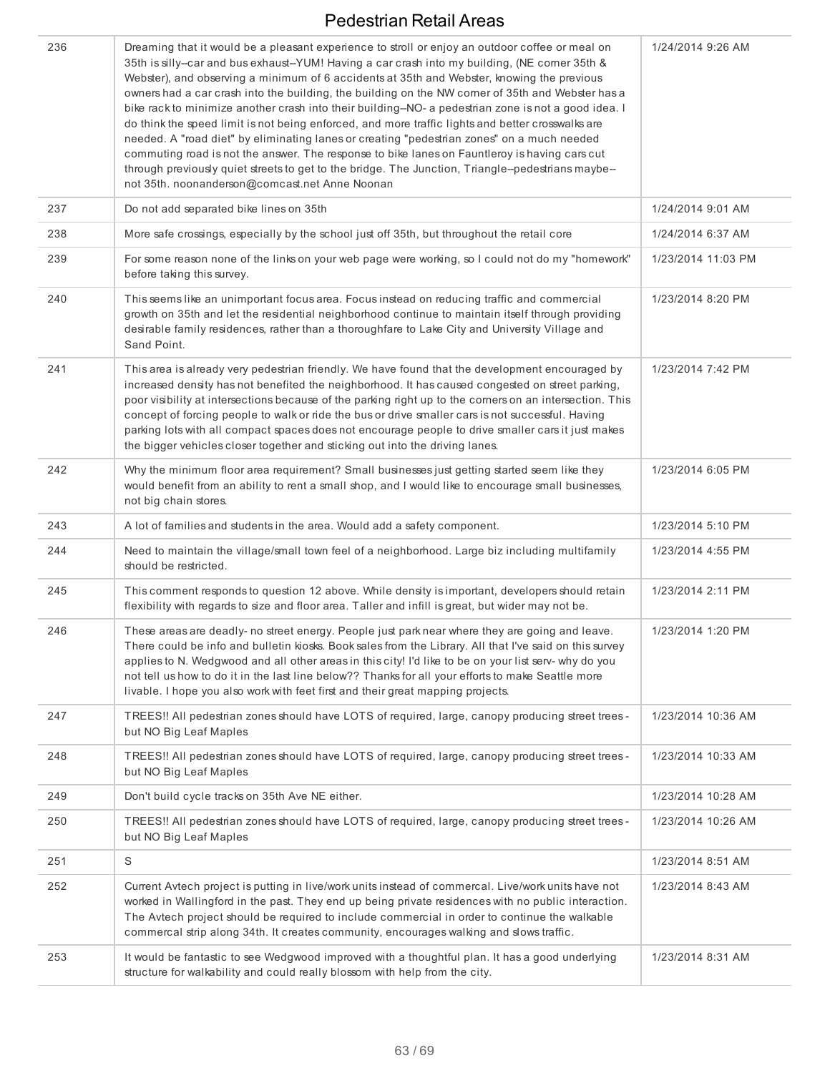| 236 | Dreaming that it would be a pleasant experience to stroll or enjoy an outdoor coffee or meal on<br>35th is silly--car and bus exhaust--YUM! Having a car crash into my building, (NE comer 35th &<br>Webster), and observing a minimum of 6 accidents at 35th and Webster, knowing the previous<br>owners had a car crash into the building, the building on the NW comer of 35th and Webster has a<br>bike rack to minimize another crash into their building-NO- a pedestrian zone is not a good idea. I<br>do think the speed limit is not being enforced, and more traffic lights and better crosswalks are<br>needed. A "road diet" by eliminating lanes or creating "pedestrian zones" on a much needed<br>commuting road is not the answer. The response to bike lanes on Fauntleroy is having cars cut<br>through previously quiet streets to get to the bridge. The Junction, Triangle--pedestrians maybe--<br>not 35th. noonanderson@comcast.net Anne Noonan | 1/24/2014 9:26 AM  |
|-----|------------------------------------------------------------------------------------------------------------------------------------------------------------------------------------------------------------------------------------------------------------------------------------------------------------------------------------------------------------------------------------------------------------------------------------------------------------------------------------------------------------------------------------------------------------------------------------------------------------------------------------------------------------------------------------------------------------------------------------------------------------------------------------------------------------------------------------------------------------------------------------------------------------------------------------------------------------------------|--------------------|
| 237 | Do not add separated bike lines on 35th                                                                                                                                                                                                                                                                                                                                                                                                                                                                                                                                                                                                                                                                                                                                                                                                                                                                                                                                | 1/24/2014 9:01 AM  |
| 238 | More safe crossings, especially by the school just off 35th, but throughout the retail core                                                                                                                                                                                                                                                                                                                                                                                                                                                                                                                                                                                                                                                                                                                                                                                                                                                                            | 1/24/2014 6:37 AM  |
| 239 | For some reason none of the links on your web page were working, so I could not do my "homework"<br>before taking this survey.                                                                                                                                                                                                                                                                                                                                                                                                                                                                                                                                                                                                                                                                                                                                                                                                                                         | 1/23/2014 11:03 PM |
| 240 | This seems like an unimportant focus area. Focus instead on reducing traffic and commercial<br>growth on 35th and let the residential neighborhood continue to maintain itself through providing<br>desirable family residences, rather than a thoroughfare to Lake City and University Village and<br>Sand Point.                                                                                                                                                                                                                                                                                                                                                                                                                                                                                                                                                                                                                                                     | 1/23/2014 8:20 PM  |
| 241 | This area is already very pedestrian friendly. We have found that the development encouraged by<br>increased density has not benefited the neighborhood. It has caused congested on street parking,<br>poor visibility at intersections because of the parking right up to the corners on an intersection. This<br>concept of forcing people to walk or ride the bus or drive smaller cars is not successful. Having<br>parking lots with all compact spaces does not encourage people to drive smaller cars it just makes<br>the bigger vehicles closer together and sticking out into the driving lanes.                                                                                                                                                                                                                                                                                                                                                             | 1/23/2014 7:42 PM  |
| 242 | Why the minimum floor area requirement? Small businesses just getting started seem like they<br>would benefit from an ability to rent a small shop, and I would like to encourage small businesses,<br>not big chain stores.                                                                                                                                                                                                                                                                                                                                                                                                                                                                                                                                                                                                                                                                                                                                           | 1/23/2014 6:05 PM  |
| 243 | A lot of families and students in the area. Would add a safety component.                                                                                                                                                                                                                                                                                                                                                                                                                                                                                                                                                                                                                                                                                                                                                                                                                                                                                              | 1/23/2014 5:10 PM  |
| 244 | Need to maintain the village/small town feel of a neighborhood. Large biz including multifamily<br>should be restricted.                                                                                                                                                                                                                                                                                                                                                                                                                                                                                                                                                                                                                                                                                                                                                                                                                                               | 1/23/2014 4:55 PM  |
| 245 | This comment responds to question 12 above. While density is important, developers should retain<br>flexibility with regards to size and floor area. Taller and infill is great, but wider may not be.                                                                                                                                                                                                                                                                                                                                                                                                                                                                                                                                                                                                                                                                                                                                                                 | 1/23/2014 2:11 PM  |
| 246 | These areas are deadly- no street energy. People just park near where they are going and leave.<br>There could be info and bulletin kiosks. Book sales from the Library. All that I've said on this survey<br>applies to N. Wedgwood and all other areas in this city! I'd like to be on your list serv- why do you<br>not tell us how to do it in the last line below?? Thanks for all your efforts to make Seattle more<br>livable. I hope you also work with feet first and their great mapping projects.                                                                                                                                                                                                                                                                                                                                                                                                                                                           | 1/23/2014 1:20 PM  |
| 247 | TREES!! All pedestrian zones should have LOTS of required, large, canopy producing street trees -<br>but NO Big Leaf Maples                                                                                                                                                                                                                                                                                                                                                                                                                                                                                                                                                                                                                                                                                                                                                                                                                                            | 1/23/2014 10:36 AM |
| 248 | TREES!! All pedestrian zones should have LOTS of required, large, canopy producing street trees -<br>but NO Big Leaf Maples                                                                                                                                                                                                                                                                                                                                                                                                                                                                                                                                                                                                                                                                                                                                                                                                                                            | 1/23/2014 10:33 AM |
| 249 | Don't build cycle tracks on 35th Ave NE either.                                                                                                                                                                                                                                                                                                                                                                                                                                                                                                                                                                                                                                                                                                                                                                                                                                                                                                                        | 1/23/2014 10:28 AM |
| 250 | TREES!! All pedestrian zones should have LOTS of required, large, canopy producing street trees -<br>but NO Big Leaf Maples                                                                                                                                                                                                                                                                                                                                                                                                                                                                                                                                                                                                                                                                                                                                                                                                                                            | 1/23/2014 10:26 AM |
| 251 | S                                                                                                                                                                                                                                                                                                                                                                                                                                                                                                                                                                                                                                                                                                                                                                                                                                                                                                                                                                      | 1/23/2014 8:51 AM  |
| 252 | Current Avtech project is putting in live/work units instead of commercal. Live/work units have not<br>worked in Wallingford in the past. They end up being private residences with no public interaction.<br>The Avtech project should be required to include commercial in order to continue the walkable<br>commercal strip along 34th. It creates community, encourages walking and slows traffic.                                                                                                                                                                                                                                                                                                                                                                                                                                                                                                                                                                 | 1/23/2014 8:43 AM  |
| 253 | It would be fantastic to see Wedgwood improved with a thoughtful plan. It has a good underlying<br>structure for walkability and could really blossom with help from the city.                                                                                                                                                                                                                                                                                                                                                                                                                                                                                                                                                                                                                                                                                                                                                                                         | 1/23/2014 8:31 AM  |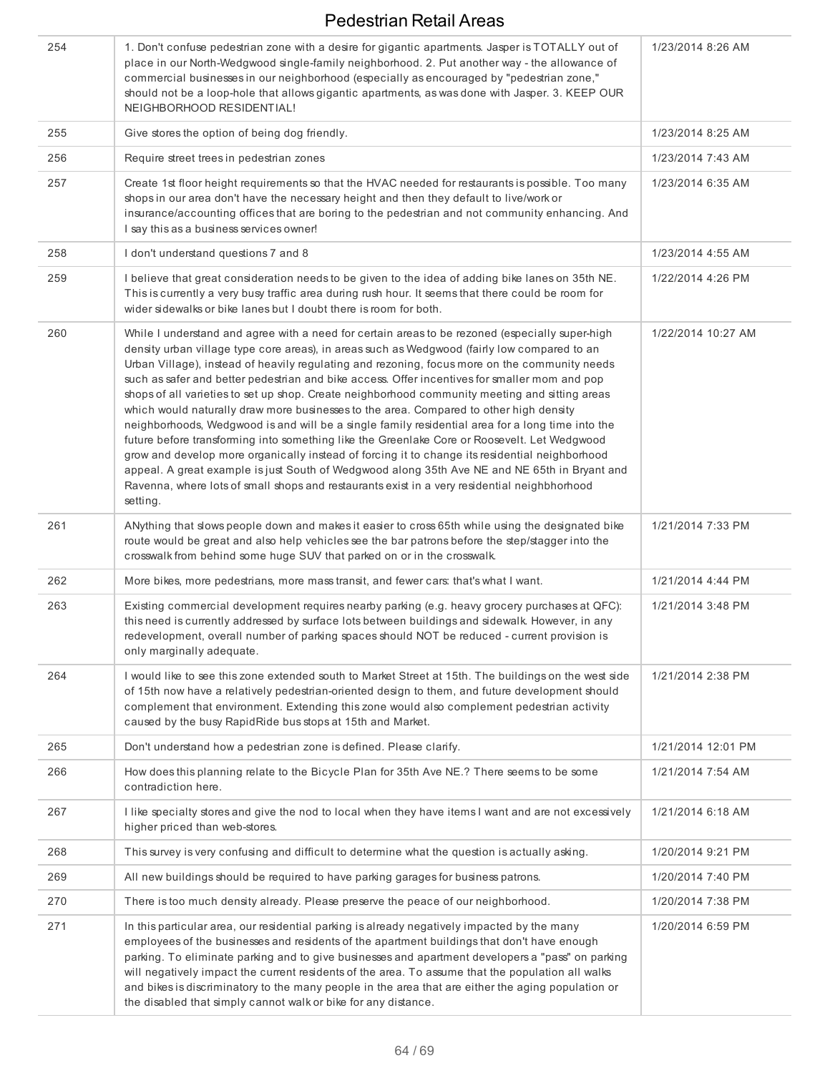| 254 | 1. Don't confuse pedestrian zone with a desire for gigantic apartments. Jasper is TOTALLY out of<br>place in our North-Wedgwood single-family neighborhood. 2. Put another way - the allowance of<br>commercial businesses in our neighborhood (especially as encouraged by "pedestrian zone,"<br>should not be a loop-hole that allows gigantic apartments, as was done with Jasper. 3. KEEP OUR<br>NEIGHBORHOOD RESIDENTIAL!                                                                                                                                                                                                                                                                                                                                                                                                                                                                                                                                                                                                                                                                                   | 1/23/2014 8:26 AM  |
|-----|------------------------------------------------------------------------------------------------------------------------------------------------------------------------------------------------------------------------------------------------------------------------------------------------------------------------------------------------------------------------------------------------------------------------------------------------------------------------------------------------------------------------------------------------------------------------------------------------------------------------------------------------------------------------------------------------------------------------------------------------------------------------------------------------------------------------------------------------------------------------------------------------------------------------------------------------------------------------------------------------------------------------------------------------------------------------------------------------------------------|--------------------|
| 255 | Give stores the option of being dog friendly.                                                                                                                                                                                                                                                                                                                                                                                                                                                                                                                                                                                                                                                                                                                                                                                                                                                                                                                                                                                                                                                                    | 1/23/2014 8:25 AM  |
| 256 | Require street trees in pedestrian zones                                                                                                                                                                                                                                                                                                                                                                                                                                                                                                                                                                                                                                                                                                                                                                                                                                                                                                                                                                                                                                                                         | 1/23/2014 7:43 AM  |
| 257 | Create 1st floor height requirements so that the HVAC needed for restaurants is possible. Too many<br>shops in our area don't have the necessary height and then they default to live/work or<br>insurance/accounting offices that are boring to the pedestrian and not community enhancing. And<br>I say this as a business services owner!                                                                                                                                                                                                                                                                                                                                                                                                                                                                                                                                                                                                                                                                                                                                                                     | 1/23/2014 6:35 AM  |
| 258 | I don't understand questions 7 and 8                                                                                                                                                                                                                                                                                                                                                                                                                                                                                                                                                                                                                                                                                                                                                                                                                                                                                                                                                                                                                                                                             | 1/23/2014 4:55 AM  |
| 259 | I believe that great consideration needs to be given to the idea of adding bike lanes on 35th NE.<br>This is currently a very busy traffic area during rush hour. It seems that there could be room for<br>wider sidewalks or bike lanes but I doubt there is room for both.                                                                                                                                                                                                                                                                                                                                                                                                                                                                                                                                                                                                                                                                                                                                                                                                                                     | 1/22/2014 4:26 PM  |
| 260 | While I understand and agree with a need for certain areas to be rezoned (especially super-high<br>density urban village type core areas), in areas such as Wedgwood (fairly low compared to an<br>Urban Village), instead of heavily regulating and rezoning, focus more on the community needs<br>such as safer and better pedestrian and bike access. Offer incentives for smaller mom and pop<br>shops of all varieties to set up shop. Create neighborhood community meeting and sitting areas<br>which would naturally draw more businesses to the area. Compared to other high density<br>neighborhoods, Wedgwood is and will be a single family residential area for a long time into the<br>future before transforming into something like the Greenlake Core or Roosevelt. Let Wedgwood<br>grow and develop more organically instead of forcing it to change its residential neighborhood<br>appeal. A great example is just South of Wedgwood along 35th Ave NE and NE 65th in Bryant and<br>Ravenna, where lots of small shops and restaurants exist in a very residential neighbhorhood<br>setting. | 1/22/2014 10:27 AM |
| 261 | ANything that slows people down and makes it easier to cross 65th while using the designated bike<br>route would be great and also help vehicles see the bar patrons before the step/stagger into the<br>crosswalk from behind some huge SUV that parked on or in the crosswalk.                                                                                                                                                                                                                                                                                                                                                                                                                                                                                                                                                                                                                                                                                                                                                                                                                                 | 1/21/2014 7:33 PM  |
| 262 | More bikes, more pedestrians, more mass transit, and fewer cars: that's what I want.                                                                                                                                                                                                                                                                                                                                                                                                                                                                                                                                                                                                                                                                                                                                                                                                                                                                                                                                                                                                                             | 1/21/2014 4:44 PM  |
| 263 | Existing commercial development requires nearby parking (e.g. heavy grocery purchases at QFC):<br>this need is currently addressed by surface lots between buildings and sidewalk. However, in any<br>redevelopment, overall number of parking spaces should NOT be reduced - current provision is<br>only marginally adequate.                                                                                                                                                                                                                                                                                                                                                                                                                                                                                                                                                                                                                                                                                                                                                                                  | 1/21/2014 3:48 PM  |
| 264 | I would like to see this zone extended south to Market Street at 15th. The buildings on the west side<br>of 15th now have a relatively pedestrian-oriented design to them, and future development should<br>complement that environment. Extending this zone would also complement pedestrian activity<br>caused by the busy RapidRide bus stops at 15th and Market.                                                                                                                                                                                                                                                                                                                                                                                                                                                                                                                                                                                                                                                                                                                                             | 1/21/2014 2:38 PM  |
| 265 | Don't understand how a pedestrian zone is defined. Please clarify.                                                                                                                                                                                                                                                                                                                                                                                                                                                                                                                                                                                                                                                                                                                                                                                                                                                                                                                                                                                                                                               | 1/21/2014 12:01 PM |
| 266 | How does this planning relate to the Bicycle Plan for 35th Ave NE.? There seems to be some<br>contradiction here.                                                                                                                                                                                                                                                                                                                                                                                                                                                                                                                                                                                                                                                                                                                                                                                                                                                                                                                                                                                                | 1/21/2014 7:54 AM  |
| 267 | I like specialty stores and give the nod to local when they have items I want and are not excessively<br>higher priced than web-stores.                                                                                                                                                                                                                                                                                                                                                                                                                                                                                                                                                                                                                                                                                                                                                                                                                                                                                                                                                                          | 1/21/2014 6:18 AM  |
| 268 | This survey is very confusing and difficult to determine what the question is actually asking.                                                                                                                                                                                                                                                                                                                                                                                                                                                                                                                                                                                                                                                                                                                                                                                                                                                                                                                                                                                                                   | 1/20/2014 9:21 PM  |
| 269 | All new buildings should be required to have parking garages for business patrons.                                                                                                                                                                                                                                                                                                                                                                                                                                                                                                                                                                                                                                                                                                                                                                                                                                                                                                                                                                                                                               | 1/20/2014 7:40 PM  |
| 270 | There is too much density already. Please preserve the peace of our neighborhood.                                                                                                                                                                                                                                                                                                                                                                                                                                                                                                                                                                                                                                                                                                                                                                                                                                                                                                                                                                                                                                | 1/20/2014 7:38 PM  |
| 271 | In this particular area, our residential parking is already negatively impacted by the many<br>employees of the businesses and residents of the apartment buildings that don't have enough<br>parking. To eliminate parking and to give businesses and apartment developers a "pass" on parking<br>will negatively impact the current residents of the area. To assume that the population all walks<br>and bikes is discriminatory to the many people in the area that are either the aging population or<br>the disabled that simply cannot walk or bike for any distance.                                                                                                                                                                                                                                                                                                                                                                                                                                                                                                                                     | 1/20/2014 6:59 PM  |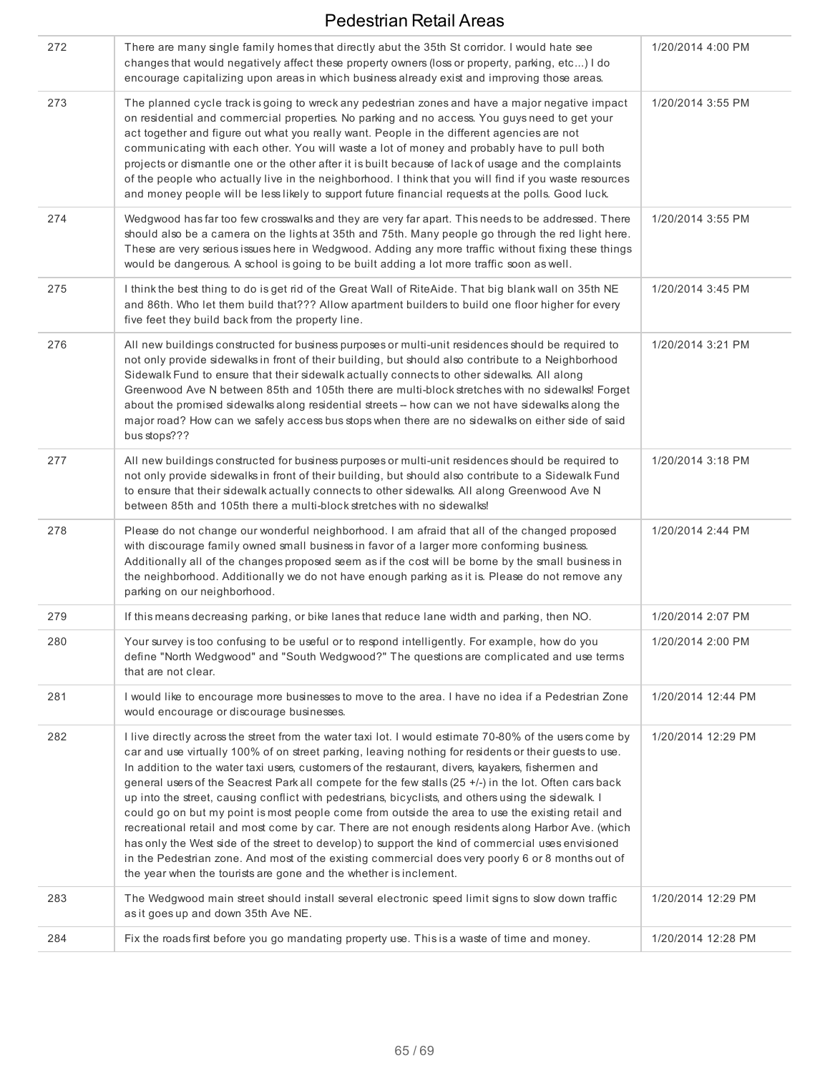| 272 | There are many single family homes that directly abut the 35th St corridor. I would hate see<br>changes that would negatively affect these property owners (loss or property, parking, etc) I do<br>encourage capitalizing upon areas in which business already exist and improving those areas.                                                                                                                                                                                                                                                                                                                                                                                                                                                                                                                                                                                                                                                                                                                                  | 1/20/2014 4:00 PM  |
|-----|-----------------------------------------------------------------------------------------------------------------------------------------------------------------------------------------------------------------------------------------------------------------------------------------------------------------------------------------------------------------------------------------------------------------------------------------------------------------------------------------------------------------------------------------------------------------------------------------------------------------------------------------------------------------------------------------------------------------------------------------------------------------------------------------------------------------------------------------------------------------------------------------------------------------------------------------------------------------------------------------------------------------------------------|--------------------|
| 273 | The planned cycle track is going to wreck any pedestrian zones and have a major negative impact<br>on residential and commercial properties. No parking and no access. You guys need to get your<br>act together and figure out what you really want. People in the different agencies are not<br>communicating with each other. You will waste a lot of money and probably have to pull both<br>projects or dismantle one or the other after it is built because of lack of usage and the complaints<br>of the people who actually live in the neighborhood. I think that you will find if you waste resources<br>and money people will be less likely to support future financial requests at the polls. Good luck.                                                                                                                                                                                                                                                                                                             | 1/20/2014 3:55 PM  |
| 274 | Wedgwood has far too few crosswalks and they are very far apart. This needs to be addressed. There<br>should also be a camera on the lights at 35th and 75th. Many people go through the red light here.<br>These are very serious issues here in Wedgwood. Adding any more traffic without fixing these things<br>would be dangerous. A school is going to be built adding a lot more traffic soon as well.                                                                                                                                                                                                                                                                                                                                                                                                                                                                                                                                                                                                                      | 1/20/2014 3:55 PM  |
| 275 | I think the best thing to do is get rid of the Great Wall of RiteAide. That big blank wall on 35th NE<br>and 86th. Who let them build that??? Allow apartment builders to build one floor higher for every<br>five feet they build back from the property line.                                                                                                                                                                                                                                                                                                                                                                                                                                                                                                                                                                                                                                                                                                                                                                   | 1/20/2014 3:45 PM  |
| 276 | All new buildings constructed for business purposes or multi-unit residences should be required to<br>not only provide sidewalks in front of their building, but should also contribute to a Neighborhood<br>Sidewalk Fund to ensure that their sidewalk actually connects to other sidewalks. All along<br>Greenwood Ave N between 85th and 105th there are multi-block stretches with no sidewalks! Forget<br>about the promised sidewalks along residential streets -- how can we not have sidewalks along the<br>major road? How can we safely access bus stops when there are no sidewalks on either side of said<br>bus stops???                                                                                                                                                                                                                                                                                                                                                                                            | 1/20/2014 3:21 PM  |
| 277 | All new buildings constructed for business purposes or multi-unit residences should be required to<br>not only provide sidewalks in front of their building, but should also contribute to a Sidewalk Fund<br>to ensure that their sidewalk actually connects to other sidewalks. All along Greenwood Ave N<br>between 85th and 105th there a multi-block stretches with no sidewalks!                                                                                                                                                                                                                                                                                                                                                                                                                                                                                                                                                                                                                                            | 1/20/2014 3:18 PM  |
| 278 | Please do not change our wonderful neighborhood. I am afraid that all of the changed proposed<br>with discourage family owned small business in favor of a larger more conforming business.<br>Additionally all of the changes proposed seem as if the cost will be borne by the small business in<br>the neighborhood. Additionally we do not have enough parking as it is. Please do not remove any<br>parking on our neighborhood.                                                                                                                                                                                                                                                                                                                                                                                                                                                                                                                                                                                             | 1/20/2014 2:44 PM  |
| 279 | If this means decreasing parking, or bike lanes that reduce lane width and parking, then NO.                                                                                                                                                                                                                                                                                                                                                                                                                                                                                                                                                                                                                                                                                                                                                                                                                                                                                                                                      | 1/20/2014 2:07 PM  |
| 280 | Your survey is too confusing to be useful or to respond intelligently. For example, how do you<br>define "North Wedgwood" and "South Wedgwood?" The questions are complicated and use terms<br>that are not clear.                                                                                                                                                                                                                                                                                                                                                                                                                                                                                                                                                                                                                                                                                                                                                                                                                | 1/20/2014 2:00 PM  |
| 281 | I would like to encourage more businesses to move to the area. I have no idea if a Pedestrian Zone<br>would encourage or discourage businesses.                                                                                                                                                                                                                                                                                                                                                                                                                                                                                                                                                                                                                                                                                                                                                                                                                                                                                   | 1/20/2014 12:44 PM |
| 282 | I live directly across the street from the water taxi lot. I would estimate 70-80% of the users come by<br>car and use virtually 100% of on street parking, leaving nothing for residents or their guests to use.<br>In addition to the water taxi users, customers of the restaurant, divers, kayakers, fishermen and<br>general users of the Seacrest Park all compete for the few stalls (25 +/-) in the lot. Often cars back<br>up into the street, causing conflict with pedestrians, bicyclists, and others using the sidewalk. I<br>could go on but my point is most people come from outside the area to use the existing retail and<br>recreational retail and most come by car. There are not enough residents along Harbor Ave. (which<br>has only the West side of the street to develop) to support the kind of commercial uses envisioned<br>in the Pedestrian zone. And most of the existing commercial does very poorly 6 or 8 months out of<br>the year when the tourists are gone and the whether is inclement. | 1/20/2014 12:29 PM |
| 283 | The Wedgwood main street should install several electronic speed limit signs to slow down traffic<br>as it goes up and down 35th Ave NE.                                                                                                                                                                                                                                                                                                                                                                                                                                                                                                                                                                                                                                                                                                                                                                                                                                                                                          | 1/20/2014 12:29 PM |
| 284 | Fix the roads first before you go mandating property use. This is a waste of time and money.                                                                                                                                                                                                                                                                                                                                                                                                                                                                                                                                                                                                                                                                                                                                                                                                                                                                                                                                      | 1/20/2014 12:28 PM |
|     |                                                                                                                                                                                                                                                                                                                                                                                                                                                                                                                                                                                                                                                                                                                                                                                                                                                                                                                                                                                                                                   |                    |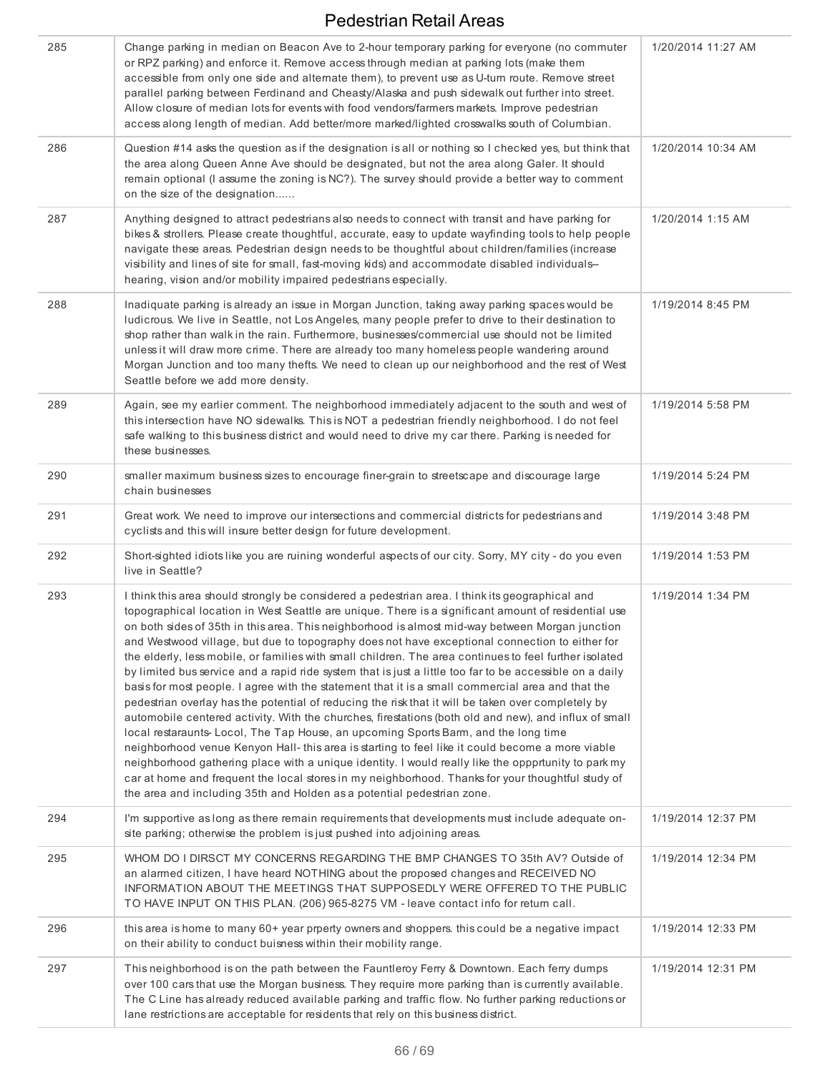| 285 | Change parking in median on Beacon Ave to 2-hour temporary parking for everyone (no commuter<br>or RPZ parking) and enforce it. Remove access through median at parking lots (make them<br>accessible from only one side and alternate them), to prevent use as U-turn route. Remove street<br>parallel parking between Ferdinand and Cheasty/Alaska and push sidewalk out further into street.<br>Allow closure of median lots for events with food vendors/farmers markets. Improve pedestrian<br>access along length of median. Add better/more marked/lighted crosswalks south of Columbian.                                                                                                                                                                                                                                                                                                                                                                                                                                                                                                                                                                                                                                                                                                                                                                                                                                      | 1/20/2014 11:27 AM |
|-----|---------------------------------------------------------------------------------------------------------------------------------------------------------------------------------------------------------------------------------------------------------------------------------------------------------------------------------------------------------------------------------------------------------------------------------------------------------------------------------------------------------------------------------------------------------------------------------------------------------------------------------------------------------------------------------------------------------------------------------------------------------------------------------------------------------------------------------------------------------------------------------------------------------------------------------------------------------------------------------------------------------------------------------------------------------------------------------------------------------------------------------------------------------------------------------------------------------------------------------------------------------------------------------------------------------------------------------------------------------------------------------------------------------------------------------------|--------------------|
| 286 | Question #14 asks the question as if the designation is all or nothing so I checked yes, but think that<br>the area along Queen Anne Ave should be designated, but not the area along Galer. It should<br>remain optional (I assume the zoning is NC?). The survey should provide a better way to comment<br>on the size of the designation                                                                                                                                                                                                                                                                                                                                                                                                                                                                                                                                                                                                                                                                                                                                                                                                                                                                                                                                                                                                                                                                                           | 1/20/2014 10:34 AM |
| 287 | Anything designed to attract pedestrians also needs to connect with transit and have parking for<br>bikes & strollers. Please create thoughtful, accurate, easy to update wayfinding tools to help people<br>navigate these areas. Pedestrian design needs to be thoughtful about children/families (increase<br>visibility and lines of site for small, fast-moving kids) and accommodate disabled individuals-<br>hearing, vision and/or mobility impaired pedestrians especially.                                                                                                                                                                                                                                                                                                                                                                                                                                                                                                                                                                                                                                                                                                                                                                                                                                                                                                                                                  | 1/20/2014 1:15 AM  |
| 288 | Inadiquate parking is already an issue in Morgan Junction, taking away parking spaces would be<br>ludicrous. We live in Seattle, not Los Angeles, many people prefer to drive to their destination to<br>shop rather than walk in the rain. Furthermore, businesses/commercial use should not be limited<br>unless it will draw more crime. There are already too many homeless people wandering around<br>Morgan Junction and too many thefts. We need to clean up our neighborhood and the rest of West<br>Seattle before we add more density.                                                                                                                                                                                                                                                                                                                                                                                                                                                                                                                                                                                                                                                                                                                                                                                                                                                                                      | 1/19/2014 8:45 PM  |
| 289 | Again, see my earlier comment. The neighborhood immediately adjacent to the south and west of<br>this intersection have NO sidewalks. This is NOT a pedestrian friendly neighborhood. I do not feel<br>safe walking to this business district and would need to drive my car there. Parking is needed for<br>these businesses.                                                                                                                                                                                                                                                                                                                                                                                                                                                                                                                                                                                                                                                                                                                                                                                                                                                                                                                                                                                                                                                                                                        | 1/19/2014 5:58 PM  |
| 290 | smaller maximum business sizes to encourage finer-grain to streetscape and discourage large<br>chain businesses                                                                                                                                                                                                                                                                                                                                                                                                                                                                                                                                                                                                                                                                                                                                                                                                                                                                                                                                                                                                                                                                                                                                                                                                                                                                                                                       | 1/19/2014 5:24 PM  |
| 291 | Great work. We need to improve our intersections and commercial districts for pedestrians and<br>cyclists and this will insure better design for future development.                                                                                                                                                                                                                                                                                                                                                                                                                                                                                                                                                                                                                                                                                                                                                                                                                                                                                                                                                                                                                                                                                                                                                                                                                                                                  | 1/19/2014 3:48 PM  |
| 292 | Short-sighted idiots like you are ruining wonderful aspects of our city. Sorry, MY city - do you even<br>live in Seattle?                                                                                                                                                                                                                                                                                                                                                                                                                                                                                                                                                                                                                                                                                                                                                                                                                                                                                                                                                                                                                                                                                                                                                                                                                                                                                                             | 1/19/2014 1:53 PM  |
| 293 | I think this area should strongly be considered a pedestrian area. I think its geographical and<br>topographical location in West Seattle are unique. There is a significant amount of residential use<br>on both sides of 35th in this area. This neighborhood is almost mid-way between Morgan junction<br>and Westwood village, but due to topography does not have exceptional connection to either for<br>the elderly, less mobile, or families with small children. The area continues to feel further isolated<br>by limited bus service and a rapid ride system that is just a little too far to be accessible on a daily<br>basis for most people. I agree with the statement that it is a small commercial area and that the<br>pedestrian overlay has the potential of reducing the risk that it will be taken over completely by<br>automobile centered activity. With the churches, firestations (both old and new), and influx of small<br>local restaraunts-Locol, The Tap House, an upcoming Sports Barm, and the long time<br>neighborhood venue Kenyon Hall- this area is starting to feel like it could become a more viable<br>neighborhood gathering place with a unique identity. I would really like the oppprtunity to park my<br>car at home and frequent the local stores in my neighborhood. Thanks for your thoughtful study of<br>the area and including 35th and Holden as a potential pedestrian zone. | 1/19/2014 1:34 PM  |
| 294 | I'm supportive as long as there remain requirements that developments must include adequate on-<br>site parking; otherwise the problem is just pushed into adjoining areas.                                                                                                                                                                                                                                                                                                                                                                                                                                                                                                                                                                                                                                                                                                                                                                                                                                                                                                                                                                                                                                                                                                                                                                                                                                                           | 1/19/2014 12:37 PM |
| 295 | WHOM DO I DIRSCT MY CONCERNS REGARDING THE BMP CHANGES TO 35th AV? Outside of<br>an alarmed citizen, I have heard NOTHING about the proposed changes and RECEIVED NO<br>INFORMATION ABOUT THE MEETINGS THAT SUPPOSEDLY WERE OFFERED TO THE PUBLIC<br>TO HAVE INPUT ON THIS PLAN. (206) 965-8275 VM - leave contact info for return call.                                                                                                                                                                                                                                                                                                                                                                                                                                                                                                                                                                                                                                                                                                                                                                                                                                                                                                                                                                                                                                                                                              | 1/19/2014 12:34 PM |
| 296 | this area is home to many 60+ year prperty owners and shoppers. this could be a negative impact<br>on their ability to conduct buisness within their mobility range.                                                                                                                                                                                                                                                                                                                                                                                                                                                                                                                                                                                                                                                                                                                                                                                                                                                                                                                                                                                                                                                                                                                                                                                                                                                                  | 1/19/2014 12:33 PM |
| 297 | This neighborhood is on the path between the Fauntleroy Ferry & Downtown. Each ferry dumps<br>over 100 cars that use the Morgan business. They require more parking than is currently available.<br>The C Line has already reduced available parking and traffic flow. No further parking reductions or<br>lane restrictions are acceptable for residents that rely on this business district.                                                                                                                                                                                                                                                                                                                                                                                                                                                                                                                                                                                                                                                                                                                                                                                                                                                                                                                                                                                                                                        | 1/19/2014 12:31 PM |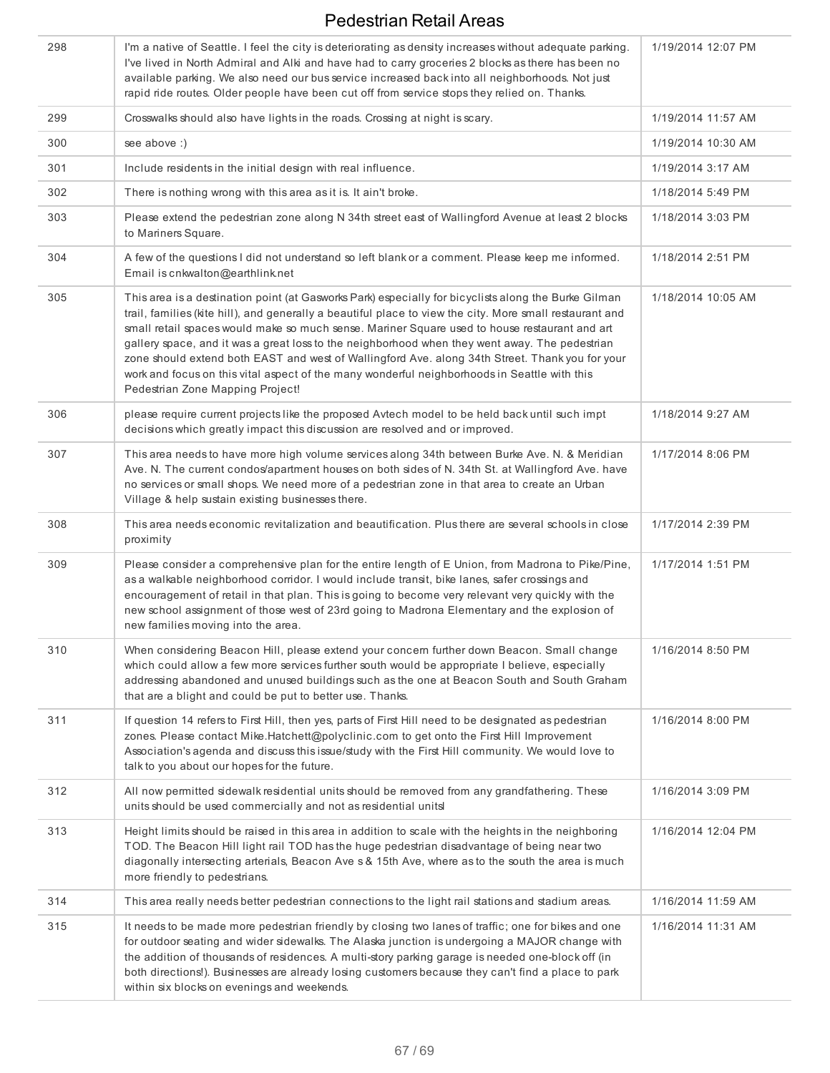| 298 | I'm a native of Seattle. I feel the city is deteriorating as density increases without adequate parking.<br>I've lived in North Admiral and Alki and have had to carry groceries 2 blocks as there has been no<br>available parking. We also need our bus service increased back into all neighborhoods. Not just<br>rapid ride routes. Older people have been cut off from service stops they relied on. Thanks.                                                                                                                                                                                                                                          | 1/19/2014 12:07 PM |
|-----|------------------------------------------------------------------------------------------------------------------------------------------------------------------------------------------------------------------------------------------------------------------------------------------------------------------------------------------------------------------------------------------------------------------------------------------------------------------------------------------------------------------------------------------------------------------------------------------------------------------------------------------------------------|--------------------|
| 299 | Crosswalks should also have lights in the roads. Crossing at night is scary.                                                                                                                                                                                                                                                                                                                                                                                                                                                                                                                                                                               | 1/19/2014 11:57 AM |
| 300 | see above :)                                                                                                                                                                                                                                                                                                                                                                                                                                                                                                                                                                                                                                               | 1/19/2014 10:30 AM |
| 301 | Include residents in the initial design with real influence.                                                                                                                                                                                                                                                                                                                                                                                                                                                                                                                                                                                               | 1/19/2014 3:17 AM  |
| 302 | There is nothing wrong with this area as it is. It ain't broke.                                                                                                                                                                                                                                                                                                                                                                                                                                                                                                                                                                                            | 1/18/2014 5:49 PM  |
| 303 | Please extend the pedestrian zone along N 34th street east of Wallingford Avenue at least 2 blocks<br>to Mariners Square.                                                                                                                                                                                                                                                                                                                                                                                                                                                                                                                                  | 1/18/2014 3:03 PM  |
| 304 | A few of the questions I did not understand so left blank or a comment. Please keep me informed.<br>Email is cnkwalton@earthlink.net                                                                                                                                                                                                                                                                                                                                                                                                                                                                                                                       | 1/18/2014 2:51 PM  |
| 305 | This area is a destination point (at Gasworks Park) especially for bicyclists along the Burke Gilman<br>trail, families (kite hill), and generally a beautiful place to view the city. More small restaurant and<br>small retail spaces would make so much sense. Mariner Square used to house restaurant and art<br>gallery space, and it was a great loss to the neighborhood when they went away. The pedestrian<br>zone should extend both EAST and west of Wallingford Ave. along 34th Street. Thank you for your<br>work and focus on this vital aspect of the many wonderful neighborhoods in Seattle with this<br>Pedestrian Zone Mapping Project! | 1/18/2014 10:05 AM |
| 306 | please require current projects like the proposed Avtech model to be held back until such impt<br>decisions which greatly impact this discussion are resolved and or improved.                                                                                                                                                                                                                                                                                                                                                                                                                                                                             | 1/18/2014 9:27 AM  |
| 307 | This area needs to have more high volume services along 34th between Burke Ave. N. & Meridian<br>Ave. N. The current condos/apartment houses on both sides of N. 34th St. at Wallingford Ave. have<br>no services or small shops. We need more of a pedestrian zone in that area to create an Urban<br>Village & help sustain existing businesses there.                                                                                                                                                                                                                                                                                                   | 1/17/2014 8:06 PM  |
| 308 | This area needs economic revitalization and beautification. Plus there are several schools in close<br>proximity                                                                                                                                                                                                                                                                                                                                                                                                                                                                                                                                           | 1/17/2014 2:39 PM  |
| 309 | Please consider a comprehensive plan for the entire length of E Union, from Madrona to Pike/Pine,<br>as a walkable neighborhood corridor. I would include transit, bike lanes, safer crossings and<br>encouragement of retail in that plan. This is going to become very relevant very quickly with the<br>new school assignment of those west of 23rd going to Madrona Elementary and the explosion of<br>new families moving into the area.                                                                                                                                                                                                              | 1/17/2014 1:51 PM  |
| 310 | When considering Beacon Hill, please extend your concern further down Beacon. Small change<br>which could allow a few more services further south would be appropriate I believe, especially<br>addressing abandoned and unused buildings such as the one at Beacon South and South Graham<br>that are a blight and could be put to better use. Thanks.                                                                                                                                                                                                                                                                                                    | 1/16/2014 8:50 PM  |
| 311 | If question 14 refers to First Hill, then yes, parts of First Hill need to be designated as pedestrian<br>zones. Please contact Mike.Hatchett@polyclinic.com to get onto the First Hill Improvement<br>Association's agenda and discuss this issue/study with the First Hill community. We would love to<br>talk to you about our hopes for the future.                                                                                                                                                                                                                                                                                                    | 1/16/2014 8:00 PM  |
| 312 | All now permitted sidewalk residential units should be removed from any grandfathering. These<br>units should be used commercially and not as residential unitsl                                                                                                                                                                                                                                                                                                                                                                                                                                                                                           | 1/16/2014 3:09 PM  |
| 313 | Height limits should be raised in this area in addition to scale with the heights in the neighboring<br>TOD. The Beacon Hill light rail TOD has the huge pedestrian disadvantage of being near two<br>diagonally intersecting arterials, Beacon Ave s & 15th Ave, where as to the south the area is much<br>more friendly to pedestrians.                                                                                                                                                                                                                                                                                                                  | 1/16/2014 12:04 PM |
| 314 | This area really needs better pedestrian connections to the light rail stations and stadium areas.                                                                                                                                                                                                                                                                                                                                                                                                                                                                                                                                                         | 1/16/2014 11:59 AM |
| 315 | It needs to be made more pedestrian friendly by closing two lanes of traffic; one for bikes and one<br>for outdoor seating and wider sidewalks. The Alaska junction is undergoing a MAJOR change with<br>the addition of thousands of residences. A multi-story parking garage is needed one-block off (in<br>both directions!). Businesses are already losing customers because they can't find a place to park<br>within six blocks on evenings and weekends.                                                                                                                                                                                            | 1/16/2014 11:31 AM |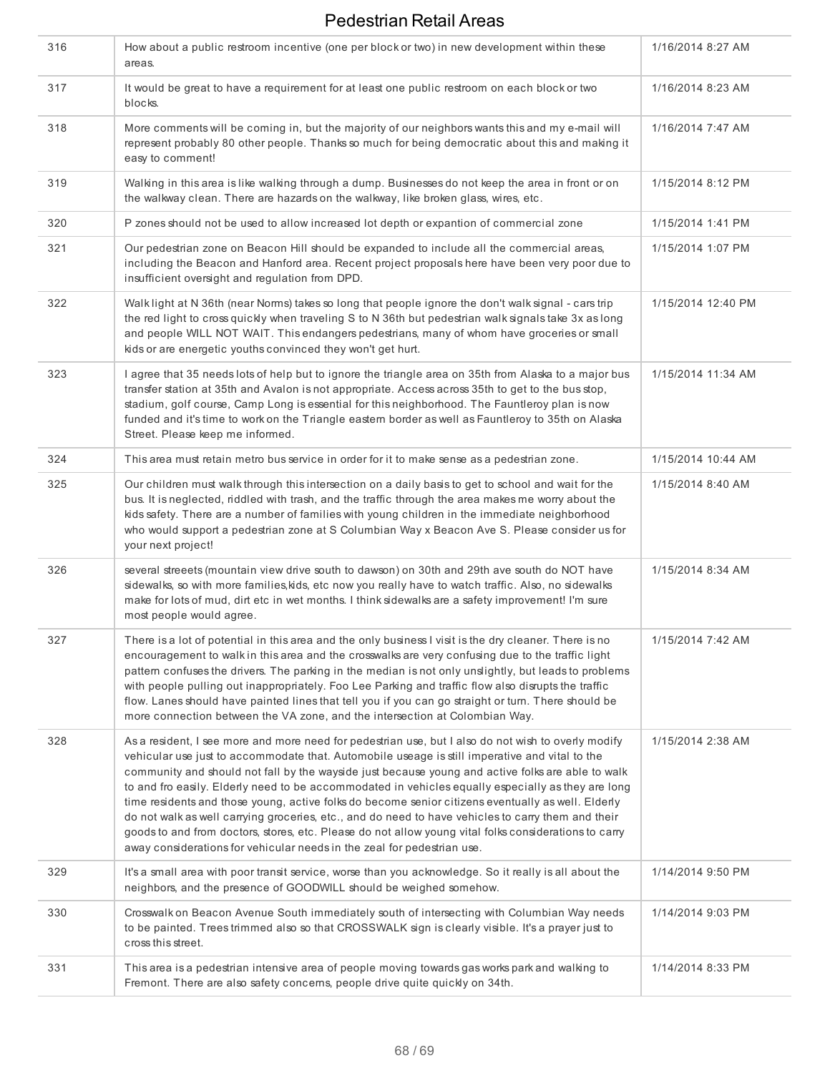| 316 | How about a public restroom incentive (one per block or two) in new development within these<br>areas.                                                                                                                                                                                                                                                                                                                                                                                                                                                                                                                                                                                                                                                                                                           | 1/16/2014 8:27 AM  |
|-----|------------------------------------------------------------------------------------------------------------------------------------------------------------------------------------------------------------------------------------------------------------------------------------------------------------------------------------------------------------------------------------------------------------------------------------------------------------------------------------------------------------------------------------------------------------------------------------------------------------------------------------------------------------------------------------------------------------------------------------------------------------------------------------------------------------------|--------------------|
| 317 | It would be great to have a requirement for at least one public restroom on each block or two<br>blocks.                                                                                                                                                                                                                                                                                                                                                                                                                                                                                                                                                                                                                                                                                                         | 1/16/2014 8:23 AM  |
| 318 | More comments will be coming in, but the majority of our neighbors wants this and my e-mail will<br>represent probably 80 other people. Thanks so much for being democratic about this and making it<br>easy to comment!                                                                                                                                                                                                                                                                                                                                                                                                                                                                                                                                                                                         | 1/16/2014 7:47 AM  |
| 319 | Walking in this area is like walking through a dump. Businesses do not keep the area in front or on<br>the walkway clean. There are hazards on the walkway, like broken glass, wires, etc.                                                                                                                                                                                                                                                                                                                                                                                                                                                                                                                                                                                                                       | 1/15/2014 8:12 PM  |
| 320 | P zones should not be used to allow increased lot depth or expantion of commercial zone                                                                                                                                                                                                                                                                                                                                                                                                                                                                                                                                                                                                                                                                                                                          | 1/15/2014 1:41 PM  |
| 321 | Our pedestrian zone on Beacon Hill should be expanded to include all the commercial areas,<br>including the Beacon and Hanford area. Recent project proposals here have been very poor due to<br>insufficient oversight and regulation from DPD.                                                                                                                                                                                                                                                                                                                                                                                                                                                                                                                                                                 | 1/15/2014 1:07 PM  |
| 322 | Walk light at N 36th (near Norms) takes so long that people ignore the don't walk signal - cars trip<br>the red light to cross quickly when traveling S to N 36th but pedestrian walk signals take 3x as long<br>and people WILL NOT WAIT. This endangers pedestrians, many of whom have groceries or small<br>kids or are energetic youths convinced they won't get hurt.                                                                                                                                                                                                                                                                                                                                                                                                                                       | 1/15/2014 12:40 PM |
| 323 | I agree that 35 needs lots of help but to ignore the triangle area on 35th from Alaska to a major bus<br>transfer station at 35th and Avalon is not appropriate. Access across 35th to get to the bus stop,<br>stadium, golf course, Camp Long is essential for this neighborhood. The Fauntleroy plan is now<br>funded and it's time to work on the Triangle eastern border as well as Fauntleroy to 35th on Alaska<br>Street. Please keep me informed.                                                                                                                                                                                                                                                                                                                                                         | 1/15/2014 11:34 AM |
| 324 | This area must retain metro bus service in order for it to make sense as a pedestrian zone.                                                                                                                                                                                                                                                                                                                                                                                                                                                                                                                                                                                                                                                                                                                      | 1/15/2014 10:44 AM |
| 325 | Our children must walk through this intersection on a daily basis to get to school and wait for the<br>bus. It is neglected, riddled with trash, and the traffic through the area makes me worry about the<br>kids safety. There are a number of families with young children in the immediate neighborhood<br>who would support a pedestrian zone at S Columbian Way x Beacon Ave S. Please consider us for<br>your next project!                                                                                                                                                                                                                                                                                                                                                                               | 1/15/2014 8:40 AM  |
| 326 | several streeets (mountain view drive south to dawson) on 30th and 29th ave south do NOT have<br>sidewalks, so with more families, kids, etc now you really have to watch traffic. Also, no sidewalks<br>make for lots of mud, dirt etc in wet months. I think sidewalks are a safety improvement! I'm sure<br>most people would agree.                                                                                                                                                                                                                                                                                                                                                                                                                                                                          | 1/15/2014 8:34 AM  |
| 327 | There is a lot of potential in this area and the only business I visit is the dry cleaner. There is no<br>encouragement to walk in this area and the crosswalks are very confusing due to the traffic light<br>pattern confuses the drivers. The parking in the median is not only unslightly, but leads to problems<br>with people pulling out inappropriately. Foo Lee Parking and traffic flow also disrupts the traffic<br>flow. Lanes should have painted lines that tell you if you can go straight or turn. There should be<br>more connection between the VA zone, and the intersection at Colombian Way.                                                                                                                                                                                                | 1/15/2014 7:42 AM  |
| 328 | As a resident, I see more and more need for pedestrian use, but I also do not wish to overly modify<br>vehicular use just to accommodate that. Automobile useage is still imperative and vital to the<br>community and should not fall by the wayside just because young and active folks are able to walk<br>to and fro easily. Elderly need to be accommodated in vehicles equally especially as they are long<br>time residents and those young, active folks do become senior citizens eventually as well. Elderly<br>do not walk as well carrying groceries, etc., and do need to have vehicles to carry them and their<br>goods to and from doctors, stores, etc. Please do not allow young vital folks considerations to carry<br>away considerations for vehicular needs in the zeal for pedestrian use. | 1/15/2014 2:38 AM  |
| 329 | It's a small area with poor transit service, worse than you acknowledge. So it really is all about the<br>neighbors, and the presence of GOODWILL should be weighed somehow.                                                                                                                                                                                                                                                                                                                                                                                                                                                                                                                                                                                                                                     | 1/14/2014 9:50 PM  |
| 330 | Crosswalk on Beacon Avenue South immediately south of intersecting with Columbian Way needs<br>to be painted. Trees trimmed also so that CROSSWALK sign is clearly visible. It's a prayer just to<br>cross this street.                                                                                                                                                                                                                                                                                                                                                                                                                                                                                                                                                                                          | 1/14/2014 9:03 PM  |
| 331 | This area is a pedestrian intensive area of people moving towards gas works park and walking to<br>Fremont. There are also safety concerns, people drive quite quickly on 34th.                                                                                                                                                                                                                                                                                                                                                                                                                                                                                                                                                                                                                                  | 1/14/2014 8:33 PM  |